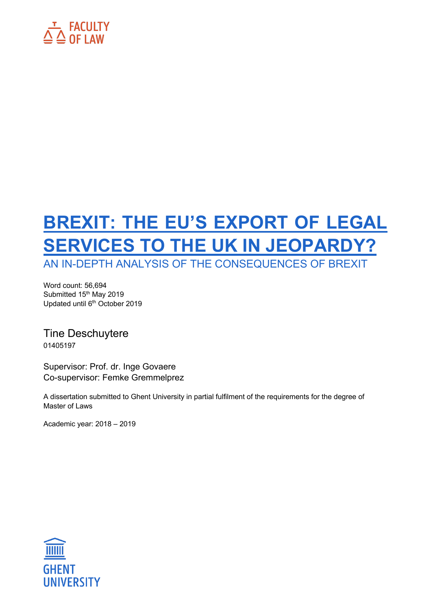# <u>프,</u> FACULTY

# **BREXIT: THE EU'S EXPORT OF LEGAL SERVICES TO THE UK IN JEOPARDY?**

AN IN-DEPTH ANALYSIS OF THE CONSEQUENCES OF BREXIT

Word count: 56,694 Submitted 15<sup>th</sup> May 2019 Updated until 6<sup>th</sup> October 2019

Tine Deschuytere 01405197

Supervisor: Prof. dr. Inge Govaere Co-supervisor: Femke Gremmelprez

A dissertation submitted to Ghent University in partial fulfilment of the requirements for the degree of Master of Laws

Academic year: 2018 – 2019

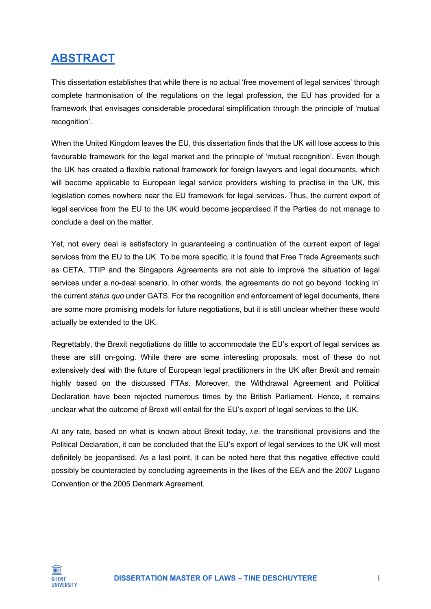# **ABSTRACT**

This dissertation establishes that while there is no actual 'free movement of legal services' through complete harmonisation of the regulations on the legal profession, the EU has provided for a framework that envisages considerable procedural simplification through the principle of 'mutual recognition'.

When the United Kingdom leaves the EU, this dissertation finds that the UK will lose access to this favourable framework for the legal market and the principle of 'mutual recognition'. Even though the UK has created a flexible national framework for foreign lawyers and legal documents, which will become applicable to European legal service providers wishing to practise in the UK, this legislation comes nowhere near the EU framework for legal services. Thus, the current export of legal services from the EU to the UK would become jeopardised if the Parties do not manage to conclude a deal on the matter.

Yet, not every deal is satisfactory in guaranteeing a continuation of the current export of legal services from the EU to the UK. To be more specific, it is found that Free Trade Agreements such as CETA, TTIP and the Singapore Agreements are not able to improve the situation of legal services under a no-deal scenario. In other words, the agreements do not go beyond 'locking in' the current *status quo* under GATS. For the recognition and enforcement of legal documents, there are some more promising models for future negotiations, but it is still unclear whether these would actually be extended to the UK.

Regrettably, the Brexit negotiations do little to accommodate the EU's export of legal services as these are still on-going. While there are some interesting proposals, most of these do not extensively deal with the future of European legal practitioners in the UK after Brexit and remain highly based on the discussed FTAs. Moreover, the Withdrawal Agreement and Political Declaration have been rejected numerous times by the British Parliament. Hence, it remains unclear what the outcome of Brexit will entail for the EU's export of legal services to the UK.

At any rate, based on what is known about Brexit today, *i.e.* the transitional provisions and the Political Declaration, it can be concluded that the EU's export of legal services to the UK will most definitely be jeopardised. As a last point, it can be noted here that this negative effective could possibly be counteracted by concluding agreements in the likes of the EEA and the 2007 Lugano Convention or the 2005 Denmark Agreement.

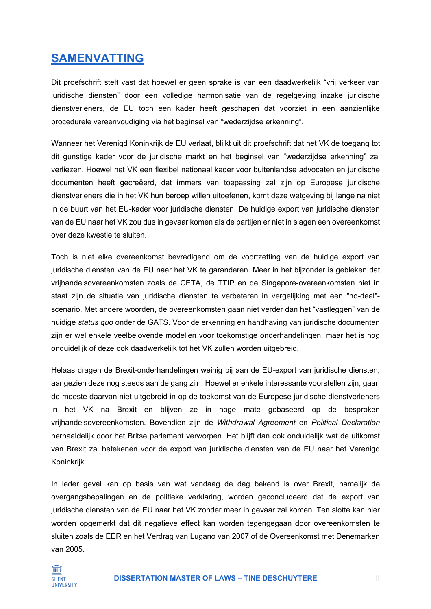## **SAMENVATTING**

Dit proefschrift stelt vast dat hoewel er geen sprake is van een daadwerkelijk "vrij verkeer van juridische diensten" door een volledige harmonisatie van de regelgeving inzake juridische dienstverleners, de EU toch een kader heeft geschapen dat voorziet in een aanzienlijke procedurele vereenvoudiging via het beginsel van "wederzijdse erkenning".

Wanneer het Verenigd Koninkrijk de EU verlaat, blijkt uit dit proefschrift dat het VK de toegang tot dit gunstige kader voor de juridische markt en het beginsel van "wederzijdse erkenning" zal verliezen. Hoewel het VK een flexibel nationaal kader voor buitenlandse advocaten en juridische documenten heeft gecreëerd, dat immers van toepassing zal zijn op Europese juridische dienstverleners die in het VK hun beroep willen uitoefenen, komt deze wetgeving bij lange na niet in de buurt van het EU-kader voor juridische diensten. De huidige export van juridische diensten van de EU naar het VK zou dus in gevaar komen als de partijen er niet in slagen een overeenkomst over deze kwestie te sluiten.

Toch is niet elke overeenkomst bevredigend om de voortzetting van de huidige export van juridische diensten van de EU naar het VK te garanderen. Meer in het bijzonder is gebleken dat vrijhandelsovereenkomsten zoals de CETA, de TTIP en de Singapore-overeenkomsten niet in staat zijn de situatie van juridische diensten te verbeteren in vergelijking met een "no-deal" scenario. Met andere woorden, de overeenkomsten gaan niet verder dan het "vastleggen" van de huidige *status quo* onder de GATS. Voor de erkenning en handhaving van juridische documenten zijn er wel enkele veelbelovende modellen voor toekomstige onderhandelingen, maar het is nog onduidelijk of deze ook daadwerkelijk tot het VK zullen worden uitgebreid.

Helaas dragen de Brexit-onderhandelingen weinig bij aan de EU-export van juridische diensten, aangezien deze nog steeds aan de gang zijn. Hoewel er enkele interessante voorstellen zijn, gaan de meeste daarvan niet uitgebreid in op de toekomst van de Europese juridische dienstverleners in het VK na Brexit en blijven ze in hoge mate gebaseerd op de besproken vrijhandelsovereenkomsten. Bovendien zijn de *Withdrawal Agreement* en *Political Declaration* herhaaldelijk door het Britse parlement verworpen. Het blijft dan ook onduidelijk wat de uitkomst van Brexit zal betekenen voor de export van juridische diensten van de EU naar het Verenigd Koninkrijk.

In ieder geval kan op basis van wat vandaag de dag bekend is over Brexit, namelijk de overgangsbepalingen en de politieke verklaring, worden geconcludeerd dat de export van juridische diensten van de EU naar het VK zonder meer in gevaar zal komen. Ten slotte kan hier worden opgemerkt dat dit negatieve effect kan worden tegengegaan door overeenkomsten te sluiten zoals de EER en het Verdrag van Lugano van 2007 of de Overeenkomst met Denemarken van 2005.

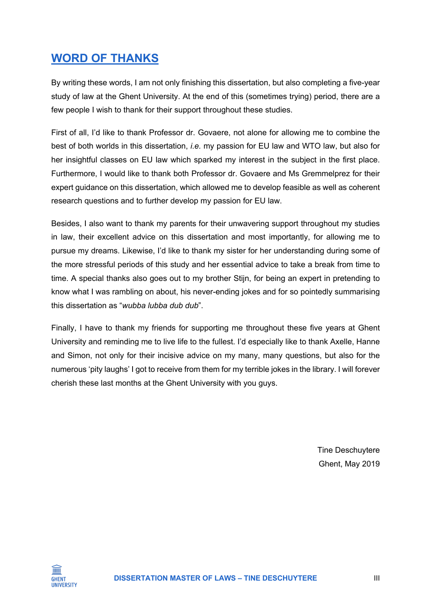## **WORD OF THANKS**

By writing these words, I am not only finishing this dissertation, but also completing a five-year study of law at the Ghent University. At the end of this (sometimes trying) period, there are a few people I wish to thank for their support throughout these studies.

First of all, I'd like to thank Professor dr. Govaere, not alone for allowing me to combine the best of both worlds in this dissertation, *i.e.* my passion for EU law and WTO law, but also for her insightful classes on EU law which sparked my interest in the subject in the first place. Furthermore, I would like to thank both Professor dr. Govaere and Ms Gremmelprez for their expert guidance on this dissertation, which allowed me to develop feasible as well as coherent research questions and to further develop my passion for EU law.

Besides, I also want to thank my parents for their unwavering support throughout my studies in law, their excellent advice on this dissertation and most importantly, for allowing me to pursue my dreams. Likewise, I'd like to thank my sister for her understanding during some of the more stressful periods of this study and her essential advice to take a break from time to time. A special thanks also goes out to my brother Stijn, for being an expert in pretending to know what I was rambling on about, his never-ending jokes and for so pointedly summarising this dissertation as "*wubba lubba dub dub*".

Finally, I have to thank my friends for supporting me throughout these five years at Ghent University and reminding me to live life to the fullest. I'd especially like to thank Axelle, Hanne and Simon, not only for their incisive advice on my many, many questions, but also for the numerous 'pity laughs' I got to receive from them for my terrible jokes in the library. I will forever cherish these last months at the Ghent University with you guys.

> Tine Deschuytere Ghent, May 2019

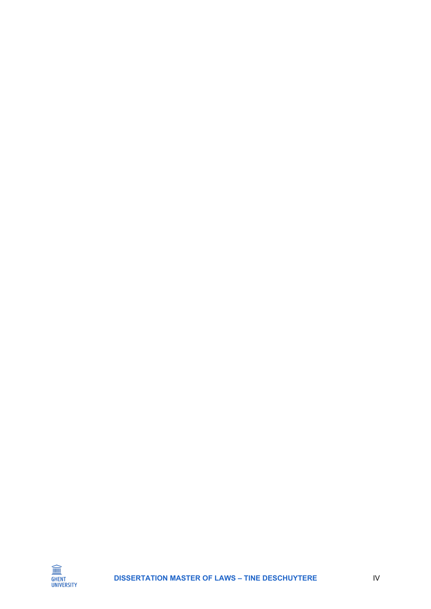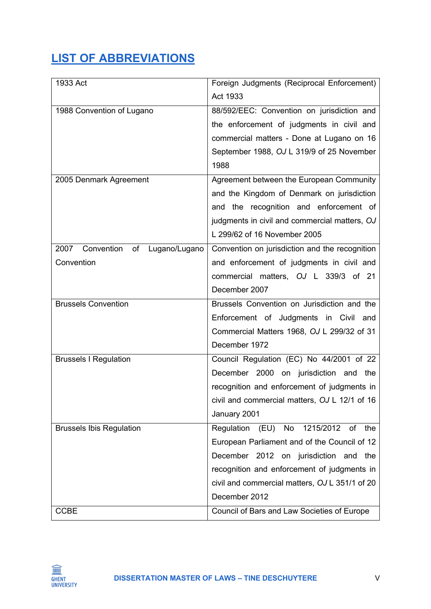# **LIST OF ABBREVIATIONS**

| 1933 Act                            | Foreign Judgments (Reciprocal Enforcement)         |
|-------------------------------------|----------------------------------------------------|
|                                     | Act 1933                                           |
| 1988 Convention of Lugano           | 88/592/EEC: Convention on jurisdiction and         |
|                                     | the enforcement of judgments in civil and          |
|                                     | commercial matters - Done at Lugano on 16          |
|                                     | September 1988, OJ L 319/9 of 25 November          |
|                                     | 1988                                               |
| 2005 Denmark Agreement              | Agreement between the European Community           |
|                                     | and the Kingdom of Denmark on jurisdiction         |
|                                     | and the recognition and enforcement of             |
|                                     | judgments in civil and commercial matters, OJ      |
|                                     | L 299/62 of 16 November 2005                       |
| 2007 Convention<br>of Lugano/Lugano | Convention on jurisdiction and the recognition     |
| Convention                          | and enforcement of judgments in civil and          |
|                                     | commercial matters, OJ L 339/3 of 21               |
|                                     | December 2007                                      |
| <b>Brussels Convention</b>          | Brussels Convention on Jurisdiction and the        |
|                                     | Enforcement of Judgments in Civil and              |
|                                     | Commercial Matters 1968, OJ L 299/32 of 31         |
|                                     | December 1972                                      |
| <b>Brussels I Regulation</b>        | Council Regulation (EC) No 44/2001 of 22           |
|                                     | December 2000 on jurisdiction and the              |
|                                     | recognition and enforcement of judgments in        |
|                                     | civil and commercial matters, OJ L 12/1 of 16      |
|                                     | January 2001                                       |
| <b>Brussels Ibis Regulation</b>     | (EU)<br>No<br>1215/2012<br>Regulation<br>of<br>the |
|                                     | European Parliament and of the Council of 12       |
|                                     | December 2012 on jurisdiction and the              |
|                                     | recognition and enforcement of judgments in        |
|                                     | civil and commercial matters, OJ L 351/1 of 20     |
|                                     | December 2012                                      |
| <b>CCBE</b>                         | Council of Bars and Law Societies of Europe        |

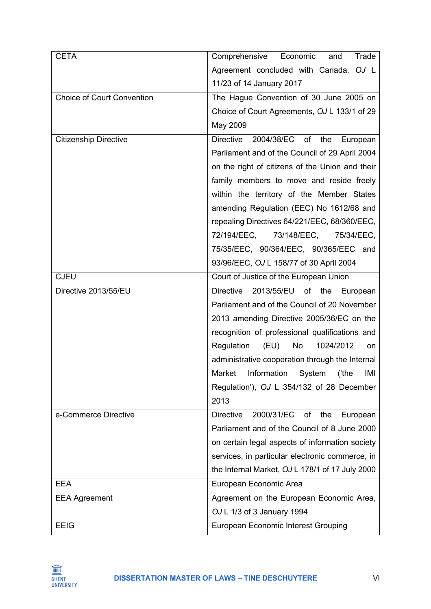| <b>CETA</b>                       | Economic<br>Trade<br>Comprehensive<br>and               |
|-----------------------------------|---------------------------------------------------------|
|                                   | Agreement concluded with Canada, OJ L                   |
|                                   | 11/23 of 14 January 2017                                |
| <b>Choice of Court Convention</b> | The Hague Convention of 30 June 2005 on                 |
|                                   | Choice of Court Agreements, OJ L 133/1 of 29            |
|                                   | May 2009                                                |
| <b>Citizenship Directive</b>      | Directive 2004/38/EC of the<br>European                 |
|                                   | Parliament and of the Council of 29 April 2004          |
|                                   | on the right of citizens of the Union and their         |
|                                   | family members to move and reside freely                |
|                                   | within the territory of the Member States               |
|                                   | amending Regulation (EEC) No 1612/68 and                |
|                                   | repealing Directives 64/221/EEC, 68/360/EEC,            |
|                                   | 73/148/EEC,<br>72/194/EEC,<br>75/34/EEC,                |
|                                   | 75/35/EEC, 90/364/EEC, 90/365/EEC and                   |
|                                   | 93/96/EEC, OJ L 158/77 of 30 April 2004                 |
| <b>CJEU</b>                       | Court of Justice of the European Union                  |
| Directive 2013/55/EU              | Directive<br>2013/55/EU<br>of<br>the<br>European        |
|                                   | Parliament and of the Council of 20 November            |
|                                   | 2013 amending Directive 2005/36/EC on the               |
|                                   | recognition of professional qualifications and          |
|                                   | 1024/2012<br>Regulation<br>(EU)<br>No<br>on             |
|                                   | administrative cooperation through the Internal         |
|                                   | Market Information System ('the IMI                     |
|                                   | Regulation'), OJ L 354/132 of 28 December               |
|                                   | 2013                                                    |
| e-Commerce Directive              | 2000/31/EC<br><b>Directive</b><br>of<br>the<br>European |
|                                   | Parliament and of the Council of 8 June 2000            |
|                                   | on certain legal aspects of information society         |
|                                   | services, in particular electronic commerce, in         |
|                                   | the Internal Market, OJ L 178/1 of 17 July 2000         |
| EEA                               | European Economic Area                                  |
| <b>EEA Agreement</b>              | Agreement on the European Economic Area,                |
|                                   | OJ L 1/3 of 3 January 1994                              |
| <b>EEIG</b>                       | <b>European Economic Interest Grouping</b>              |

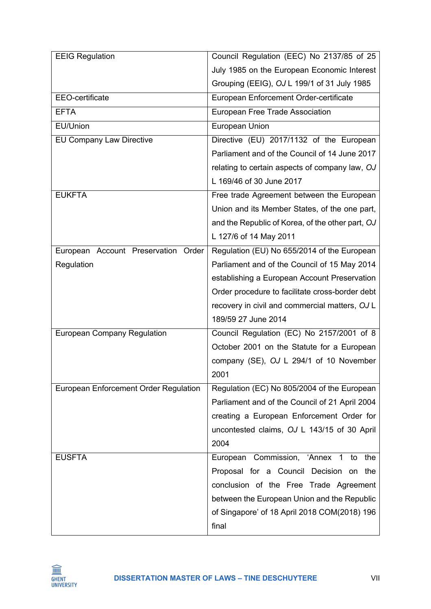| <b>EEIG Regulation</b>                | Council Regulation (EEC) No 2137/85 of 25        |
|---------------------------------------|--------------------------------------------------|
|                                       | July 1985 on the European Economic Interest      |
|                                       | Grouping (EEIG), OJ L 199/1 of 31 July 1985      |
| EEO-certificate                       | European Enforcement Order-certificate           |
| <b>EFTA</b>                           | European Free Trade Association                  |
| EU/Union                              | European Union                                   |
| <b>EU Company Law Directive</b>       | Directive (EU) 2017/1132 of the European         |
|                                       | Parliament and of the Council of 14 June 2017    |
|                                       | relating to certain aspects of company law, OJ   |
|                                       | L 169/46 of 30 June 2017                         |
| <b>EUKFTA</b>                         | Free trade Agreement between the European        |
|                                       | Union and its Member States, of the one part,    |
|                                       | and the Republic of Korea, of the other part, OJ |
|                                       | L 127/6 of 14 May 2011                           |
| European Account Preservation Order   | Regulation (EU) No 655/2014 of the European      |
| Regulation                            | Parliament and of the Council of 15 May 2014     |
|                                       | establishing a European Account Preservation     |
|                                       | Order procedure to facilitate cross-border debt  |
|                                       | recovery in civil and commercial matters, OJ L   |
|                                       | 189/59 27 June 2014                              |
| <b>European Company Regulation</b>    | Council Regulation (EC) No 2157/2001 of 8        |
|                                       | October 2001 on the Statute for a European       |
|                                       | company (SE), OJ L 294/1 of 10 November          |
|                                       | 2001                                             |
| European Enforcement Order Regulation | Regulation (EC) No 805/2004 of the European      |
|                                       | Parliament and of the Council of 21 April 2004   |
|                                       | creating a European Enforcement Order for        |
|                                       | uncontested claims, OJ L 143/15 of 30 April      |
|                                       | 2004                                             |
| <b>EUSFTA</b>                         | European Commission, 'Annex 1<br>the<br>to       |
|                                       | Proposal for a Council Decision on<br>the        |
|                                       | conclusion of the Free Trade Agreement           |
|                                       | between the European Union and the Republic      |
|                                       | of Singapore' of 18 April 2018 COM(2018) 196     |
|                                       | final                                            |

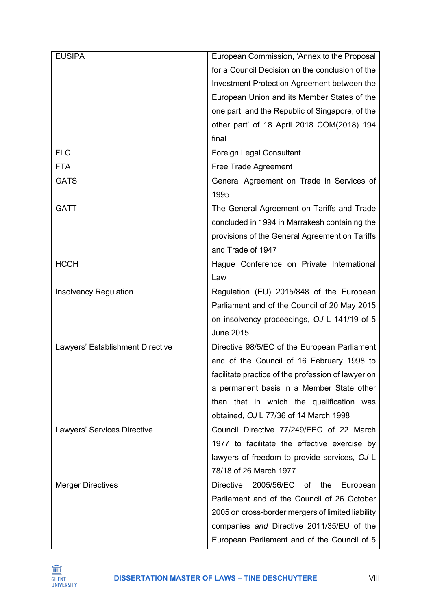| <b>EUSIPA</b>                    | European Commission, 'Annex to the Proposal             |
|----------------------------------|---------------------------------------------------------|
|                                  | for a Council Decision on the conclusion of the         |
|                                  | Investment Protection Agreement between the             |
|                                  | European Union and its Member States of the             |
|                                  | one part, and the Republic of Singapore, of the         |
|                                  | other part' of 18 April 2018 COM(2018) 194              |
|                                  | final                                                   |
| <b>FLC</b>                       | Foreign Legal Consultant                                |
| <b>FTA</b>                       | Free Trade Agreement                                    |
| <b>GATS</b>                      | General Agreement on Trade in Services of               |
|                                  | 1995                                                    |
| <b>GATT</b>                      | The General Agreement on Tariffs and Trade              |
|                                  | concluded in 1994 in Marrakesh containing the           |
|                                  | provisions of the General Agreement on Tariffs          |
|                                  | and Trade of 1947                                       |
| <b>HCCH</b>                      | Hague Conference on Private International               |
|                                  | Law                                                     |
| <b>Insolvency Regulation</b>     | Regulation (EU) 2015/848 of the European                |
|                                  | Parliament and of the Council of 20 May 2015            |
|                                  | on insolvency proceedings, OJ L 141/19 of 5             |
|                                  | <b>June 2015</b>                                        |
| Lawyers' Establishment Directive | Directive 98/5/EC of the European Parliament            |
|                                  | and of the Council of 16 February 1998 to               |
|                                  | facilitate practice of the profession of lawyer on      |
|                                  | a permanent basis in a Member State other               |
|                                  | than that in which the qualification was                |
|                                  | obtained, OJ L 77/36 of 14 March 1998                   |
| Lawyers' Services Directive      | Council Directive 77/249/EEC of 22 March                |
|                                  | 1977 to facilitate the effective exercise by            |
|                                  | lawyers of freedom to provide services, OJ L            |
|                                  | 78/18 of 26 March 1977                                  |
| <b>Merger Directives</b>         | <b>Directive</b><br>2005/56/EC<br>the<br>of<br>European |
|                                  | Parliament and of the Council of 26 October             |
|                                  | 2005 on cross-border mergers of limited liability       |
|                                  | companies and Directive 2011/35/EU of the               |
|                                  | European Parliament and of the Council of 5             |

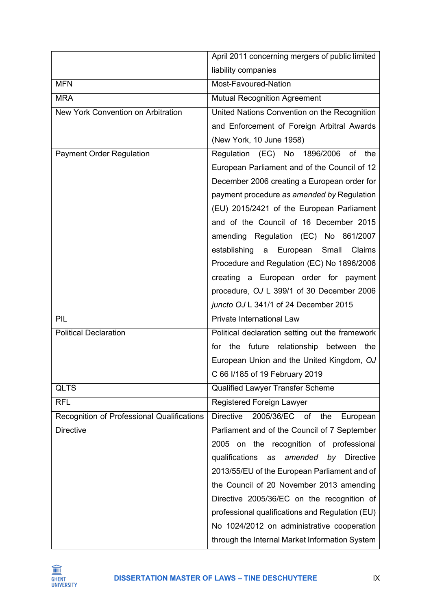|                                            | April 2011 concerning mergers of public limited           |  |  |
|--------------------------------------------|-----------------------------------------------------------|--|--|
|                                            | liability companies                                       |  |  |
| <b>MFN</b>                                 | Most-Favoured-Nation                                      |  |  |
| <b>MRA</b>                                 | <b>Mutual Recognition Agreement</b>                       |  |  |
| New York Convention on Arbitration         | United Nations Convention on the Recognition              |  |  |
|                                            | and Enforcement of Foreign Arbitral Awards                |  |  |
|                                            | (New York, 10 June 1958)                                  |  |  |
| <b>Payment Order Regulation</b>            | Regulation (EC) No 1896/2006<br>of the                    |  |  |
|                                            | European Parliament and of the Council of 12              |  |  |
|                                            | December 2006 creating a European order for               |  |  |
|                                            | payment procedure as amended by Regulation                |  |  |
|                                            | (EU) 2015/2421 of the European Parliament                 |  |  |
|                                            | and of the Council of 16 December 2015                    |  |  |
|                                            | amending Regulation (EC) No 861/2007                      |  |  |
|                                            | Small<br>establishing<br>European<br>Claims<br>a          |  |  |
|                                            | Procedure and Regulation (EC) No 1896/2006                |  |  |
|                                            | creating a European order for payment                     |  |  |
|                                            | procedure, OJ L 399/1 of 30 December 2006                 |  |  |
|                                            | juncto OJ L 341/1 of 24 December 2015                     |  |  |
| PIL                                        | Private International Law                                 |  |  |
| <b>Political Declaration</b>               | Political declaration setting out the framework           |  |  |
|                                            | the future relationship between<br>the<br>for             |  |  |
|                                            | European Union and the United Kingdom, OJ                 |  |  |
|                                            | C 66 I/185 of 19 February 2019                            |  |  |
| <b>QLTS</b>                                | <b>Qualified Lawyer Transfer Scheme</b>                   |  |  |
| <b>RFL</b>                                 | Registered Foreign Lawyer                                 |  |  |
| Recognition of Professional Qualifications | <b>Directive</b><br>2005/36/EC of<br>the<br>European      |  |  |
| <b>Directive</b>                           | Parliament and of the Council of 7 September              |  |  |
|                                            | 2005 on the recognition of professional                   |  |  |
|                                            | qualifications<br><b>Directive</b><br>as<br>amended<br>by |  |  |
|                                            | 2013/55/EU of the European Parliament and of              |  |  |
|                                            | the Council of 20 November 2013 amending                  |  |  |
|                                            | Directive 2005/36/EC on the recognition of                |  |  |
|                                            | professional qualifications and Regulation (EU)           |  |  |
|                                            | No 1024/2012 on administrative cooperation                |  |  |
|                                            | through the Internal Market Information System            |  |  |

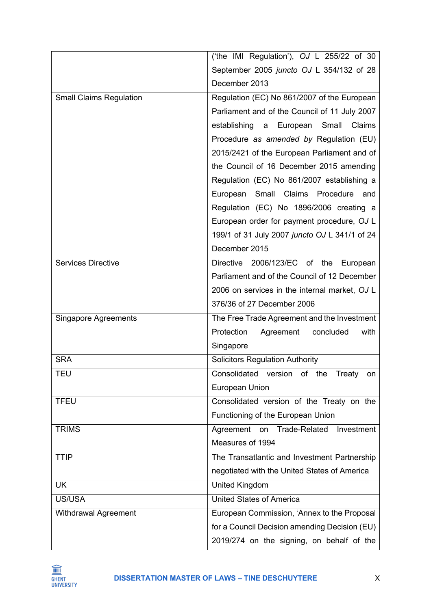|                                | ('the IMI Regulation'), OJ L 255/22 of 30     |
|--------------------------------|-----------------------------------------------|
|                                | September 2005 juncto OJ L 354/132 of 28      |
|                                | December 2013                                 |
| <b>Small Claims Regulation</b> | Regulation (EC) No 861/2007 of the European   |
|                                | Parliament and of the Council of 11 July 2007 |
|                                | establishing<br>European<br>Small Claims<br>a |
|                                | Procedure as amended by Regulation (EU)       |
|                                | 2015/2421 of the European Parliament and of   |
|                                | the Council of 16 December 2015 amending      |
|                                | Regulation (EC) No 861/2007 establishing a    |
|                                | Small Claims<br>European<br>Procedure<br>and  |
|                                | Regulation (EC) No 1896/2006 creating a       |
|                                | European order for payment procedure, OJ L    |
|                                | 199/1 of 31 July 2007 juncto OJ L 341/1 of 24 |
|                                | December 2015                                 |
| <b>Services Directive</b>      | Directive 2006/123/EC of the European         |
|                                | Parliament and of the Council of 12 December  |
|                                | 2006 on services in the internal market, OJ L |
|                                | 376/36 of 27 December 2006                    |
| <b>Singapore Agreements</b>    | The Free Trade Agreement and the Investment   |
|                                | Protection<br>with<br>Agreement<br>concluded  |
|                                | Singapore                                     |
| <b>SRA</b>                     | <b>Solicitors Regulation Authority</b>        |
| <b>TEU</b>                     | Consolidated version of the Treaty on         |
|                                | European Union                                |
| <b>TFEU</b>                    | Consolidated version of the Treaty on the     |
|                                | Functioning of the European Union             |
| <b>TRIMS</b>                   | Agreement on Trade-Related<br>Investment      |
|                                | Measures of 1994                              |
| <b>TTIP</b>                    | The Transatlantic and Investment Partnership  |
|                                | negotiated with the United States of America  |
| <b>UK</b>                      | United Kingdom                                |
| US/USA                         | <b>United States of America</b>               |
| <b>Withdrawal Agreement</b>    | European Commission, 'Annex to the Proposal   |
|                                | for a Council Decision amending Decision (EU) |
|                                | 2019/274 on the signing, on behalf of the     |

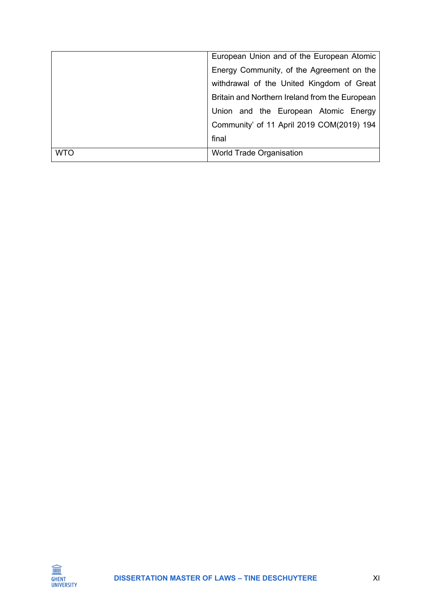|            | European Union and of the European Atomic      |  |
|------------|------------------------------------------------|--|
|            | Energy Community, of the Agreement on the      |  |
|            | withdrawal of the United Kingdom of Great      |  |
|            | Britain and Northern Ireland from the European |  |
|            | Union and the European Atomic Energy           |  |
|            | Community' of 11 April 2019 COM(2019) 194      |  |
|            | final                                          |  |
| <b>WTO</b> | World Trade Organisation                       |  |

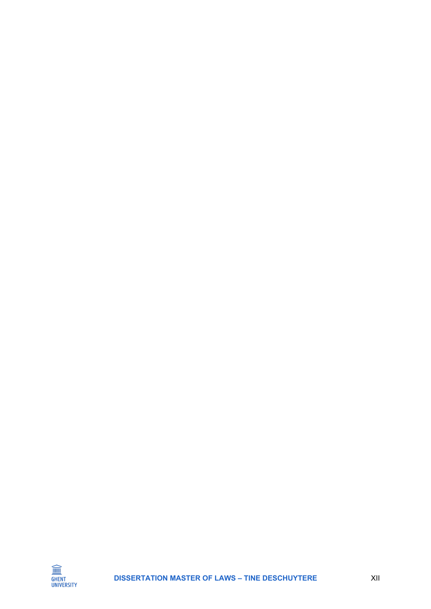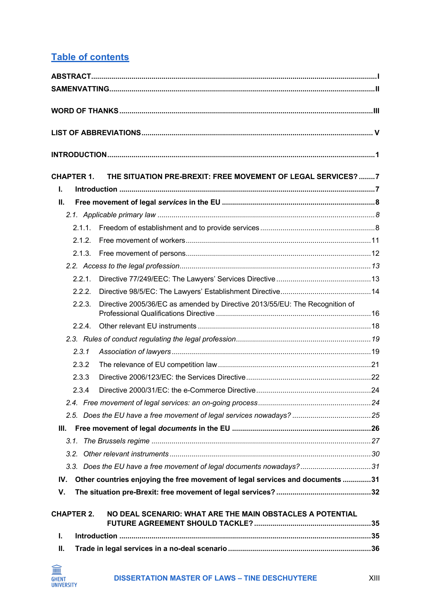## **Table of contents**

|              | <b>CHAPTER 1.</b> | THE SITUATION PRE-BREXIT: FREE MOVEMENT OF LEGAL SERVICES? 7                  |  |
|--------------|-------------------|-------------------------------------------------------------------------------|--|
| $\mathbf{L}$ |                   |                                                                               |  |
| H.           |                   |                                                                               |  |
|              |                   |                                                                               |  |
|              | 2.1.1.            |                                                                               |  |
|              | 212               |                                                                               |  |
|              | 2.1.3.            |                                                                               |  |
|              |                   |                                                                               |  |
|              | 2.2.1.            |                                                                               |  |
|              | 2.2.2.            |                                                                               |  |
|              | 2.2.3.            | Directive 2005/36/EC as amended by Directive 2013/55/EU: The Recognition of   |  |
|              | 2.2.4.            |                                                                               |  |
|              |                   |                                                                               |  |
|              | 2.3.1             |                                                                               |  |
|              | 2.3.2             |                                                                               |  |
|              | 2.3.3             |                                                                               |  |
|              | 2.3.4             |                                                                               |  |
|              |                   |                                                                               |  |
|              |                   |                                                                               |  |
| Ш.           |                   |                                                                               |  |
|              | 3.1.              |                                                                               |  |
|              | 3.2.              |                                                                               |  |
|              |                   | 3.3. Does the EU have a free movement of legal documents nowadays?31          |  |
| IV.          |                   | Other countries enjoying the free movement of legal services and documents 31 |  |
| V.           |                   |                                                                               |  |
|              | <b>CHAPTER 2.</b> | NO DEAL SCENARIO: WHAT ARE THE MAIN OBSTACLES A POTENTIAL                     |  |
|              |                   |                                                                               |  |
| Ι.           |                   |                                                                               |  |
| Ш.           |                   |                                                                               |  |

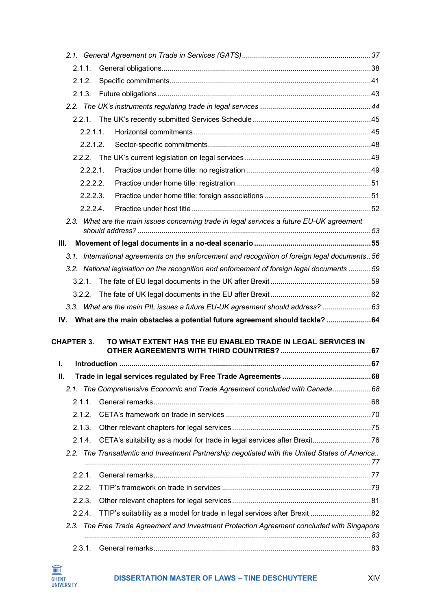| 2.1.1.                                                                                         |  |
|------------------------------------------------------------------------------------------------|--|
| 2.1.2.                                                                                         |  |
| 2.1.3.                                                                                         |  |
|                                                                                                |  |
| 2.2.1                                                                                          |  |
| $2.2.1.1$ .                                                                                    |  |
| 2.2.1.2.                                                                                       |  |
|                                                                                                |  |
| $2.2.2.1$ .                                                                                    |  |
| 2.2.2.2.                                                                                       |  |
| 2.2.2.3.                                                                                       |  |
| 2.2.2.4.                                                                                       |  |
| 2.3. What are the main issues concerning trade in legal services a future EU-UK agreement      |  |
|                                                                                                |  |
| Ш.                                                                                             |  |
| 3.1. International agreements on the enforcement and recognition of foreign legal documents56  |  |
| 3.2. National legislation on the recognition and enforcement of foreign legal documents 59     |  |
| 3.2.1.                                                                                         |  |
| 3.2.2.                                                                                         |  |
| 3.3. What are the main PIL issues a future EU-UK agreement should address?  63                 |  |
| What are the main obstacles a potential future agreement should tackle? 64<br>IV.              |  |
| TO WHAT EXTENT HAS THE EU ENABLED TRADE IN LEGAL SERVICES IN<br><b>CHAPTER 3.</b>              |  |
|                                                                                                |  |
| L.                                                                                             |  |
| П.                                                                                             |  |
| 2.1. The Comprehensive Economic and Trade Agreement concluded with Canada 68                   |  |
| 2.1.1.                                                                                         |  |
| 2.1.2.                                                                                         |  |
| 2.1.3.                                                                                         |  |
| CETA's suitability as a model for trade in legal services after Brexit 76<br>2.1.4.            |  |
| 2.2. The Transatlantic and Investment Partnership negotiated with the United States of America |  |
|                                                                                                |  |
|                                                                                                |  |
| 2.2.1.                                                                                         |  |
| 2.2.2.                                                                                         |  |
| 2.2.3.                                                                                         |  |
| 2.2.4.                                                                                         |  |
| 2.3. The Free Trade Agreement and Investment Protection Agreement concluded with Singapore     |  |

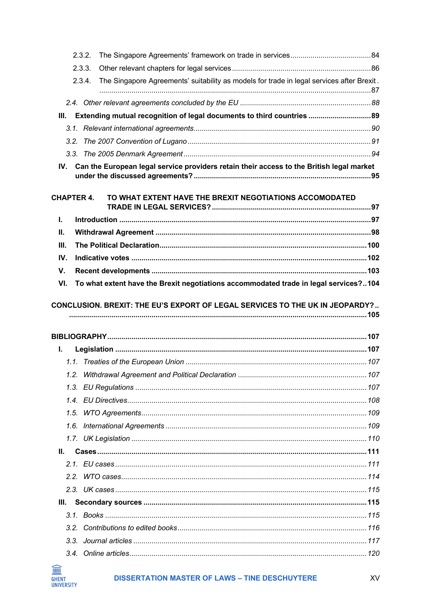|                   |      | 2.3.2.                                                                                              |  |
|-------------------|------|-----------------------------------------------------------------------------------------------------|--|
|                   |      | 2.3.3.                                                                                              |  |
|                   |      | The Singapore Agreements' suitability as models for trade in legal services after Brexit.<br>2.3.4. |  |
|                   |      |                                                                                                     |  |
| Ш.                |      | Extending mutual recognition of legal documents to third countries  89                              |  |
|                   |      |                                                                                                     |  |
|                   | 3.2. |                                                                                                     |  |
|                   |      |                                                                                                     |  |
| IV.               |      | Can the European legal service providers retain their access to the British legal market            |  |
| <b>CHAPTER 4.</b> |      | TO WHAT EXTENT HAVE THE BREXIT NEGOTIATIONS ACCOMODATED                                             |  |
| L.                |      |                                                                                                     |  |
| Ш.                |      |                                                                                                     |  |
| III.              |      |                                                                                                     |  |
| IV.               |      |                                                                                                     |  |
| V.                |      |                                                                                                     |  |
| VI.               |      | To what extent have the Brexit negotiations accommodated trade in legal services?104                |  |
|                   |      | CONCLUSION. BREXIT: THE EU'S EXPORT OF LEGAL SERVICES TO THE UK IN JEOPARDY?                        |  |
| I.                |      |                                                                                                     |  |
|                   |      |                                                                                                     |  |
|                   |      |                                                                                                     |  |
|                   |      |                                                                                                     |  |
|                   |      |                                                                                                     |  |
|                   |      |                                                                                                     |  |
|                   |      |                                                                                                     |  |
|                   |      |                                                                                                     |  |
|                   |      |                                                                                                     |  |
| II.               |      |                                                                                                     |  |
|                   |      |                                                                                                     |  |
|                   |      |                                                                                                     |  |
|                   |      |                                                                                                     |  |
| Ш.                |      |                                                                                                     |  |
|                   |      |                                                                                                     |  |
|                   |      |                                                                                                     |  |
|                   |      |                                                                                                     |  |

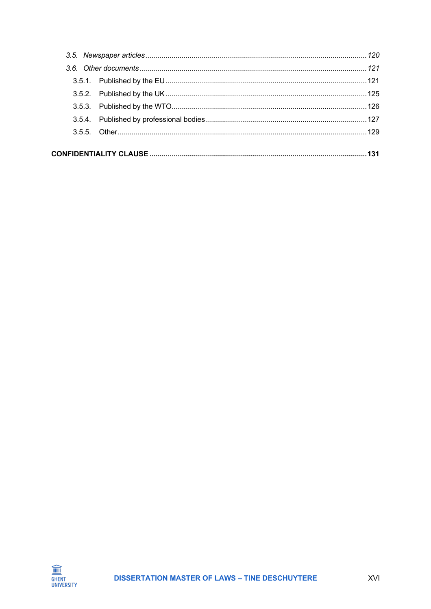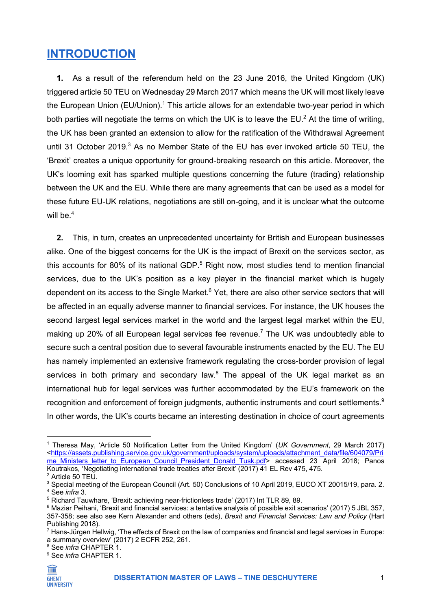### **INTRODUCTION**

**1.** As a result of the referendum held on the 23 June 2016, the United Kingdom (UK) triggered article 50 TEU on Wednesday 29 March 2017 which means the UK will most likely leave the European Union (EU/Union).<sup>1</sup> This article allows for an extendable two-year period in which both parties will negotiate the terms on which the UK is to leave the EU.<sup>2</sup> At the time of writing, the UK has been granted an extension to allow for the ratification of the Withdrawal Agreement until 31 October 2019. $3$  As no Member State of the EU has ever invoked article 50 TEU, the 'Brexit' creates a unique opportunity for ground-breaking research on this article. Moreover, the UK's looming exit has sparked multiple questions concerning the future (trading) relationship between the UK and the EU. While there are many agreements that can be used as a model for these future EU-UK relations, negotiations are still on-going, and it is unclear what the outcome will be. 4

**2.** This, in turn, creates an unprecedented uncertainty for British and European businesses alike. One of the biggest concerns for the UK is the impact of Brexit on the services sector, as this accounts for 80% of its national GDP.<sup>5</sup> Right now, most studies tend to mention financial services, due to the UK's position as a key player in the financial market which is hugely dependent on its access to the Single Market.<sup>6</sup> Yet, there are also other service sectors that will be affected in an equally adverse manner to financial services. For instance, the UK houses the second largest legal services market in the world and the largest legal market within the EU, making up 20% of all European legal services fee revenue.<sup>7</sup> The UK was undoubtedly able to secure such a central position due to several favourable instruments enacted by the EU. The EU has namely implemented an extensive framework regulating the cross-border provision of legal services in both primary and secondary law. $8$  The appeal of the UK legal market as an international hub for legal services was further accommodated by the EU's framework on the recognition and enforcement of foreign judgments, authentic instruments and court settlements.<sup>9</sup> In other words, the UK's courts became an interesting destination in choice of court agreements

<sup>1</sup> Theresa May, 'Article 50 Notification Letter from the United Kingdom' (*UK Government*, 29 March 2017) <https://assets.publishing.service.gov.uk/government/uploads/system/uploads/attachment\_data/file/604079/Pri me\_Ministers\_letter\_to\_European\_Council\_President\_Donald\_Tusk.pdf>\_accessed 23 April 2018; Panos Koutrakos, 'Negotiating international trade treaties after Brexit' (2017) 41 EL Rev 475, 475.

<sup>2</sup> Article 50 TEU.

<sup>&</sup>lt;sup>3</sup> Special meeting of the European Council (Art. 50) Conclusions of 10 April 2019, EUCO XT 20015/19, para. 2.<br><sup>4</sup> See infra 3.

<sup>&</sup>lt;sup>5</sup> Richard Tauwhare, 'Brexit: achieving near-frictionless trade' (2017) Int TLR 89, 89.

<sup>6</sup> Maziar Peihani, 'Brexit and financial services: a tentative analysis of possible exit scenarios' (2017) 5 JBL 357, 357-358; see also see Kern Alexander and others (eds), *Brexit and Financial Services: Law and Policy* (Hart Publishing 2018).

<sup>7</sup> Hans-Jürgen Hellwig, 'The effects of Brexit on the law of companies and financial and legal services in Europe: a summary overview' (2017) 2 ECFR 252, 261.

<sup>8</sup> See *infra* CHAPTER 1.

<sup>9</sup> See *infra* CHAPTER 1.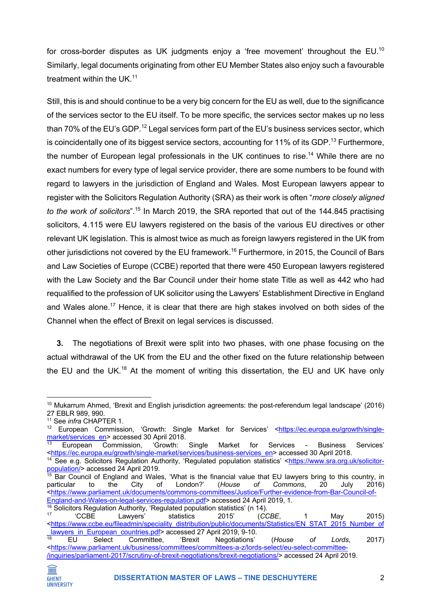for cross-border disputes as UK judgments enjoy a 'free movement' throughout the EU.<sup>10</sup> Similarly, legal documents originating from other EU Member States also enjoy such a favourable treatment within the UK. $11$ 

Still, this is and should continue to be a very big concern for the EU as well, due to the significance of the services sector to the EU itself. To be more specific, the services sector makes up no less than 70% of the EU's GDP.<sup>12</sup> Legal services form part of the EU's business services sector, which is coincidentally one of its biggest service sectors, accounting for 11% of its GDP.<sup>13</sup> Furthermore, the number of European legal professionals in the UK continues to rise.<sup>14</sup> While there are no exact numbers for every type of legal service provider, there are some numbers to be found with regard to lawyers in the jurisdiction of England and Wales. Most European lawyers appear to register with the Solicitors Regulation Authority (SRA) as their work is often "*more closely aligned*  to the work of solicitors".<sup>15</sup> In March 2019, the SRA reported that out of the 144.845 practising solicitors, 4.115 were EU lawyers registered on the basis of the various EU directives or other relevant UK legislation. This is almost twice as much as foreign lawyers registered in the UK from other jurisdictions not covered by the EU framework.<sup>16</sup> Furthermore, in 2015, the Council of Bars and Law Societies of Europe (CCBE) reported that there were 450 European lawyers registered with the Law Society and the Bar Council under their home state Title as well as 442 who had requalified to the profession of UK solicitor using the Lawyers' Establishment Directive in England and Wales alone.<sup>17</sup> Hence, it is clear that there are high stakes involved on both sides of the Channel when the effect of Brexit on legal services is discussed.

**3.** The negotiations of Brexit were split into two phases, with one phase focusing on the actual withdrawal of the UK from the EU and the other fixed on the future relationship between the EU and the UK.<sup>18</sup> At the moment of writing this dissertation, the EU and UK have only

<sup>&</sup>lt;sup>10</sup> Mukarrum Ahmed, 'Brexit and English jurisdiction agreements: the post-referendum legal landscape' (2016) 27 EBLR 989, 990.

<sup>11</sup> See *infra* CHAPTER 1.

<sup>&</sup>lt;sup>12</sup> European Commission, 'Growth: Single Market for Services' <https://ec.europa.eu/growth/singlemarket/services\_en> accessed 30 April 2018.

<sup>&</sup>lt;sup>13</sup> European Commission, 'Growth: Single Market for Services - Business Services' <https://ec.europa.eu/growth/single-market/services/business-services\_en> accessed 30 April 2018.

<sup>&</sup>lt;sup>14</sup> See e.g. Solicitors Regulation Authority, 'Regulated population statistics' <https://www.sra.org.uk/solicitorpopulation/˃ accessed 24 April 2019.

 $15$  Bar Council of England and Wales, 'What is the financial value that EU lawyers bring to this country, in particular to the City of London?' (*House of Commons*, 20 July 2016) ˂https://www.parliament.uk/documents/commons-committees/Justice/Further-evidence-from-Bar-Council-of-England-and-Wales-on-legal-services-regulation.pdf> accessed 24 April 2019, 1.

<sup>&</sup>lt;sup>16</sup> Solicitors Regulation Authority, 'Regulated population statistics' (n 14).<br><sup>17</sup> 'CCBE Lawyers' statistics 2015' (*CCBE*, 1 May 2015) ˂https://www.ccbe.eu/fileadmin/speciality\_distribution/public/documents/Statistics/EN\_STAT\_2015\_Number\_of \_lawyers\_in\_European\_countries.pdf˃ accessed 27 April 2019, 9-10.

<sup>18</sup> EU Select Committee, 'Brexit Negotiations' (*House of Lords*, 2017) ˂https://www.parliament.uk/business/committees/committees-a-z/lords-select/eu-select-committee- /inquiries/parliament-2017/scrutiny-of-brexit-negotiations/brexit-negotiations/˃ accessed 24 April 2019.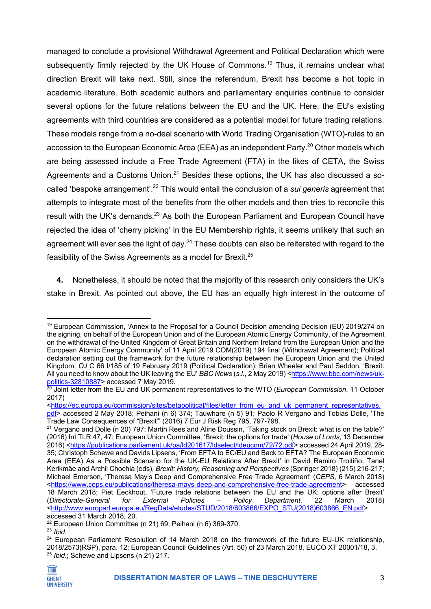managed to conclude a provisional Withdrawal Agreement and Political Declaration which were subsequently firmly rejected by the UK House of Commons.<sup>19</sup> Thus, it remains unclear what direction Brexit will take next. Still, since the referendum, Brexit has become a hot topic in academic literature. Both academic authors and parliamentary enquiries continue to consider several options for the future relations between the EU and the UK. Here, the EU's existing agreements with third countries are considered as a potential model for future trading relations. These models range from a no-deal scenario with World Trading Organisation (WTO)-rules to an accession to the European Economic Area (EEA) as an independent Party.<sup>20</sup> Other models which are being assessed include a Free Trade Agreement (FTA) in the likes of CETA, the Swiss Agreements and a Customs Union.<sup>21</sup> Besides these options, the UK has also discussed a socalled 'bespoke arrangement'.22 This would entail the conclusion of a *sui generis* agreement that attempts to integrate most of the benefits from the other models and then tries to reconcile this result with the UK's demands.<sup>23</sup> As both the European Parliament and European Council have rejected the idea of 'cherry picking' in the EU Membership rights, it seems unlikely that such an agreement will ever see the light of day.<sup>24</sup> These doubts can also be reiterated with regard to the feasibility of the Swiss Agreements as a model for Brexit.<sup>25</sup>

**4.** Nonetheless, it should be noted that the majority of this research only considers the UK's stake in Brexit. As pointed out above, the EU has an equally high interest in the outcome of

<sup>&</sup>lt;sup>19</sup> European Commission, 'Annex to the Proposal for a Council Decision amending Decision (EU) 2019/274 on the signing, on behalf of the European Union and of the European Atomic Energy Community, of the Agreement on the withdrawal of the United Kingdom of Great Britain and Northern Ireland from the European Union and the European Atomic Energy Community' of 11 April 2019 COM(2019) 194 final (Withdrawal Agreement); Political declaration setting out the framework for the future relationship between the European Union and the United Kingdom, *OJ* C 66 I/185 of 19 February 2019 (Political Declaration); Brian Wheeler and Paul Seddon, 'Brexit: All you need to know about the UK leaving the EU' *BBC News* (*s.l.*, 2 May 2019) ˂https://www.bbc.com/news/ukpolitics-32810887> accessed 7 May 2019.

<sup>20</sup> Joint letter from the EU and UK permanent representatives to the WTO (*European Commission*, 11 October 2017)

<sup>&</sup>lt;https://ec.europa.eu/commission/sites/betapolitical/files/letter\_from\_eu\_and\_uk\_permanent\_representatives. pdf> accessed 2 May 2018; Peihani (n 6) 374; Tauwhare (n 5) 91; Paolo R Vergano and Tobias Dolle, 'The Trade Law Consequences of "Brexit"' (2016) 7 Eur J Risk Reg 795, 797-798.

<sup>&</sup>lt;sup>21</sup> Vergano and Dolle (n 20) 797; Martin Rees and Aline Doussin, 'Taking stock on Brexit: what is on the table?' (2016) Int TLR 47, 47; European Union Committee, 'Brexit: the options for trade' (*House of Lords*, 13 December 2016) <https://publications.parliament.uk/pa/ld201617/ldselect/ldeucom/72/72.pdf> accessed 24 April 2019, 28- 35; Christoph Schewe and Davids Lipsens, 'From EFTA to EC/EU and Back to EFTA? The European Economic Area (EEA) As a Possible Scenario for the UK-EU Relations After Brexit' in David Ramiro Troitiño, Tanel Kerikmäe and Archil Chochia (eds), *Brexit: History, Reasoning and Perspectives* (Springer 2018) (215) 216-217; Michael Emerson, 'Theresa May's Deep and Comprehensive Free Trade Agreement' (*CEPS*, 6 March 2018) <https://www.ceps.eu/publications/theresa-mays-deep-and-comprehensive-free-trade-agreement> accessed 18 March 2018; Piet Eeckhout, 'Future trade relations between the EU and the UK: options after Brexit'<br>(Directorate-General for External Policies – Policy Department, 22 March 2018) (*Directorate-General for External Policies – Policy Department*, 22 March 2018) <http://www.europarl.europa.eu/RegData/etudes/STUD/2018/603866/EXPO\_STU(2018)603866\_EN.pdf> accessed 31 March 2018, 20.

<sup>&</sup>lt;sup>22</sup> European Union Committee (n 21) 69; Peihani (n 6) 369-370.<br><sup>23</sup> Ibid

<sup>&</sup>lt;sup>24</sup> European Parliament Resolution of 14 March 2018 on the framework of the future EU-UK relationship, 2018/2573(RSP), para. 12; European Council Guidelines (Art. 50) of 23 March 2018, EUCO XT 20001/18, 3. <sup>25</sup> *Ibid*.; Schewe and Lipsens (n 21) 217.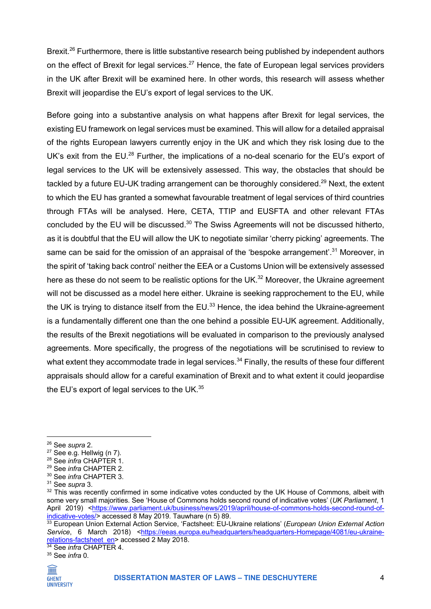Brexit.<sup>26</sup> Furthermore, there is little substantive research being published by independent authors on the effect of Brexit for legal services.<sup>27</sup> Hence, the fate of European legal services providers in the UK after Brexit will be examined here. In other words, this research will assess whether Brexit will jeopardise the EU's export of legal services to the UK.

Before going into a substantive analysis on what happens after Brexit for legal services, the existing EU framework on legal services must be examined. This will allow for a detailed appraisal of the rights European lawyers currently enjoy in the UK and which they risk losing due to the UK's exit from the EU.<sup>28</sup> Further, the implications of a no-deal scenario for the EU's export of legal services to the UK will be extensively assessed. This way, the obstacles that should be tackled by a future EU-UK trading arrangement can be thoroughly considered.<sup>29</sup> Next, the extent to which the EU has granted a somewhat favourable treatment of legal services of third countries through FTAs will be analysed. Here, CETA, TTIP and EUSFTA and other relevant FTAs concluded by the EU will be discussed.<sup>30</sup> The Swiss Agreements will not be discussed hitherto, as it is doubtful that the EU will allow the UK to negotiate similar 'cherry picking' agreements. The same can be said for the omission of an appraisal of the 'bespoke arrangement'.<sup>31</sup> Moreover, in the spirit of 'taking back control' neither the EEA or a Customs Union will be extensively assessed here as these do not seem to be realistic options for the UK.<sup>32</sup> Moreover, the Ukraine agreement will not be discussed as a model here either. Ukraine is seeking rapprochement to the EU, while the UK is trying to distance itself from the  $EU^{33}$  Hence, the idea behind the Ukraine-agreement is a fundamentally different one than the one behind a possible EU-UK agreement. Additionally, the results of the Brexit negotiations will be evaluated in comparison to the previously analysed agreements. More specifically, the progress of the negotiations will be scrutinised to review to what extent they accommodate trade in legal services.<sup>34</sup> Finally, the results of these four different appraisals should allow for a careful examination of Brexit and to what extent it could jeopardise the EU's export of legal services to the UK.<sup>35</sup>

<sup>34</sup> See *infra* CHAPTER 4.

<sup>35</sup> See *infra* 0.



<sup>&</sup>lt;sup>26</sup> See *supra* 2.<br><sup>27</sup> See e.g. Hellwig (n 7).<br><sup>28</sup> See *infra* CHAPTER 1.

<sup>29</sup> See *infra* CHAPTER 2.

<sup>30</sup> See *infra* CHAPTER 3.

<sup>31</sup> See *supra* 3.

<sup>&</sup>lt;sup>32</sup> This was recently confirmed in some indicative votes conducted by the UK House of Commons, albeit with some very small majorities. See 'House of Commons holds second round of indicative votes' (*UK Parliament*, 1 April 2019) <https://www.parliament.uk/business/news/2019/april/house-of-commons-holds-second-round-ofindicative-votes/˃ accessed 8 May 2019. Tauwhare (n 5) 89.

<sup>33</sup> European Union External Action Service, 'Factsheet: EU-Ukraine relations' (*European Union External Action Service*, 6 March 2018) <https://eeas.europa.eu/headquarters/headquarters-Homepage/4081/eu-ukrainerelations-factsheet\_en> accessed 2 May 2018.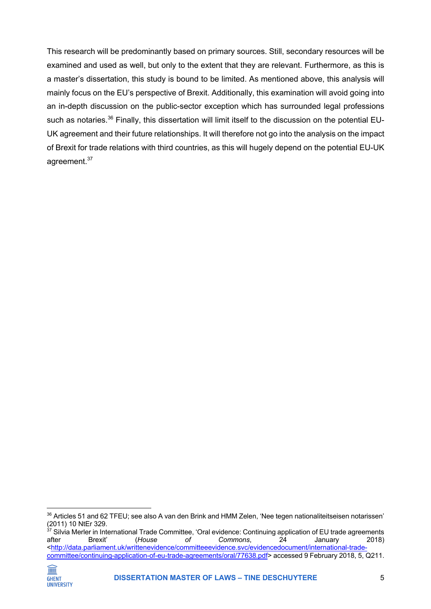This research will be predominantly based on primary sources. Still, secondary resources will be examined and used as well, but only to the extent that they are relevant. Furthermore, as this is a master's dissertation, this study is bound to be limited. As mentioned above, this analysis will mainly focus on the EU's perspective of Brexit. Additionally, this examination will avoid going into an in-depth discussion on the public-sector exception which has surrounded legal professions such as notaries.<sup>36</sup> Finally, this dissertation will limit itself to the discussion on the potential EU-UK agreement and their future relationships. It will therefore not go into the analysis on the impact of Brexit for trade relations with third countries, as this will hugely depend on the potential EU-UK agreement.<sup>37</sup>

 $37$  Silvia Merler in International Trade Committee, 'Oral evidence: Continuing application of EU trade agreements after Brexit' (*House of Commons*, 24 January 2018) <http://data.parliament.uk/writtenevidence/committeeevidence.svc/evidencedocument/international-tradecommittee/continuing-application-of-eu-trade-agreements/oral/77638.pdf> accessed 9 February 2018, 5, Q211.



<sup>36</sup> Articles 51 and 62 TFEU; see also A van den Brink and HMM Zelen, 'Nee tegen nationaliteitseisen notarissen' (2011) 10 NtEr 329.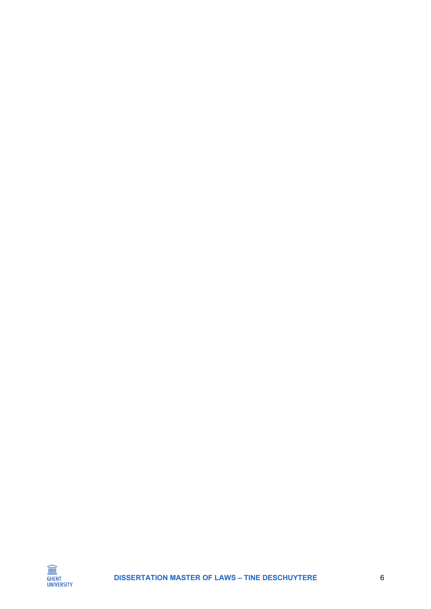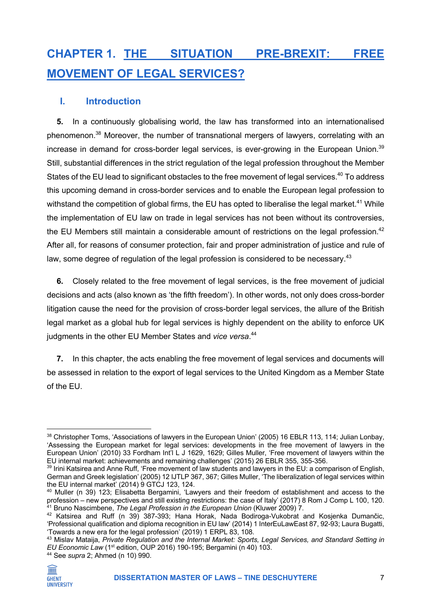# **CHAPTER 1. THE SITUATION PRE-BREXIT: FREE MOVEMENT OF LEGAL SERVICES?**

#### **I. Introduction**

**5.** In a continuously globalising world, the law has transformed into an internationalised phenomenon.<sup>38</sup> Moreover, the number of transnational mergers of lawyers, correlating with an increase in demand for cross-border legal services, is ever-growing in the European Union.<sup>39</sup> Still, substantial differences in the strict regulation of the legal profession throughout the Member States of the EU lead to significant obstacles to the free movement of legal services.<sup>40</sup> To address this upcoming demand in cross-border services and to enable the European legal profession to withstand the competition of global firms, the EU has opted to liberalise the legal market.<sup>41</sup> While the implementation of EU law on trade in legal services has not been without its controversies, the EU Members still maintain a considerable amount of restrictions on the legal profession.<sup>42</sup> After all, for reasons of consumer protection, fair and proper administration of justice and rule of law, some degree of regulation of the legal profession is considered to be necessary.<sup>43</sup>

**6.** Closely related to the free movement of legal services, is the free movement of judicial decisions and acts (also known as 'the fifth freedom'). In other words, not only does cross-border litigation cause the need for the provision of cross-border legal services, the allure of the British legal market as a global hub for legal services is highly dependent on the ability to enforce UK judgments in the other EU Member States and *vice versa*. 44

**7.** In this chapter, the acts enabling the free movement of legal services and documents will be assessed in relation to the export of legal services to the United Kingdom as a Member State of the EU.

<sup>44</sup> See *supra* 2; Ahmed (n 10) 990.



<sup>38</sup> Christopher Toms, 'Associations of lawyers in the European Union' (2005) 16 EBLR 113, 114; Julian Lonbay, 'Assessing the European market for legal services: developments in the free movement of lawyers in the European Union' (2010) 33 Fordham Int'l L J 1629, 1629; Gilles Muller, 'Free movement of lawyers within the EU internal market: achievements and remaining challenges' (2015) 26 EBLR 355, 355-356.

<sup>39</sup> Irini Katsirea and Anne Ruff, 'Free movement of law students and lawyers in the EU: a comparison of English, German and Greek legislation' (2005) 12 IJTLP 367, 367; Gilles Muller, 'The liberalization of legal services within the EU internal market' (2014) 9 GTCJ 123, 124.

<sup>40</sup> Muller (n 39) 123; Elisabetta Bergamini, 'Lawyers and their freedom of establishment and access to the profession – new perspectives and still existing restrictions: the case of Italy' (2017) 8 Rom J Comp L 100, 120. <sup>41</sup> Bruno Nascimbene, *The Legal Profession in the European Union* (Kluwer 2009) 7.

 $42$  Katsirea and Ruff (n 39) 387-393; Hana Horak, Nada Bodiroga-Vukobrat and Kosjenka Dumančic, 'Professional qualification and diploma recognition in EU law' (2014) 1 InterEuLawEast 87, 92-93; Laura Bugatti, 'Towards a new era for the legal profession' (2019) 1 ERPL 83, 108.

<sup>43</sup> Mislav Mataija, *Private Regulation and the Internal Market: Sports, Legal Services, and Standard Setting in EU Economic Law* (1st edition, OUP 2016) 190-195; Bergamini (n 40) 103.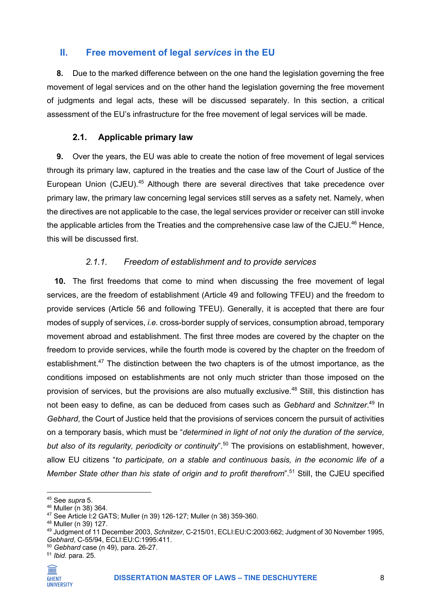#### **II. Free movement of legal** *services* **in the EU**

**8.** Due to the marked difference between on the one hand the legislation governing the free movement of legal services and on the other hand the legislation governing the free movement of judgments and legal acts, these will be discussed separately. In this section, a critical assessment of the EU's infrastructure for the free movement of legal services will be made.

#### **2.1. Applicable primary law**

**9.** Over the years, the EU was able to create the notion of free movement of legal services through its primary law, captured in the treaties and the case law of the Court of Justice of the European Union (CJEU).<sup>45</sup> Although there are several directives that take precedence over primary law, the primary law concerning legal services still serves as a safety net. Namely, when the directives are not applicable to the case, the legal services provider or receiver can still invoke the applicable articles from the Treaties and the comprehensive case law of the CJEU.<sup>46</sup> Hence, this will be discussed first.

#### *2.1.1. Freedom of establishment and to provide services*

**10.** The first freedoms that come to mind when discussing the free movement of legal services, are the freedom of establishment (Article 49 and following TFEU) and the freedom to provide services (Article 56 and following TFEU). Generally, it is accepted that there are four modes of supply of services, *i.e.* cross-border supply of services, consumption abroad, temporary movement abroad and establishment. The first three modes are covered by the chapter on the freedom to provide services, while the fourth mode is covered by the chapter on the freedom of establishment.<sup>47</sup> The distinction between the two chapters is of the utmost importance, as the conditions imposed on establishments are not only much stricter than those imposed on the provision of services, but the provisions are also mutually exclusive.<sup>48</sup> Still, this distinction has not been easy to define, as can be deduced from cases such as *Gebhard* and *Schnitzer*. <sup>49</sup> In *Gebhard*, the Court of Justice held that the provisions of services concern the pursuit of activities on a temporary basis, which must be "*determined in light of not only the duration of the service, but also of its regularity, periodicity or continuity*". <sup>50</sup> The provisions on establishment, however, allow EU citizens "*to participate, on a stable and continuous basis, in the economic life of a Member State other than his state of origin and to profit therefrom*". <sup>51</sup> Still, the CJEU specified

<sup>45</sup> See *supra* 5. 46 Muller (n 38) 364.

<sup>47</sup> See Article I:2 GATS; Muller (n 39) 126-127; Muller (n 38) 359-360.

<sup>48</sup> Muller (n 39) 127.

<sup>49</sup> Judgment of 11 December 2003, *Schnitzer*, C-215/01, ECLI:EU:C:2003:662; Judgment of 30 November 1995, *Gebhard*, C-55/94, ECLI:EU:C:1995:411.

<sup>50</sup> *Gebhard* case (n 49), para. 26-27.

<sup>51</sup> *Ibid*. para. 25.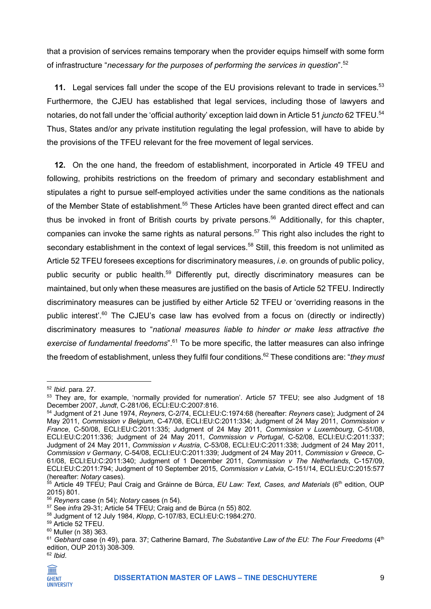that a provision of services remains temporary when the provider equips himself with some form of infrastructure "*necessary for the purposes of performing the services in question*". 52

**11.** Legal services fall under the scope of the EU provisions relevant to trade in services.<sup>53</sup> Furthermore, the CJEU has established that legal services, including those of lawyers and notaries, do not fall under the 'official authority' exception laid down in Article 51 *juncto* 62 TFEU.<sup>54</sup> Thus, States and/or any private institution regulating the legal profession, will have to abide by the provisions of the TFEU relevant for the free movement of legal services.

**12.** On the one hand, the freedom of establishment, incorporated in Article 49 TFEU and following, prohibits restrictions on the freedom of primary and secondary establishment and stipulates a right to pursue self-employed activities under the same conditions as the nationals of the Member State of establishment.<sup>55</sup> These Articles have been granted direct effect and can thus be invoked in front of British courts by private persons.<sup>56</sup> Additionally, for this chapter, companies can invoke the same rights as natural persons.<sup>57</sup> This right also includes the right to secondary establishment in the context of legal services.<sup>58</sup> Still, this freedom is not unlimited as Article 52 TFEU foresees exceptions for discriminatory measures, *i.e.* on grounds of public policy, public security or public health.<sup>59</sup> Differently put, directly discriminatory measures can be maintained, but only when these measures are justified on the basis of Article 52 TFEU. Indirectly discriminatory measures can be justified by either Article 52 TFEU or 'overriding reasons in the public interest<sup>'.60</sup> The CJEU's case law has evolved from a focus on (directly or indirectly) discriminatory measures to "*national measures liable to hinder or make less attractive the exercise of fundamental freedoms*". <sup>61</sup> To be more specific, the latter measures can also infringe the freedom of establishment, unless they fulfil four conditions.62 These conditions are: "*they must* 

<sup>52</sup> *Ibid*. para. 27.

<sup>&</sup>lt;sup>53</sup> They are, for example, 'normally provided for numeration'. Article 57 TFEU; see also Judgment of 18<br>December 2007, Jundt, C-281/06, ECLI:EU:C:2007:816.

<sup>&</sup>lt;sup>54</sup> Judgment of 21 June 1974, *Reyners*, C-2/74, ECLI:EU:C:1974:68 (hereafter: *Reyners* case); Judgment of 24 May 2011, *Commission v Belgium*, C-47/08, ECLI:EU:C:2011:334; Judgment of 24 May 2011, *Commission v France*, C-50/08, ECLI:EU:C:2011:335; Judgment of 24 May 2011, *Commission v Luxembourg*, C-51/08, ECLI:EU:C:2011:336; Judgment of 24 May 2011, *Commission v Portugal*, C-52/08, ECLI:EU:C:2011:337; Judgment of 24 May 2011, *Commission v Austria*, C-53/08, ECLI:EU:C:2011:338; Judgment of 24 May 2011, *Commission v Germany*, C-54/08, ECLI:EU:C:2011:339; Judgment of 24 May 2011*, Commission v Greece*, C-61/08, ECLI:EU:C:2011:340; Judgment of 1 December 2011, *Commission v The Netherlands*, C-157/09, ECLI:EU:C:2011:794; Judgment of 10 September 2015, *Commission v Latvia*, C-151/14, ECLI:EU:C:2015:577 (hereafter: *Notary* cases).

<sup>&</sup>lt;sup>55</sup> Article 49 TFEU; Paul Craig and Gráinne de Búrca, *EU Law: Text, Cases, and Materials* (6<sup>th</sup> edition, OUP 2015) 801.

<sup>56</sup> *Reyners* case (n 54); *Notary* cases (n 54).

<sup>57</sup> See *infra* 29-31; Article 54 TFEU; Craig and de Búrca (n 55) 802.

<sup>58</sup> Judgment of 12 July 1984, *Klopp*, C-107/83, ECLI:EU:C:1984:270.

<sup>60</sup> Muller (n 38) 363.

<sup>&</sup>lt;sup>61</sup> Gebhard case (n 49), para. 37; Catherine Barnard, *The Substantive Law of the EU: The Four Freedoms* (4<sup>th</sup> edition, OUP 2013) 308-309.

<sup>62</sup> *Ibid*.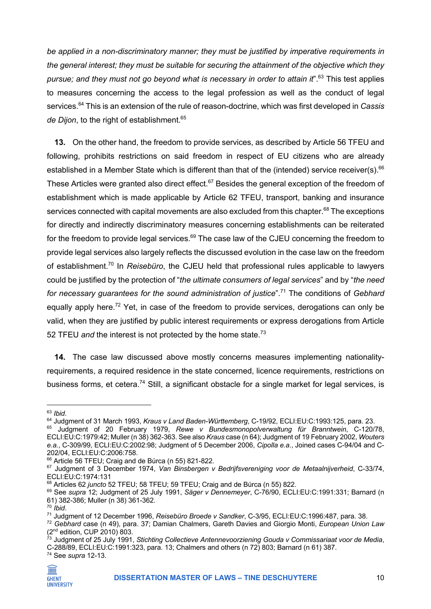*be applied in a non-discriminatory manner; they must be justified by imperative requirements in the general interest; they must be suitable for securing the attainment of the objective which they pursue; and they must not go beyond what is necessary in order to attain it*". <sup>63</sup> This test applies to measures concerning the access to the legal profession as well as the conduct of legal services.<sup>64</sup> This is an extension of the rule of reason-doctrine, which was first developed in *Cassis*  de Dijon, to the right of establishment.<sup>65</sup>

**13.** On the other hand, the freedom to provide services, as described by Article 56 TFEU and following, prohibits restrictions on said freedom in respect of EU citizens who are already established in a Member State which is different than that of the (intended) service receiver(s).<sup>66</sup> These Articles were granted also direct effect.<sup>67</sup> Besides the general exception of the freedom of establishment which is made applicable by Article 62 TFEU, transport, banking and insurance services connected with capital movements are also excluded from this chapter.<sup>68</sup> The exceptions for directly and indirectly discriminatory measures concerning establishments can be reiterated for the freedom to provide legal services.<sup>69</sup> The case law of the CJEU concerning the freedom to provide legal services also largely reflects the discussed evolution in the case law on the freedom of establishment.70 In *Reisebüro*, the CJEU held that professional rules applicable to lawyers could be justified by the protection of "*the ultimate consumers of legal services*" and by "*the need for necessary guarantees for the sound administration of justice*". <sup>71</sup> The conditions of *Gebhard* equally apply here.<sup>72</sup> Yet, in case of the freedom to provide services, derogations can only be valid, when they are justified by public interest requirements or express derogations from Article 52 TFEU *and* the interest is not protected by the home state.<sup>73</sup>

**14.** The case law discussed above mostly concerns measures implementing nationalityrequirements, a required residence in the state concerned, licence requirements, restrictions on business forms, et cetera.<sup>74</sup> Still, a significant obstacle for a single market for legal services, is

<sup>63</sup> *Ibid*.

<sup>64</sup> Judgment of 31 March 1993, *Kraus v Land Baden-Württemberg*, C-19/92, ECLI:EU:C:1993:125, para. 23.

<sup>65</sup> Judgment of 20 February 1979, *Rewe v Bundesmonopolverwaltung für Branntwein*, C-120/78, ECLI:EU:C:1979:42; Muller (n 38) 362-363. See also *Kraus* case (n 64); Judgment of 19 February 2002, *Wouters e.a.*, C-309/99, ECLI:EU:C:2002:98; Judgment of 5 December 2006, *Cipolla e.a*., Joined cases C-94/04 and C-202/04, ECLI:EU:C:2006:758.

<sup>66</sup> Article 56 TFEU; Craig and de Búrca (n 55) 821-822.

<sup>67</sup> Judgment of 3 December 1974, *Van Binsbergen v Bedrijfsvereniging voor de Metaalnijverheid*, C-33/74, ECLI:EU:C:1974:131

<sup>68</sup> Articles 62 *juncto* 52 TFEU; 58 TFEU; 59 TFEU; Craig and de Búrca (n 55) 822.

<sup>69</sup> See *supra* 12; Judgment of 25 July 1991, *Säger v Dennemeyer*, C-76/90, ECLI:EU:C:1991:331; Barnard (n 61) 382-386; Muller (n 38) 361-362.

<sup>70</sup> *Ibid*.

<sup>71</sup> Judgment of 12 December 1996, *Reisebüro Broede v Sandker*, C-3/95, ECLI:EU:C:1996:487, para. 38.

<sup>72</sup> *Gebhard* case (n 49), para. 37; Damian Chalmers, Gareth Davies and Giorgio Monti, *European Union Law*  $(2<sup>nd</sup>$  edition, CUP 2010) 803.

<sup>73</sup> Judgment of 25 July 1991, *Stichting Collectieve Antennevoorziening Gouda v Commissariaat voor de Media*, C-288/89, ECLI:EU:C:1991:323, para. 13; Chalmers and others (n 72) 803; Barnard (n 61) 387. <sup>74</sup> See *supra* 12-13.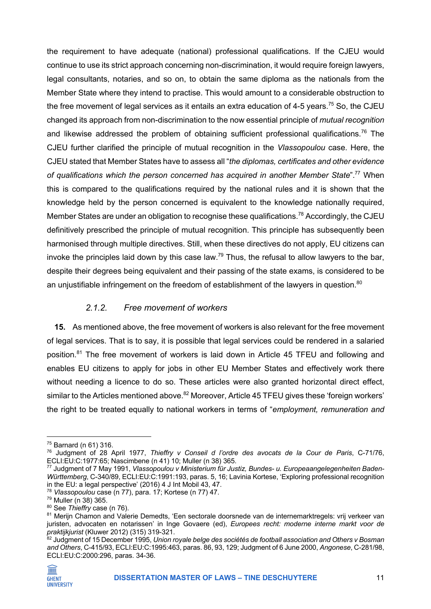the requirement to have adequate (national) professional qualifications. If the CJEU would continue to use its strict approach concerning non-discrimination, it would require foreign lawyers, legal consultants, notaries, and so on, to obtain the same diploma as the nationals from the Member State where they intend to practise. This would amount to a considerable obstruction to the free movement of legal services as it entails an extra education of 4-5 years.<sup>75</sup> So, the CJEU changed its approach from non-discrimination to the now essential principle of *mutual recognition* and likewise addressed the problem of obtaining sufficient professional qualifications.<sup>76</sup> The CJEU further clarified the principle of mutual recognition in the *Vlassopoulou* case. Here, the CJEU stated that Member States have to assess all "*the diplomas, certificates and other evidence of qualifications which the person concerned has acquired in another Member State*". <sup>77</sup> When this is compared to the qualifications required by the national rules and it is shown that the knowledge held by the person concerned is equivalent to the knowledge nationally required, Member States are under an obligation to recognise these qualifications.<sup>78</sup> Accordingly, the CJEU definitively prescribed the principle of mutual recognition. This principle has subsequently been harmonised through multiple directives. Still, when these directives do not apply, EU citizens can invoke the principles laid down by this case law.<sup>79</sup> Thus, the refusal to allow lawyers to the bar, despite their degrees being equivalent and their passing of the state exams, is considered to be an uniustifiable infringement on the freedom of establishment of the lawyers in question. $80$ 

#### *2.1.2. Free movement of workers*

**15.** As mentioned above, the free movement of workers is also relevant for the free movement of legal services. That is to say, it is possible that legal services could be rendered in a salaried position.<sup>81</sup> The free movement of workers is laid down in Article 45 TFEU and following and enables EU citizens to apply for jobs in other EU Member States and effectively work there without needing a licence to do so. These articles were also granted horizontal direct effect, similar to the Articles mentioned above.<sup>82</sup> Moreover, Article 45 TFEU gives these 'foreign workers' the right to be treated equally to national workers in terms of "*employment, remuneration and* 

<sup>75</sup> Barnard (n 61) 316.

<sup>76</sup> Judgment of 28 April 1977, *Thieffry v Conseil d l'ordre des avocats de la Cour de Paris*, C-71/76, ECLI:EU:C:1977:65; Nascimbene (n 41) 10; Muller (n 38) 365.

<sup>77</sup> Judgment of 7 May 1991, *Vlassopoulou v Ministerium für Justiz, Bundes- u. Europeaangelegenheiten Baden-Württemberg*, C-340/89, ECLI:EU:C:1991:193, paras. 5, 16; Lavinia Kortese, 'Exploring professional recognition in the EU: a legal perspective' (2016) 4 J Int Mobil 43, 47.

<sup>78</sup> *Vlassopoulou* case (n 77), para. 17; Kortese (n 77) 47.

<sup>79</sup> Muller (n 38) 365.

<sup>80</sup> See *Thieffry* case (n 76).

<sup>81</sup> Merijn Chamon and Valerie Demedts, 'Een sectorale doorsnede van de internemarktregels: vrij verkeer van juristen, advocaten en notarissen' in Inge Govaere (ed), *Europees recht: moderne interne markt voor de praktijkjurist* (Kluwer 2012) (315) 319-321.

<sup>82</sup> Judgment of 15 December 1995, *Union royale belge des sociétés de football association and Others v Bosman and Others*, C-415/93, ECLI:EU:C:1995:463, paras. 86, 93, 129; Judgment of 6 June 2000, *Angonese*, C-281/98, ECLI:EU:C:2000:296, paras. 34-36.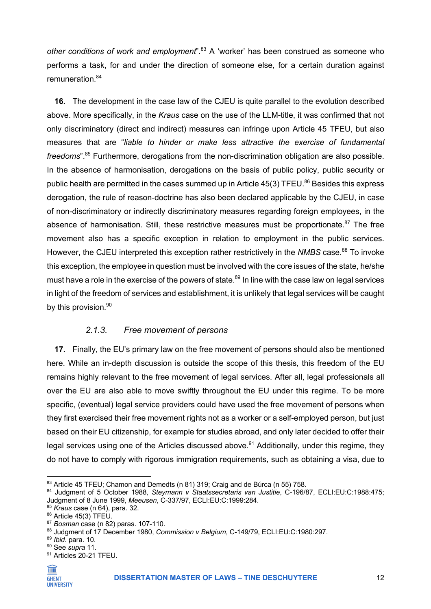*other conditions of work and employment*". <sup>83</sup> A 'worker' has been construed as someone who performs a task, for and under the direction of someone else, for a certain duration against remuneration.<sup>84</sup>

**16.** The development in the case law of the CJEU is quite parallel to the evolution described above. More specifically, in the *Kraus* case on the use of the LLM-title, it was confirmed that not only discriminatory (direct and indirect) measures can infringe upon Article 45 TFEU, but also measures that are "*liable to hinder or make less attractive the exercise of fundamental freedoms*". <sup>85</sup> Furthermore, derogations from the non-discrimination obligation are also possible. In the absence of harmonisation, derogations on the basis of public policy, public security or public health are permitted in the cases summed up in Article 45(3) TFEU.<sup>86</sup> Besides this express derogation, the rule of reason-doctrine has also been declared applicable by the CJEU, in case of non-discriminatory or indirectly discriminatory measures regarding foreign employees, in the absence of harmonisation. Still, these restrictive measures must be proportionate. $87$  The free movement also has a specific exception in relation to employment in the public services. However, the CJEU interpreted this exception rather restrictively in the *NMBS* case.<sup>88</sup> To invoke this exception, the employee in question must be involved with the core issues of the state, he/she must have a role in the exercise of the powers of state.<sup>89</sup> In line with the case law on legal services in light of the freedom of services and establishment, it is unlikely that legal services will be caught by this provision.<sup>90</sup>

#### *2.1.3. Free movement of persons*

**17.** Finally, the EU's primary law on the free movement of persons should also be mentioned here. While an in-depth discussion is outside the scope of this thesis, this freedom of the EU remains highly relevant to the free movement of legal services. After all, legal professionals all over the EU are also able to move swiftly throughout the EU under this regime. To be more specific, (eventual) legal service providers could have used the free movement of persons when they first exercised their free movement rights not as a worker or a self-employed person, but just based on their EU citizenship, for example for studies abroad, and only later decided to offer their legal services using one of the Articles discussed above.<sup>91</sup> Additionally, under this regime, they do not have to comply with rigorous immigration requirements, such as obtaining a visa, due to

<sup>83</sup> Article 45 TFEU; Chamon and Demedts (n 81) 319; Craig and de Búrca (n 55) 758.

<sup>84</sup> Judgment of 5 October 1988, *Steymann v Staatssecretaris van Justitie*, C-196/87, ECLI:EU:C:1988:475; Judgment of 8 June 1999, *Meeusen*, C-337/97, ECLI:EU:C:1999:284.

<sup>85</sup> *Kraus* case (n 64), para. 32.

<sup>86</sup> Article 45(3) TFEU.

<sup>87</sup> *Bosman* case (n 82) paras. 107-110.

<sup>88</sup> Judgment of 17 December 1980, *Commission v Belgium*, C-149/79, ECLI:EU:C:1980:297.

<sup>89</sup> *Ibid*. para. 10.

<sup>90</sup> See *supra* 11.

<sup>&</sup>lt;sup>91</sup> Articles 20-21 TFEU.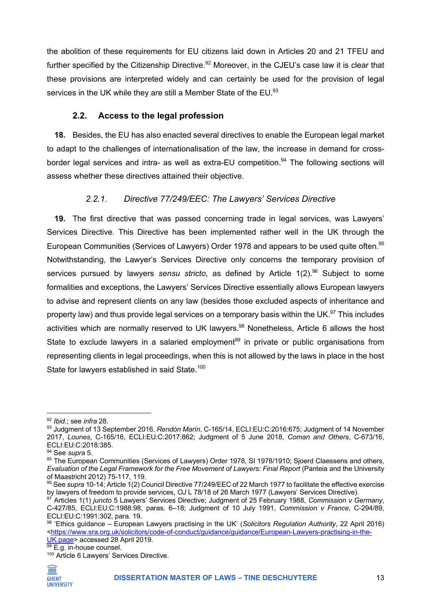the abolition of these requirements for EU citizens laid down in Articles 20 and 21 TFEU and further specified by the Citizenship Directive.<sup>92</sup> Moreover, in the CJEU's case law it is clear that these provisions are interpreted widely and can certainly be used for the provision of legal services in the UK while they are still a Member State of the EU.<sup>93</sup>

#### **2.2. Access to the legal profession**

**18.** Besides, the EU has also enacted several directives to enable the European legal market to adapt to the challenges of internationalisation of the law, the increase in demand for crossborder legal services and intra- as well as extra-EU competition.<sup>94</sup> The following sections will assess whether these directives attained their objective.

#### *2.2.1. Directive 77/249/EEC: The Lawyers' Services Directive*

**19.** The first directive that was passed concerning trade in legal services, was Lawyers' Services Directive. This Directive has been implemented rather well in the UK through the European Communities (Services of Lawyers) Order 1978 and appears to be used quite often.<sup>95</sup> Notwithstanding, the Lawyer's Services Directive only concerns the temporary provision of services pursued by lawyers *sensu stricto*, as defined by Article 1(2). <sup>96</sup> Subject to some formalities and exceptions, the Lawyers' Services Directive essentially allows European lawyers to advise and represent clients on any law (besides those excluded aspects of inheritance and property law) and thus provide legal services on a temporary basis within the UK.<sup>97</sup> This includes activities which are normally reserved to UK lawyers.<sup>98</sup> Nonetheless, Article 6 allows the host State to exclude lawyers in a salaried employment<sup>99</sup> in private or public organisations from representing clients in legal proceedings, when this is not allowed by the laws in place in the host State for lawyers established in said State.<sup>100</sup>

<sup>92</sup> *Ibid*.; see *infra* 28.

<sup>93</sup> Judgment of 13 September 2016, *Rendón Marín*, C-165/14, ECLI:EU:C:2016:675; Judgment of 14 November 2017, *Lounes*, C-165/16, ECLI:EU:C:2017:862; Judgment of 5 June 2018, *Coman and Others*, C-673/16, ECLI:EU:C:2018:385.

<sup>94</sup> See *supra* 5.

<sup>95</sup> The European Communities (Services of Lawyers) Order 1978, SI 1978/1910; Sjoerd Claessens and others, *Evaluation of the Legal Framework for the Free Movement of Lawyers: Final Report* (Panteia and the University of Maastricht 2012) 75-117, 119.

<sup>96</sup> See *supra* 10-14; Article 1(2) Council Directive 77/249/EEC of 22 March 1977 to facilitate the effective exercise by lawyers of freedom to provide services, *OJ* L 78/18 of 26 March 1977 (Lawyers' Services Directive).

<sup>97</sup> Articles 1(1) *juncto* 5 Lawyers' Services Directive; Judgment of 25 February 1988, *Commission v Germany*, C-427/85, ECLI:EU:C:1988:98, paras. 6–18; Judgment of 10 July 1991, *Commission v France*, C-294/89, ECLI:EU:C:1991:302, para. 19.

<sup>98</sup> 'Ethics guidance – European Lawyers practising in the UK' (*Solicitors Regulation Authority*, 22 April 2016) <https://www.sra.org.uk/solicitors/code-of-conduct/guidance/guidance/European-Lawyers-practising-in-the-

UK.page> accessed 28 April 2019.

 $99$  E.g. in-house counsel.

<sup>&</sup>lt;sup>100</sup> Article 6 Lawyers' Services Directive.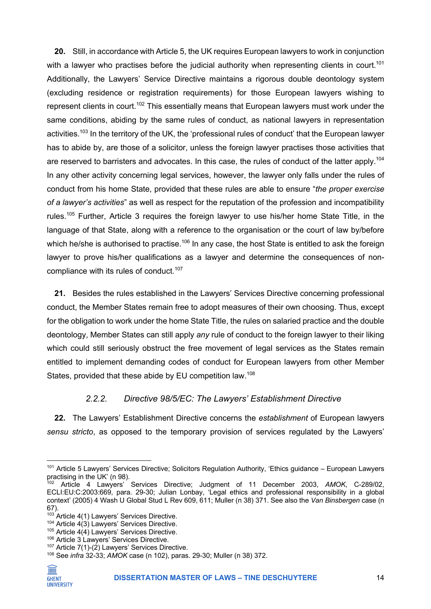**20.** Still, in accordance with Article 5, the UK requires European lawyers to work in conjunction with a lawyer who practises before the judicial authority when representing clients in court.<sup>101</sup> Additionally, the Lawyers' Service Directive maintains a rigorous double deontology system (excluding residence or registration requirements) for those European lawyers wishing to represent clients in court.<sup>102</sup> This essentially means that European lawyers must work under the same conditions, abiding by the same rules of conduct, as national lawyers in representation activities.<sup>103</sup> In the territory of the UK, the 'professional rules of conduct' that the European lawyer has to abide by, are those of a solicitor, unless the foreign lawyer practises those activities that are reserved to barristers and advocates. In this case, the rules of conduct of the latter apply.<sup>104</sup> In any other activity concerning legal services, however, the lawyer only falls under the rules of conduct from his home State, provided that these rules are able to ensure "*the proper exercise of a lawyer's activities*" as well as respect for the reputation of the profession and incompatibility rules.<sup>105</sup> Further, Article 3 requires the foreign lawyer to use his/her home State Title, in the language of that State, along with a reference to the organisation or the court of law by/before which he/she is authorised to practise.<sup>106</sup> In any case, the host State is entitled to ask the foreign lawyer to prove his/her qualifications as a lawyer and determine the consequences of noncompliance with its rules of conduct.<sup>107</sup>

**21.** Besides the rules established in the Lawyers' Services Directive concerning professional conduct, the Member States remain free to adopt measures of their own choosing. Thus, except for the obligation to work under the home State Title, the rules on salaried practice and the double deontology, Member States can still apply *any* rule of conduct to the foreign lawyer to their liking which could still seriously obstruct the free movement of legal services as the States remain entitled to implement demanding codes of conduct for European lawyers from other Member States, provided that these abide by EU competition law.<sup>108</sup>

#### *2.2.2. Directive 98/5/EC: The Lawyers' Establishment Directive*

**22.** The Lawyers' Establishment Directive concerns the *establishment* of European lawyers *sensu stricto*, as opposed to the temporary provision of services regulated by the Lawyers'

<sup>&</sup>lt;sup>101</sup> Article 5 Lawyers' Services Directive; Solicitors Regulation Authority, 'Ethics guidance – European Lawyers practising in the UK' (n 98).

<sup>102</sup> Article 4 Lawyers' Services Directive; Judgment of 11 December 2003, *AMOK*, C-289/02, ECLI:EU:C:2003:669, para. 29-30; Julian Lonbay, 'Legal ethics and professional responsibility in a global context' (2005) 4 Wash U Global Stud L Rev 609, 611; Muller (n 38) 371. See also the *Van Binsbergen* case (n 67).

<sup>&</sup>lt;sup>103</sup> Article 4(1) Lawyers' Services Directive.

<sup>&</sup>lt;sup>104</sup> Article 4(3) Lawyers' Services Directive.

<sup>&</sup>lt;sup>105</sup> Article 4(4) Lawyers' Services Directive.

<sup>&</sup>lt;sup>106</sup> Article 3 Lawyers' Services Directive.<br><sup>107</sup> Article 7(1)-(2) Lawyers' Services Directive.

<sup>108</sup> See *infra* 32-33; AMOK case (n 102), paras. 29-30; Muller (n 38) 372.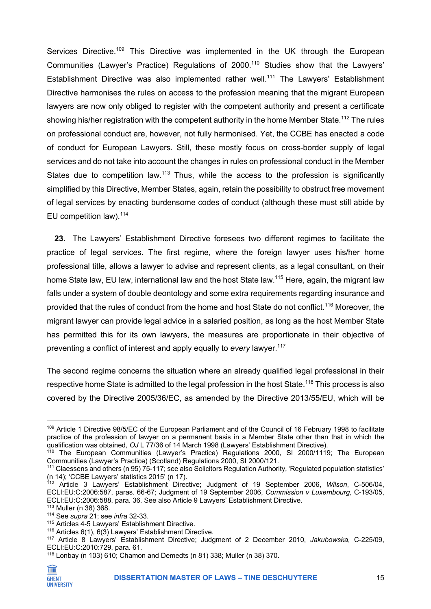Services Directive.<sup>109</sup> This Directive was implemented in the UK through the European Communities (Lawyer's Practice) Regulations of 2000.<sup>110</sup> Studies show that the Lawyers' Establishment Directive was also implemented rather well.<sup>111</sup> The Lawyers' Establishment Directive harmonises the rules on access to the profession meaning that the migrant European lawyers are now only obliged to register with the competent authority and present a certificate showing his/her registration with the competent authority in the home Member State.<sup>112</sup> The rules on professional conduct are, however, not fully harmonised. Yet, the CCBE has enacted a code of conduct for European Lawyers. Still, these mostly focus on cross-border supply of legal services and do not take into account the changes in rules on professional conduct in the Member States due to competition law.<sup>113</sup> Thus, while the access to the profession is significantly simplified by this Directive, Member States, again, retain the possibility to obstruct free movement of legal services by enacting burdensome codes of conduct (although these must still abide by EU competition law).114

**23.** The Lawyers' Establishment Directive foresees two different regimes to facilitate the practice of legal services. The first regime, where the foreign lawyer uses his/her home professional title, allows a lawyer to advise and represent clients, as a legal consultant, on their home State law, EU law, international law and the host State law.<sup>115</sup> Here, again, the migrant law falls under a system of double deontology and some extra requirements regarding insurance and provided that the rules of conduct from the home and host State do not conflict.<sup>116</sup> Moreover, the migrant lawyer can provide legal advice in a salaried position, as long as the host Member State has permitted this for its own lawyers, the measures are proportionate in their objective of preventing a conflict of interest and apply equally to *every* lawyer.<sup>117</sup>

The second regime concerns the situation where an already qualified legal professional in their respective home State is admitted to the legal profession in the host State.<sup>118</sup> This process is also covered by the Directive 2005/36/EC, as amended by the Directive 2013/55/EU, which will be

ECLI:EU:C:2010:729, para. 61.

<sup>109</sup> Article 1 Directive 98/5/EC of the European Parliament and of the Council of 16 February 1998 to facilitate practice of the profession of lawyer on a permanent basis in a Member State other than that in which the qualification was obtained, *OJ* L 77/36 of 14 March 1998 (Lawyers' Establishment Directive).

<sup>110</sup> The European Communities (Lawyer's Practice) Regulations 2000, SI 2000/1119; The European Communities (Lawyer's Practice) (Scotland) Regulations 2000, SI 2000/121.

<sup>111</sup> Claessens and others (n 95) 75-117; see also Solicitors Regulation Authority, 'Regulated population statistics' (n 14); 'CCBE Lawyers' statistics 2015' (n 17).

<sup>112</sup> Article 3 Lawyers' Establishment Directive; Judgment of 19 September 2006, *Wilson*, C-506/04, ECLI:EU:C:2006:587, paras. 66-67; Judgment of 19 September 2006, *Commission v Luxembourg*, C-193/05, ECLI:EU:C:2006:588, para. 36. See also Article 9 Lawyers' Establishment Directive.

<sup>113</sup> Muller (n 38) 368.

<sup>114</sup> See *supra* 21; see *infra* 32-33.

<sup>115</sup> Articles 4-5 Lawyers' Establishment Directive. <sup>116</sup> Articles  $6(1)$ ,  $6(3)$  Lawyers' Establishment Directive.

<sup>117</sup> Article 8 Lawyers' Establishment Directive; Judgment of 2 December 2010, *Jakubowska*, C-225/09,

<sup>118</sup> Lonbay (n 103) 610; Chamon and Demedts (n 81) 338; Muller (n 38) 370.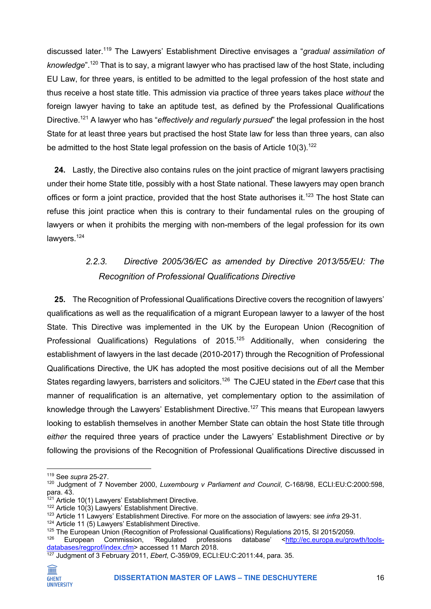discussed later. <sup>119</sup> The Lawyers' Establishment Directive envisages a "*gradual assimilation of knowledge*". <sup>120</sup> That is to say, a migrant lawyer who has practised law of the host State, including EU Law, for three years, is entitled to be admitted to the legal profession of the host state and thus receive a host state title. This admission via practice of three years takes place *without* the foreign lawyer having to take an aptitude test, as defined by the Professional Qualifications Directive.121 A lawyer who has "*effectively and regularly pursued*" the legal profession in the host State for at least three years but practised the host State law for less than three years, can also be admitted to the host State legal profession on the basis of Article  $10(3)$ .<sup>122</sup>

**24.** Lastly, the Directive also contains rules on the joint practice of migrant lawyers practising under their home State title, possibly with a host State national. These lawyers may open branch offices or form a joint practice, provided that the host State authorises it.<sup>123</sup> The host State can refuse this joint practice when this is contrary to their fundamental rules on the grouping of lawyers or when it prohibits the merging with non-members of the legal profession for its own lawyers.<sup>124</sup>

### *2.2.3. Directive 2005/36/EC as amended by Directive 2013/55/EU: The Recognition of Professional Qualifications Directive*

**25.** The Recognition of Professional Qualifications Directive covers the recognition of lawyers' qualifications as well as the requalification of a migrant European lawyer to a lawyer of the host State. This Directive was implemented in the UK by the European Union (Recognition of Professional Qualifications) Regulations of 2015.<sup>125</sup> Additionally, when considering the establishment of lawyers in the last decade (2010-2017) through the Recognition of Professional Qualifications Directive, the UK has adopted the most positive decisions out of all the Member States regarding lawyers, barristers and solicitors.126 The CJEU stated in the *Ebert* case that this manner of requalification is an alternative, yet complementary option to the assimilation of knowledge through the Lawyers' Establishment Directive.<sup>127</sup> This means that European lawyers looking to establish themselves in another Member State can obtain the host State title through *either* the required three years of practice under the Lawyers' Establishment Directive *or* by following the provisions of the Recognition of Professional Qualifications Directive discussed in

<sup>119</sup> See *supra* 25-27.

<sup>120</sup> Judgment of 7 November 2000, *Luxembourg v Parliament and Council*, C-168/98, ECLI:EU:C:2000:598, para. 43.

 $121$  Article 10(1) Lawyers' Establishment Directive.

 $122$  Article 10(3) Lawyers' Establishment Directive.

<sup>&</sup>lt;sup>123</sup> Article 11 Lawyers' Establishment Directive. For more on the association of lawyers: see *infra* 29-31.<br><sup>124</sup> Article 11 (5) Lawyers' Establishment Directive.

<sup>&</sup>lt;sup>125</sup> The European Union (Recognition of Professional Qualifications) Regulations 2015, SI 2015/2059.<br><sup>126</sup> European Commission, 'Regulated professions database' <http://ec.europa.eu/grov

<sup>126</sup> European Commission, 'Regulated professions database' <http://ec.europa.eu/growth/toolsdatabases/regprof/index.cfm> accessed 11 March 2018.

<sup>127</sup> Judgment of 3 February 2011, *Ebert*, C-359/09, ECLI:EU:C:2011:44, para. 35.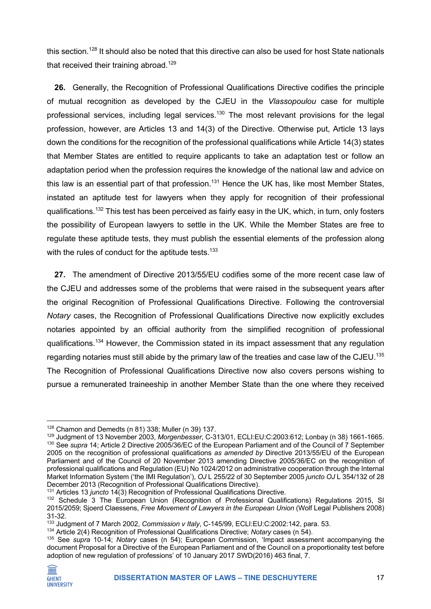this section.<sup>128</sup> It should also be noted that this directive can also be used for host State nationals that received their training abroad.<sup>129</sup>

**26.** Generally, the Recognition of Professional Qualifications Directive codifies the principle of mutual recognition as developed by the CJEU in the *Vlassopoulou* case for multiple professional services, including legal services.<sup>130</sup> The most relevant provisions for the legal profession, however, are Articles 13 and 14(3) of the Directive. Otherwise put, Article 13 lays down the conditions for the recognition of the professional qualifications while Article 14(3) states that Member States are entitled to require applicants to take an adaptation test or follow an adaptation period when the profession requires the knowledge of the national law and advice on this law is an essential part of that profession.<sup>131</sup> Hence the UK has, like most Member States, instated an aptitude test for lawyers when they apply for recognition of their professional qualifications.<sup>132</sup> This test has been perceived as fairly easy in the UK, which, in turn, only fosters the possibility of European lawyers to settle in the UK. While the Member States are free to regulate these aptitude tests, they must publish the essential elements of the profession along with the rules of conduct for the aptitude tests.<sup>133</sup>

**27.** The amendment of Directive 2013/55/EU codifies some of the more recent case law of the CJEU and addresses some of the problems that were raised in the subsequent years after the original Recognition of Professional Qualifications Directive. Following the controversial *Notary* cases, the Recognition of Professional Qualifications Directive now explicitly excludes notaries appointed by an official authority from the simplified recognition of professional qualifications.<sup>134</sup> However, the Commission stated in its impact assessment that any regulation regarding notaries must still abide by the primary law of the treaties and case law of the CJEU.<sup>135</sup> The Recognition of Professional Qualifications Directive now also covers persons wishing to pursue a remunerated traineeship in another Member State than the one where they received

<sup>131</sup> Articles 13 *juncto* 14(3) Recognition of Professional Qualifications Directive.

<sup>128</sup> Chamon and Demedts (n 81) 338; Muller (n 39) 137.

<sup>129</sup> Judgment of 13 November 2003, *Morgenbesser*, C-313/01, ECLI:EU:C:2003:612; Lonbay (n 38) 1661-1665. <sup>130</sup> See *supra* 14; Article 2 Directive 2005/36/EC of the European Parliament and of the Council of 7 September 2005 on the recognition of professional qualifications *as amended by* Directive 2013/55/EU of the European Parliament and of the Council of 20 November 2013 amending Directive 2005/36/EC on the recognition of professional qualifications and Regulation (EU) No 1024/2012 on administrative cooperation through the Internal Market Information System ('the IMI Regulation'), *OJ* L 255/22 of 30 September 2005 *juncto OJ* L 354/132 of 28 December 2013 (Recognition of Professional Qualifications Directive).

<sup>132</sup> Schedule 3 The European Union (Recognition of Professional Qualifications) Regulations 2015, SI 2015/2059; Sjoerd Claessens, *Free Movement of Lawyers in the European Union* (Wolf Legal Publishers 2008) 31-32.

<sup>133</sup> Judgment of 7 March 2002, *Commission v Italy*, C-145/99, ECLI:EU:C:2002:142, para. 53.

<sup>134</sup> Article 2(4) Recognition of Professional Qualifications Directive; *Notary* cases (n 54).

<sup>135</sup> See *supra* 10-14; *Notary* cases (n 54); European Commission, 'Impact assessment accompanying the document Proposal for a Directive of the European Parliament and of the Council on a proportionality test before adoption of new regulation of professions' of 10 January 2017 SWD(2016) 463 final, 7.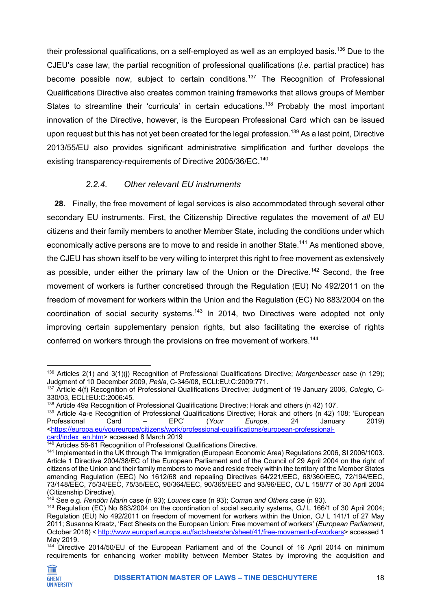their professional qualifications, on a self-employed as well as an employed basis.<sup>136</sup> Due to the CJEU's case law, the partial recognition of professional qualifications (*i.e.* partial practice) has become possible now, subject to certain conditions.<sup>137</sup> The Recognition of Professional Qualifications Directive also creates common training frameworks that allows groups of Member States to streamline their 'curricula' in certain educations.<sup>138</sup> Probably the most important innovation of the Directive, however, is the European Professional Card which can be issued upon request but this has not yet been created for the legal profession.<sup>139</sup> As a last point, Directive 2013/55/EU also provides significant administrative simplification and further develops the existing transparency-requirements of Directive 2005/36/EC.<sup>140</sup>

#### *2.2.4. Other relevant EU instruments*

**28.** Finally, the free movement of legal services is also accommodated through several other secondary EU instruments. First, the Citizenship Directive regulates the movement of *all* EU citizens and their family members to another Member State, including the conditions under which economically active persons are to move to and reside in another State.<sup>141</sup> As mentioned above, the CJEU has shown itself to be very willing to interpret this right to free movement as extensively as possible, under either the primary law of the Union or the Directive.<sup>142</sup> Second, the free movement of workers is further concretised through the Regulation (EU) No 492/2011 on the freedom of movement for workers within the Union and the Regulation (EC) No 883/2004 on the coordination of social security systems.<sup>143</sup> In 2014, two Directives were adopted not only improving certain supplementary pension rights, but also facilitating the exercise of rights conferred on workers through the provisions on free movement of workers.<sup>144</sup>

<sup>136</sup> Articles 2(1) and 3(1)(j) Recognition of Professional Qualifications Directive; *Morgenbesser* case (n 129); Judgment of 10 December 2009, *Peśla*, C-345/08, ECLI:EU:C:2009:771.

<sup>137</sup> Article 4(f) Recognition of Professional Qualifications Directive; Judgment of 19 January 2006, *Colegio*, C-330/03, ECLI:EU:C:2006:45.

<sup>138</sup> Article 49a Recognition of Professional Qualifications Directive; Horak and others (n 42) 107.

<sup>&</sup>lt;sup>139</sup> Article 4a-e Recognition of Professional Qualifications Directive; Horak and others (n 42) 108; 'European<br>Professional Card – EPC' (Your Europe. 24 January 2019) Professional Card – EPC' (*Your Europe*, 24 January 2019) <https://europa.eu/youreurope/citizens/work/professional-qualifications/european-professionalcard/index\_en.htm> accessed 8 March 2019

<sup>140</sup> Articles 56-61 Recognition of Professional Qualifications Directive.

<sup>141</sup> Implemented in the UK through The Immigration (European Economic Area) Regulations 2006, SI 2006/1003. Article 1 Directive 2004/38/EC of the European Parliament and of the Council of 29 April 2004 on the right of citizens of the Union and their family members to move and reside freely within the territory of the Member States amending Regulation (EEC) No 1612/68 and repealing Directives 64/221/EEC, 68/360/EEC, 72/194/EEC, 73/148/EEC, 75/34/EEC, 75/35/EEC, 90/364/EEC, 90/365/EEC and 93/96/EEC, *OJ* L 158/77 of 30 April 2004 (Citizenship Directive). 142 See e.g. *Rendón Marín* case (n 93); *Lounes* case (n 93); *Coman and Others* case (n 93).

<sup>143</sup> Regulation (EC) No 883/2004 on the coordination of social security systems, *OJ* L 166/1 of 30 April 2004; Regulation (EU) No 492/2011 on freedom of movement for workers within the Union, *OJ* L 141/1 of 27 May 2011; Susanna Kraatz, 'Fact Sheets on the European Union: Free movement of workers' (*European Parliament*, October 2018) < http://www.europarl.europa.eu/factsheets/en/sheet/41/free-movement-of-workers> accessed 1 May 2019.

<sup>&</sup>lt;sup>144</sup> Directive 2014/50/EU of the European Parliament and of the Council of 16 April 2014 on minimum requirements for enhancing worker mobility between Member States by improving the acquisition and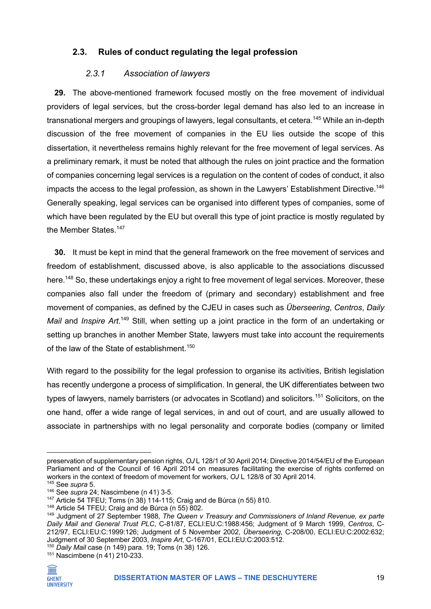# **2.3. Rules of conduct regulating the legal profession**

#### *2.3.1 Association of lawyers*

**29.** The above-mentioned framework focused mostly on the free movement of individual providers of legal services, but the cross-border legal demand has also led to an increase in transnational mergers and groupings of lawyers, legal consultants, et cetera.<sup>145</sup> While an in-depth discussion of the free movement of companies in the EU lies outside the scope of this dissertation, it nevertheless remains highly relevant for the free movement of legal services. As a preliminary remark, it must be noted that although the rules on joint practice and the formation of companies concerning legal services is a regulation on the content of codes of conduct, it also impacts the access to the legal profession, as shown in the Lawyers' Establishment Directive.<sup>146</sup> Generally speaking, legal services can be organised into different types of companies, some of which have been regulated by the EU but overall this type of joint practice is mostly regulated by the Member States.<sup>147</sup>

**30.** It must be kept in mind that the general framework on the free movement of services and freedom of establishment, discussed above, is also applicable to the associations discussed here.<sup>148</sup> So, these undertakings enjoy a right to free movement of legal services. Moreover, these companies also fall under the freedom of (primary and secondary) establishment and free movement of companies, as defined by the CJEU in cases such as *Überseering*, *Centros*, *Daily*  Mail and Inspire Art.<sup>149</sup> Still, when setting up a joint practice in the form of an undertaking or setting up branches in another Member State, lawyers must take into account the requirements of the law of the State of establishment.<sup>150</sup>

With regard to the possibility for the legal profession to organise its activities, British legislation has recently undergone a process of simplification. In general, the UK differentiates between two types of lawyers, namely barristers (or advocates in Scotland) and solicitors.<sup>151</sup> Solicitors, on the one hand, offer a wide range of legal services, in and out of court, and are usually allowed to associate in partnerships with no legal personality and corporate bodies (company or limited

preservation of supplementary pension rights, *OJ* L 128/1 of 30 April 2014; Directive 2014/54/EU of the European Parliament and of the Council of 16 April 2014 on measures facilitating the exercise of rights conferred on workers in the context of freedom of movement for workers, *OJ* L 128/8 of 30 April 2014.

<sup>145</sup> See *supra* 5.

<sup>146</sup> See *supra* 24; Nascimbene (n 41) 3-5.

 $147$  Article 54 TFEU; Toms (n 38) 114-115; Craig and de Búrca (n 55) 810.

<sup>148</sup> Article 54 TFEU; Craig and de Búrca (n 55) 802.

<sup>149</sup> Judgment of 27 September 1988, *The Queen v Treasury and Commissioners of Inland Revenue, ex parte Daily Mail and General Trust PLC*, C-81/87, ECLI:EU:C:1988:456; Judgment of 9 March 1999, *Centros*, C-212/97, ECLI:EU:C:1999:126; Judgment of 5 November 2002, *Überseering*, C-208/00, ECLI:EU:C:2002:632; Judgment of 30 September 2003, *Inspire Art*, C-167/01, ECLI:EU:C:2003:512.

<sup>150</sup> *Daily Mail* case (n 149) para. 19; Toms (n 38) 126.

<sup>151</sup> Nascimbene (n 41) 210-233.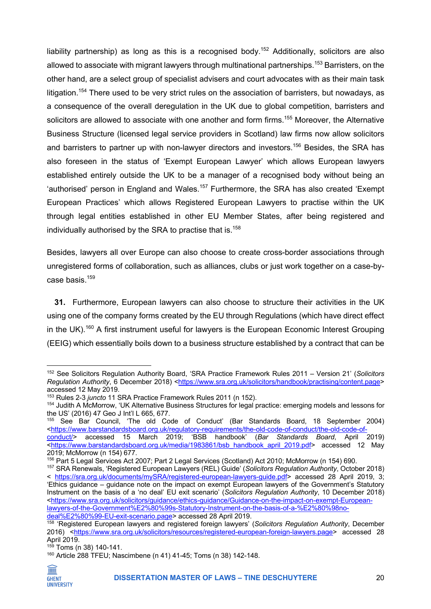liability partnership) as long as this is a recognised body.<sup>152</sup> Additionally, solicitors are also allowed to associate with migrant lawyers through multinational partnerships.<sup>153</sup> Barristers, on the other hand, are a select group of specialist advisers and court advocates with as their main task litigation.<sup>154</sup> There used to be very strict rules on the association of barristers, but nowadays, as a consequence of the overall deregulation in the UK due to global competition, barristers and solicitors are allowed to associate with one another and form firms.<sup>155</sup> Moreover, the Alternative Business Structure (licensed legal service providers in Scotland) law firms now allow solicitors and barristers to partner up with non-lawyer directors and investors.<sup>156</sup> Besides, the SRA has also foreseen in the status of 'Exempt European Lawyer' which allows European lawyers established entirely outside the UK to be a manager of a recognised body without being an 'authorised' person in England and Wales.<sup>157</sup> Furthermore, the SRA has also created 'Exempt European Practices' which allows Registered European Lawyers to practise within the UK through legal entities established in other EU Member States, after being registered and individually authorised by the SRA to practise that is.<sup>158</sup>

Besides, lawyers all over Europe can also choose to create cross-border associations through unregistered forms of collaboration, such as alliances, clubs or just work together on a case-bycase basis.<sup>159</sup>

**31.** Furthermore, European lawyers can also choose to structure their activities in the UK using one of the company forms created by the EU through Regulations (which have direct effect in the UK).<sup>160</sup> A first instrument useful for lawyers is the European Economic Interest Grouping (EEIG) which essentially boils down to a business structure established by a contract that can be

<sup>152</sup> See Solicitors Regulation Authority Board, 'SRA Practice Framework Rules 2011 – Version 21' (*Solicitors Regulation Authority*, 6 December 2018) ˂https://www.sra.org.uk/solicitors/handbook/practising/content.page˃ accessed 12 May 2019.

<sup>153</sup> Rules 2-3 *juncto* 11 SRA Practice Framework Rules 2011 (n 152).

<sup>154</sup> Judith A McMorrow, 'UK Alternative Business Structures for legal practice: emerging models and lessons for the US' (2016) 47 Geo J Int'l L 665, 677.

<sup>155</sup> See Bar Council, 'The old Code of Conduct' (Bar Standards Board, 18 September 2004) <https://www.barstandardsboard.org.uk/regulatory-requirements/the-old-code-of-conduct/the-old-code-of-

conduct/> accessed 15 March 2019; 'BSB handbook' (*Bar Standards Board*, April 2019) ˂https://www.barstandardsboard.org.uk/media/1983861/bsb\_handbook\_april\_2019.pdf˃ accessed 12 May 2019; McMorrow (n 154) 677.

<sup>156</sup> Part 5 Legal Services Act 2007; Part 2 Legal Services (Scotland) Act 2010; McMorrow (n 154) 690.

<sup>157</sup> SRA Renewals, 'Registered European Lawyers (REL) Guide' (*Solicitors Regulation Authority*, October 2018) < https://sra.org.uk/documents/mySRA/registered-european-lawyers-guide.pdf> accessed 28 April 2019, 3; 'Ethics guidance – guidance note on the impact on exempt European lawyers of the Government's Statutory Instrument on the basis of a 'no deal' EU exit scenario' (*Solicitors Regulation Authority*, 10 December 2018) <https://www.sra.org.uk/solicitors/guidance/ethics-guidance/Guidance-on-the-impact-on-exempt-Europeanlawyers-of-the-Government%E2%80%99s-Statutory-Instrument-on-the-basis-of-a-%E2%80%98nodeal%E2%80%99-EU-exit-scenario.page> accessed 28 April 2019.

<sup>158</sup> 'Registered European lawyers and registered foreign lawyers' (*Solicitors Regulation Authority*, December 2016) <https://www.sra.org.uk/solicitors/resources/registered-european-foreign-lawyers.page> accessed 28 April 2019.

 $159$  Toms (n 38) 140-141.

<sup>160</sup> Article 288 TFEU; Nascimbene (n 41) 41-45; Toms (n 38) 142-148.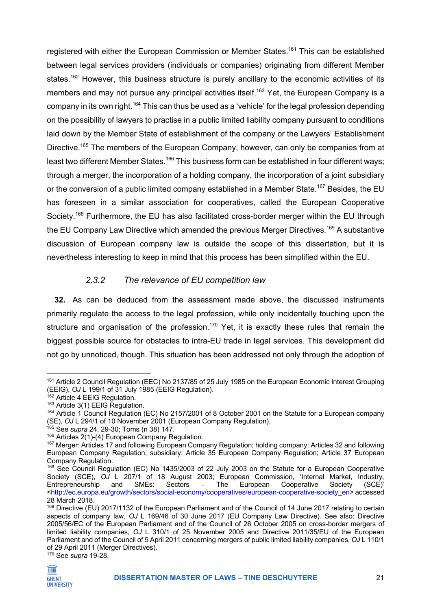registered with either the European Commission or Member States.<sup>161</sup> This can be established between legal services providers (individuals or companies) originating from different Member states.<sup>162</sup> However, this business structure is purely ancillary to the economic activities of its members and may not pursue any principal activities itself.<sup>163</sup> Yet, the European Company is a company in its own right.<sup>164</sup> This can thus be used as a 'vehicle' for the legal profession depending on the possibility of lawyers to practise in a public limited liability company pursuant to conditions laid down by the Member State of establishment of the company or the Lawyers' Establishment Directive.<sup>165</sup> The members of the European Company, however, can only be companies from at least two different Member States.<sup>166</sup> This business form can be established in four different ways; through a merger, the incorporation of a holding company, the incorporation of a joint subsidiary or the conversion of a public limited company established in a Member State.<sup>167</sup> Besides, the EU has foreseen in a similar association for cooperatives, called the European Cooperative Society.<sup>168</sup> Furthermore, the EU has also facilitated cross-border merger within the EU through the EU Company Law Directive which amended the previous Merger Directives.<sup>169</sup> A substantive discussion of European company law is outside the scope of this dissertation, but it is nevertheless interesting to keep in mind that this process has been simplified within the EU.

# *2.3.2 The relevance of EU competition law*

**32.** As can be deduced from the assessment made above, the discussed instruments primarily regulate the access to the legal profession, while only incidentally touching upon the structure and organisation of the profession.<sup>170</sup> Yet, it is exactly these rules that remain the biggest possible source for obstacles to intra-EU trade in legal services. This development did not go by unnoticed, though. This situation has been addressed not only through the adoption of

<sup>170</sup> See *supra* 19-28.

<sup>161</sup> Article 2 Council Regulation (EEC) No 2137/85 of 25 July 1985 on the European Economic Interest Grouping (EEIG), *OJ* L 199/1 of 31 July 1985 (EEIG Regulation).

<sup>&</sup>lt;sup>162</sup> Article 4 EEIG Regulation.

<sup>163</sup> Article 3(1) EEIG Regulation.

<sup>&</sup>lt;sup>164</sup> Article 1 Council Regulation (EC) No 2157/2001 of 8 October 2001 on the Statute for a European company (SE), *OJ* L 294/1 of 10 November 2001 (European Company Regulation).

<sup>165</sup> See *supra* 24, 29-30; Toms (n 38) 147.

<sup>&</sup>lt;sup>166</sup> Articles 2(1)-(4) European Company Regulation.

<sup>&</sup>lt;sup>167</sup> Merger: Articles 17 and following European Company Regulation; holding company: Articles 32 and following European Company Regulation; subsidiary: Article 35 European Company Regulation; Article 37 European Company Regulation.

<sup>168</sup> See Council Regulation (EC) No 1435/2003 of 22 July 2003 on the Statute for a European Cooperative Society (SCE), *OJ* L 207/1 of 18 August 2003; European Commission, 'Internal Market, Industry, Entrepreneurship and SMEs: Sectors – The European Cooperative Society (SCE)' <http://ec.europa.eu/growth/sectors/social-economy/cooperatives/european-cooperative-society\_en> accessed 28 March 2018.

<sup>169</sup> Directive (EU) 2017/1132 of the European Parliament and of the Council of 14 June 2017 relating to certain aspects of company law, *OJ* L 169/46 of 30 June 2017 (EU Company Law Directive). See also: Directive 2005/56/EC of the European Parliament and of the Council of 26 October 2005 on cross-border mergers of limited liability companies, *OJ* L 310/1 of 25 November 2005 and Directive 2011/35/EU of the European Parliament and of the Council of 5 April 2011 concerning mergers of public limited liability companies, *OJ* L 110/1 of 29 April 2011 (Merger Directives).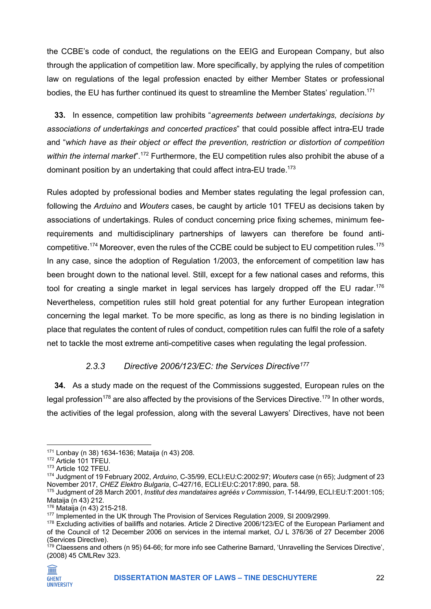the CCBE's code of conduct, the regulations on the EEIG and European Company, but also through the application of competition law. More specifically, by applying the rules of competition law on regulations of the legal profession enacted by either Member States or professional bodies, the EU has further continued its quest to streamline the Member States' regulation.<sup>171</sup>

**33.** In essence, competition law prohibits "*agreements between undertakings, decisions by associations of undertakings and concerted practices*" that could possible affect intra-EU trade and "*which have as their object or effect the prevention, restriction or distortion of competition*  within the internal market".<sup>172</sup> Furthermore, the EU competition rules also prohibit the abuse of a dominant position by an undertaking that could affect intra-EU trade.<sup>173</sup>

Rules adopted by professional bodies and Member states regulating the legal profession can, following the *Arduino* and *Wouters* cases, be caught by article 101 TFEU as decisions taken by associations of undertakings. Rules of conduct concerning price fixing schemes, minimum feerequirements and multidisciplinary partnerships of lawyers can therefore be found anticompetitive.<sup>174</sup> Moreover, even the rules of the CCBE could be subject to EU competition rules.<sup>175</sup> In any case, since the adoption of Regulation 1/2003, the enforcement of competition law has been brought down to the national level. Still, except for a few national cases and reforms, this tool for creating a single market in legal services has largely dropped off the EU radar.<sup>176</sup> Nevertheless, competition rules still hold great potential for any further European integration concerning the legal market. To be more specific, as long as there is no binding legislation in place that regulates the content of rules of conduct, competition rules can fulfil the role of a safety net to tackle the most extreme anti-competitive cases when regulating the legal profession.

#### *2.3.3 Directive 2006/123/EC: the Services Directive177*

**34.** As a study made on the request of the Commissions suggested, European rules on the legal profession<sup>178</sup> are also affected by the provisions of the Services Directive.<sup>179</sup> In other words, the activities of the legal profession, along with the several Lawyers' Directives, have not been

<sup>179</sup> Claessens and others (n 95) 64-66; for more info see Catherine Barnard, 'Unravelling the Services Directive', (2008) 45 CMLRev 323.



<sup>171</sup> Lonbay (n 38) 1634-1636; Mataija (n 43) 208.

<sup>172</sup> Article 101 TFEU.

<sup>173</sup> Article 102 TFEU.

<sup>174</sup> Judgment of 19 February 2002, *Arduino*, C-35/99, ECLI:EU:C:2002:97; *Wouters* case (n 65); Judgment of 23 November 2017, *CHEZ Elektro Bulgaria*, C-427/16, ECLI:EU:C:2017:890, para. 58.

<sup>175</sup> Judgment of 28 March 2001, *Institut des mandataires agréés v Commission*, T-144/99, ECLI:EU:T:2001:105; Mataija (n 43) 212.

<sup>176</sup> Mataija (n 43) 215-218.

<sup>&</sup>lt;sup>177</sup> Implemented in the UK through The Provision of Services Regulation 2009, SI 2009/2999.

<sup>178</sup> Excluding activities of bailiffs and notaries. Article 2 Directive 2006/123/EC of the European Parliament and of the Council of 12 December 2006 on services in the internal market, *OJ* L 376/36 of 27 December 2006 (Services Directive).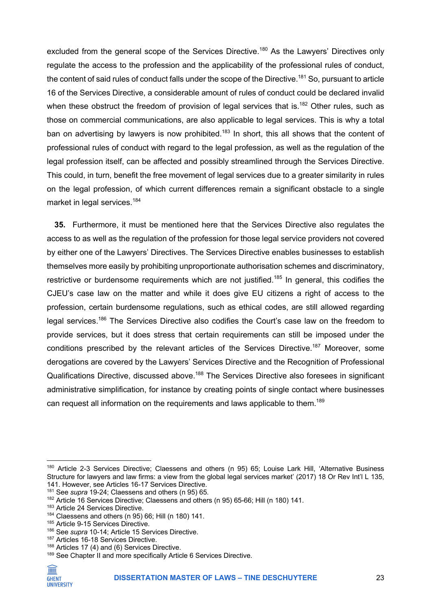excluded from the general scope of the Services Directive.<sup>180</sup> As the Lawyers' Directives only regulate the access to the profession and the applicability of the professional rules of conduct, the content of said rules of conduct falls under the scope of the Directive.<sup>181</sup> So, pursuant to article 16 of the Services Directive, a considerable amount of rules of conduct could be declared invalid when these obstruct the freedom of provision of legal services that is.<sup>182</sup> Other rules, such as those on commercial communications, are also applicable to legal services. This is why a total ban on advertising by lawyers is now prohibited.<sup>183</sup> In short, this all shows that the content of professional rules of conduct with regard to the legal profession, as well as the regulation of the legal profession itself, can be affected and possibly streamlined through the Services Directive. This could, in turn, benefit the free movement of legal services due to a greater similarity in rules on the legal profession, of which current differences remain a significant obstacle to a single market in legal services.<sup>184</sup>

**35.** Furthermore, it must be mentioned here that the Services Directive also regulates the access to as well as the regulation of the profession for those legal service providers not covered by either one of the Lawyers' Directives. The Services Directive enables businesses to establish themselves more easily by prohibiting unproportionate authorisation schemes and discriminatory, restrictive or burdensome requirements which are not justified.<sup>185</sup> In general, this codifies the CJEU's case law on the matter and while it does give EU citizens a right of access to the profession, certain burdensome regulations, such as ethical codes, are still allowed regarding legal services.<sup>186</sup> The Services Directive also codifies the Court's case law on the freedom to provide services, but it does stress that certain requirements can still be imposed under the conditions prescribed by the relevant articles of the Services Directive.<sup>187</sup> Moreover, some derogations are covered by the Lawyers' Services Directive and the Recognition of Professional Qualifications Directive, discussed above.<sup>188</sup> The Services Directive also foresees in significant administrative simplification, for instance by creating points of single contact where businesses can request all information on the requirements and laws applicable to them.<sup>189</sup>

<sup>180</sup> Article 2-3 Services Directive; Claessens and others (n 95) 65; Louise Lark Hill, 'Alternative Business Structure for lawyers and law firms: a view from the global legal services market' (2017) 18 Or Rev Int'l L 135, 141. However, see Articles 16-17 Services Directive.

<sup>181</sup> See *supra* 19-24; Claessens and others (n 95) 65.

<sup>&</sup>lt;sup>182</sup> Article 16 Services Directive; Claessens and others (n 95) 65-66; Hill (n 180) 141.

<sup>183</sup> Article 24 Services Directive.

<sup>184</sup> Claessens and others (n 95) 66; Hill (n 180) 141.

<sup>&</sup>lt;sup>185</sup> Article 9-15 Services Directive.

<sup>186</sup> See *supra* 10-14; Article 15 Services Directive.

<sup>&</sup>lt;sup>187</sup> Articles 16-18 Services Directive.

<sup>&</sup>lt;sup>188</sup> Articles 17 (4) and (6) Services Directive.

<sup>189</sup> See Chapter II and more specifically Article 6 Services Directive.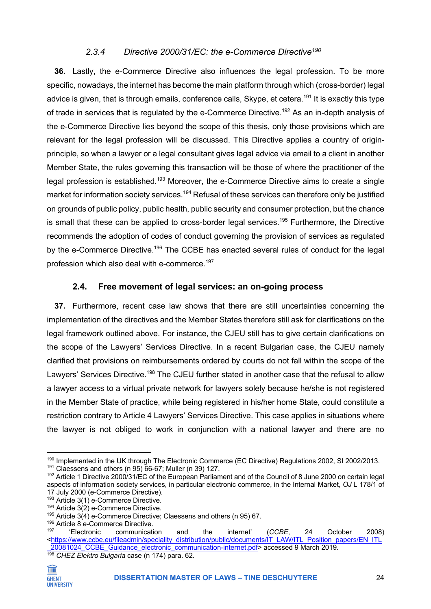# *2.3.4 Directive 2000/31/EC: the e-Commerce Directive190*

**36.** Lastly, the e-Commerce Directive also influences the legal profession. To be more specific, nowadays, the internet has become the main platform through which (cross-border) legal advice is given, that is through emails, conference calls, Skype, et cetera.<sup>191</sup> It is exactly this type of trade in services that is regulated by the e-Commerce Directive.<sup>192</sup> As an in-depth analysis of the e-Commerce Directive lies beyond the scope of this thesis, only those provisions which are relevant for the legal profession will be discussed. This Directive applies a country of originprinciple, so when a lawyer or a legal consultant gives legal advice via email to a client in another Member State, the rules governing this transaction will be those of where the practitioner of the legal profession is established.<sup>193</sup> Moreover, the e-Commerce Directive aims to create a single market for information society services.<sup>194</sup> Refusal of these services can therefore only be justified on grounds of public policy, public health, public security and consumer protection, but the chance is small that these can be applied to cross-border legal services. <sup>195</sup> Furthermore, the Directive recommends the adoption of codes of conduct governing the provision of services as regulated by the e-Commerce Directive.<sup>196</sup> The CCBE has enacted several rules of conduct for the legal profession which also deal with e-commerce.<sup>197</sup>

#### **2.4. Free movement of legal services: an on-going process**

**37.** Furthermore, recent case law shows that there are still uncertainties concerning the implementation of the directives and the Member States therefore still ask for clarifications on the legal framework outlined above. For instance, the CJEU still has to give certain clarifications on the scope of the Lawyers' Services Directive. In a recent Bulgarian case, the CJEU namely clarified that provisions on reimbursements ordered by courts do not fall within the scope of the Lawyers' Services Directive.<sup>198</sup> The CJEU further stated in another case that the refusal to allow a lawyer access to a virtual private network for lawyers solely because he/she is not registered in the Member State of practice, while being registered in his/her home State, could constitute a restriction contrary to Article 4 Lawyers' Services Directive. This case applies in situations where the lawyer is not obliged to work in conjunction with a national lawyer and there are no

<sup>&</sup>lt;sup>190</sup> Implemented in the UK through The Electronic Commerce (EC Directive) Regulations 2002, SI 2002/2013.  $191$  Claessens and others (n 95) 66-67; Muller (n 39) 127.

<sup>&</sup>lt;sup>192</sup> Article 1 Directive 2000/31/EC of the European Parliament and of the Council of 8 June 2000 on certain legal aspects of information society services, in particular electronic commerce, in the Internal Market, *OJ* L 178/1 of 17 July 2000 (e-Commerce Directive).

<sup>193</sup> Article 3(1) e-Commerce Directive.

<sup>194</sup> Article 3(2) e-Commerce Directive.

 $195$  Article  $3(4)$  e-Commerce Directive; Claessens and others (n 95) 67.

 $196$  Article 8 e-Commerce Directive.

<sup>197</sup> 'Electronic communication and the internet' (*CCBE*, 24 October 2008) <https://www.ccbe.eu/fileadmin/speciality\_distribution/public/documents/IT\_LAW/ITL\_Position\_papers/EN\_ITL \_20081024\_CCBE\_Guidance\_electronic\_communication-internet.pdf> accessed 9 March 2019. <sup>198</sup> *CHEZ Elektro Bulgaria* case (n 174) para. 62.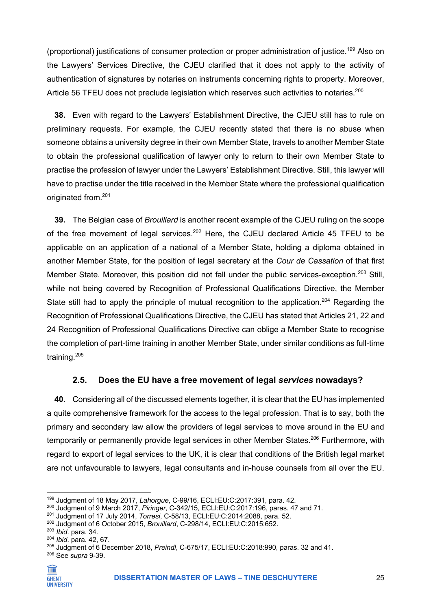(proportional) justifications of consumer protection or proper administration of justice.<sup>199</sup> Also on the Lawyers' Services Directive, the CJEU clarified that it does not apply to the activity of authentication of signatures by notaries on instruments concerning rights to property. Moreover, Article 56 TFEU does not preclude legislation which reserves such activities to notaries.<sup>200</sup>

**38.** Even with regard to the Lawyers' Establishment Directive, the CJEU still has to rule on preliminary requests. For example, the CJEU recently stated that there is no abuse when someone obtains a university degree in their own Member State, travels to another Member State to obtain the professional qualification of lawyer only to return to their own Member State to practise the profession of lawyer under the Lawyers' Establishment Directive. Still, this lawyer will have to practise under the title received in the Member State where the professional qualification originated from.<sup>201</sup>

**39.** The Belgian case of *Brouillard* is another recent example of the CJEU ruling on the scope of the free movement of legal services.<sup>202</sup> Here, the CJEU declared Article 45 TFEU to be applicable on an application of a national of a Member State, holding a diploma obtained in another Member State, for the position of legal secretary at the *Cour de Cassation* of that first Member State. Moreover, this position did not fall under the public services-exception.<sup>203</sup> Still, while not being covered by Recognition of Professional Qualifications Directive, the Member State still had to apply the principle of mutual recognition to the application.<sup>204</sup> Regarding the Recognition of Professional Qualifications Directive, the CJEU has stated that Articles 21, 22 and 24 Recognition of Professional Qualifications Directive can oblige a Member State to recognise the completion of part-time training in another Member State, under similar conditions as full-time training. 205

#### **2.5. Does the EU have a free movement of legal** *services* **nowadays?**

**40.** Considering all of the discussed elements together, it is clear that the EU has implemented a quite comprehensive framework for the access to the legal profession. That is to say, both the primary and secondary law allow the providers of legal services to move around in the EU and temporarily or permanently provide legal services in other Member States.<sup>206</sup> Furthermore, with regard to export of legal services to the UK, it is clear that conditions of the British legal market are not unfavourable to lawyers, legal consultants and in-house counsels from all over the EU.

**GHENT UNIVERSITY** 

<sup>199</sup> Judgment of 18 May 2017, *Lahorgue*, C-99/16, ECLI:EU:C:2017:391, para. 42.

<sup>200</sup> Judgment of 9 March 2017, *Piringer*, C-342/15, ECLI:EU:C:2017:196, paras. 47 and 71.

<sup>201</sup> Judgment of 17 July 2014, *Torresi*, C-58/13, ECLI:EU:C:2014:2088, para. 52.

<sup>202</sup> Judgment of 6 October 2015, *Brouillard*, C-298/14, ECLI:EU:C:2015:652.

<sup>203</sup> *Ibid*. para. 34.

<sup>204</sup> *Ibid*. para. 42, 67.

<sup>205</sup> Judgment of 6 December 2018, *Preindl*, C-675/17, ECLI:EU:C:2018:990, paras. 32 and 41. <sup>206</sup> See *supra* 9-39.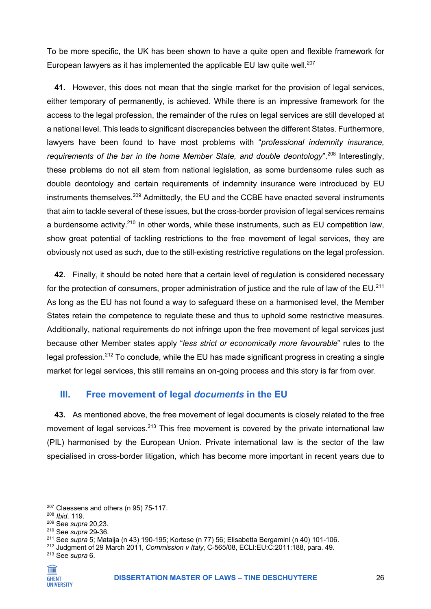To be more specific, the UK has been shown to have a quite open and flexible framework for European lawyers as it has implemented the applicable EU law quite well.<sup>207</sup>

**41.** However, this does not mean that the single market for the provision of legal services, either temporary of permanently, is achieved. While there is an impressive framework for the access to the legal profession, the remainder of the rules on legal services are still developed at a national level. This leads to significant discrepancies between the different States. Furthermore, lawyers have been found to have most problems with "*professional indemnity insurance, requirements of the bar in the home Member State, and double deontology*". <sup>208</sup> Interestingly, these problems do not all stem from national legislation, as some burdensome rules such as double deontology and certain requirements of indemnity insurance were introduced by EU instruments themselves.<sup>209</sup> Admittedly, the EU and the CCBE have enacted several instruments that aim to tackle several of these issues, but the cross-border provision of legal services remains a burdensome activity.<sup>210</sup> In other words, while these instruments, such as EU competition law, show great potential of tackling restrictions to the free movement of legal services, they are obviously not used as such, due to the still-existing restrictive regulations on the legal profession.

**42.** Finally, it should be noted here that a certain level of regulation is considered necessary for the protection of consumers, proper administration of justice and the rule of law of the EU.<sup>211</sup> As long as the EU has not found a way to safeguard these on a harmonised level, the Member States retain the competence to regulate these and thus to uphold some restrictive measures. Additionally, national requirements do not infringe upon the free movement of legal services just because other Member states apply "*less strict or economically more favourable*" rules to the legal profession.<sup>212</sup> To conclude, while the EU has made significant progress in creating a single market for legal services, this still remains an on-going process and this story is far from over.

#### **III. Free movement of legal** *documents* **in the EU**

**43.** As mentioned above, the free movement of legal documents is closely related to the free movement of legal services.<sup>213</sup> This free movement is covered by the private international law (PIL) harmonised by the European Union. Private international law is the sector of the law specialised in cross-border litigation, which has become more important in recent years due to

<sup>213</sup> See *supra* 6.



<sup>&</sup>lt;sup>207</sup> Claessens and others (n 95) 75-117.

<sup>208</sup> *Ibid*. 119.

<sup>209</sup> See *supra* 20,23.

<sup>210</sup> See *supra* 29-36.

<sup>211</sup> See *supra* 5; Mataija (n 43) 190-195; Kortese (n 77) 56; Elisabetta Bergamini (n 40) 101-106.

<sup>212</sup> Judgment of 29 March 2011, *Commission v Italy*, C-565/08, ECLI:EU:C:2011:188, para. 49.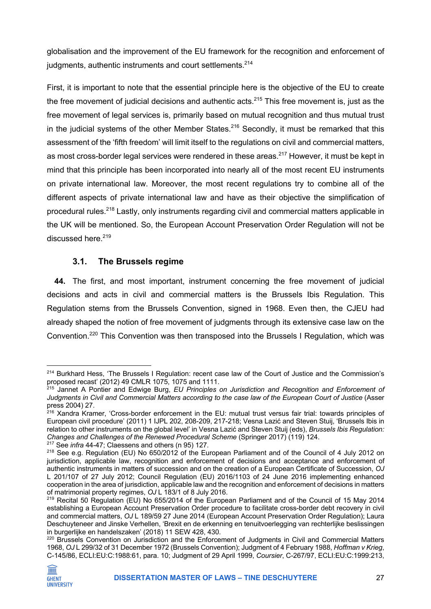globalisation and the improvement of the EU framework for the recognition and enforcement of judgments, authentic instruments and court settlements.<sup>214</sup>

First, it is important to note that the essential principle here is the objective of the EU to create the free movement of judicial decisions and authentic acts. $215$  This free movement is, just as the free movement of legal services is, primarily based on mutual recognition and thus mutual trust in the judicial systems of the other Member States.<sup>216</sup> Secondly, it must be remarked that this assessment of the 'fifth freedom' will limit itself to the regulations on civil and commercial matters, as most cross-border legal services were rendered in these areas.<sup>217</sup> However, it must be kept in mind that this principle has been incorporated into nearly all of the most recent EU instruments on private international law. Moreover, the most recent regulations try to combine all of the different aspects of private international law and have as their objective the simplification of procedural rules.<sup>218</sup> Lastly, only instruments regarding civil and commercial matters applicable in the UK will be mentioned. So, the European Account Preservation Order Regulation will not be discussed here.<sup>219</sup>

#### **3.1. The Brussels regime**

**44.** The first, and most important, instrument concerning the free movement of judicial decisions and acts in civil and commercial matters is the Brussels Ibis Regulation. This Regulation stems from the Brussels Convention, signed in 1968. Even then, the CJEU had already shaped the notion of free movement of judgments through its extensive case law on the Convention.<sup>220</sup> This Convention was then transposed into the Brussels I Regulation, which was

<sup>217</sup> See *infra* 44-47; Claessens and others (n 95) 127.

<sup>&</sup>lt;sup>220</sup> Brussels Convention on Jurisdiction and the Enforcement of Judgments in Civil and Commercial Matters 1968, *OJ* L 299/32 of 31 December 1972 (Brussels Convention); Judgment of 4 February 1988, *Hoffman v Krieg*, C-145/86, ECLI:EU:C:1988:61, para. 10; Judgment of 29 April 1999, *Coursier*, C-267/97, ECLI:EU:C:1999:213,



<sup>&</sup>lt;sup>214</sup> Burkhard Hess, 'The Brussels I Regulation: recent case law of the Court of Justice and the Commission's proposed recast' (2012) 49 CMLR 1075, 1075 and 1111.

<sup>215</sup> Jannet A Pontier and Edwige Burg, *EU Principles on Jurisdiction and Recognition and Enforcement of Judgments in Civil and Commercial Matters according to the case law of the European Court of Justice* (Asser press 2004) 27.

<sup>&</sup>lt;sup>216</sup> Xandra Kramer, 'Cross-border enforcement in the EU: mutual trust versus fair trial: towards principles of European civil procedure' (2011) 1 IJPL 202, 208-209, 217-218; Vesna Lazić and Steven Stuij, 'Brussels Ibis in relation to other instruments on the global level' in Vesna Lazić and Steven Stuij (eds), *Brussels Ibis Regulation: Changes and Challenges of the Renewed Procedural Scheme* (Springer 2017) (119) 124.

<sup>&</sup>lt;sup>218</sup> See e.g. Regulation (EU) No 650/2012 of the European Parliament and of the Council of 4 July 2012 on jurisdiction, applicable law, recognition and enforcement of decisions and acceptance and enforcement of authentic instruments in matters of succession and on the creation of a European Certificate of Succession, *OJ*  L 201/107 of 27 July 2012; Council Regulation (EU) 2016/1103 of 24 June 2016 implementing enhanced cooperation in the area of jurisdiction, applicable law and the recognition and enforcement of decisions in matters of matrimonial property regimes, *OJ* L 183/1 of 8 July 2016.

<sup>219</sup> Recital 50 Regulation (EU) No 655/2014 of the European Parliament and of the Council of 15 May 2014 establishing a European Account Preservation Order procedure to facilitate cross-border debt recovery in civil and commercial matters, *OJ* L 189/59 27 June 2014 (European Account Preservation Order Regulation); Laura Deschuyteneer and Jinske Verhellen, 'Brexit en de erkenning en tenuitvoerlegging van rechterlijke beslissingen in burgerlijke en handelszaken' (2018) 11 SEW 428, 430.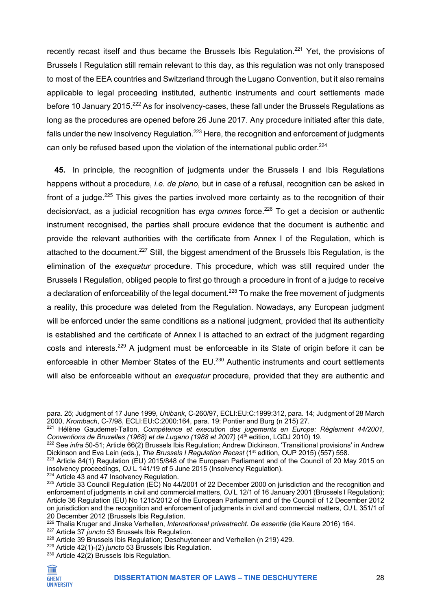recently recast itself and thus became the Brussels Ibis Regulation.<sup>221</sup> Yet, the provisions of Brussels I Regulation still remain relevant to this day, as this regulation was not only transposed to most of the EEA countries and Switzerland through the Lugano Convention, but it also remains applicable to legal proceeding instituted, authentic instruments and court settlements made before 10 January 2015.<sup>222</sup> As for insolvency-cases, these fall under the Brussels Regulations as long as the procedures are opened before 26 June 2017. Any procedure initiated after this date, falls under the new Insolvency Regulation.<sup>223</sup> Here, the recognition and enforcement of judgments can only be refused based upon the violation of the international public order. $^{224}$ 

**45.** In principle, the recognition of judgments under the Brussels I and Ibis Regulations happens without a procedure, *i.e. de plano*, but in case of a refusal, recognition can be asked in front of a judge.<sup>225</sup> This gives the parties involved more certainty as to the recognition of their decision/act, as a judicial recognition has erga omnes force.<sup>226</sup> To get a decision or authentic instrument recognised, the parties shall procure evidence that the document is authentic and provide the relevant authorities with the certificate from Annex I of the Regulation, which is attached to the document.<sup>227</sup> Still, the biggest amendment of the Brussels Ibis Regulation, is the elimination of the *exequatur* procedure. This procedure, which was still required under the Brussels I Regulation, obliged people to first go through a procedure in front of a judge to receive a declaration of enforceability of the legal document.<sup>228</sup> To make the free movement of judgments a reality, this procedure was deleted from the Regulation. Nowadays, any European judgment will be enforced under the same conditions as a national judgment, provided that its authenticity is established and the certificate of Annex I is attached to an extract of the judgment regarding costs and interests.<sup>229</sup> A judgment must be enforceable in its State of origin before it can be enforceable in other Member States of the EU.<sup>230</sup> Authentic instruments and court settlements will also be enforceable without an *exequatur* procedure, provided that they are authentic and

<sup>224</sup> Article 43 and 47 Insolvency Regulation.

<sup>227</sup> Article 37 *juncto* 53 Brussels Ibis Regulation.

 $230$  Article 42(2) Brussels Ibis Regulation.



para. 25; Judgment of 17 June 1999, *Unibank*, C-260/97, ECLI:EU:C:1999:312, para. 14; Judgment of 28 March 2000, *Krombach*, C-7/98, ECLI:EU:C:2000:164, para. 19; Pontier and Burg (n 215) 27.

<sup>221</sup> Hélène Gaudemet-Tallon, *Compétence et execution des jugements en Europe: Règlement 44/2001, Conventions de Bruxelles (1968) et de Lugano (1988 et 2007)* (4th edition, LGDJ 2010) 19.

<sup>&</sup>lt;sup>222</sup> See *infra* 50-51; Article 66(2) Brussels Ibis Regulation; Andrew Dickinson, 'Transitional provisions' in Andrew Dickinson and Eva Lein (eds.), *The Brussels I Regulation Recast* (1st edition, OUP 2015) (557) 558.

<sup>&</sup>lt;sup>223</sup> Article 84(1) Regulation (EU) 2015/848 of the European Parliament and of the Council of 20 May 2015 on insolvency proceedings, *OJ* L 141/19 of 5 June 2015 (Insolvency Regulation).

<sup>&</sup>lt;sup>225</sup> Article 33 Council Regulation (EC) No 44/2001 of 22 December 2000 on jurisdiction and the recognition and enforcement of judgments in civil and commercial matters, *OJ* L 12/1 of 16 January 2001 (Brussels I Regulation); Article 36 Regulation (EU) No 1215/2012 of the European Parliament and of the Council of 12 December 2012 on jurisdiction and the recognition and enforcement of judgments in civil and commercial matters, *OJ* L 351/1 of 20 December 2012 (Brussels Ibis Regulation.

<sup>226</sup> Thalia Kruger and Jinske Verhellen, *Internationaal privaatrecht. De essentie* (die Keure 2016) 164.

<sup>228</sup> Article 39 Brussels Ibis Regulation; Deschuyteneer and Verhellen (n 219) 429.

<sup>229</sup> Article 42(1)-(2) *juncto* 53 Brussels Ibis Regulation.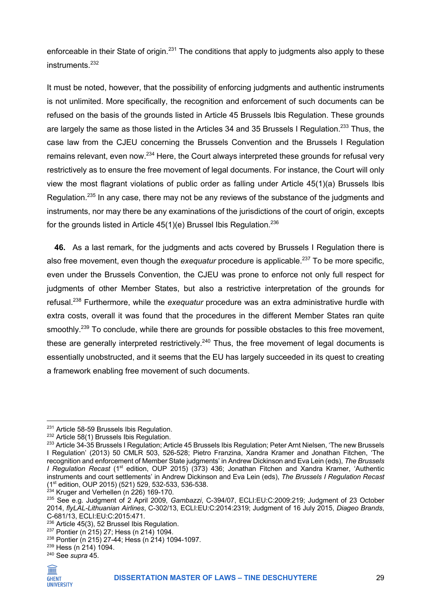enforceable in their State of origin.<sup>231</sup> The conditions that apply to judgments also apply to these instruments.<sup>232</sup>

It must be noted, however, that the possibility of enforcing judgments and authentic instruments is not unlimited. More specifically, the recognition and enforcement of such documents can be refused on the basis of the grounds listed in Article 45 Brussels Ibis Regulation. These grounds are largely the same as those listed in the Articles 34 and 35 Brussels I Regulation.<sup>233</sup> Thus, the case law from the CJEU concerning the Brussels Convention and the Brussels I Regulation remains relevant, even now.<sup>234</sup> Here, the Court always interpreted these grounds for refusal very restrictively as to ensure the free movement of legal documents. For instance, the Court will only view the most flagrant violations of public order as falling under Article 45(1)(a) Brussels Ibis Regulation.<sup>235</sup> In any case, there may not be any reviews of the substance of the judgments and instruments, nor may there be any examinations of the jurisdictions of the court of origin, excepts for the grounds listed in Article  $45(1)(e)$  Brussel Ibis Regulation.<sup>236</sup>

**46.** As a last remark, for the judgments and acts covered by Brussels I Regulation there is also free movement, even though the *exequatur* procedure is applicable.<sup>237</sup> To be more specific. even under the Brussels Convention, the CJEU was prone to enforce not only full respect for judgments of other Member States, but also a restrictive interpretation of the grounds for refusal.238 Furthermore, while the *exequatur* procedure was an extra administrative hurdle with extra costs, overall it was found that the procedures in the different Member States ran quite smoothly.<sup>239</sup> To conclude, while there are grounds for possible obstacles to this free movement, these are generally interpreted restrictively.<sup>240</sup> Thus, the free movement of legal documents is essentially unobstructed, and it seems that the EU has largely succeeded in its quest to creating a framework enabling free movement of such documents.

<sup>240</sup> See *supra* 45.



<sup>&</sup>lt;sup>231</sup> Article 58-59 Brussels Ibis Regulation.

<sup>&</sup>lt;sup>232</sup> Article 58(1) Brussels Ibis Regulation.

<sup>&</sup>lt;sup>233</sup> Article 34-35 Brussels I Regulation; Article 45 Brussels Ibis Regulation; Peter Arnt Nielsen, 'The new Brussels I Regulation' (2013) 50 CMLR 503, 526-528; Pietro Franzina, Xandra Kramer and Jonathan Fitchen, 'The recognition and enforcement of Member State judgments' in Andrew Dickinson and Eva Lein (eds), *The Brussels I Regulation Recast* (1st edition, OUP 2015) (373) 436; Jonathan Fitchen and Xandra Kramer, 'Authentic instruments and court settlements' in Andrew Dickinson and Eva Lein (eds), *The Brussels I Regulation Recast* (1st edition, OUP 2015) (521) 529, 532-533, 536-538.

<sup>&</sup>lt;sup>234</sup> Kruger and Verhellen (n 226) 169-170.

<sup>235</sup> See e.g. Judgment of 2 April 2009, *Gambazzi*, C-394/07, ECLI:EU:C:2009:219; Judgment of 23 October 2014, *flyLAL-Lithuanian Airlines*, C-302/13, ECLI:EU:C:2014:2319; Judgment of 16 July 2015, *Diageo Brands*, C-681/13, ECLI:EU:C:2015:471.

 $236$  Article 45(3), 52 Brussel Ibis Regulation.<br> $237$  Pontier (n 215) 27; Hess (n 214) 1094.

 $238$  Pontier (n 215) 27-44; Hess (n 214) 1094-1097.

 $239$  Hess (n 214) 1094.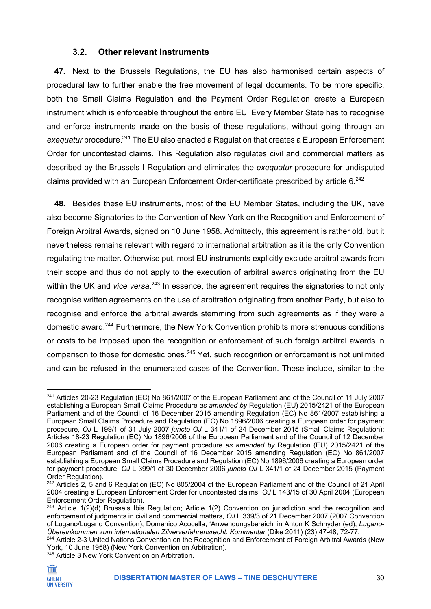#### **3.2. Other relevant instruments**

**47.** Next to the Brussels Regulations, the EU has also harmonised certain aspects of procedural law to further enable the free movement of legal documents. To be more specific, both the Small Claims Regulation and the Payment Order Regulation create a European instrument which is enforceable throughout the entire EU. Every Member State has to recognise and enforce instruments made on the basis of these regulations, without going through an exequatur procedure.<sup>241</sup> The EU also enacted a Regulation that creates a European Enforcement Order for uncontested claims. This Regulation also regulates civil and commercial matters as described by the Brussels I Regulation and eliminates the *exequatur* procedure for undisputed claims provided with an European Enforcement Order-certificate prescribed by article  $6.^{242}$ 

**48.** Besides these EU instruments, most of the EU Member States, including the UK, have also become Signatories to the Convention of New York on the Recognition and Enforcement of Foreign Arbitral Awards, signed on 10 June 1958. Admittedly, this agreement is rather old, but it nevertheless remains relevant with regard to international arbitration as it is the only Convention regulating the matter. Otherwise put, most EU instruments explicitly exclude arbitral awards from their scope and thus do not apply to the execution of arbitral awards originating from the EU within the UK and *vice versa.*<sup>243</sup> In essence, the agreement requires the signatories to not only recognise written agreements on the use of arbitration originating from another Party, but also to recognise and enforce the arbitral awards stemming from such agreements as if they were a domestic award.<sup>244</sup> Furthermore, the New York Convention prohibits more strenuous conditions or costs to be imposed upon the recognition or enforcement of such foreign arbitral awards in comparison to those for domestic ones.<sup>245</sup> Yet, such recognition or enforcement is not unlimited and can be refused in the enumerated cases of the Convention. These include, similar to the



<sup>&</sup>lt;sup>241</sup> Articles 20-23 Regulation (EC) No 861/2007 of the European Parliament and of the Council of 11 July 2007 establishing a European Small Claims Procedure *as amended by* Regulation (EU) 2015/2421 of the European Parliament and of the Council of 16 December 2015 amending Regulation (EC) No 861/2007 establishing a European Small Claims Procedure and Regulation (EC) No 1896/2006 creating a European order for payment procedure, *OJ* L 199/1 of 31 July 2007 *juncto OJ* L 341/1 of 24 December 2015 (Small Claims Regulation); Articles 18-23 Regulation (EC) No 1896/2006 of the European Parliament and of the Council of 12 December 2006 creating a European order for payment procedure *as amended by* Regulation (EU) 2015/2421 of the European Parliament and of the Council of 16 December 2015 amending Regulation (EC) No 861/2007 establishing a European Small Claims Procedure and Regulation (EC) No 1896/2006 creating a European order for payment procedure, *OJ* L 399/1 of 30 December 2006 *juncto OJ* L 341/1 of 24 December 2015 (Payment Order Regulation).

<sup>&</sup>lt;sup>242</sup> Articles 2, 5 and 6 Regulation (EC) No 805/2004 of the European Parliament and of the Council of 21 April 2004 creating a European Enforcement Order for uncontested claims, *OJ* L 143/15 of 30 April 2004 (European Enforcement Order Regulation).

<sup>&</sup>lt;sup>243</sup> Article 1(2)(d) Brussels Ibis Regulation; Article 1(2) Convention on jurisdiction and the recognition and enforcement of judgments in civil and commercial matters, *OJ* L 339/3 of 21 December 2007 (2007 Convention of Lugano/Lugano Convention); Domenico Acocella, 'Anwendungsbereich' in Anton K Schnyder (ed), *Lugano-Übereinkommen zum internationalen Zilververfahrensrecht: Kommentar* (Dike 2011) (23) 47-48, 72-77.

<sup>&</sup>lt;sup>244</sup> Article 2-3 United Nations Convention on the Recognition and Enforcement of Foreign Arbitral Awards (New York, 10 June 1958) (New York Convention on Arbitration).<br><sup>245</sup> Article 3 New York Convention on Arbitration.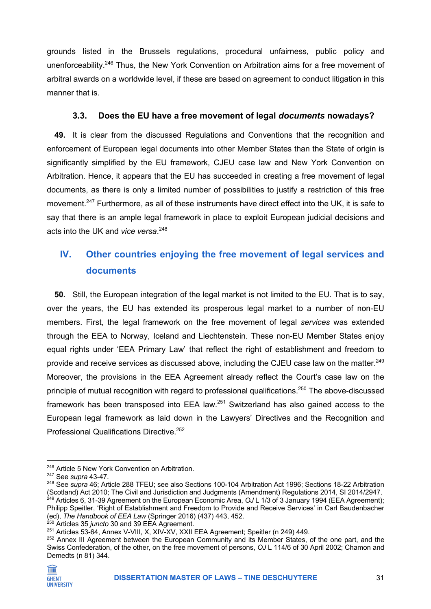grounds listed in the Brussels regulations, procedural unfairness, public policy and unenforceability.<sup>246</sup> Thus, the New York Convention on Arbitration aims for a free movement of arbitral awards on a worldwide level, if these are based on agreement to conduct litigation in this manner that is.

#### **3.3. Does the EU have a free movement of legal** *documents* **nowadays?**

**49.** It is clear from the discussed Regulations and Conventions that the recognition and enforcement of European legal documents into other Member States than the State of origin is significantly simplified by the EU framework, CJEU case law and New York Convention on Arbitration. Hence, it appears that the EU has succeeded in creating a free movement of legal documents, as there is only a limited number of possibilities to justify a restriction of this free movement.<sup>247</sup> Furthermore, as all of these instruments have direct effect into the UK, it is safe to say that there is an ample legal framework in place to exploit European judicial decisions and acts into the UK and *vice versa*. 248

# **IV. Other countries enjoying the free movement of legal services and documents**

**50.** Still, the European integration of the legal market is not limited to the EU. That is to say, over the years, the EU has extended its prosperous legal market to a number of non-EU members. First, the legal framework on the free movement of legal *services* was extended through the EEA to Norway, Iceland and Liechtenstein. These non-EU Member States enjoy equal rights under 'EEA Primary Law' that reflect the right of establishment and freedom to provide and receive services as discussed above, including the CJEU case law on the matter.<sup>249</sup> Moreover, the provisions in the EEA Agreement already reflect the Court's case law on the principle of mutual recognition with regard to professional qualifications.<sup>250</sup> The above-discussed framework has been transposed into EEA law.<sup>251</sup> Switzerland has also gained access to the European legal framework as laid down in the Lawyers' Directives and the Recognition and Professional Qualifications Directive. 252

<sup>250</sup> Articles 35 *juncto* 30 and 39 EEA Agreement.

<sup>&</sup>lt;sup>252</sup> Annex III Agreement between the European Community and its Member States, of the one part, and the Swiss Confederation, of the other, on the free movement of persons, *OJ* L 114/6 of 30 April 2002; Chamon and Demedts (n 81) 344.



<sup>&</sup>lt;sup>246</sup> Article 5 New York Convention on Arbitration.

<sup>247</sup> See *supra* 43-47.

<sup>248</sup> See *supra* 46; Article 288 TFEU; see also Sections 100-104 Arbitration Act 1996; Sections 18-22 Arbitration (Scotland) Act 2010; The Civil and Jurisdiction and Judgments (Amendment) Regulations 2014, SI 2014/2947. 249 Articles 6, 31-39 Agreement on the European Economic Area, *OJ* L 1/3 of 3 January 1994 (EEA Agreement); Philipp Speitler, 'Right of Establishment and Freedom to Provide and Receive Services' in Carl Baudenbacher (ed), *The Handbook of EEA Law* (Springer 2016) (437) 443, 452.

<sup>251</sup> Articles 53-64, Annex V-VIII, X, XIV-XV, XXII EEA Agreement; Speitler (n 249) 449.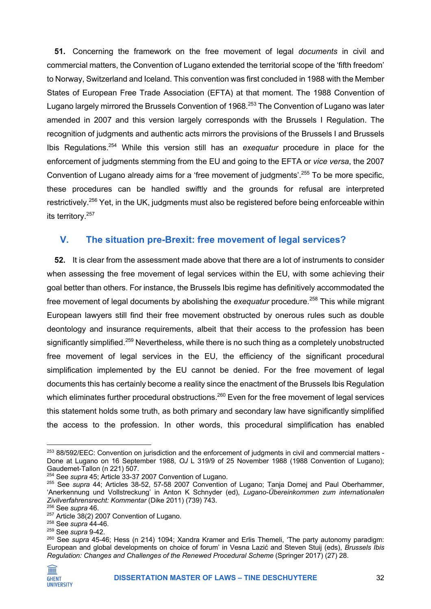**51.** Concerning the framework on the free movement of legal *documents* in civil and commercial matters, the Convention of Lugano extended the territorial scope of the 'fifth freedom' to Norway, Switzerland and Iceland. This convention was first concluded in 1988 with the Member States of European Free Trade Association (EFTA) at that moment. The 1988 Convention of Lugano largely mirrored the Brussels Convention of 1968.<sup>253</sup> The Convention of Lugano was later amended in 2007 and this version largely corresponds with the Brussels I Regulation. The recognition of judgments and authentic acts mirrors the provisions of the Brussels I and Brussels Ibis Regulations.254 While this version still has an *exequatur* procedure in place for the enforcement of judgments stemming from the EU and going to the EFTA or *vice versa*, the 2007 Convention of Lugano already aims for a 'free movement of judgments'.<sup>255</sup> To be more specific, these procedures can be handled swiftly and the grounds for refusal are interpreted restrictively.<sup>256</sup> Yet, in the UK, judgments must also be registered before being enforceable within its territory.<sup>257</sup>

# **V. The situation pre-Brexit: free movement of legal services?**

**52.** It is clear from the assessment made above that there are a lot of instruments to consider when assessing the free movement of legal services within the EU, with some achieving their goal better than others. For instance, the Brussels Ibis regime has definitively accommodated the free movement of legal documents by abolishing the *exequatur* procedure.<sup>258</sup> This while migrant European lawyers still find their free movement obstructed by onerous rules such as double deontology and insurance requirements, albeit that their access to the profession has been significantly simplified.<sup>259</sup> Nevertheless, while there is no such thing as a completely unobstructed free movement of legal services in the EU, the efficiency of the significant procedural simplification implemented by the EU cannot be denied. For the free movement of legal documents this has certainly become a reality since the enactment of the Brussels Ibis Regulation which eliminates further procedural obstructions.<sup>260</sup> Even for the free movement of legal services this statement holds some truth, as both primary and secondary law have significantly simplified the access to the profession. In other words, this procedural simplification has enabled

<sup>260</sup> See *supra* 45-46; Hess (n 214) 1094; Xandra Kramer and Erlis Themeli, 'The party autonomy paradigm: European and global developments on choice of forum' in Vesna Lazić and Steven Stuij (eds), *Brussels Ibis Regulation: Changes and Challenges of the Renewed Procedural Scheme* (Springer 2017) (27) 28.



<sup>&</sup>lt;sup>253</sup> 88/592/EEC: Convention on jurisdiction and the enforcement of judgments in civil and commercial matters -Done at Lugano on 16 September 1988, *OJ* L 319/9 of 25 November 1988 (1988 Convention of Lugano); Gaudemet-Tallon (n 221) 507.<br><sup>254</sup> See *supra* 45; Article 33-37 2007 Convention of Lugano.

<sup>&</sup>lt;sup>255</sup> See *supra* 44; Articles 38-52, 57-58 2007 Convention of Lugano; Tanja Domej and Paul Oberhammer, 'Anerkennung und Vollstreckung' in Anton K Schnyder (ed), *Lugano-Übereinkommen zum internationalen Zivilverfahrensrecht: Kommentar* (Dike 2011) (739) 743.

<sup>256</sup> See *supra* 46.

<sup>&</sup>lt;sup>257</sup> Article 38(2) 2007 Convention of Lugano.

<sup>258</sup> See *supra* 44-46.

<sup>259</sup> See *supra* 9-42.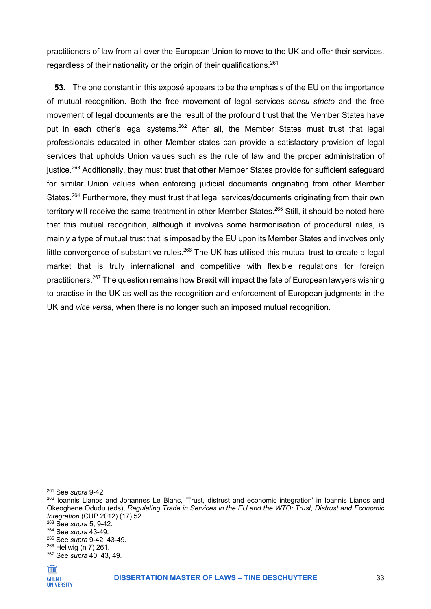practitioners of law from all over the European Union to move to the UK and offer their services, regardless of their nationality or the origin of their qualifications.<sup>261</sup>

**53.** The one constant in this exposé appears to be the emphasis of the EU on the importance of mutual recognition. Both the free movement of legal services *sensu stricto* and the free movement of legal documents are the result of the profound trust that the Member States have put in each other's legal systems.<sup>262</sup> After all, the Member States must trust that legal professionals educated in other Member states can provide a satisfactory provision of legal services that upholds Union values such as the rule of law and the proper administration of justice.<sup>263</sup> Additionally, they must trust that other Member States provide for sufficient safeguard for similar Union values when enforcing judicial documents originating from other Member States.<sup>264</sup> Furthermore, they must trust that legal services/documents originating from their own territory will receive the same treatment in other Member States.<sup>265</sup> Still, it should be noted here that this mutual recognition, although it involves some harmonisation of procedural rules, is mainly a type of mutual trust that is imposed by the EU upon its Member States and involves only little convergence of substantive rules.<sup>266</sup> The UK has utilised this mutual trust to create a legal market that is truly international and competitive with flexible regulations for foreign practitioners.<sup>267</sup> The question remains how Brexit will impact the fate of European lawyers wishing to practise in the UK as well as the recognition and enforcement of European judgments in the UK and *vice versa*, when there is no longer such an imposed mutual recognition.

<sup>267</sup> See *supra* 40, 43, 49.



<sup>261</sup> See *supra* 9-42.

<sup>&</sup>lt;sup>262</sup> Ioannis Lianos and Johannes Le Blanc, 'Trust, distrust and economic integration' in Ioannis Lianos and Okeoghene Odudu (eds), *Regulating Trade in Services in the EU and the WTO: Trust, Distrust and Economic Integration* (CUP 2012) (17) 52.

<sup>263</sup> See *supra* 5, 9-42.

<sup>264</sup> See *supra* 43-49.

<sup>265</sup> See *supra* 9-42, 43-49.

<sup>266</sup> Hellwig (n 7) 261.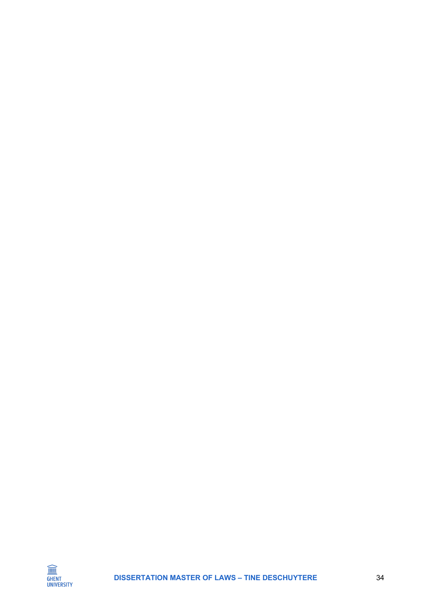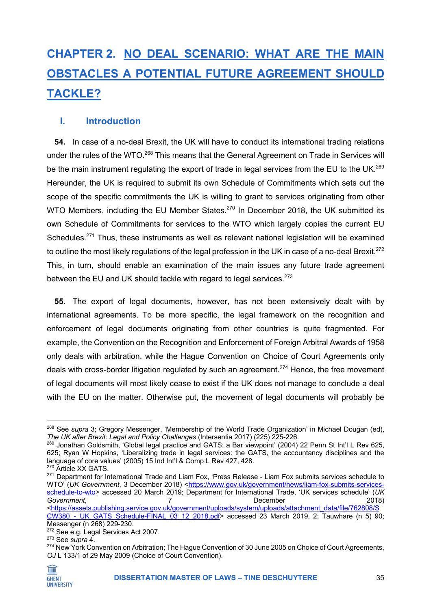# **CHAPTER 2. NO DEAL SCENARIO: WHAT ARE THE MAIN OBSTACLES A POTENTIAL FUTURE AGREEMENT SHOULD TACKLE?**

# **I. Introduction**

**54.** In case of a no-deal Brexit, the UK will have to conduct its international trading relations under the rules of the WTO.<sup>268</sup> This means that the General Agreement on Trade in Services will be the main instrument regulating the export of trade in legal services from the EU to the UK.<sup>269</sup> Hereunder, the UK is required to submit its own Schedule of Commitments which sets out the scope of the specific commitments the UK is willing to grant to services originating from other WTO Members, including the EU Member States.<sup>270</sup> In December 2018, the UK submitted its own Schedule of Commitments for services to the WTO which largely copies the current EU Schedules.<sup>271</sup> Thus, these instruments as well as relevant national legislation will be examined to outline the most likely regulations of the legal profession in the UK in case of a no-deal Brexit.<sup>272</sup> This, in turn, should enable an examination of the main issues any future trade agreement between the EU and UK should tackle with regard to legal services. $273$ 

**55.** The export of legal documents, however, has not been extensively dealt with by international agreements. To be more specific, the legal framework on the recognition and enforcement of legal documents originating from other countries is quite fragmented. For example, the Convention on the Recognition and Enforcement of Foreign Arbitral Awards of 1958 only deals with arbitration, while the Hague Convention on Choice of Court Agreements only deals with cross-border litigation regulated by such an agreement.<sup>274</sup> Hence, the free movement of legal documents will most likely cease to exist if the UK does not manage to conclude a deal with the EU on the matter. Otherwise put, the movement of legal documents will probably be

<sup>268</sup> See *supra* 3; Gregory Messenger, 'Membership of the World Trade Organization' in Michael Dougan (ed), *The UK after Brexit: Legal and Policy Challenges* (Intersentia 2017) (225) 225-226.

<sup>269</sup> Jonathan Goldsmith, 'Global legal practice and GATS: a Bar viewpoint' (2004) 22 Penn St Int'l L Rev 625, 625; Ryan W Hopkins, 'Liberalizing trade in legal services: the GATS, the accountancy disciplines and the language of core values' (2005) 15 Ind Int'l & Comp L Rev 427, 428. <sup>270</sup> Article XX GATS.

<sup>&</sup>lt;sup>271</sup> Department for International Trade and Liam Fox, 'Press Release - Liam Fox submits services schedule to WTO' (*UK Government*, 3 December 2018) <https://www.gov.uk/government/news/liam-fox-submits-servicesschedule-to-wto> accessed 20 March 2019; Department for International Trade, 'UK services schedule' (*UK Government*, 7 December 2018) <https://assets.publishing.service.gov.uk/government/uploads/system/uploads/attachment\_data/file/762808/S

CW380 - UK\_GATS\_Schedule-FINAL\_03\_12\_2018.pdf> accessed 23 March 2019, 2; Tauwhare (n 5) 90; Messenger (n 268) 229-230.

<sup>&</sup>lt;sup>272</sup> See e.g. Legal Services Act 2007.

<sup>273</sup> See *supra* 4.

<sup>&</sup>lt;sup>274</sup> New York Convention on Arbitration; The Hague Convention of 30 June 2005 on Choice of Court Agreements, *OJ* L 133/1 of 29 May 2009 (Choice of Court Convention).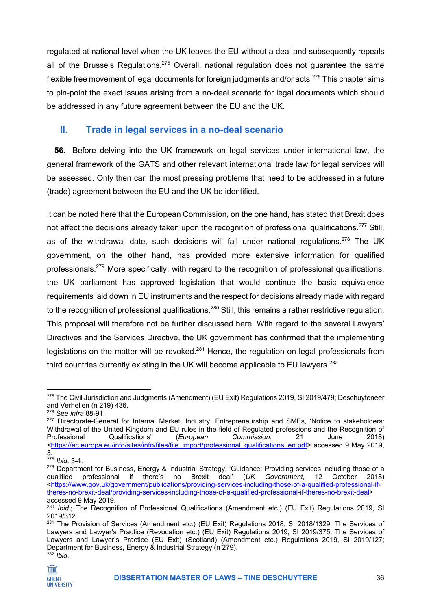regulated at national level when the UK leaves the EU without a deal and subsequently repeals all of the Brussels Regulations.<sup>275</sup> Overall, national regulation does not guarantee the same flexible free movement of legal documents for foreign judgments and/or acts.<sup>276</sup> This chapter aims to pin-point the exact issues arising from a no-deal scenario for legal documents which should be addressed in any future agreement between the EU and the UK.

# **II. Trade in legal services in a no-deal scenario**

**56.** Before delving into the UK framework on legal services under international law, the general framework of the GATS and other relevant international trade law for legal services will be assessed. Only then can the most pressing problems that need to be addressed in a future (trade) agreement between the EU and the UK be identified.

It can be noted here that the European Commission, on the one hand, has stated that Brexit does not affect the decisions already taken upon the recognition of professional qualifications.<sup>277</sup> Still. as of the withdrawal date, such decisions will fall under national regulations.<sup>278</sup> The UK government, on the other hand, has provided more extensive information for qualified professionals.<sup>279</sup> More specifically, with regard to the recognition of professional qualifications, the UK parliament has approved legislation that would continue the basic equivalence requirements laid down in EU instruments and the respect for decisions already made with regard to the recognition of professional qualifications.<sup>280</sup> Still, this remains a rather restrictive regulation. This proposal will therefore not be further discussed here. With regard to the several Lawyers' Directives and the Services Directive, the UK government has confirmed that the implementing legislations on the matter will be revoked.<sup>281</sup> Hence, the regulation on legal professionals from third countries currently existing in the UK will become applicable to EU lawyers. $282$ 

<sup>&</sup>lt;sup>275</sup> The Civil Jurisdiction and Judgments (Amendment) (EU Exit) Regulations 2019, SI 2019/479; Deschuyteneer and Verhellen (n 219) 436.

<sup>276</sup> See *infra* 88-91.

<sup>&</sup>lt;sup>277</sup> Directorate-General for Internal Market, Industry, Entrepreneurship and SMEs, 'Notice to stakeholders: Withdrawal of the United Kingdom and EU rules in the field of Regulated professions and the Recognition of<br>Professional Qualifications' (European Commission. 21 June 2018) Professional Qualifications' (*European Commission*, 21 June 2018) ˂https://ec.europa.eu/info/sites/info/files/file\_import/professional\_qualifications\_en.pdf˃ accessed 9 May 2019, 3.

<sup>278</sup> *Ibid*. 3-4.

<sup>&</sup>lt;sup>279</sup> Department for Business, Energy & Industrial Strategy, 'Guidance: Providing services including those of a qualified professional if there's no Brexit deal' (UK Government, 12 October 2018) qualified professional if there's no Brexit deal' (*UK Government*, 12 October 2018) ˂https://www.gov.uk/government/publications/providing-services-including-those-of-a-qualified-professional-iftheres-no-brexit-deal/providing-services-including-those-of-a-qualified-professional-if-theres-no-brexit-deal> accessed 9 May 2019.

<sup>&</sup>lt;sup>280</sup> Ibid.; The Recognition of Professional Qualifications (Amendment etc.) (EU Exit) Regulations 2019, SI 2019/312.

<sup>&</sup>lt;sup>281</sup> The Provision of Services (Amendment etc.) (EU Exit) Regulations 2018, SI 2018/1329; The Services of Lawyers and Lawyer's Practice (Revocation etc.) (EU Exit) Regulations 2019, SI 2019/375; The Services of Lawyers and Lawyer's Practice (EU Exit) (Scotland) (Amendment etc.) Regulations 2019, SI 2019/127; Department for Business, Energy & Industrial Strategy (n 279). <sup>282</sup> *Ibid*.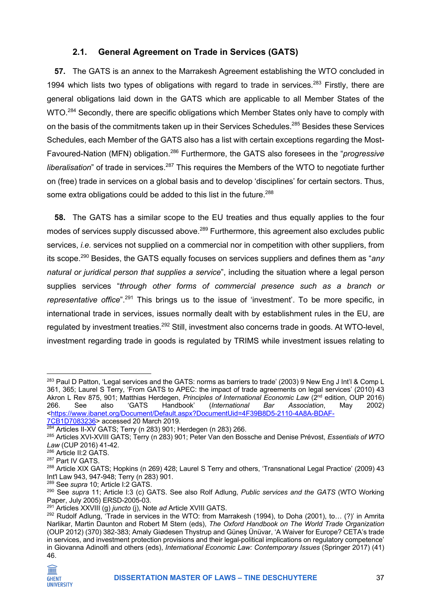# **2.1. General Agreement on Trade in Services (GATS)**

**57.** The GATS is an annex to the Marrakesh Agreement establishing the WTO concluded in 1994 which lists two types of obligations with regard to trade in services.<sup>283</sup> Firstly, there are general obligations laid down in the GATS which are applicable to all Member States of the WTO.<sup>284</sup> Secondly, there are specific obligations which Member States only have to comply with on the basis of the commitments taken up in their Services Schedules.<sup>285</sup> Besides these Services Schedules, each Member of the GATS also has a list with certain exceptions regarding the Most-Favoured-Nation (MFN) obligation.<sup>286</sup> Furthermore, the GATS also foresees in the "*progressive liberalisation*" of trade in services.<sup>287</sup> This requires the Members of the WTO to negotiate further on (free) trade in services on a global basis and to develop 'disciplines' for certain sectors. Thus, some extra obligations could be added to this list in the future.<sup>288</sup>

**58.** The GATS has a similar scope to the EU treaties and thus equally applies to the four modes of services supply discussed above.<sup>289</sup> Furthermore, this agreement also excludes public services, *i.e.* services not supplied on a commercial nor in competition with other suppliers, from its scope.<sup>290</sup> Besides, the GATS equally focuses on services suppliers and defines them as "*any natural or juridical person that supplies a service*", including the situation where a legal person supplies services "*through other forms of commercial presence such as a branch or*  representative office".<sup>291</sup> This brings us to the issue of 'investment'. To be more specific, in international trade in services, issues normally dealt with by establishment rules in the EU, are regulated by investment treaties.<sup>292</sup> Still, investment also concerns trade in goods. At WTO-level, investment regarding trade in goods is regulated by TRIMS while investment issues relating to

<sup>&</sup>lt;sup>283</sup> Paul D Patton, 'Legal services and the GATS: norms as barriers to trade' (2003) 9 New Eng J Int'l & Comp L 361, 365; Laurel S Terry, 'From GATS to APEC: the impact of trade agreements on legal services' (2010) 43 Akron L Rev 875, 901; Matthias Herdegen, *Principles of International Economic Law* (2<sup>nd</sup> edition, OUP 2016)<br>266. See also 'GATS Handbook' (International Bar Association, May 2002) 266. See also 'GATS Handbook' (*International Bar Association*, May 2002) <https://www.ibanet.org/Document/Default.aspx?DocumentUid=4F39B8D5-2110-4A8A-BDAF-<br>7CB1D7083236> accessed 20 March 2019.

 $284$  Articles II-XV GATS; Terry (n 283) 901; Herdegen (n 283) 266.

<sup>285</sup> Articles XVI-XVIII GATS; Terry (n 283) 901; Peter Van den Bossche and Denise Prévost, *Essentials of WTO Law* (CUP 2016) 41-42.

<sup>286</sup> Article II:2 GATS.

<sup>287</sup> Part IV GATS.

<sup>&</sup>lt;sup>288</sup> Article XIX GATS; Hopkins (n 269) 428; Laurel S Terry and others, 'Transnational Legal Practice' (2009) 43 Int'l Law 943, 947-948; Terry (n 283) 901.

<sup>289</sup> See *supra* 10; Article I:2 GATS.

<sup>290</sup> See *supra* 11; Article I:3 (c) GATS. See also Rolf Adlung, *Public services and the GATS* (WTO Working Paper, July 2005) ERSD-2005-03.

<sup>291</sup> Articles XXVIII (g) *juncto* (j), Note *ad* Article XVIII GATS.

<sup>&</sup>lt;sup>292</sup> Rudolf Adlung, 'Trade in services in the WTO: from Marrakesh (1994), to Doha (2001), to... (?)' in Amrita Narlikar, Martin Daunton and Robert M Stern (eds), *The Oxford Handbook on The World Trade Organization* (OUP 2012) (370) 382-383; Amaly Giødesen Thystrup and Güneş Ünüvar, 'A Waiver for Europe? CETA's trade in services, and investment protection provisions and their legal-political implications on regulatory competence' in Giovanna Adinolfi and others (eds), *International Economic Law: Contemporary Issues* (Springer 2017) (41) 46.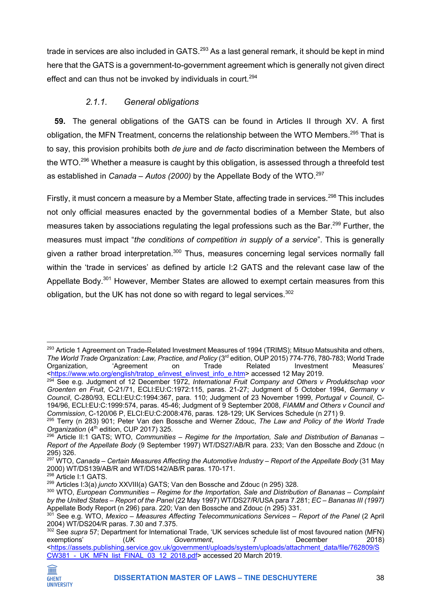trade in services are also included in GATS.<sup>293</sup> As a last general remark, it should be kept in mind here that the GATS is a government-to-government agreement which is generally not given direct effect and can thus not be invoked by individuals in court.<sup>294</sup>

# *2.1.1. General obligations*

**59.** The general obligations of the GATS can be found in Articles II through XV. A first obligation, the MFN Treatment, concerns the relationship between the WTO Members.<sup>295</sup> That is to say, this provision prohibits both *de jure* and *de facto* discrimination between the Members of the WTO.<sup>296</sup> Whether a measure is caught by this obligation, is assessed through a threefold test as established in *Canada – Autos (2000)* by the Appellate Body of the WTO.<sup>297</sup>

Firstly, it must concern a measure by a Member State, affecting trade in services.<sup>298</sup> This includes not only official measures enacted by the governmental bodies of a Member State, but also measures taken by associations regulating the legal professions such as the Bar.<sup>299</sup> Further, the measures must impact "*the conditions of competition in supply of a service*". This is generally given a rather broad interpretation.<sup>300</sup> Thus, measures concerning legal services normally fall within the 'trade in services' as defined by article I:2 GATS and the relevant case law of the Appellate Body.<sup>301</sup> However, Member States are allowed to exempt certain measures from this obligation, but the UK has not done so with regard to legal services.<sup>302</sup>

<sup>&</sup>lt;sup>293</sup> Article 1 Agreement on Trade-Related Investment Measures of 1994 (TRIMS); Mitsuo Matsushita and others, *The World Trade Organization: Law, Practice, and Policy* (3rd edition, OUP 2015) 774-776, 780-783; World Trade Organization, 'Agreement on Trade Related Investment Measures' <https://www.wto.org/english/tratop\_e/invest\_e/invest\_info\_e.htm> accessed 12 May 2019.

<sup>294</sup> See e.g. Judgment of 12 December 1972, *International Fruit Company and Others v Produktschap voor Groenten en Fruit*, C-21/71, ECLI:EU:C:1972:115, paras. 21-27; Judgment of 5 October 1994, *Germany v Council*, C-280/93, ECLI:EU:C:1994:367, para. 110; Judgment of 23 November 1999, *Portugal v Council*, C-194/96, ECLI:EU:C:1999:574, paras. 45-46; Judgment of 9 September 2008, *FIAMM and Others v Council and Commission*, C-120/06 P, ELCI:EU:C:2008:476, paras. 128-129; UK Services Schedule (n 271) 9.

<sup>&</sup>lt;sup>295</sup> Terry (n 283) 901; Peter Van den Bossche and Werner Zdouc, *The Law and Policy of the World Trade* Organization (4<sup>th</sup> edition, CUP 2017) 325.

<sup>&</sup>lt;sup>296</sup> Article II:1 GATS; WTO, *Communities – Regime for the Importation, Sale and Distribution of Bananas – Report of the Appellate Body* (9 September 1997) WT/DS27/AB/R para. 233; Van den Bossche and Zdouc (n 295) 326.

<sup>297</sup> WTO, *Canada – Certain Measures Affecting the Automotive Industry – Report of the Appellate Body* (31 May 2000) WT/DS139/AB/R and WT/DS142/AB/R paras. 170-171.

<sup>&</sup>lt;sup>298</sup> Article I:1 GATS.

<sup>299</sup> Articles I:3(a) *juncto* XXVIII(a) GATS; Van den Bossche and Zdouc (n 295) 328.

<sup>300</sup> WTO, *European Communities – Regime for the Importation, Sale and Distribution of Bananas – Complaint by the United States – Report of the Panel* (22 May 1997) WT/DS27/R/USA para 7.281; *EC – Bananas III (1997)*  Appellate Body Report (n 296) para. 220; Van den Bossche and Zdouc (n 295) 331.

<sup>301</sup> See e.g. WTO, *Mexico – Measures Affecting Telecommunications Services – Report of the Panel* (2 April 2004) WT/DS204/R paras. 7.30 and 7.375.

<sup>&</sup>lt;sup>302</sup> See *supra* 57; Department for International Trade, 'UK services schedule list of most favoured nation (MFN) exemptions' (UK 60vernment, 2018) exemptions' (*UK Government*, 7 December 2018) <https://assets.publishing.service.gov.uk/government/uploads/system/uploads/attachment\_data/file/762809/S CW381 - UK\_MFN\_list\_FINAL\_03\_12\_2018.pdf> accessed 20 March 2019.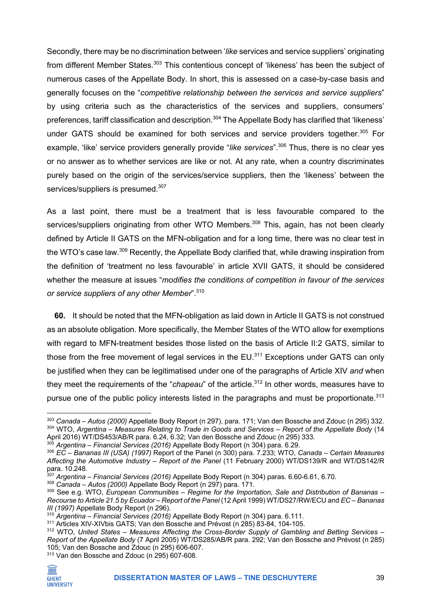Secondly, there may be no discrimination between '*like* services and service suppliers' originating from different Member States.<sup>303</sup> This contentious concept of 'likeness' has been the subject of numerous cases of the Appellate Body. In short, this is assessed on a case-by-case basis and generally focuses on the "*competitive relationship between the services and service suppliers*" by using criteria such as the characteristics of the services and suppliers, consumers' preferences, tariff classification and description. <sup>304</sup> The Appellate Body has clarified that 'likeness' under GATS should be examined for both services and service providers together.<sup>305</sup> For example, 'like' service providers generally provide "*like services*". <sup>306</sup> Thus, there is no clear yes or no answer as to whether services are like or not. At any rate, when a country discriminates purely based on the origin of the services/service suppliers, then the 'likeness' between the services/suppliers is presumed.<sup>307</sup>

As a last point, there must be a treatment that is less favourable compared to the services/suppliers originating from other WTO Members.<sup>308</sup> This, again, has not been clearly defined by Article II GATS on the MFN-obligation and for a long time, there was no clear test in the WTO's case law.<sup>309</sup> Recently, the Appellate Body clarified that, while drawing inspiration from the definition of 'treatment no less favourable' in article XVII GATS, it should be considered whether the measure at issues "*modifies the conditions of competition in favour of the services or service suppliers of any other Member*". 310

**60.** It should be noted that the MFN-obligation as laid down in Article II GATS is not construed as an absolute obligation. More specifically, the Member States of the WTO allow for exemptions with regard to MFN-treatment besides those listed on the basis of Article II:2 GATS, similar to those from the free movement of legal services in the  $EU.^{311}$  Exceptions under GATS can only be justified when they can be legitimatised under one of the paragraphs of Article XIV *and* when they meet the requirements of the "*chapeau*" of the article.<sup>312</sup> In other words, measures have to pursue one of the public policy interests listed in the paragraphs and must be proportionate.<sup>313</sup>

<sup>&</sup>lt;sup>303</sup> Canada – Autos (2000) Appellate Body Report (n 297), para. 171; Van den Bossche and Zdouc (n 295) 332.<br><sup>304</sup> WTO, Argentina – Measures Relating to Trade in Goods and Services – Report of the Appellate Body (14 April 2016) WT/DS453/AB/R para. 6.24, 6.32; Van den Bossche and Zdouc (n 295) 333.

<sup>305</sup> *Argentina – Financial Services (2016)* Appellate Body Report (n 304) para. 6.29.

<sup>306</sup> *EC – Bananas III (USA) (1997)* Report of the Panel (n 300) para. 7.233; WTO, *Canada – Certain Measures Affecting the Automotive Industry – Report of the Panel* (11 February 2000) WT/DS139/R and WT/DS142/R para. 10.248.

<sup>307</sup> *Argentina – Financial Services (2016)* Appellate Body Report (n 304) paras. 6.60-6.61, 6.70.

<sup>308</sup> *Canada – Autos (2000)* Appellate Body Report (n 297) para. 171.

<sup>309</sup> See e.g. WTO, *European Communities – Regime for the Importation, Sale and Distribution of Bananas – Recourse to Article 21.5 by Ecuador – Report of the Panel* (12 April 1999) WT/DS27/RW/ECU and *EC – Bananas III (1997)* Appellate Body Report (n 296).

<sup>310</sup> *Argentina – Financial Services (2016)* Appellate Body Report (n 304) para. 6.111.

<sup>311</sup> Articles XIV-XIVbis GATS; Van den Bossche and Prévost (n 285) 83-84, 104-105.

<sup>312</sup> WTO, *United States – Measures Affecting the Cross-Border Supply of Gambling and Betting Services – Report of the Appellate Body* (7 April 2005) WT/DS285/AB/R para. 292; Van den Bossche and Prévost (n 285) 105; Van den Bossche and Zdouc (n 295) 606-607.  $313$  Van den Bossche and Zdouc (n 295) 607-608.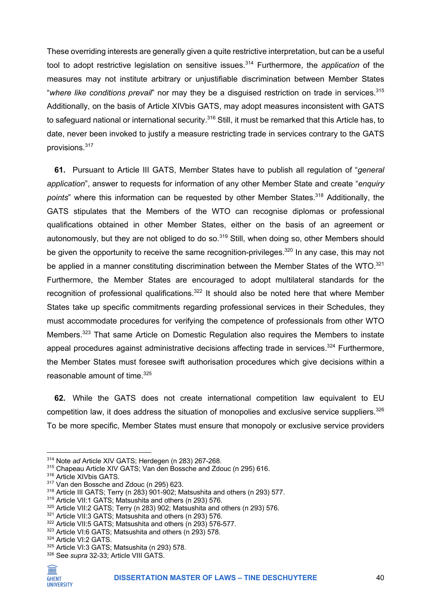These overriding interests are generally given a quite restrictive interpretation, but can be a useful tool to adopt restrictive legislation on sensitive issues. <sup>314</sup> Furthermore, the *application* of the measures may not institute arbitrary or unjustifiable discrimination between Member States "where like conditions prevail" nor may they be a disquised restriction on trade in services.<sup>315</sup> Additionally, on the basis of Article XIVbis GATS, may adopt measures inconsistent with GATS to safeguard national or international security.<sup>316</sup> Still, it must be remarked that this Article has, to date, never been invoked to justify a measure restricting trade in services contrary to the GATS provisions.317

**61.** Pursuant to Article III GATS, Member States have to publish all regulation of "*general application*", answer to requests for information of any other Member State and create "*enquiry*  points" where this information can be requested by other Member States.<sup>318</sup> Additionally, the GATS stipulates that the Members of the WTO can recognise diplomas or professional qualifications obtained in other Member States, either on the basis of an agreement or autonomously, but they are not obliged to do so. $319$  Still, when doing so, other Members should be given the opportunity to receive the same recognition-privileges.<sup>320</sup> In any case, this may not be applied in a manner constituting discrimination between the Member States of the WTO. $321$ Furthermore, the Member States are encouraged to adopt multilateral standards for the recognition of professional qualifications.<sup>322</sup> It should also be noted here that where Member States take up specific commitments regarding professional services in their Schedules, they must accommodate procedures for verifying the competence of professionals from other WTO Members.<sup>323</sup> That same Article on Domestic Regulation also requires the Members to instate appeal procedures against administrative decisions affecting trade in services.<sup>324</sup> Furthermore, the Member States must foresee swift authorisation procedures which give decisions within a reasonable amount of time. $325$ 

**62.** While the GATS does not create international competition law equivalent to EU competition law, it does address the situation of monopolies and exclusive service suppliers.  $326$ To be more specific, Member States must ensure that monopoly or exclusive service providers

<sup>314</sup> Note *ad* Article XIV GATS; Herdegen (n 283) 267-268.

 $315$  Chapeau Article XIV GATS; Van den Bossche and Zdouc (n 295) 616.<br> $316$  Article XIVbis GATS.

 $317$  Van den Bossche and Zdouc (n 295) 623.

<sup>318</sup> Article III GATS; Terry (n 283) 901-902; Matsushita and others (n 293) 577.

<sup>&</sup>lt;sup>319</sup> Article VII:1 GATS; Matsushita and others (n 293) 576.

<sup>320</sup> Article VII:2 GATS; Terry (n 283) 902; Matsushita and others (n 293) 576.

<sup>321</sup> Article VII:3 GATS; Matsushita and others (n 293) 576.

<sup>&</sup>lt;sup>322</sup> Article VII:5 GATS; Matsushita and others (n 293) 576-577.

<sup>323</sup> Article VI:6 GATS; Matsushita and others (n 293) 578.

<sup>324</sup> Article VI:2 GATS.

<sup>325</sup> Article VI:3 GATS; Matsushita (n 293) 578.

<sup>326</sup> See *supra* 32-33; Article VIII GATS.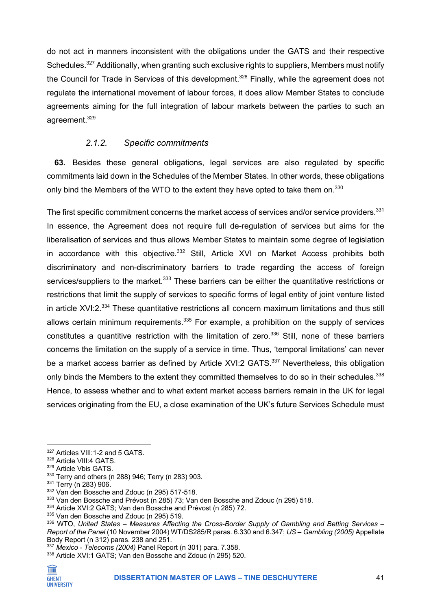do not act in manners inconsistent with the obligations under the GATS and their respective Schedules.<sup>327</sup> Additionally, when granting such exclusive rights to suppliers, Members must notify the Council for Trade in Services of this development.<sup>328</sup> Finally, while the agreement does not regulate the international movement of labour forces, it does allow Member States to conclude agreements aiming for the full integration of labour markets between the parties to such an agreement.<sup>329</sup>

# *2.1.2. Specific commitments*

**63.** Besides these general obligations, legal services are also regulated by specific commitments laid down in the Schedules of the Member States. In other words, these obligations only bind the Members of the WTO to the extent they have opted to take them on.<sup>330</sup>

The first specific commitment concerns the market access of services and/or service providers.<sup>331</sup> In essence, the Agreement does not require full de-regulation of services but aims for the liberalisation of services and thus allows Member States to maintain some degree of legislation in accordance with this objective.<sup>332</sup> Still, Article XVI on Market Access prohibits both discriminatory and non-discriminatory barriers to trade regarding the access of foreign services/suppliers to the market.<sup>333</sup> These barriers can be either the quantitative restrictions or restrictions that limit the supply of services to specific forms of legal entity of joint venture listed in article XVI:2.<sup>334</sup> These quantitative restrictions all concern maximum limitations and thus still allows certain minimum requirements.<sup>335</sup> For example, a prohibition on the supply of services constitutes a quantitive restriction with the limitation of zero. $336$  Still, none of these barriers concerns the limitation on the supply of a service in time. Thus, 'temporal limitations' can never be a market access barrier as defined by Article XVI:2 GATS.<sup>337</sup> Nevertheless, this obligation only binds the Members to the extent they committed themselves to do so in their schedules.<sup>338</sup> Hence, to assess whether and to what extent market access barriers remain in the UK for legal services originating from the EU, a close examination of the UK's future Services Schedule must

<sup>327</sup> Articles VIII:1-2 and 5 GATS.

<sup>328</sup> Article VIII: 4 GATS.

<sup>329</sup> Article Vbis GATS.

<sup>330</sup> Terry and others (n 288) 946; Terry (n 283) 903.

<sup>331</sup> Terry (n 283) 906.

<sup>332</sup> Van den Bossche and Zdouc (n 295) 517-518.

<sup>&</sup>lt;sup>333</sup> Van den Bossche and Prévost (n 285) 73; Van den Bossche and Zdouc (n 295) 518.

<sup>334</sup> Article XVI:2 GATS; Van den Bossche and Prévost (n 285) 72.

<sup>335</sup> Van den Bossche and Zdouc (n 295) 519.

<sup>336</sup> WTO, *United States – Measures Affecting the Cross-Border Supply of Gambling and Betting Services – Report of the Panel* (10 November 2004) WT/DS285/R paras. 6.330 and 6.347; *US – Gambling (2005)* Appellate Body Report (n 312) paras. 238 and 251.

<sup>337</sup> *Mexico - Telecoms (2004)* Panel Report (n 301) para. 7.358.

<sup>338</sup> Article XVI:1 GATS; Van den Bossche and Zdouc (n 295) 520.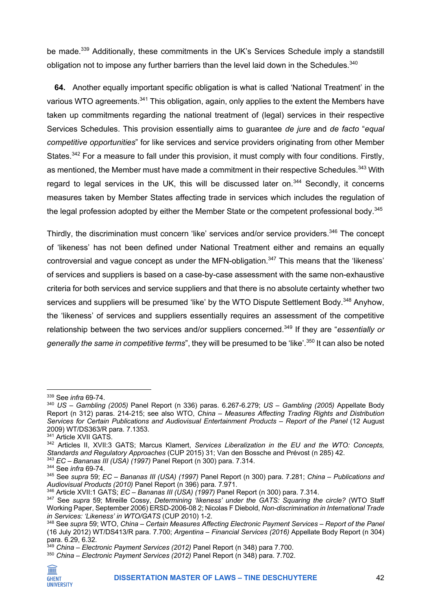be made.<sup>339</sup> Additionally, these commitments in the UK's Services Schedule imply a standstill obligation not to impose any further barriers than the level laid down in the Schedules.<sup>340</sup>

**64.** Another equally important specific obligation is what is called 'National Treatment' in the various WTO agreements.<sup>341</sup> This obligation, again, only applies to the extent the Members have taken up commitments regarding the national treatment of (legal) services in their respective Services Schedules. This provision essentially aims to guarantee *de jure* and *de facto* "*equal competitive opportunities*" for like services and service providers originating from other Member States.<sup>342</sup> For a measure to fall under this provision, it must comply with four conditions. Firstly, as mentioned, the Member must have made a commitment in their respective Schedules.<sup>343</sup> With regard to legal services in the UK, this will be discussed later on.<sup>344</sup> Secondly, it concerns measures taken by Member States affecting trade in services which includes the regulation of the legal profession adopted by either the Member State or the competent professional body.<sup>345</sup>

Thirdly, the discrimination must concern 'like' services and/or service providers.<sup>346</sup> The concept of 'likeness' has not been defined under National Treatment either and remains an equally controversial and vague concept as under the MFN-obligation.<sup>347</sup> This means that the 'likeness' of services and suppliers is based on a case-by-case assessment with the same non-exhaustive criteria for both services and service suppliers and that there is no absolute certainty whether two services and suppliers will be presumed 'like' by the WTO Dispute Settlement Body.<sup>348</sup> Anyhow, the 'likeness' of services and suppliers essentially requires an assessment of the competitive relationship between the two services and/or suppliers concerned.<sup>349</sup> If they are "*essentially or generally the same in competitive terms*", they will be presumed to be 'like'.<sup>350</sup> It can also be noted

<sup>339</sup> See *infra* 69-74. 340 *US – Gambling (2005)* Panel Report (n 336) paras. 6.267-6.279; *US – Gambling (2005)* Appellate Body Report (n 312) paras. 214-215; see also WTO, *China – Measures Affecting Trading Rights and Distribution Services for Certain Publications and Audiovisual Entertainment Products – Report of the Panel* (12 August 2009) WT/DS363/R para. 7.1353.

<sup>&</sup>lt;sup>341</sup> Article XVII GATS.

<sup>342</sup> Articles II, XVII:3 GATS; Marcus Klamert, *Services Liberalization in the EU and the WTO: Concepts, Standards and Regulatory Approaches* (CUP 2015) 31; Van den Bossche and Prévost (n 285) 42.

 $344$  See infra 69-74.<br> $345$  See supra 59; EC – Bananas III (USA) (1997) Panel Report (n 300) para. 7.281; China – Publications and *Audiovisual Products (2010)* Panel Report (n 396) para. 7.971.

<sup>346</sup> Article XVII:1 GATS; *EC – Bananas III (USA) (1997)* Panel Report (n 300) para. 7.314.

<sup>347</sup> See *supra* 59; Mireille Cossy, *Determining 'likeness' under the GATS: Squaring the circle?* (WTO Staff Working Paper, September 2006) ERSD-2006-08 2; Nicolas F Diebold, *Non-discrimination in International Trade in Services: 'Likeness' in WTO/GATS* (CUP 2010) 1-2.

<sup>348</sup> See *supra* 59; WTO, *China – Certain Measures Affecting Electronic Payment Services – Report of the Panel* (16 July 2012) WT/DS413/R para. 7.700; *Argentina – Financial Services (2016)* Appellate Body Report (n 304) para. 6.29, 6.32.

<sup>349</sup> *China – Electronic Payment Services (2012)* Panel Report (n 348) para 7.700.

<sup>350</sup> *China – Electronic Payment Services (2012)* Panel Report (n 348) para. 7.702.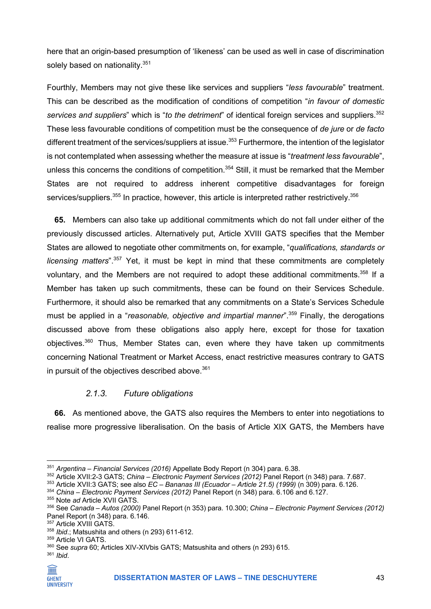here that an origin-based presumption of 'likeness' can be used as well in case of discrimination solely based on nationality.<sup>351</sup>

Fourthly, Members may not give these like services and suppliers "*less favourable*" treatment. This can be described as the modification of conditions of competition "*in favour of domestic*  services and suppliers" which is "to the detriment" of identical foreign services and suppliers.<sup>352</sup> These less favourable conditions of competition must be the consequence of *de jure* or *de facto* different treatment of the services/suppliers at issue.<sup>353</sup> Furthermore, the intention of the legislator is not contemplated when assessing whether the measure at issue is "*treatment less favourable*", unless this concerns the conditions of competition.<sup>354</sup> Still, it must be remarked that the Member States are not required to address inherent competitive disadvantages for foreign services/suppliers.<sup>355</sup> In practice, however, this article is interpreted rather restrictively.<sup>356</sup>

**65.** Members can also take up additional commitments which do not fall under either of the previously discussed articles. Alternatively put, Article XVIII GATS specifies that the Member States are allowed to negotiate other commitments on, for example, "*qualifications, standards or licensing matters*". <sup>357</sup> Yet, it must be kept in mind that these commitments are completely voluntary, and the Members are not required to adopt these additional commitments.<sup>358</sup> If a Member has taken up such commitments, these can be found on their Services Schedule. Furthermore, it should also be remarked that any commitments on a State's Services Schedule must be applied in a "*reasonable, objective and impartial manner*". <sup>359</sup> Finally, the derogations discussed above from these obligations also apply here, except for those for taxation objectives.<sup>360</sup> Thus, Member States can, even where they have taken up commitments concerning National Treatment or Market Access, enact restrictive measures contrary to GATS in pursuit of the objectives described above.<sup>361</sup>

#### *2.1.3. Future obligations*

**66.** As mentioned above, the GATS also requires the Members to enter into negotiations to realise more progressive liberalisation. On the basis of Article XIX GATS, the Members have

<sup>351</sup> *Argentina – Financial Services (2016)* Appellate Body Report (n 304) para. 6.38.

<sup>352</sup> Article XVII:2-3 GATS; *China – Electronic Payment Services (2012)* Panel Report (n 348) para. 7.687.

<sup>353</sup> Article XVII:3 GATS; see also *EC – Bananas III (Ecuador – Article 21.5) (1999)* (n 309) para. 6.126.

<sup>354</sup> *China – Electronic Payment Services (2012)* Panel Report (n 348) para. 6.106 and 6.127.

<sup>355</sup> Note *ad* Article XVII GATS.

<sup>356</sup> See *Canada – Autos (2000)* Panel Report (n 353) para. 10.300; *China – Electronic Payment Services (2012)* Panel Report (n 348) para. 6.146.

<sup>357</sup> Article XVIII GATS.

<sup>358</sup> *Ibid*.; Matsushita and others (n 293) 611-612.

<sup>359</sup> Article VI GATS.

<sup>360</sup> See *supra* 60; Articles XIV-XIVbis GATS; Matsushita and others (n 293) 615.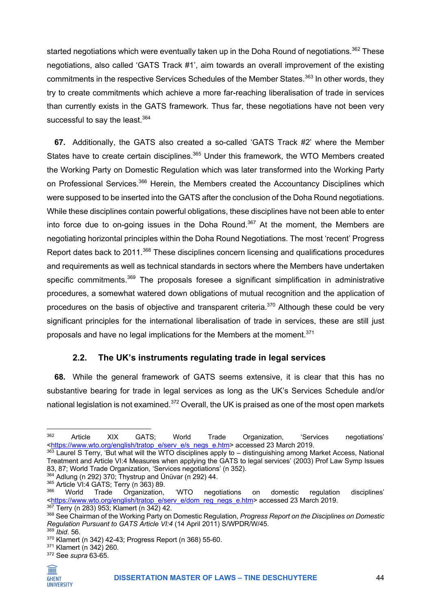started negotiations which were eventually taken up in the Doha Round of negotiations.<sup>362</sup> These negotiations, also called 'GATS Track #1', aim towards an overall improvement of the existing commitments in the respective Services Schedules of the Member States.<sup>363</sup> In other words, they try to create commitments which achieve a more far-reaching liberalisation of trade in services than currently exists in the GATS framework. Thus far, these negotiations have not been very successful to say the least.<sup>364</sup>

**67.** Additionally, the GATS also created a so-called 'GATS Track #2' where the Member States have to create certain disciplines.<sup>365</sup> Under this framework, the WTO Members created the Working Party on Domestic Regulation which was later transformed into the Working Party on Professional Services.<sup>366</sup> Herein, the Members created the Accountancy Disciplines which were supposed to be inserted into the GATS after the conclusion of the Doha Round negotiations. While these disciplines contain powerful obligations, these disciplines have not been able to enter into force due to on-going issues in the Doha Round.<sup>367</sup> At the moment, the Members are negotiating horizontal principles within the Doha Round Negotiations. The most 'recent' Progress Report dates back to 2011.<sup>368</sup> These disciplines concern licensing and qualifications procedures and requirements as well as technical standards in sectors where the Members have undertaken specific commitments.<sup>369</sup> The proposals foresee a significant simplification in administrative procedures, a somewhat watered down obligations of mutual recognition and the application of procedures on the basis of objective and transparent criteria.<sup>370</sup> Although these could be very significant principles for the international liberalisation of trade in services, these are still just proposals and have no legal implications for the Members at the moment.<sup>371</sup>

#### **2.2. The UK's instruments regulating trade in legal services**

**68.** While the general framework of GATS seems extensive, it is clear that this has no substantive bearing for trade in legal services as long as the UK's Services Schedule and/or national legislation is not examined.<sup>372</sup> Overall, the UK is praised as one of the most open markets

 $364$  Adlung (n 292) 370; Thystrup and Ünüvar (n 292) 44.

<sup>372</sup> See *supra* 63-65.



<sup>&</sup>lt;sup>362</sup> Article XIX GATS; World Trade Organization, 'Services negotiations' <https://www.wto.org/english/tratop\_e/serv\_e/s\_negs\_e.htm> accessed 23 March 2019.

<sup>363</sup> Laurel S Terry, 'But what will the WTO disciplines apply to - distinguishing among Market Access, National Treatment and Article VI:4 Measures when applying the GATS to legal services' (2003) Prof Law Symp Issues 83, 87; World Trade Organization, 'Services negotiations' (n 352).

<sup>&</sup>lt;sup>365</sup> Article VI:4 GATS; Terry (n 363) 89.

<sup>366</sup> World Trade Organization, 'WTO negotiations on domestic regulation disciplines' <https://www.wto.org/english/tratop\_e/serv\_e/dom\_reg\_negs\_e.htm> accessed 23 March 2019. 367 Terry (n 283) 953; Klamert (n 342) 42.

<sup>368</sup> See Chairman of the Working Party on Domestic Regulation, *Progress Report on the Disciplines on Domestic Regulation Pursuant to GATS Article VI:4* (14 April 2011) S/WPDR/W/45. <sup>369</sup> *Ibid*. 56.

<sup>370</sup> Klamert (n 342) 42-43; Progress Report (n 368) 55-60.

<sup>371</sup> Klamert (n 342) 260.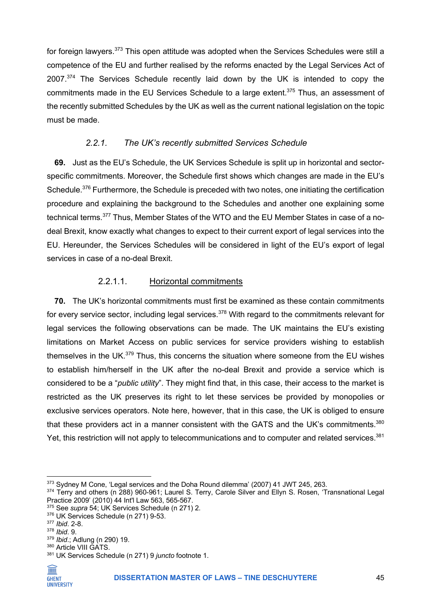for foreign lawyers.<sup>373</sup> This open attitude was adopted when the Services Schedules were still a competence of the EU and further realised by the reforms enacted by the Legal Services Act of  $2007.<sup>374</sup>$  The Services Schedule recently laid down by the UK is intended to copy the commitments made in the EU Services Schedule to a large extent. <sup>375</sup> Thus, an assessment of the recently submitted Schedules by the UK as well as the current national legislation on the topic must be made.

# *2.2.1. The UK's recently submitted Services Schedule*

**69.** Just as the EU's Schedule, the UK Services Schedule is split up in horizontal and sectorspecific commitments. Moreover, the Schedule first shows which changes are made in the EU's Schedule.<sup>376</sup> Furthermore, the Schedule is preceded with two notes, one initiating the certification procedure and explaining the background to the Schedules and another one explaining some technical terms.<sup>377</sup> Thus, Member States of the WTO and the EU Member States in case of a nodeal Brexit, know exactly what changes to expect to their current export of legal services into the EU. Hereunder, the Services Schedules will be considered in light of the EU's export of legal services in case of a no-deal Brexit.

#### 2.2.1.1. Horizontal commitments

**70.** The UK's horizontal commitments must first be examined as these contain commitments for every service sector, including legal services.<sup>378</sup> With regard to the commitments relevant for legal services the following observations can be made. The UK maintains the EU's existing limitations on Market Access on public services for service providers wishing to establish themselves in the UK.<sup>379</sup> Thus, this concerns the situation where someone from the EU wishes to establish him/herself in the UK after the no-deal Brexit and provide a service which is considered to be a "*public utility*". They might find that, in this case, their access to the market is restricted as the UK preserves its right to let these services be provided by monopolies or exclusive services operators. Note here, however, that in this case, the UK is obliged to ensure that these providers act in a manner consistent with the GATS and the UK's commitments.<sup>380</sup> Yet, this restriction will not apply to telecommunications and to computer and related services.<sup>381</sup>

<sup>373</sup> Sydney M Cone, 'Legal services and the Doha Round dilemma' (2007) 41 JWT 245, 263.

<sup>374</sup> Terry and others (n 288) 960-961; Laurel S. Terry, Carole Silver and Ellyn S. Rosen, 'Transnational Legal Practice 2009' (2010) 44 Int'l Law 563, 565-567.

<sup>375</sup> See *supra* 54; UK Services Schedule (n 271) 2. 376 UK Services Schedule (n 271) 9-53.

<sup>377</sup> *Ibid*. 2-8.

<sup>378</sup> *Ibid*. 9.

<sup>&</sup>lt;sup>379</sup> *Ibid*.; Adlung (n 290) 19.<br><sup>380</sup> Article VIII GATS.

<sup>381</sup> UK Services Schedule (n 271) 9 *juncto* footnote 1.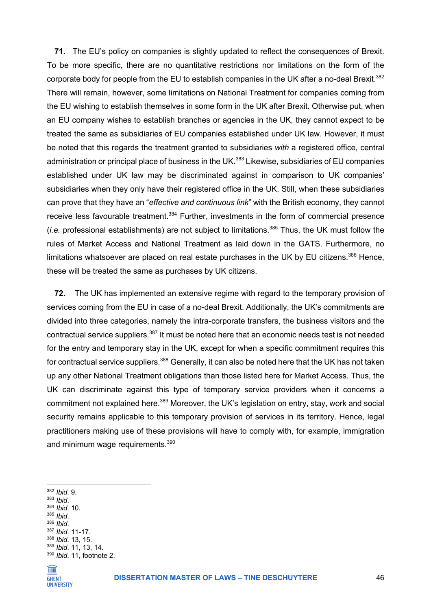**71.** The EU's policy on companies is slightly updated to reflect the consequences of Brexit. To be more specific, there are no quantitative restrictions nor limitations on the form of the corporate body for people from the EU to establish companies in the UK after a no-deal Brexit.<sup>382</sup> There will remain, however, some limitations on National Treatment for companies coming from the EU wishing to establish themselves in some form in the UK after Brexit. Otherwise put, when an EU company wishes to establish branches or agencies in the UK, they cannot expect to be treated the same as subsidiaries of EU companies established under UK law. However, it must be noted that this regards the treatment granted to subsidiaries *with* a registered office, central administration or principal place of business in the UK.<sup>383</sup> Likewise, subsidiaries of EU companies established under UK law may be discriminated against in comparison to UK companies' subsidiaries when they only have their registered office in the UK. Still, when these subsidiaries can prove that they have an "*effective and continuous link*" with the British economy, they cannot receive less favourable treatment.<sup>384</sup> Further, investments in the form of commercial presence (*i.e.* professional establishments) are not subject to limitations.<sup>385</sup> Thus, the UK must follow the rules of Market Access and National Treatment as laid down in the GATS. Furthermore, no limitations whatsoever are placed on real estate purchases in the UK by EU citizens.<sup>386</sup> Hence, these will be treated the same as purchases by UK citizens.

**72.** The UK has implemented an extensive regime with regard to the temporary provision of services coming from the EU in case of a no-deal Brexit. Additionally, the UK's commitments are divided into three categories, namely the intra-corporate transfers, the business visitors and the contractual service suppliers.<sup>387</sup> It must be noted here that an economic needs test is not needed for the entry and temporary stay in the UK, except for when a specific commitment requires this for contractual service suppliers.<sup>388</sup> Generally, it can also be noted here that the UK has not taken up any other National Treatment obligations than those listed here for Market Access. Thus, the UK can discriminate against this type of temporary service providers when it concerns a commitment not explained here.<sup>389</sup> Moreover, the UK's legislation on entry, stay, work and social security remains applicable to this temporary provision of services in its territory. Hence, legal practitioners making use of these provisions will have to comply with, for example, immigration and minimum wage requirements.<sup>390</sup>

- <sup>382</sup> *Ibid*. 9.
- 
- <sup>383</sup> *Ibid*. 384 *Ibid*. 10.
- <sup>385</sup> *Ibid*.
- <sup>386</sup> *Ibid*.
- <sup>387</sup> *Ibid*. 11-17.
- <sup>388</sup> *Ibid*. 13, 15.
- <sup>389</sup> *Ibid*. 11, 13, 14. <sup>390</sup> *Ibid*. 11, footnote 2.
- **TITTIT GHENT UNIVERSITY**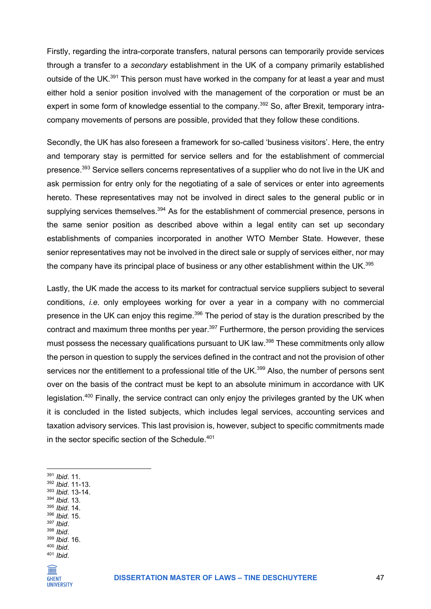Firstly, regarding the intra-corporate transfers, natural persons can temporarily provide services through a transfer to a *secondary* establishment in the UK of a company primarily established outside of the UK.<sup>391</sup> This person must have worked in the company for at least a year and must either hold a senior position involved with the management of the corporation or must be an expert in some form of knowledge essential to the company.<sup>392</sup> So, after Brexit, temporary intracompany movements of persons are possible, provided that they follow these conditions.

Secondly, the UK has also foreseen a framework for so-called 'business visitors'. Here, the entry and temporary stay is permitted for service sellers and for the establishment of commercial presence.<sup>393</sup> Service sellers concerns representatives of a supplier who do not live in the UK and ask permission for entry only for the negotiating of a sale of services or enter into agreements hereto. These representatives may not be involved in direct sales to the general public or in supplying services themselves.<sup>394</sup> As for the establishment of commercial presence, persons in the same senior position as described above within a legal entity can set up secondary establishments of companies incorporated in another WTO Member State. However, these senior representatives may not be involved in the direct sale or supply of services either, nor may the company have its principal place of business or any other establishment within the UK.<sup>395</sup>

Lastly, the UK made the access to its market for contractual service suppliers subject to several conditions, *i.e.* only employees working for over a year in a company with no commercial presence in the UK can enjoy this regime.<sup>396</sup> The period of stay is the duration prescribed by the contract and maximum three months per year.<sup>397</sup> Furthermore, the person providing the services must possess the necessary qualifications pursuant to UK law.<sup>398</sup> These commitments only allow the person in question to supply the services defined in the contract and not the provision of other services nor the entitlement to a professional title of the UK.<sup>399</sup> Also, the number of persons sent over on the basis of the contract must be kept to an absolute minimum in accordance with UK legislation.<sup>400</sup> Finally, the service contract can only enjoy the privileges granted by the UK when it is concluded in the listed subjects, which includes legal services, accounting services and taxation advisory services. This last provision is, however, subject to specific commitments made in the sector specific section of the Schedule.<sup>401</sup>

- <sup>391</sup> *Ibid*. 11.
- <sup>392</sup> *Ibid*. 11-13.
- <sup>393</sup> *Ibid*. 13-14.
- <sup>394</sup> *Ibid*. 13. <sup>395</sup> *Ibid*. 14.
- <sup>396</sup> *Ibid*. 15.
- <sup>397</sup> *Ibid*.
- <sup>398</sup> *Ibid*.
- <sup>399</sup> *Ibid*. 16. <sup>400</sup> *Ibid*.
- <sup>401</sup> *Ibid*.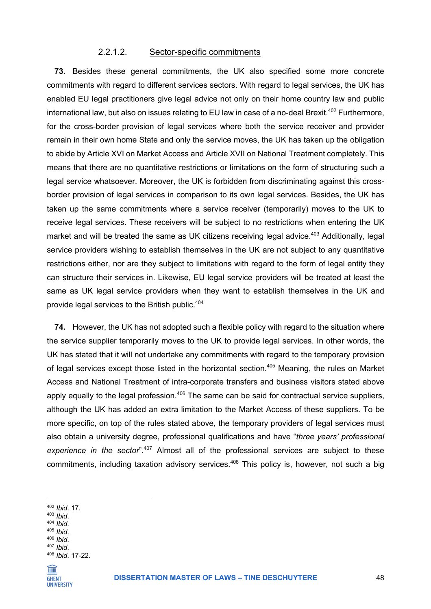#### 2.2.1.2. Sector-specific commitments

**73.** Besides these general commitments, the UK also specified some more concrete commitments with regard to different services sectors. With regard to legal services, the UK has enabled EU legal practitioners give legal advice not only on their home country law and public international law, but also on issues relating to EU law in case of a no-deal Brexit.<sup>402</sup> Furthermore, for the cross-border provision of legal services where both the service receiver and provider remain in their own home State and only the service moves, the UK has taken up the obligation to abide by Article XVI on Market Access and Article XVII on National Treatment completely. This means that there are no quantitative restrictions or limitations on the form of structuring such a legal service whatsoever. Moreover, the UK is forbidden from discriminating against this crossborder provision of legal services in comparison to its own legal services. Besides, the UK has taken up the same commitments where a service receiver (temporarily) moves to the UK to receive legal services. These receivers will be subject to no restrictions when entering the UK market and will be treated the same as UK citizens receiving legal advice.<sup>403</sup> Additionally, legal service providers wishing to establish themselves in the UK are not subject to any quantitative restrictions either, nor are they subject to limitations with regard to the form of legal entity they can structure their services in. Likewise, EU legal service providers will be treated at least the same as UK legal service providers when they want to establish themselves in the UK and provide legal services to the British public.<sup>404</sup>

**74.** However, the UK has not adopted such a flexible policy with regard to the situation where the service supplier temporarily moves to the UK to provide legal services. In other words, the UK has stated that it will not undertake any commitments with regard to the temporary provision of legal services except those listed in the horizontal section.<sup>405</sup> Meaning, the rules on Market Access and National Treatment of intra-corporate transfers and business visitors stated above apply equally to the legal profession.<sup>406</sup> The same can be said for contractual service suppliers, although the UK has added an extra limitation to the Market Access of these suppliers. To be more specific, on top of the rules stated above, the temporary providers of legal services must also obtain a university degree, professional qualifications and have "*three years' professional*  experience in the sector".<sup>407</sup> Almost all of the professional services are subject to these commitments, including taxation advisory services.<sup>408</sup> This policy is, however, not such a big

<sup>402</sup> *Ibid*. 17.

<sup>403</sup> *Ibid*. <sup>404</sup> *Ibid*.

<sup>405</sup> *Ibid*.

<sup>406</sup> *Ibid*.

<sup>407</sup> *Ibid*. <sup>408</sup> *Ibid*. 17-22.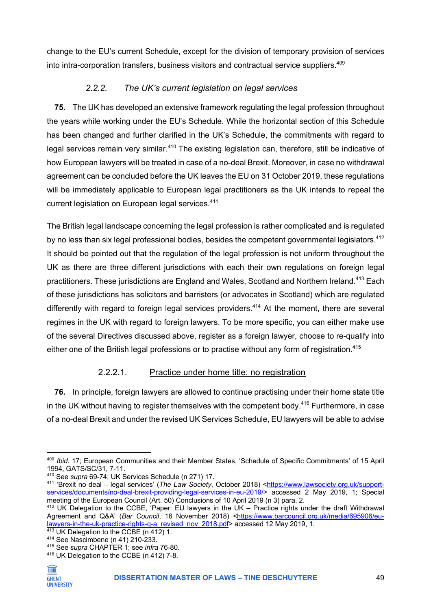change to the EU's current Schedule, except for the division of temporary provision of services into intra-corporation transfers, business visitors and contractual service suppliers.<sup>409</sup>

# *2.2.2. The UK's current legislation on legal services*

**75.** The UK has developed an extensive framework regulating the legal profession throughout the years while working under the EU's Schedule. While the horizontal section of this Schedule has been changed and further clarified in the UK's Schedule, the commitments with regard to legal services remain very similar.<sup>410</sup> The existing legislation can, therefore, still be indicative of how European lawyers will be treated in case of a no-deal Brexit. Moreover, in case no withdrawal agreement can be concluded before the UK leaves the EU on 31 October 2019, these regulations will be immediately applicable to European legal practitioners as the UK intends to repeal the current legislation on European legal services.<sup>411</sup>

The British legal landscape concerning the legal profession is rather complicated and is regulated by no less than six legal professional bodies, besides the competent governmental legislators.<sup>412</sup> It should be pointed out that the regulation of the legal profession is not uniform throughout the UK as there are three different jurisdictions with each their own regulations on foreign legal practitioners. These jurisdictions are England and Wales, Scotland and Northern Ireland.<sup>413</sup> Each of these jurisdictions has solicitors and barristers (or advocates in Scotland) which are regulated differently with regard to foreign legal services providers.<sup>414</sup> At the moment, there are several regimes in the UK with regard to foreign lawyers. To be more specific, you can either make use of the several Directives discussed above, register as a foreign lawyer, choose to re-qualify into either one of the British legal professions or to practise without any form of registration.<sup>415</sup>

# 2.2.2.1. Practice under home title: no registration

**76.** In principle, foreign lawyers are allowed to continue practising under their home state title in the UK without having to register themselves with the competent body.<sup>416</sup> Furthermore, in case of a no-deal Brexit and under the revised UK Services Schedule, EU lawyers will be able to advise

<sup>409</sup> *Ibid*. 17; European Communities and their Member States, 'Schedule of Specific Commitments' of 15 April 1994, GATS/SC/31, 7-11.

<sup>410</sup> See *supra* 69-74; UK Services Schedule (n 271) 17.

<sup>411</sup> 'Brexit no deal – legal services' (*The Law Society*, October 2018) ˂https://www.lawsociety.org.uk/supportservices/documents/no-deal-brexit-providing-legal-services-in-eu-2019/> accessed 2 May 2019, 1; Special meeting of the European Council (Art. 50) Conclusions of 10 April 2019 (n 3) para. 2.

<sup>412</sup> UK Delegation to the CCBE, 'Paper: EU lawyers in the UK – Practice rights under the draft Withdrawal Agreement and Q&A' (*Bar Council*, 16 November 2018) <https://www.barcouncil.org.uk/media/695906/eulawyers-in-the-uk-practice-rights-q-a\_revised\_nov\_2018.pdf> accessed 12 May 2019, 1.

<sup>&</sup>lt;sup>413</sup> UK Delegation to the CCBE (n 412) 1.

<sup>414</sup> See Nascimbene (n 41) 210-233.

<sup>415</sup> See *supra* CHAPTER 1; see *infra* 76-80.

<sup>&</sup>lt;sup>416</sup> UK Delegation to the CCBE (n 412) 7-8.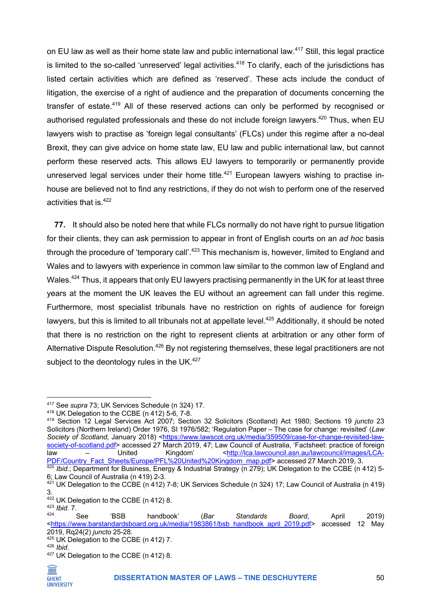on EU law as well as their home state law and public international law.<sup>417</sup> Still, this legal practice is limited to the so-called 'unreserved' legal activities.<sup>418</sup> To clarify, each of the jurisdictions has listed certain activities which are defined as 'reserved'. These acts include the conduct of litigation, the exercise of a right of audience and the preparation of documents concerning the transfer of estate.<sup>419</sup> All of these reserved actions can only be performed by recognised or authorised regulated professionals and these do not include foreign lawyers.<sup>420</sup> Thus, when EU lawyers wish to practise as 'foreign legal consultants' (FLCs) under this regime after a no-deal Brexit, they can give advice on home state law, EU law and public international law, but cannot perform these reserved acts. This allows EU lawyers to temporarily or permanently provide unreserved legal services under their home title.<sup>421</sup> European lawyers wishing to practise inhouse are believed not to find any restrictions, if they do not wish to perform one of the reserved activities that is.422

**77.** It should also be noted here that while FLCs normally do not have right to pursue litigation for their clients, they can ask permission to appear in front of English courts on an *ad hoc* basis through the procedure of 'temporary call'.<sup>423</sup> This mechanism is, however, limited to England and Wales and to lawyers with experience in common law similar to the common law of England and Wales.<sup>424</sup> Thus, it appears that only EU lawyers practising permanently in the UK for at least three years at the moment the UK leaves the EU without an agreement can fall under this regime. Furthermore, most specialist tribunals have no restriction on rights of audience for foreign lawyers, but this is limited to all tribunals not at appellate level.<sup>425</sup> Additionally, it should be noted that there is no restriction on the right to represent clients at arbitration or any other form of Alternative Dispute Resolution.<sup>426</sup> By not registering themselves, these legal practitioners are not subject to the deontology rules in the UK.<sup>427</sup>

<sup>417</sup> See *supra* 73; UK Services Schedule (n 324) 17.

<sup>418</sup> UK Delegation to the CCBE (n 412) 5-6, 7-8.

<sup>419</sup> Section 12 Legal Services Act 2007; Section 32 Solicitors (Scotland) Act 1980; Sections 19 *juncto* 23 Solicitors (Northern Ireland) Order 1976, SI 1976/582; 'Regulation Paper – The case for change: revisited' (*Law*  Society of Scotland, January 2018) <https://www.lawscot.org.uk/media/359509/case-for-change-revisited-lawsociety-of-scotland.pdf> accessed 27 March 2019, 47; Law Council of Australia, 'Factsheet: practice of foreign law – United Kingdom' ˂http://lca.lawcouncil.asn.au/lawcouncil/images/LCA-PDF/Country\_Fact\_Sheets/Europe/PFL%20United%20Kingdom\_map.pdf> accessed 27 March 2019, 3.

<sup>420</sup> *Ibid*.; Department for Business, Energy & Industrial Strategy (n 279); UK Delegation to the CCBE (n 412) 5- 6; Law Council of Australia (n 419) 2-3.

 $421$  UK Delegation to the CCBE (n 412) 7-8; UK Services Schedule (n 324) 17; Law Council of Australia (n 419) 3.

 $422$  UK Delegation to the CCBE (n 412) 8.

<sup>423</sup> *Ibid*. 7. <sup>424</sup> See 'BSB handbook' (*Bar Standards Board*, April 2019) ˂https://www.barstandardsboard.org.uk/media/1983861/bsb\_handbook\_april\_2019.pdf˃ accessed 12 May 2019, Rq24(2) *juncto* 25-28.

<sup>425</sup> UK Delegation to the CCBE (n 412) 7.

<sup>426</sup> *Ibid*.

<sup>427</sup> UK Delegation to the CCBE (n 412) 8.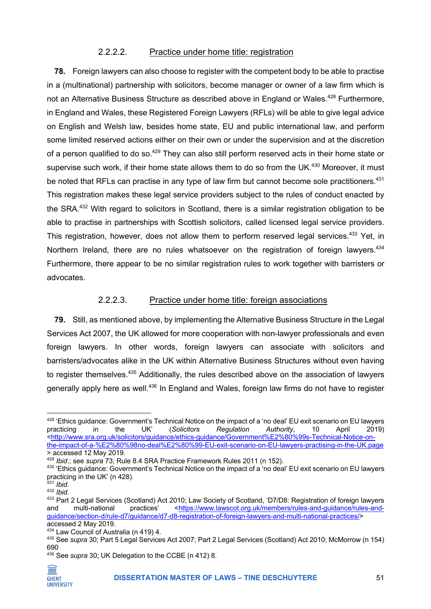# 2.2.2.2. Practice under home title: registration

**78.** Foreign lawyers can also choose to register with the competent body to be able to practise in a (multinational) partnership with solicitors, become manager or owner of a law firm which is not an Alternative Business Structure as described above in England or Wales.<sup>428</sup> Furthermore, in England and Wales, these Registered Foreign Lawyers (RFLs) will be able to give legal advice on English and Welsh law, besides home state, EU and public international law, and perform some limited reserved actions either on their own or under the supervision and at the discretion of a person qualified to do so.<sup>429</sup> They can also still perform reserved acts in their home state or supervise such work, if their home state allows them to do so from the UK.<sup>430</sup> Moreover, it must be noted that RFLs can practise in any type of law firm but cannot become sole practitioners.<sup>431</sup> This registration makes these legal service providers subject to the rules of conduct enacted by the SRA.<sup>432</sup> With regard to solicitors in Scotland, there is a similar registration obligation to be able to practise in partnerships with Scottish solicitors, called licensed legal service providers. This registration, however, does not allow them to perform reserved legal services.<sup>433</sup> Yet. in Northern Ireland, there are no rules whatsoever on the registration of foreign lawyers.<sup>434</sup> Furthermore, there appear to be no similar registration rules to work together with barristers or advocates.

#### 2.2.2.3. Practice under home title: foreign associations

**79.** Still, as mentioned above, by implementing the Alternative Business Structure in the Legal Services Act 2007, the UK allowed for more cooperation with non-lawyer professionals and even foreign lawyers. In other words, foreign lawyers can associate with solicitors and barristers/advocates alike in the UK within Alternative Business Structures without even having to register themselves.<sup>435</sup> Additionally, the rules described above on the association of lawyers generally apply here as well.<sup>436</sup> In England and Wales, foreign law firms do not have to register

<sup>&</sup>lt;sup>428</sup> 'Ethics guidance: Government's Technical Notice on the impact of a 'no deal' EU exit scenario on EU lawyers<br>practicing in the UK' (Solicitors Regulation Authority, 10 April 2019) practicing in the UK' (*Solicitors Regulation Authority*, 10 April 2019) ˂http://www.sra.org.uk/solicitors/guidance/ethics-guidance/Government%E2%80%99s-Technical-Notice-onthe-impact-of-a-%E2%80%98no-deal%E2%80%99-EU-exit-scenario-on-EU-lawyers-practising-in-the-UK.page

<sup>˃</sup> accessed 12 May 2019.

<sup>429</sup> *Ibid*.; see *supra* 73; Rule 8.4 SRA Practice Framework Rules 2011 (n 152).

<sup>430 &#</sup>x27;Ethics guidance: Government's Technical Notice on the impact of a 'no deal' EU exit scenario on EU lawyers practicing in the UK' (n 428).

<sup>431</sup> *Ibid*.

<sup>432</sup> *Ibid*.

<sup>&</sup>lt;sup>433</sup> Part 2 Legal Services (Scotland) Act 2010; Law Society of Scotland, 'D7/D8: Registration of foreign lawyers and multi-national practices' <https://www.lawscot.org.uk/members/rules-and-quidance/rules-andand multi-national practices' <https://www.lawscot.org.uk/members/rules-and-guidance/rules-andand multi-national practices<br>guidance/section-d/rule-d7/guidance/d7-d8-registration-of-foreign-lawyers-and-multi-national-practices/> accessed 2 May 2019.

<sup>434</sup> Law Council of Australia (n 419) 4.

<sup>435</sup> See *supra* 30; Part 5 Legal Services Act 2007; Part 2 Legal Services (Scotland) Act 2010; McMorrow (n 154) 690

<sup>436</sup> See *supra* 30; UK Delegation to the CCBE (n 412) 8.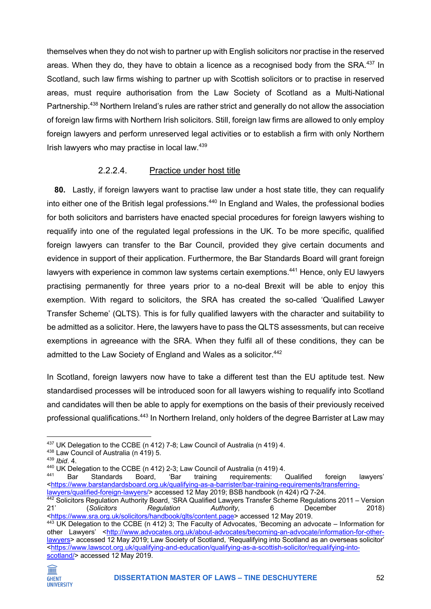themselves when they do not wish to partner up with English solicitors nor practise in the reserved areas. When they do, they have to obtain a licence as a recognised body from the SRA.<sup>437</sup> In Scotland, such law firms wishing to partner up with Scottish solicitors or to practise in reserved areas, must require authorisation from the Law Society of Scotland as a Multi-National Partnership.<sup>438</sup> Northern Ireland's rules are rather strict and generally do not allow the association of foreign law firms with Northern Irish solicitors. Still, foreign law firms are allowed to only employ foreign lawyers and perform unreserved legal activities or to establish a firm with only Northern Irish lawyers who may practise in local law.<sup>439</sup>

# 2.2.2.4. Practice under host title

**80.** Lastly, if foreign lawyers want to practise law under a host state title, they can requalify into either one of the British legal professions.<sup>440</sup> In England and Wales, the professional bodies for both solicitors and barristers have enacted special procedures for foreign lawyers wishing to requalify into one of the regulated legal professions in the UK. To be more specific, qualified foreign lawyers can transfer to the Bar Council, provided they give certain documents and evidence in support of their application. Furthermore, the Bar Standards Board will grant foreign lawyers with experience in common law systems certain exemptions.<sup>441</sup> Hence, only EU lawyers practising permanently for three years prior to a no-deal Brexit will be able to enjoy this exemption. With regard to solicitors, the SRA has created the so-called 'Qualified Lawyer Transfer Scheme' (QLTS). This is for fully qualified lawyers with the character and suitability to be admitted as a solicitor. Here, the lawyers have to pass the QLTS assessments, but can receive exemptions in agreeance with the SRA. When they fulfil all of these conditions, they can be admitted to the Law Society of England and Wales as a solicitor.<sup>442</sup>

In Scotland, foreign lawyers now have to take a different test than the EU aptitude test. New standardised processes will be introduced soon for all lawyers wishing to requalify into Scotland and candidates will then be able to apply for exemptions on the basis of their previously received professional qualifications.<sup>443</sup> In Northern Ireland, only holders of the degree Barrister at Law may

<sup>&</sup>lt;sup>437</sup> UK Delegation to the CCBE (n 412) 7-8; Law Council of Australia (n 419) 4.

<sup>438</sup> Law Council of Australia (n 419) 5.

<sup>439</sup> *Ibid*. 4.

<sup>&</sup>lt;sup>440</sup> UK Delegation to the CCBE (n 412) 2-3; Law Council of Australia (n 419) 4.<br><sup>441</sup> Per Standarda Board (Ber training requirements)

<sup>441</sup> Bar Standards Board, 'Bar training requirements: Qualified foreign lawyers' ˂https://www.barstandardsboard.org.uk/qualifying-as-a-barrister/bar-training-requirements/transferring-

lawyers/qualified-foreign-lawyers/> accessed 12 May 2019; BSB handbook (n 424) rQ 7-24. <sup>442</sup> Solicitors Regulation Authority Board, 'SRA Qualified Lawyers Transfer Scheme Regulations 2011 – Version

<sup>21&#</sup>x27; (*Solicitors Regulation Authority*, 6 December 2018) ˂https://www.sra.org.uk/solicitors/handbook/qlts/content.page˃ accessed 12 May 2019.

<sup>443</sup> UK Delegation to the CCBE (n 412) 3; The Faculty of Advocates, 'Becoming an advocate – Information for other Lawyers' <http://www.advocates.org.uk/about-advocates/becoming-an-advocate/information-for-otherlawyers˃ accessed 12 May 2019; Law Society of Scotland, 'Requalifying into Scotland as an overseas solicitor' ˂https://www.lawscot.org.uk/qualifying-and-education/qualifying-as-a-scottish-solicitor/requalifying-intoscotland/> accessed 12 May 2019.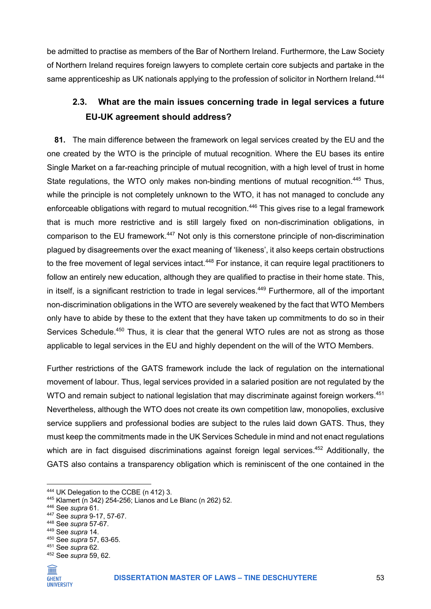be admitted to practise as members of the Bar of Northern Ireland. Furthermore, the Law Society of Northern Ireland requires foreign lawyers to complete certain core subjects and partake in the same apprenticeship as UK nationals applying to the profession of solicitor in Northern Ireland.<sup>444</sup>

# **2.3. What are the main issues concerning trade in legal services a future EU-UK agreement should address?**

**81.** The main difference between the framework on legal services created by the EU and the one created by the WTO is the principle of mutual recognition. Where the EU bases its entire Single Market on a far-reaching principle of mutual recognition, with a high level of trust in home State regulations, the WTO only makes non-binding mentions of mutual recognition.<sup>445</sup> Thus, while the principle is not completely unknown to the WTO, it has not managed to conclude any enforceable obligations with regard to mutual recognition.<sup>446</sup> This gives rise to a legal framework that is much more restrictive and is still largely fixed on non-discrimination obligations, in comparison to the EU framework.<sup>447</sup> Not only is this cornerstone principle of non-discrimination plagued by disagreements over the exact meaning of 'likeness', it also keeps certain obstructions to the free movement of legal services intact.<sup>448</sup> For instance, it can require legal practitioners to follow an entirely new education, although they are qualified to practise in their home state. This, in itself, is a significant restriction to trade in legal services.<sup>449</sup> Furthermore, all of the important non-discrimination obligations in the WTO are severely weakened by the fact that WTO Members only have to abide by these to the extent that they have taken up commitments to do so in their Services Schedule.<sup>450</sup> Thus, it is clear that the general WTO rules are not as strong as those applicable to legal services in the EU and highly dependent on the will of the WTO Members.

Further restrictions of the GATS framework include the lack of regulation on the international movement of labour. Thus, legal services provided in a salaried position are not regulated by the WTO and remain subject to national legislation that may discriminate against foreign workers.<sup>451</sup> Nevertheless, although the WTO does not create its own competition law, monopolies, exclusive service suppliers and professional bodies are subject to the rules laid down GATS. Thus, they must keep the commitments made in the UK Services Schedule in mind and not enact regulations which are in fact disquised discriminations against foreign legal services.<sup>452</sup> Additionally, the GATS also contains a transparency obligation which is reminiscent of the one contained in the

<sup>444</sup> UK Delegation to the CCBE (n 412) 3.

<sup>445</sup> Klamert (n 342) 254-256; Lianos and Le Blanc (n 262) 52.

<sup>446</sup> See *supra* 61.

<sup>447</sup> See *supra* 9-17, 57-67.

<sup>448</sup> See *supra* 57-67.

<sup>449</sup> See *supra* 14.

<sup>450</sup> See *supra* 57, 63-65.

<sup>451</sup> See *supra* 62.

<sup>452</sup> See *supra* 59, 62.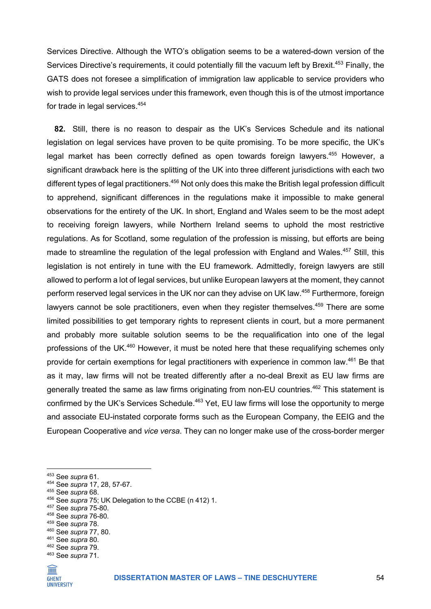Services Directive. Although the WTO's obligation seems to be a watered-down version of the Services Directive's requirements, it could potentially fill the vacuum left by Brexit.<sup>453</sup> Finally, the GATS does not foresee a simplification of immigration law applicable to service providers who wish to provide legal services under this framework, even though this is of the utmost importance for trade in legal services.<sup>454</sup>

**82.** Still, there is no reason to despair as the UK's Services Schedule and its national legislation on legal services have proven to be quite promising. To be more specific, the UK's legal market has been correctly defined as open towards foreign lawyers.<sup>455</sup> However, a significant drawback here is the splitting of the UK into three different jurisdictions with each two different types of legal practitioners.<sup>456</sup> Not only does this make the British legal profession difficult to apprehend, significant differences in the regulations make it impossible to make general observations for the entirety of the UK. In short, England and Wales seem to be the most adept to receiving foreign lawyers, while Northern Ireland seems to uphold the most restrictive regulations. As for Scotland, some regulation of the profession is missing, but efforts are being made to streamline the regulation of the legal profession with England and Wales.<sup>457</sup> Still, this legislation is not entirely in tune with the EU framework. Admittedly, foreign lawyers are still allowed to perform a lot of legal services, but unlike European lawyers at the moment, they cannot perform reserved legal services in the UK nor can they advise on UK law.<sup>458</sup> Furthermore, foreign lawyers cannot be sole practitioners, even when they register themselves. $459$  There are some limited possibilities to get temporary rights to represent clients in court, but a more permanent and probably more suitable solution seems to be the requalification into one of the legal professions of the UK.<sup>460</sup> However, it must be noted here that these requalifying schemes only provide for certain exemptions for legal practitioners with experience in common law.<sup>461</sup> Be that as it may, law firms will not be treated differently after a no-deal Brexit as EU law firms are generally treated the same as law firms originating from non-EU countries.<sup>462</sup> This statement is confirmed by the UK's Services Schedule.<sup>463</sup> Yet, EU law firms will lose the opportunity to merge and associate EU-instated corporate forms such as the European Company, the EEIG and the European Cooperative and *vice versa*. They can no longer make use of the cross-border merger

<sup>457</sup> See *supra* 75-80.

<sup>462</sup> See *supra* 79.

<sup>453</sup> See *supra* 61.

<sup>454</sup> See *supra* 17, 28, 57-67.

<sup>455</sup> See *supra* 68.

<sup>456</sup> See *supra* 75; UK Delegation to the CCBE (n 412) 1.

<sup>458</sup> See *supra* 76-80. <sup>459</sup> See *supra* 78.

<sup>460</sup> See *supra* 77, 80.

<sup>461</sup> See *supra* 80.

<sup>463</sup> See *supra* 71.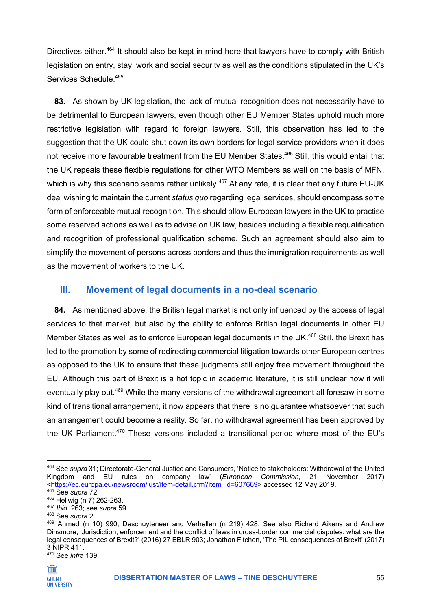Directives either.<sup>464</sup> It should also be kept in mind here that lawyers have to comply with British legislation on entry, stay, work and social security as well as the conditions stipulated in the UK's Services Schedule.<sup>465</sup>

**83.** As shown by UK legislation, the lack of mutual recognition does not necessarily have to be detrimental to European lawyers, even though other EU Member States uphold much more restrictive legislation with regard to foreign lawyers. Still, this observation has led to the suggestion that the UK could shut down its own borders for legal service providers when it does not receive more favourable treatment from the EU Member States.<sup>466</sup> Still, this would entail that the UK repeals these flexible regulations for other WTO Members as well on the basis of MFN, which is why this scenario seems rather unlikely.<sup>467</sup> At any rate, it is clear that any future EU-UK deal wishing to maintain the current *status quo* regarding legal services, should encompass some form of enforceable mutual recognition. This should allow European lawyers in the UK to practise some reserved actions as well as to advise on UK law, besides including a flexible requalification and recognition of professional qualification scheme. Such an agreement should also aim to simplify the movement of persons across borders and thus the immigration requirements as well as the movement of workers to the UK.

### **III. Movement of legal documents in a no-deal scenario**

**84.** As mentioned above, the British legal market is not only influenced by the access of legal services to that market, but also by the ability to enforce British legal documents in other EU Member States as well as to enforce European legal documents in the UK.<sup>468</sup> Still, the Brexit has led to the promotion by some of redirecting commercial litigation towards other European centres as opposed to the UK to ensure that these judgments still enjoy free movement throughout the EU. Although this part of Brexit is a hot topic in academic literature, it is still unclear how it will eventually play out.<sup>469</sup> While the many versions of the withdrawal agreement all foresaw in some kind of transitional arrangement, it now appears that there is no guarantee whatsoever that such an arrangement could become a reality. So far, no withdrawal agreement has been approved by the UK Parliament.<sup>470</sup> These versions included a transitional period where most of the EU's

<sup>470</sup> See *infra* 139.



<sup>464</sup> See *supra* 31; Directorate-General Justice and Consumers, 'Notice to stakeholders: Withdrawal of the United Kingdom and EU rules on company law' (*European Commission*, 21 November 2017) <https://ec.europa.eu/newsroom/just/item-detail.cfm?item\_id=607669 > accessed 12 May 2019.

<sup>465</sup> See *supra* 72.

<sup>466</sup> Hellwig (n 7) 262-263. <sup>467</sup> *Ibid*. 263; see *supra* 59.

<sup>468</sup> See *supra* 2.

<sup>469</sup> Ahmed (n 10) 990; Deschuyteneer and Verhellen (n 219) 428. See also Richard Aikens and Andrew Dinsmore, 'Jurisdiction, enforcement and the conflict of laws in cross-border commercial disputes: what are the legal consequences of Brexit?' (2016) 27 EBLR 903; Jonathan Fitchen, 'The PIL consequences of Brexit' (2017) 3 NIPR 411.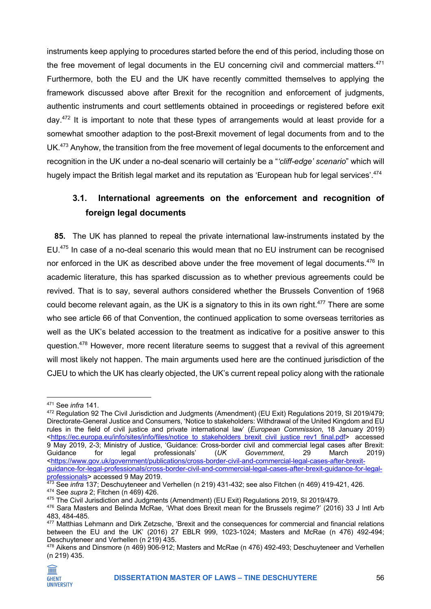instruments keep applying to procedures started before the end of this period, including those on the free movement of legal documents in the EU concerning civil and commercial matters.<sup>471</sup> Furthermore, both the EU and the UK have recently committed themselves to applying the framework discussed above after Brexit for the recognition and enforcement of judgments, authentic instruments and court settlements obtained in proceedings or registered before exit day.<sup>472</sup> It is important to note that these types of arrangements would at least provide for a somewhat smoother adaption to the post-Brexit movement of legal documents from and to the UK.<sup>473</sup> Anyhow, the transition from the free movement of legal documents to the enforcement and recognition in the UK under a no-deal scenario will certainly be a "*'cliff-edge' scenario*" which will hugely impact the British legal market and its reputation as 'European hub for legal services'.<sup>474</sup>

### **3.1. International agreements on the enforcement and recognition of foreign legal documents**

**85.** The UK has planned to repeal the private international law-instruments instated by the EU.475 In case of a no-deal scenario this would mean that no EU instrument can be recognised nor enforced in the UK as described above under the free movement of legal documents.<sup>476</sup> In academic literature, this has sparked discussion as to whether previous agreements could be revived. That is to say, several authors considered whether the Brussels Convention of 1968 could become relevant again, as the UK is a signatory to this in its own right.<sup>477</sup> There are some who see article 66 of that Convention, the continued application to some overseas territories as well as the UK's belated accession to the treatment as indicative for a positive answer to this question.<sup>478</sup> However, more recent literature seems to suggest that a revival of this agreement will most likely not happen. The main arguments used here are the continued jurisdiction of the CJEU to which the UK has clearly objected, the UK's current repeal policy along with the rationale

<sup>&</sup>lt;sup>478</sup> Aikens and Dinsmore (n 469) 906-912; Masters and McRae (n 476) 492-493; Deschuyteneer and Verhellen (n 219) 435.



<sup>471</sup> See *infra* 141.

<sup>&</sup>lt;sup>472</sup> Regulation 92 The Civil Jurisdiction and Judgments (Amendment) (EU Exit) Regulations 2019, SI 2019/479; Directorate-General Justice and Consumers, 'Notice to stakeholders: Withdrawal of the United Kingdom and EU rules in the field of civil justice and private international law' (*European Commission*, 18 January 2019) ˂https://ec.europa.eu/info/sites/info/files/notice\_to\_stakeholders\_brexit\_civil\_justice\_rev1\_final.pdf˃ accessed 9 May 2019, 2-3; Ministry of Justice, 'Guidance: Cross-border civil and commercial legal cases after Brexit: Guidance for legal professionals' (*UK Government*, 29 March 2019) ˂https://www.gov.uk/government/publications/cross-border-civil-and-commercial-legal-cases-after-brexitguidance-for-legal-professionals/cross-border-civil-and-commercial-legal-cases-after-brexit-guidance-for-legalprofessionals˃ accessed 9 May 2019.

<sup>&</sup>lt;sup>473</sup> See *infra* 137; Deschuyteneer and Verhellen (n 219) 431-432; see also Fitchen (n 469) 419-421, 426. <sup>474</sup> See *supra* 2; Fitchen (n 469) 426.

<sup>&</sup>lt;sup>475</sup> The Civil Jurisdiction and Judgments (Amendment) (EU Exit) Regulations 2019, SI 2019/479.

 $476$  Sara Masters and Belinda McRae, 'What does Brexit mean for the Brussels regime?' (2016) 33 J Intl Arb 483. 484-485.

<sup>477</sup> Matthias Lehmann and Dirk Zetzsche, 'Brexit and the consequences for commercial and financial relations between the EU and the UK' (2016) 27 EBLR 999, 1023-1024; Masters and McRae (n 476) 492-494; Deschuyteneer and Verhellen (n 219) 435.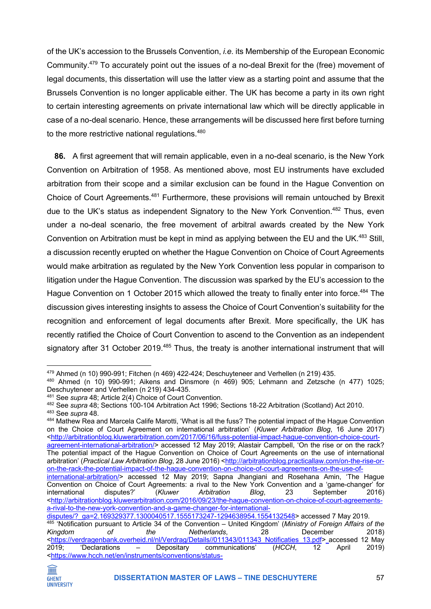of the UK's accession to the Brussels Convention, *i.e.* its Membership of the European Economic Community.<sup>479</sup> To accurately point out the issues of a no-deal Brexit for the (free) movement of legal documents, this dissertation will use the latter view as a starting point and assume that the Brussels Convention is no longer applicable either. The UK has become a party in its own right to certain interesting agreements on private international law which will be directly applicable in case of a no-deal scenario. Hence, these arrangements will be discussed here first before turning to the more restrictive national regulations.<sup>480</sup>

**86.** A first agreement that will remain applicable, even in a no-deal scenario, is the New York Convention on Arbitration of 1958. As mentioned above, most EU instruments have excluded arbitration from their scope and a similar exclusion can be found in the Hague Convention on Choice of Court Agreements.<sup>481</sup> Furthermore, these provisions will remain untouched by Brexit due to the UK's status as independent Signatory to the New York Convention.<sup>482</sup> Thus, even under a no-deal scenario, the free movement of arbitral awards created by the New York Convention on Arbitration must be kept in mind as applying between the EU and the UK.<sup>483</sup> Still, a discussion recently erupted on whether the Hague Convention on Choice of Court Agreements would make arbitration as regulated by the New York Convention less popular in comparison to litigation under the Hague Convention. The discussion was sparked by the EU's accession to the Hague Convention on 1 October 2015 which allowed the treaty to finally enter into force.<sup>484</sup> The discussion gives interesting insights to assess the Choice of Court Convention's suitability for the recognition and enforcement of legal documents after Brexit. More specifically, the UK has recently ratified the Choice of Court Convention to ascend to the Convention as an independent signatory after 31 October 2019.<sup>485</sup> Thus, the treaty is another international instrument that will

<sup>484</sup> Mathew Rea and Marcela Calife Marotti, 'What is all the fuss? The potential impact of the Hague Convention on the Choice of Court Agreement on international arbitration' (*Kluwer Arbitration Blog*, 16 June 2017) ˂http://arbitrationblog.kluwerarbitration.com/2017/06/16/fuss-potential-impact-hague-convention-choice-courtagreement-international-arbitration/> accessed 12 May 2019; Alastair Campbell, 'On the rise or on the rack? The potential impact of the Hague Convention on Choice of Court Agreements on the use of international arbitration' (*Practical Law Arbitration Blog*, 28 June 2016) ˂http://arbitrationblog.practicallaw.com/on-the-rise-oron-the-rack-the-potential-impact-of-the-hague-convention-on-choice-of-court-agreements-on-the-use-of-

international-arbitration/> accessed 12 May 2019; Sapna Jhangiani and Rosehana Amin, 'The Hague Convention on Choice of Court Agreements: a rival to the New York Convention and a 'game-changer' for<br>
international disputes?' (Kluwer Arbitration Blog, 23 September 2016) international disputes?' (*Kluwer Arbitration Blog*, 23 September 2016) ˂http://arbitrationblog.kluwerarbitration.com/2016/09/23/the-hague-convention-on-choice-of-court-agreementsa-rival-to-the-new-york-convention-and-a-game-changer-for-international-

disputes/?\_ga=2.169329377.1300040517.1555173247-1294638954.1554132548> accessed 7 May 2019.

<sup>479</sup> Ahmed (n 10) 990-991; Fitchen (n 469) 422-424; Deschuyteneer and Verhellen (n 219) 435.

<sup>480</sup> Ahmed (n 10) 990-991; Aikens and Dinsmore (n 469) 905; Lehmann and Zetzsche (n 477) 1025; Deschuyteneer and Verhellen (n 219) 434-435.

<sup>481</sup> See *supra* 48; Article 2(4) Choice of Court Convention.

<sup>482</sup> See *supra* 48; Sections 100-104 Arbitration Act 1996; Sections 18-22 Arbitration (Scotland) Act 2010. <sup>483</sup> See *supra* 48.

<sup>485</sup> 'Notification pursuant to Article 34 of the Convention – United Kingdom' (*Ministry of Foreign Affairs of the Kingdom of the Netherlands*, 28 December 2018) ˂https://verdragenbank.overheid.nl/nl/Verdrag/Details//011343/011343\_Notificaties\_13.pdf˃ accessed 12 May 2019; 'Declarations – Depositary communications' (*HCCH*, 12 April 2019) ˂https://www.hcch.net/en/instruments/conventions/status-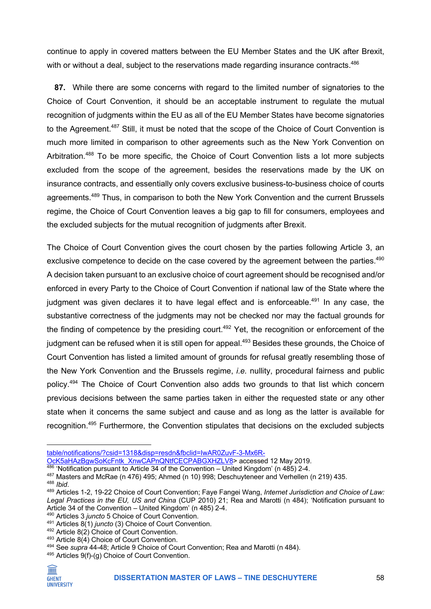continue to apply in covered matters between the EU Member States and the UK after Brexit, with or without a deal, subject to the reservations made regarding insurance contracts.<sup>486</sup>

**87.** While there are some concerns with regard to the limited number of signatories to the Choice of Court Convention, it should be an acceptable instrument to regulate the mutual recognition of judgments within the EU as all of the EU Member States have become signatories to the Agreement.<sup>487</sup> Still, it must be noted that the scope of the Choice of Court Convention is much more limited in comparison to other agreements such as the New York Convention on Arbitration.<sup>488</sup> To be more specific, the Choice of Court Convention lists a lot more subjects excluded from the scope of the agreement, besides the reservations made by the UK on insurance contracts, and essentially only covers exclusive business-to-business choice of courts agreements.<sup>489</sup> Thus, in comparison to both the New York Convention and the current Brussels regime, the Choice of Court Convention leaves a big gap to fill for consumers, employees and the excluded subjects for the mutual recognition of judgments after Brexit.

The Choice of Court Convention gives the court chosen by the parties following Article 3, an exclusive competence to decide on the case covered by the agreement between the parties.<sup>490</sup> A decision taken pursuant to an exclusive choice of court agreement should be recognised and/or enforced in every Party to the Choice of Court Convention if national law of the State where the judgment was given declares it to have legal effect and is enforceable.<sup>491</sup> In any case, the substantive correctness of the judgments may not be checked nor may the factual grounds for the finding of competence by the presiding court.<sup>492</sup> Yet, the recognition or enforcement of the judgment can be refused when it is still open for appeal.<sup>493</sup> Besides these grounds, the Choice of Court Convention has listed a limited amount of grounds for refusal greatly resembling those of the New York Convention and the Brussels regime, *i.e.* nullity, procedural fairness and public policy.<sup>494</sup> The Choice of Court Convention also adds two grounds to that list which concern previous decisions between the same parties taken in either the requested state or any other state when it concerns the same subject and cause and as long as the latter is available for recognition.<sup>495</sup> Furthermore, the Convention stipulates that decisions on the excluded subjects

<sup>495</sup> Articles 9(f)-(g) Choice of Court Convention.



table/notifications/?csid=1318&disp=resdn&fbclid=IwAR0ZuvF-3-Mx6R-

OcK5aHAzBgwSoKcFntk\_XnwCAPnQNtfCECPABGXHZLV8>accessed 12 May 2019.

<sup>486</sup> 'Notification pursuant to Article 34 of the Convention – United Kingdom' (n 485) 2-4.

<sup>487</sup> Masters and McRae (n 476) 495; Ahmed (n 10) 998; Deschuyteneer and Verhellen (n 219) 435.

<sup>488</sup> *Ibid*.

<sup>489</sup> Articles 1-2, 19-22 Choice of Court Convention; Faye Fangei Wang, *Internet Jurisdiction and Choice of Law: Legal Practices in the EU, US and China* (CUP 2010) 21; Rea and Marotti (n 484); 'Notification pursuant to Article 34 of the Convention – United Kingdom' (n 485) 2-4.

<sup>490</sup> Articles 3 *juncto* 5 Choice of Court Convention.

<sup>491</sup> Articles 8(1) *juncto* (3) Choice of Court Convention.

<sup>492</sup> Article 8(2) Choice of Court Convention.

 $493$  Article  $8(4)$  Choice of Court Convention.

<sup>494</sup> See *supra* 44-48; Article 9 Choice of Court Convention; Rea and Marotti (n 484).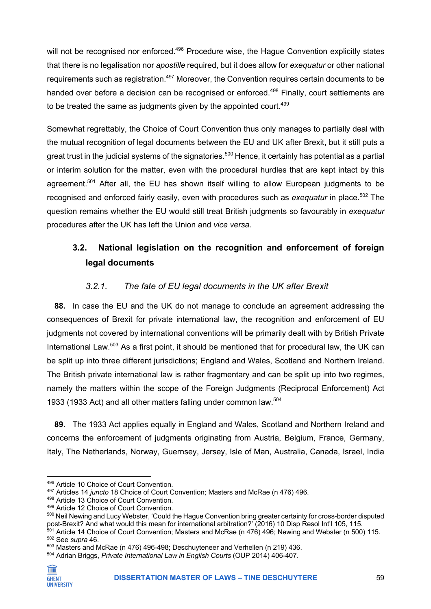will not be recognised nor enforced.<sup>496</sup> Procedure wise, the Hague Convention explicitly states that there is no legalisation nor *apostille* required, but it does allow for *exequatur* or other national requirements such as registration.<sup>497</sup> Moreover, the Convention requires certain documents to be handed over before a decision can be recognised or enforced.<sup>498</sup> Finally, court settlements are to be treated the same as judgments given by the appointed court.<sup>499</sup>

Somewhat regrettably, the Choice of Court Convention thus only manages to partially deal with the mutual recognition of legal documents between the EU and UK after Brexit, but it still puts a great trust in the judicial systems of the signatories.<sup>500</sup> Hence, it certainly has potential as a partial or interim solution for the matter, even with the procedural hurdles that are kept intact by this agreement.<sup>501</sup> After all, the EU has shown itself willing to allow European judgments to be recognised and enforced fairly easily, even with procedures such as *exequatur* in place.<sup>502</sup> The question remains whether the EU would still treat British judgments so favourably in *exequatur* procedures after the UK has left the Union and *vice versa*.

## **3.2. National legislation on the recognition and enforcement of foreign legal documents**

### *3.2.1. The fate of EU legal documents in the UK after Brexit*

**88.** In case the EU and the UK do not manage to conclude an agreement addressing the consequences of Brexit for private international law, the recognition and enforcement of EU judgments not covered by international conventions will be primarily dealt with by British Private International Law.<sup>503</sup> As a first point, it should be mentioned that for procedural law, the UK can be split up into three different jurisdictions; England and Wales, Scotland and Northern Ireland. The British private international law is rather fragmentary and can be split up into two regimes, namely the matters within the scope of the Foreign Judgments (Reciprocal Enforcement) Act 1933 (1933 Act) and all other matters falling under common law.<sup>504</sup>

**89.** The 1933 Act applies equally in England and Wales, Scotland and Northern Ireland and concerns the enforcement of judgments originating from Austria, Belgium, France, Germany, Italy, The Netherlands, Norway, Guernsey, Jersey, Isle of Man, Australia, Canada, Israel, India

<sup>504</sup> Adrian Briggs, Private International Law in English Courts (OUP 2014) 406-407.



<sup>496</sup> Article 10 Choice of Court Convention. 497 Articles <sup>14</sup>*juncto* 18 Choice of Court Convention; Masters and McRae (n 476) 496.

<sup>498</sup> Article 13 Choice of Court Convention. 499 Article 12 Choice of Court Convention.

<sup>&</sup>lt;sup>500</sup> Neil Newing and Lucy Webster, 'Could the Hague Convention bring greater certainty for cross-border disputed post-Brexit? And what would this mean for international arbitration?' (2016) 10 Disp Resol Int'l 105, 115.

 $501$  Article 14 Choice of Court Convention; Masters and McRae (n 476) 496; Newing and Webster (n 500) 115. <sup>502</sup> See *supra* 46.<br><sup>502</sup> See *supra* 46.<br><sup>503</sup> Masters and McRae (n 476) 496-498; Deschuyteneer and Verhellen (n 219) 436.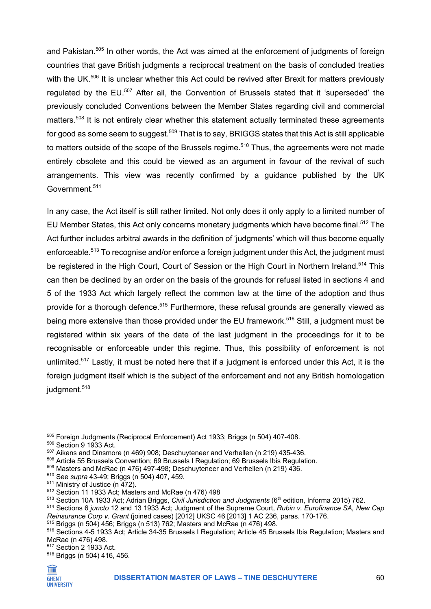and Pakistan.<sup>505</sup> In other words, the Act was aimed at the enforcement of judgments of foreign countries that gave British judgments a reciprocal treatment on the basis of concluded treaties with the UK.<sup>506</sup> It is unclear whether this Act could be revived after Brexit for matters previously regulated by the EU.<sup>507</sup> After all, the Convention of Brussels stated that it 'superseded' the previously concluded Conventions between the Member States regarding civil and commercial matters.<sup>508</sup> It is not entirely clear whether this statement actually terminated these agreements for good as some seem to suggest.<sup>509</sup> That is to say, BRIGGS states that this Act is still applicable to matters outside of the scope of the Brussels regime.<sup>510</sup> Thus, the agreements were not made entirely obsolete and this could be viewed as an argument in favour of the revival of such arrangements. This view was recently confirmed by a guidance published by the UK Government. 511

In any case, the Act itself is still rather limited. Not only does it only apply to a limited number of EU Member States, this Act only concerns monetary judgments which have become final.<sup>512</sup> The Act further includes arbitral awards in the definition of 'iudgments' which will thus become equally enforceable.<sup>513</sup> To recognise and/or enforce a foreign judgment under this Act, the judgment must be registered in the High Court, Court of Session or the High Court in Northern Ireland.<sup>514</sup> This can then be declined by an order on the basis of the grounds for refusal listed in sections 4 and 5 of the 1933 Act which largely reflect the common law at the time of the adoption and thus provide for a thorough defence.<sup>515</sup> Furthermore, these refusal grounds are generally viewed as being more extensive than those provided under the EU framework.<sup>516</sup> Still, a judgment must be registered within six years of the date of the last judgment in the proceedings for it to be recognisable or enforceable under this regime. Thus, this possibility of enforcement is not unlimited.<sup>517</sup> Lastly, it must be noted here that if a judgment is enforced under this Act, it is the foreign judgment itself which is the subject of the enforcement and not any British homologation judgment.<sup>518</sup>

<sup>518</sup> Briggs (n 504) 416, 456.



<sup>505</sup> Foreign Judgments (Reciprocal Enforcement) Act 1933; Briggs (n 504) 407-408.

<sup>506</sup> Section 9 1933 Act.

<sup>507</sup> Aikens and Dinsmore (n 469) 908; Deschuyteneer and Verhellen (n 219) 435-436.

<sup>508</sup> Article 55 Brussels Convention; 69 Brussels I Regulation; 69 Brussels Ibis Regulation.

<sup>509</sup> Masters and McRae (n 476) 497-498; Deschuyteneer and Verhellen (n 219) 436.

<sup>510</sup> See *supra* 43-49; Briggs (n 504) 407, 459.

<sup>511</sup> Ministry of Justice (n 472).

<sup>512</sup> Section 11 1933 Act; Masters and McRae (n 476) 498

<sup>513</sup> Section 10A 1933 Act; Adrian Briggs, *Civil Jurisdiction and Judgments* (6<sup>th</sup> edition, Informa 2015) 762.

<sup>514</sup> Sections 6 *juncto* 12 and 13 1933 Act; Judgment of the Supreme Court, *Rubin v. Eurofinance SA, New Cap Reinsurance Corp v. Grant* (joined cases) [2012] UKSC 46 [2013] 1 AC 236, paras. 170-176.

<sup>515</sup> Briggs (n 504) 456; Briggs (n 513) 762; Masters and McRae (n 476) 498.

<sup>516</sup> Sections 4-5 1933 Act; Article 34-35 Brussels I Regulation; Article 45 Brussels Ibis Regulation; Masters and McRae (n 476) 498.

 $517$  Section 2 1933 Act.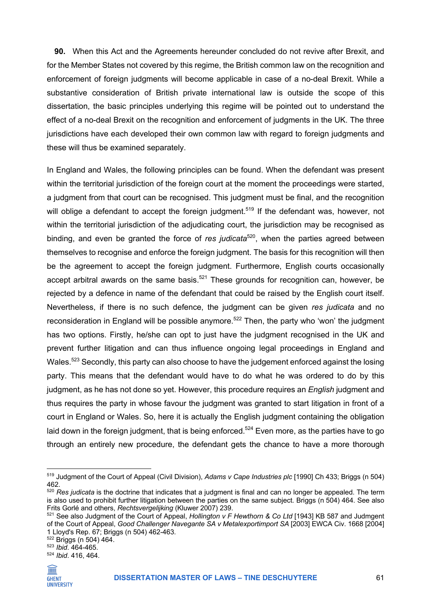**90.** When this Act and the Agreements hereunder concluded do not revive after Brexit, and for the Member States not covered by this regime, the British common law on the recognition and enforcement of foreign judgments will become applicable in case of a no-deal Brexit. While a substantive consideration of British private international law is outside the scope of this dissertation, the basic principles underlying this regime will be pointed out to understand the effect of a no-deal Brexit on the recognition and enforcement of judgments in the UK. The three jurisdictions have each developed their own common law with regard to foreign judgments and these will thus be examined separately.

In England and Wales, the following principles can be found. When the defendant was present within the territorial jurisdiction of the foreign court at the moment the proceedings were started, a judgment from that court can be recognised. This judgment must be final, and the recognition will oblige a defendant to accept the foreign judgment.<sup>519</sup> If the defendant was, however, not within the territorial jurisdiction of the adjudicating court, the jurisdiction may be recognised as binding, and even be granted the force of *res judicata*<sup>520</sup>, when the parties agreed between themselves to recognise and enforce the foreign judgment. The basis for this recognition will then be the agreement to accept the foreign judgment. Furthermore, English courts occasionally accept arbitral awards on the same basis.<sup>521</sup> These grounds for recognition can, however, be rejected by a defence in name of the defendant that could be raised by the English court itself. Nevertheless, if there is no such defence, the judgment can be given *res judicata* and no reconsideration in England will be possible anymore.<sup>522</sup> Then, the party who 'won' the judgment has two options. Firstly, he/she can opt to just have the judgment recognised in the UK and prevent further litigation and can thus influence ongoing legal proceedings in England and Wales.<sup>523</sup> Secondly, this party can also choose to have the judgement enforced against the losing party. This means that the defendant would have to do what he was ordered to do by this judgment, as he has not done so yet. However, this procedure requires an *English* judgment and thus requires the party in whose favour the judgment was granted to start litigation in front of a court in England or Wales. So, here it is actually the English judgment containing the obligation laid down in the foreign judgment, that is being enforced.<sup>524</sup> Even more, as the parties have to go through an entirely new procedure, the defendant gets the chance to have a more thorough

<sup>522</sup> Briggs (n 504) 464.

<sup>524</sup> *Ibid*. 416, 464.



<sup>519</sup> Judgment of the Court of Appeal (Civil Division), *Adams v Cape Industries plc* [1990] Ch 433; Briggs (n 504) 462.

<sup>520</sup> *Res judicata* is the doctrine that indicates that a judgment is final and can no longer be appealed. The term is also used to prohibit further litigation between the parties on the same subject. Briggs (n 504) 464. See also Frits Gorlé and others, *Rechtsvergelijking* (Kluwer 2007) 239.

<sup>521</sup> See also Judgment of the Court of Appeal, *Hollington v F Hewthorn & Co Ltd* [1943] KB 587 and Judmgent of the Court of Appeal, *Good Challenger Navegante SA v Metalexportimport SA* [2003] EWCA Civ. 1668 [2004] 1 Lloyd's Rep. 67; Briggs (n 504) 462-463.

<sup>523</sup> *Ibid*. 464-465.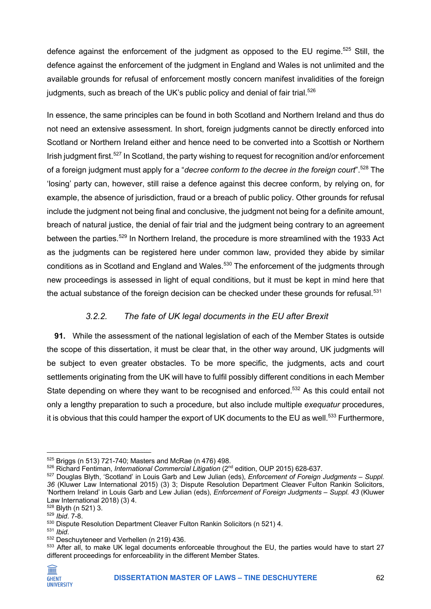defence against the enforcement of the judgment as opposed to the EU regime.<sup>525</sup> Still, the defence against the enforcement of the judgment in England and Wales is not unlimited and the available grounds for refusal of enforcement mostly concern manifest invalidities of the foreign judgments, such as breach of the UK's public policy and denial of fair trial.<sup>526</sup>

In essence, the same principles can be found in both Scotland and Northern Ireland and thus do not need an extensive assessment. In short, foreign judgments cannot be directly enforced into Scotland or Northern Ireland either and hence need to be converted into a Scottish or Northern Irish iudgment first.<sup>527</sup> In Scotland, the party wishing to request for recognition and/or enforcement of a foreign judgment must apply for a "*decree conform to the decree in the foreign court*". <sup>528</sup> The 'losing' party can, however, still raise a defence against this decree conform, by relying on, for example, the absence of jurisdiction, fraud or a breach of public policy. Other grounds for refusal include the judgment not being final and conclusive, the judgment not being for a definite amount, breach of natural justice, the denial of fair trial and the judgment being contrary to an agreement between the parties.<sup>529</sup> In Northern Ireland, the procedure is more streamlined with the 1933 Act as the judgments can be registered here under common law, provided they abide by similar conditions as in Scotland and England and Wales.<sup>530</sup> The enforcement of the judgments through new proceedings is assessed in light of equal conditions, but it must be kept in mind here that the actual substance of the foreign decision can be checked under these grounds for refusal.<sup>531</sup>

### *3.2.2. The fate of UK legal documents in the EU after Brexit*

**91.** While the assessment of the national legislation of each of the Member States is outside the scope of this dissertation, it must be clear that, in the other way around, UK judgments will be subject to even greater obstacles. To be more specific, the judgments, acts and court settlements originating from the UK will have to fulfil possibly different conditions in each Member State depending on where they want to be recognised and enforced.<sup>532</sup> As this could entail not only a lengthy preparation to such a procedure, but also include multiple *exequatur* procedures, it is obvious that this could hamper the export of UK documents to the EU as well.<sup>533</sup> Furthermore,

<sup>525</sup> Briggs (n 513) 721-740; Masters and McRae (n 476) 498.

<sup>526</sup> Richard Fentiman, *International Commercial Litigation* (2nd edition, OUP 2015) 628-637.

<sup>527</sup> Douglas Blyth, 'Scotland' in Louis Garb and Lew Julian (eds), *Enforcement of Foreign Judgments – Suppl. 36* (Kluwer Law International 2015) (3) 3; Dispute Resolution Department Cleaver Fulton Rankin Solicitors, 'Northern Ireland' in Louis Garb and Lew Julian (eds), *Enforcement of Foreign Judgments – Suppl. 43* (Kluwer Law International 2018) (3) 4.

<sup>528</sup> Blyth (n 521) 3. 529 *Ibid*. 7-8.

<sup>530</sup> Dispute Resolution Department Cleaver Fulton Rankin Solicitors (n 521) 4.

<sup>531</sup> *Ibid*.

<sup>532</sup> Deschuyteneer and Verhellen (n 219) 436.

<sup>&</sup>lt;sup>533</sup> After all, to make UK legal documents enforceable throughout the EU, the parties would have to start 27 different proceedings for enforceability in the different Member States.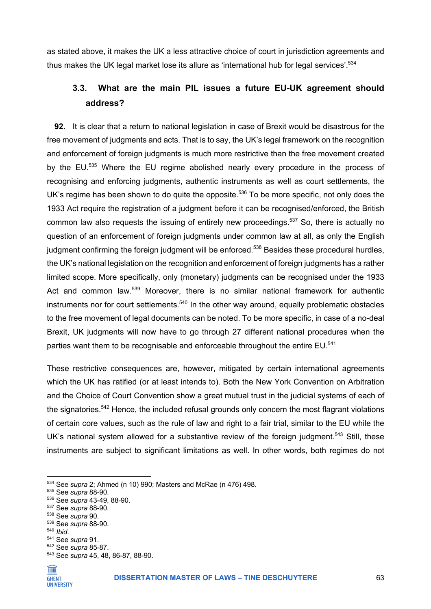as stated above, it makes the UK a less attractive choice of court in jurisdiction agreements and thus makes the UK legal market lose its allure as 'international hub for legal services'.<sup>534</sup>

### **3.3. What are the main PIL issues a future EU-UK agreement should address?**

**92.** It is clear that a return to national legislation in case of Brexit would be disastrous for the free movement of judgments and acts. That is to say, the UK's legal framework on the recognition and enforcement of foreign judgments is much more restrictive than the free movement created by the EU.<sup>535</sup> Where the EU regime abolished nearly every procedure in the process of recognising and enforcing judgments, authentic instruments as well as court settlements, the UK's regime has been shown to do quite the opposite.<sup>536</sup> To be more specific, not only does the 1933 Act require the registration of a judgment before it can be recognised/enforced, the British common law also requests the issuing of entirely new proceedings.<sup>537</sup> So, there is actually no question of an enforcement of foreign judgments under common law at all, as only the English judgment confirming the foreign judgment will be enforced.<sup>538</sup> Besides these procedural hurdles, the UK's national legislation on the recognition and enforcement of foreign judgments has a rather limited scope. More specifically, only (monetary) judgments can be recognised under the 1933 Act and common law.<sup>539</sup> Moreover, there is no similar national framework for authentic instruments nor for court settlements.<sup>540</sup> In the other way around, equally problematic obstacles to the free movement of legal documents can be noted. To be more specific, in case of a no-deal Brexit, UK judgments will now have to go through 27 different national procedures when the parties want them to be recognisable and enforceable throughout the entire EU.<sup>541</sup>

These restrictive consequences are, however, mitigated by certain international agreements which the UK has ratified (or at least intends to). Both the New York Convention on Arbitration and the Choice of Court Convention show a great mutual trust in the judicial systems of each of the signatories.<sup>542</sup> Hence, the included refusal grounds only concern the most flagrant violations of certain core values, such as the rule of law and right to a fair trial, similar to the EU while the UK's national system allowed for a substantive review of the foreign judgment.<sup>543</sup> Still, these instruments are subject to significant limitations as well. In other words, both regimes do not

- <sup>537</sup> See *supra* 88-90.
- <sup>538</sup> See *supra* 90.
- <sup>539</sup> See *supra* 88-90.

<sup>541</sup> See *supra* 91.

<sup>534</sup> See *supra* 2; Ahmed (n 10) 990; Masters and McRae (n 476) 498.

<sup>535</sup> See *supra* 88-90.

<sup>536</sup> See *supra* 43-49, 88-90.

<sup>540</sup> *Ibid*.

<sup>542</sup> See *supra* 85-87.

<sup>543</sup> See *supra* 45, 48, 86-87, 88-90.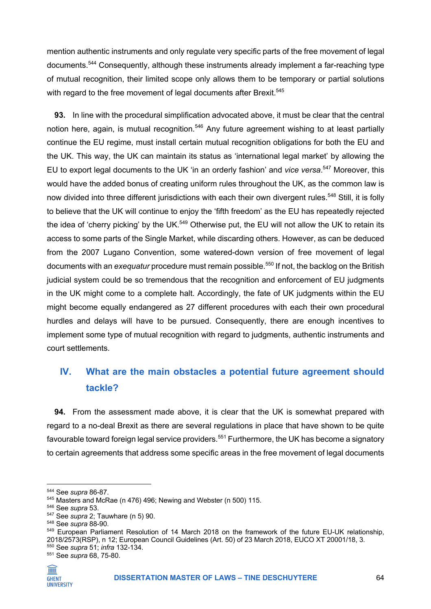mention authentic instruments and only regulate very specific parts of the free movement of legal documents.<sup>544</sup> Consequently, although these instruments already implement a far-reaching type of mutual recognition, their limited scope only allows them to be temporary or partial solutions with regard to the free movement of legal documents after Brexit.<sup>545</sup>

**93.** In line with the procedural simplification advocated above, it must be clear that the central notion here, again, is mutual recognition.<sup>546</sup> Any future agreement wishing to at least partially continue the EU regime, must install certain mutual recognition obligations for both the EU and the UK. This way, the UK can maintain its status as 'international legal market' by allowing the EU to export legal documents to the UK 'in an orderly fashion' and *vice versa*. <sup>547</sup> Moreover, this would have the added bonus of creating uniform rules throughout the UK, as the common law is now divided into three different jurisdictions with each their own divergent rules.<sup>548</sup> Still, it is folly to believe that the UK will continue to enjoy the 'fifth freedom' as the EU has repeatedly rejected the idea of 'cherry picking' by the UK.<sup>549</sup> Otherwise put, the EU will not allow the UK to retain its access to some parts of the Single Market, while discarding others. However, as can be deduced from the 2007 Lugano Convention, some watered-down version of free movement of legal documents with an *exequatur* procedure must remain possible.<sup>550</sup> If not, the backlog on the British judicial system could be so tremendous that the recognition and enforcement of EU judgments in the UK might come to a complete halt. Accordingly, the fate of UK judgments within the EU might become equally endangered as 27 different procedures with each their own procedural hurdles and delays will have to be pursued. Consequently, there are enough incentives to implement some type of mutual recognition with regard to judgments, authentic instruments and court settlements.

# **IV. What are the main obstacles a potential future agreement should tackle?**

**94.** From the assessment made above, it is clear that the UK is somewhat prepared with regard to a no-deal Brexit as there are several regulations in place that have shown to be quite favourable toward foreign legal service providers.<sup>551</sup> Furthermore, the UK has become a signatory to certain agreements that address some specific areas in the free movement of legal documents

<sup>544</sup> See *supra* 86-87.

<sup>&</sup>lt;sup>545</sup> Masters and McRae (n 476) 496; Newing and Webster (n 500) 115.

<sup>546</sup> See *supra* 53.

<sup>547</sup> See *supra* 2; Tauwhare (n 5) 90.

<sup>548</sup> See *supra* 88-90.

<sup>&</sup>lt;sup>549</sup> European Parliament Resolution of 14 March 2018 on the framework of the future EU-UK relationship. 2018/2573(RSP), n 12; European Council Guidelines (Art. 50) of 23 March 2018, EUCO XT 20001/18, 3. <sup>550</sup> See *supra* 51; *infra* 132-134.

<sup>551</sup> See *supra* 68, 75-80.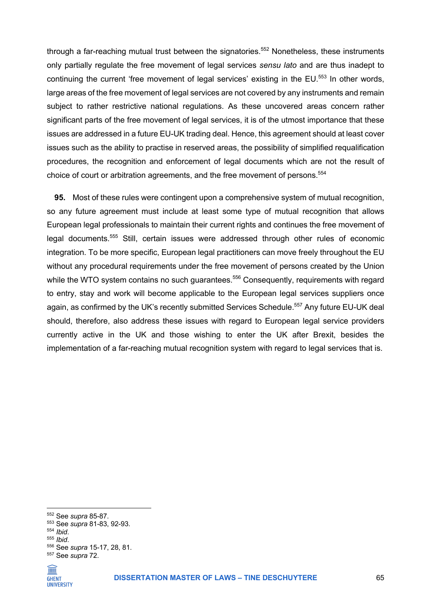through a far-reaching mutual trust between the signatories.<sup>552</sup> Nonetheless, these instruments only partially regulate the free movement of legal services *sensu lato* and are thus inadept to continuing the current 'free movement of legal services' existing in the EU.<sup>553</sup> In other words, large areas of the free movement of legal services are not covered by any instruments and remain subject to rather restrictive national regulations. As these uncovered areas concern rather significant parts of the free movement of legal services, it is of the utmost importance that these issues are addressed in a future EU-UK trading deal. Hence, this agreement should at least cover issues such as the ability to practise in reserved areas, the possibility of simplified requalification procedures, the recognition and enforcement of legal documents which are not the result of choice of court or arbitration agreements, and the free movement of persons. 554

**95.** Most of these rules were contingent upon a comprehensive system of mutual recognition, so any future agreement must include at least some type of mutual recognition that allows European legal professionals to maintain their current rights and continues the free movement of legal documents.<sup>555</sup> Still, certain issues were addressed through other rules of economic integration. To be more specific, European legal practitioners can move freely throughout the EU without anv procedural requirements under the free movement of persons created by the Union while the WTO system contains no such guarantees.<sup>556</sup> Consequently, requirements with regard to entry, stay and work will become applicable to the European legal services suppliers once again, as confirmed by the UK's recently submitted Services Schedule.<sup>557</sup> Any future EU-UK deal should, therefore, also address these issues with regard to European legal service providers currently active in the UK and those wishing to enter the UK after Brexit, besides the implementation of a far-reaching mutual recognition system with regard to legal services that is.

<sup>557</sup> See *supra* 72.



<sup>552</sup> See *supra* 85-87. <sup>553</sup> See *supra* 81-83, 92-93. <sup>554</sup> *Ibid*. <sup>555</sup> *Ibid*. <sup>556</sup> See *supra* 15-17, 28, 81.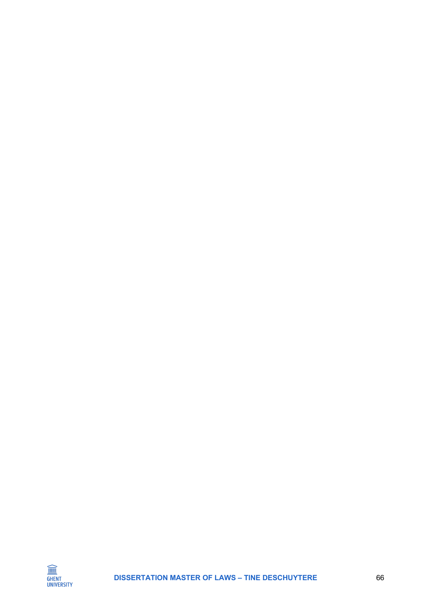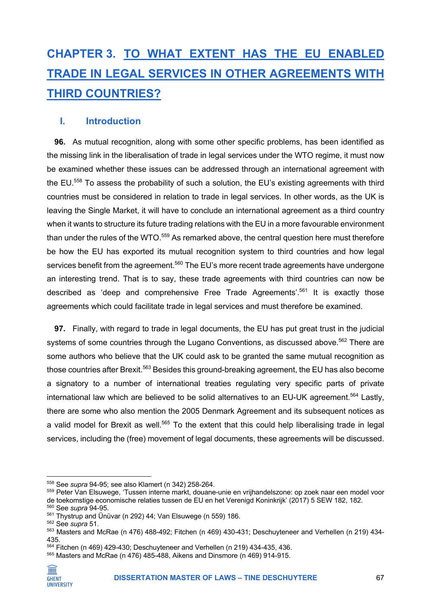# **CHAPTER 3. TO WHAT EXTENT HAS THE EU ENABLED TRADE IN LEGAL SERVICES IN OTHER AGREEMENTS WITH THIRD COUNTRIES?**

### **I. Introduction**

**96.** As mutual recognition, along with some other specific problems, has been identified as the missing link in the liberalisation of trade in legal services under the WTO regime, it must now be examined whether these issues can be addressed through an international agreement with the EU.<sup>558</sup> To assess the probability of such a solution, the EU's existing agreements with third countries must be considered in relation to trade in legal services. In other words, as the UK is leaving the Single Market, it will have to conclude an international agreement as a third country when it wants to structure its future trading relations with the EU in a more favourable environment than under the rules of the WTO.<sup>559</sup> As remarked above, the central question here must therefore be how the EU has exported its mutual recognition system to third countries and how legal services benefit from the agreement.<sup>560</sup> The EU's more recent trade agreements have undergone an interesting trend. That is to say, these trade agreements with third countries can now be described as 'deep and comprehensive Free Trade Agreements'.<sup>561</sup> It is exactly those agreements which could facilitate trade in legal services and must therefore be examined.

**97.** Finally, with regard to trade in legal documents, the EU has put great trust in the judicial systems of some countries through the Lugano Conventions, as discussed above.<sup>562</sup> There are some authors who believe that the UK could ask to be granted the same mutual recognition as those countries after Brexit.<sup>563</sup> Besides this ground-breaking agreement, the EU has also become a signatory to a number of international treaties regulating very specific parts of private international law which are believed to be solid alternatives to an EU-UK agreement. <sup>564</sup> Lastly, there are some who also mention the 2005 Denmark Agreement and its subsequent notices as a valid model for Brexit as well.<sup>565</sup> To the extent that this could help liberalising trade in legal services, including the (free) movement of legal documents, these agreements will be discussed.

<sup>558</sup> See *supra* 94-95; see also Klamert (n 342) 258-264.

<sup>559</sup> Peter Van Elsuwege, 'Tussen interne markt, douane-unie en vrijhandelszone: op zoek naar een model voor de toekomstige economische relaties tussen de EU en het Verenigd Koninkrijk' (2017) 5 SEW 182, 182.

<sup>560</sup> See *supra* 94-95.

 $561$  Thystrup and Ünüvar (n 292) 44; Van Elsuwege (n 559) 186.

<sup>562</sup> See *supra* 51.

<sup>563</sup> Masters and McRae (n 476) 488-492; Fitchen (n 469) 430-431; Deschuyteneer and Verhellen (n 219) 434- 435.

<sup>564</sup> Fitchen (n 469) 429-430; Deschuyteneer and Verhellen (n 219) 434-435, 436.

 $565$  Masters and McRae (n 476) 485-488, Aikens and Dinsmore (n 469) 914-915.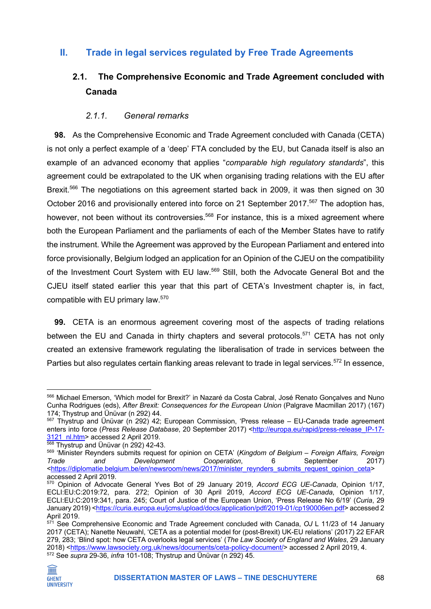### **II. Trade in legal services regulated by Free Trade Agreements**

# **2.1. The Comprehensive Economic and Trade Agreement concluded with Canada**

### *2.1.1. General remarks*

**98.** As the Comprehensive Economic and Trade Agreement concluded with Canada (CETA) is not only a perfect example of a 'deep' FTA concluded by the EU, but Canada itself is also an example of an advanced economy that applies "*comparable high regulatory standards*", this agreement could be extrapolated to the UK when organising trading relations with the EU after Brexit.<sup>566</sup> The negotiations on this agreement started back in 2009, it was then signed on 30 October 2016 and provisionally entered into force on 21 September 2017.<sup>567</sup> The adoption has, however, not been without its controversies.<sup>568</sup> For instance, this is a mixed agreement where both the European Parliament and the parliaments of each of the Member States have to ratify the instrument. While the Agreement was approved by the European Parliament and entered into force provisionally, Belgium lodged an application for an Opinion of the CJEU on the compatibility of the Investment Court System with EU law.<sup>569</sup> Still, both the Advocate General Bot and the CJEU itself stated earlier this year that this part of CETA's Investment chapter is, in fact, compatible with EU primary law.570

**99.** CETA is an enormous agreement covering most of the aspects of trading relations between the EU and Canada in thirty chapters and several protocols.<sup>571</sup> CETA has not only created an extensive framework regulating the liberalisation of trade in services between the Parties but also regulates certain flanking areas relevant to trade in legal services.<sup>572</sup> In essence,

<sup>571</sup> See Comprehensive Economic and Trade Agreement concluded with Canada, *OJ* L 11/23 of 14 January 2017 (CETA); Nanette Neuwahl, 'CETA as a potential model for (post-Brexit) UK-EU relations' (2017) 22 EFAR 279, 283; 'Blind spot: how CETA overlooks legal services' (*The Law Society of England and Wales*, 29 January 2018) <https://www.lawsociety.org.uk/news/documents/ceta-policy-document/> accessed 2 April 2019, 4. <sup>572</sup> See *supra* 29-36, *infra* 101-108; Thystrup and Ünüvar (n 292) 45.



<sup>566</sup> Michael Emerson, 'Which model for Brexit?' in Nazaré da Costa Cabral, José Renato Gonçalves and Nuno Cunha Rodrigues (eds), *After Brexit: Consequences for the European Union* (Palgrave Macmillan 2017) (167) 174; Thystrup and Ünüvar (n 292) 44.

 $567$  Thystrup and Ünüvar (n 292) 42; European Commission, 'Press release – EU-Canada trade agreement enters into force (*Press Release Database*, 20 September 2017) <http://europa.eu/rapid/press-release\_IP-17-3121\_nl.htm> accessed 2 April 2019.

 $\frac{568}{100}$  Thystrup and Ünüvar (n 292) 42-43.

<sup>569</sup> 'Minister Reynders submits request for opinion on CETA' (*Kingdom of Belgium – Foreign Affairs, Foreign*  **Trade** and Development Cooperation, 6 September <https://diplomatie.belgium.be/en/newsroom/news/2017/minister\_reynders\_submits\_request\_opinion\_ceta> accessed 2 April 2019.

<sup>570</sup> Opinion of Advocate General Yves Bot of 29 January 2019, *Accord ECG UE-Canada*, Opinion 1/17, ECLI:EU:C:2019:72, para. 272; Opinion of 30 April 2019, *Accord ECG UE-Canada*, Opinion 1/17, ECLI:EU:C:2019:341, para. 245; Court of Justice of the European Union, 'Press Release No 6/19' (*Curia*, 29 January 2019) <https://curia.europa.eu/jcms/upload/docs/application/pdf/2019-01/cp190006en.pdf> accessed 2 April 2019.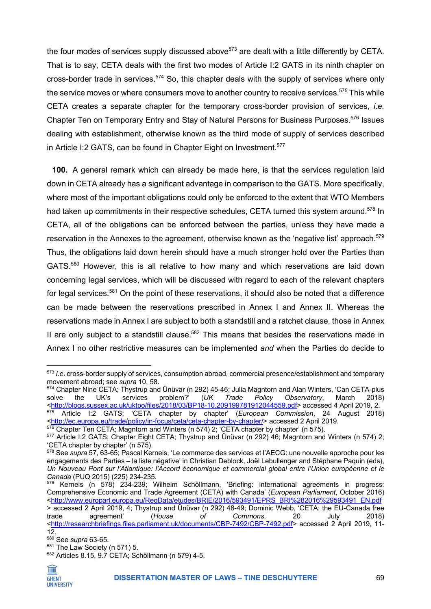the four modes of services supply discussed above<sup>573</sup> are dealt with a little differently by CETA. That is to say, CETA deals with the first two modes of Article I:2 GATS in its ninth chapter on cross-border trade in services.<sup>574</sup> So, this chapter deals with the supply of services where only the service moves or where consumers move to another country to receive services.<sup>575</sup> This while CETA creates a separate chapter for the temporary cross-border provision of services, *i.e.* Chapter Ten on Temporary Entry and Stay of Natural Persons for Business Purposes. <sup>576</sup> Issues dealing with establishment, otherwise known as the third mode of supply of services described in Article I:2 GATS, can be found in Chapter Eight on Investment.<sup>577</sup>

**100.** A general remark which can already be made here, is that the services regulation laid down in CETA already has a significant advantage in comparison to the GATS. More specifically, where most of the important obligations could only be enforced to the extent that WTO Members had taken up commitments in their respective schedules, CETA turned this system around.<sup>578</sup> In CETA, all of the obligations can be enforced between the parties, unless they have made a reservation in the Annexes to the agreement, otherwise known as the 'negative list' approach.<sup>579</sup> Thus, the obligations laid down herein should have a much stronger hold over the Parties than GATS.<sup>580</sup> However, this is all relative to how many and which reservations are laid down concerning legal services, which will be discussed with regard to each of the relevant chapters for legal services.<sup>581</sup> On the point of these reservations, it should also be noted that a difference can be made between the reservations prescribed in Annex I and Annex II. Whereas the reservations made in Annex I are subject to both a standstill and a ratchet clause, those in Annex II are only subject to a standstill clause.<sup>582</sup> This means that besides the reservations made in Annex I no other restrictive measures can be implemented *and* when the Parties do decide to

<sup>573</sup> *I.e*. cross-border supply of services, consumption abroad, commercial presence/establishment and temporary movement abroad; see *supra* 10, 58.<br><sup>574</sup> Chapter Nine CETA; Thystrup and Ünüvar (n 292) 45-46; Julia Magntorn and Alan Winters, 'Can CETA-plus

solve the UK's services problem?' (*UK Trade Policy Observatory*, March 2018) ˂http://blogs.sussex.ac.uk/uktpo/files/2018/03/BP18-10.209199781912044559.pdf˃ accessed 4 April 2019, 2. <sup>575</sup> Article I:2 GATS; 'CETA chapter by chapter' (*European Commission*, 24 August 2018) <http://ec.europa.eu/trade/policy/in-focus/ceta/ceta-chapter-by-chapter/> accessed 2 April 2019.

<sup>&</sup>lt;sup>576</sup> Chapter Ten CETA; Magntorn and Winters (n 574) 2; 'CETA chapter by chapter' (n 575).

<sup>577</sup> Article I:2 GATS; Chapter Eight CETA; Thystrup and Ünüvar (n 292) 46; Magntorn and Winters (n 574) 2; 'CETA chapter by chapter' (n 575).

<sup>578</sup> See *supra* 57, 63-65; Pascal Kerneis, 'Le commerce des services et l'AECG: une nouvelle approche pour les engagements des Parties – la liste négative' in Christian Deblock, Joël Lebullenger and Stéphane Paquin (eds), *Un Nouveau Pont sur l'Atlantique: l'Accord économique et commercial global entre l'Union européenne et le Canada* (PUQ 2015) (225) 234-235.

<sup>&</sup>lt;sup>579</sup> Kerneis (n 578) 234-239; Wilhelm Schöllmann, 'Briefing: international agreements in progress: Comprehensive Economic and Trade Agreement (CETA) with Canada' (*European Parliament*, October 2016) <http://www.europarl.europa.eu/RegData/etudes/BRIE/2016/593491/EPRS\_BRI%282016%29593491\_EN.pdf > accessed 2 April 2019, 4; Thystrup and Ünüvar (n 292) 48-49; Dominic Webb, 'CETA: the EU-Canada free

trade agreement' (*House of Commons*, 20 July 2018) <http://researchbriefings.files.parliament.uk/documents/CBP-7492/CBP-7492.pdf> accessed 2 April 2019, 11- 12.

<sup>580</sup> See *supra* 63-65.

<sup>581</sup> The Law Society (n 571) 5.

<sup>582</sup> Articles 8.15, 9.7 CETA; Schöllmann (n 579) 4-5.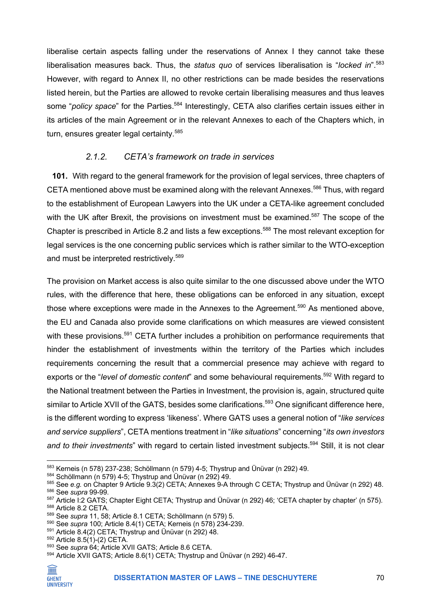liberalise certain aspects falling under the reservations of Annex I they cannot take these liberalisation measures back. Thus, the *status quo* of services liberalisation is "*locked in*". 583 However, with regard to Annex II, no other restrictions can be made besides the reservations listed herein, but the Parties are allowed to revoke certain liberalising measures and thus leaves some "*policy space*" for the Parties.<sup>584</sup> Interestingly, CETA also clarifies certain issues either in its articles of the main Agreement or in the relevant Annexes to each of the Chapters which, in turn, ensures greater legal certainty.<sup>585</sup>

### *2.1.2. CETA's framework on trade in services*

**101.** With regard to the general framework for the provision of legal services, three chapters of CETA mentioned above must be examined along with the relevant Annexes.<sup>586</sup> Thus, with regard to the establishment of European Lawyers into the UK under a CETA-like agreement concluded with the UK after Brexit, the provisions on investment must be examined.<sup>587</sup> The scope of the Chapter is prescribed in Article 8.2 and lists a few exceptions.<sup>588</sup> The most relevant exception for legal services is the one concerning public services which is rather similar to the WTO-exception and must be interpreted restrictively.<sup>589</sup>

The provision on Market access is also quite similar to the one discussed above under the WTO rules, with the difference that here, these obligations can be enforced in any situation, except those where exceptions were made in the Annexes to the Agreement.<sup>590</sup> As mentioned above, the EU and Canada also provide some clarifications on which measures are viewed consistent with these provisions.<sup>591</sup> CETA further includes a prohibition on performance requirements that hinder the establishment of investments within the territory of the Parties which includes requirements concerning the result that a commercial presence may achieve with regard to exports or the "*level of domestic content*" and some behavioural requirements.<sup>592</sup> With regard to the National treatment between the Parties in Investment, the provision is, again, structured quite similar to Article XVII of the GATS, besides some clarifications.<sup>593</sup> One significant difference here, is the different wording to express 'likeness'. Where GATS uses a general notion of "*like services and service suppliers*", CETA mentions treatment in "*like situations*" concerning "*its own investors and to their investments*" with regard to certain listed investment subjects. <sup>594</sup> Still, it is not clear

<sup>583</sup> Kerneis (n 578) 237-238; Schöllmann (n 579) 4-5; Thystrup and Ünüvar (n 292) 49.

<sup>584</sup> Schöllmann (n 579) 4-5; Thystrup and Ünüvar (n 292) 49.

<sup>585</sup> See *e.g.* on Chapter 9 Article 9.3(2) CETA; Annexes 9-A through C CETA; Thystrup and Ünüvar (n 292) 48. <sup>586</sup> See *supra* 99-99.

<sup>587</sup> Article I:2 GATS; Chapter Eight CETA; Thystrup and Ünüvar (n 292) 46; 'CETA chapter by chapter' (n 575). <sup>588</sup> Article 8.2 CETA.

<sup>589</sup> See *supra* 11, 58; Article 8.1 CETA; Schöllmann (n 579) 5.

<sup>590</sup> See *supra* 100; Article 8.4(1) CETA; Kerneis (n 578) 234-239.

 $591$  Article 8.4(2) CETA; Thystrup and Unüvar (n 292)  $48$ .

<sup>592</sup> Article 8.5(1)-(2) CETA.

<sup>593</sup> See *supra* 64; Article XVII GATS; Article 8.6 CETA.

<sup>594</sup> Article XVII GATS; Article 8.6(1) CETA; Thystrup and Ünüvar (n 292) 46-47.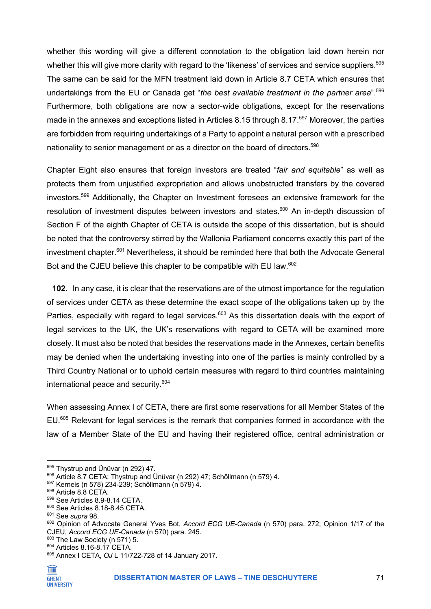whether this wording will give a different connotation to the obligation laid down herein nor whether this will give more clarity with regard to the 'likeness' of services and service suppliers.<sup>595</sup> The same can be said for the MFN treatment laid down in Article 8.7 CETA which ensures that undertakings from the EU or Canada get "*the best available treatment in the partner area*". 596 Furthermore, both obligations are now a sector-wide obligations, except for the reservations made in the annexes and exceptions listed in Articles 8.15 through 8.17. $597$  Moreover, the parties are forbidden from requiring undertakings of a Party to appoint a natural person with a prescribed nationality to senior management or as a director on the board of directors.<sup>598</sup>

Chapter Eight also ensures that foreign investors are treated "*fair and equitable*" as well as protects them from unjustified expropriation and allows unobstructed transfers by the covered investors.599 Additionally, the Chapter on Investment foresees an extensive framework for the resolution of investment disputes between investors and states.<sup>600</sup> An in-depth discussion of Section F of the eighth Chapter of CETA is outside the scope of this dissertation, but is should be noted that the controversy stirred by the Wallonia Parliament concerns exactly this part of the investment chapter.<sup>601</sup> Nevertheless, it should be reminded here that both the Advocate General Bot and the CJEU believe this chapter to be compatible with EU law.<sup>602</sup>

**102.** In any case, it is clear that the reservations are of the utmost importance for the regulation of services under CETA as these determine the exact scope of the obligations taken up by the Parties, especially with regard to legal services.<sup>603</sup> As this dissertation deals with the export of legal services to the UK, the UK's reservations with regard to CETA will be examined more closely. It must also be noted that besides the reservations made in the Annexes, certain benefits may be denied when the undertaking investing into one of the parties is mainly controlled by a Third Country National or to uphold certain measures with regard to third countries maintaining international peace and security.604

When assessing Annex I of CETA, there are first some reservations for all Member States of the EU.<sup>605</sup> Relevant for legal services is the remark that companies formed in accordance with the law of a Member State of the EU and having their registered office, central administration or

<sup>595</sup> Thystrup and Ünüvar (n 292) 47.

<sup>596</sup> Article 8.7 CETA; Thystrup and Ünüvar (n 292) 47; Schöllmann (n 579) 4.

<sup>597</sup> Kerneis (n 578) 234-239; Schöllmann (n 579) 4.

<sup>598</sup> Article 8.8 CETA.

<sup>599</sup> See Articles 8.9-8.14 CETA.

<sup>600</sup> See Articles 8.18-8.45 CETA.

<sup>601</sup> See *supra* 98.

<sup>602</sup> Opinion of Advocate General Yves Bot, *Accord ECG UE-Canada* (n 570) para. 272; Opinion 1/17 of the CJEU, *Accord ECG UE-Canada* (n 570) para. 245.

 $603$  The Law Society (n 571) 5.<br> $604$  Articles 8.16-8.17 CETA.

<sup>605</sup> Annex I CETA, *OJ* L 11/722-728 of 14 January 2017.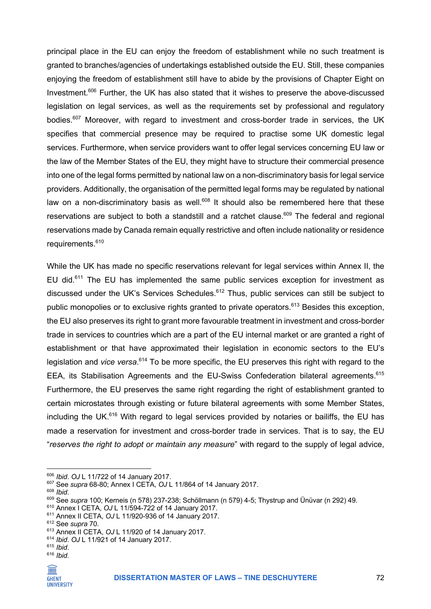principal place in the EU can enjoy the freedom of establishment while no such treatment is granted to branches/agencies of undertakings established outside the EU. Still, these companies enjoying the freedom of establishment still have to abide by the provisions of Chapter Eight on Investment.<sup>606</sup> Further, the UK has also stated that it wishes to preserve the above-discussed legislation on legal services, as well as the requirements set by professional and regulatory bodies.<sup>607</sup> Moreover, with regard to investment and cross-border trade in services, the UK specifies that commercial presence may be required to practise some UK domestic legal services. Furthermore, when service providers want to offer legal services concerning EU law or the law of the Member States of the EU, they might have to structure their commercial presence into one of the legal forms permitted by national law on a non-discriminatory basis for legal service providers. Additionally, the organisation of the permitted legal forms may be regulated by national law on a non-discriminatory basis as well.<sup>608</sup> It should also be remembered here that these reservations are subject to both a standstill and a ratchet clause.<sup>609</sup> The federal and regional reservations made by Canada remain equally restrictive and often include nationality or residence requirements.<sup>610</sup>

While the UK has made no specific reservations relevant for legal services within Annex II, the EU did.<sup>611</sup> The EU has implemented the same public services exception for investment as discussed under the UK's Services Schedules.<sup>612</sup> Thus, public services can still be subject to public monopolies or to exclusive rights granted to private operators.<sup>613</sup> Besides this exception, the EU also preserves its right to grant more favourable treatment in investment and cross-border trade in services to countries which are a part of the EU internal market or are granted a right of establishment or that have approximated their legislation in economic sectors to the EU's legislation and *vice versa*.<sup>614</sup> To be more specific, the EU preserves this right with regard to the EEA, its Stabilisation Agreements and the EU-Swiss Confederation bilateral agreements.<sup>615</sup> Furthermore, the EU preserves the same right regarding the right of establishment granted to certain microstates through existing or future bilateral agreements with some Member States, including the UK. $616$  With regard to legal services provided by notaries or bailiffs, the EU has made a reservation for investment and cross-border trade in services. That is to say, the EU "*reserves the right to adopt or maintain any measure*" with regard to the supply of legal advice,

<sup>606</sup> *Ibid*. *OJ* L 11/722 of 14 January 2017.

<sup>607</sup> See *supra* 68-80; Annex I CETA, *OJ* L 11/864 of 14 January 2017. 608 *Ibid*. 609 See *supra* 100; Kerneis (n 578) 237-238; Schöllmann (n 579) 4-5; Thystrup and Ünüvar (n 292) 49.

<sup>610</sup> Annex I CETA, *OJ* L 11/594-722 of 14 January 2017.

<sup>611</sup> Annex II CETA, *OJ* L 11/920-936 of 14 January 2017. 612 See *supra* 70. 613 Annex II CETA, *OJ* L 11/920 of 14 January 2017.

<sup>614</sup> *Ibid*. *OJ* L 11/921 of 14 January 2017.

<sup>615</sup> *Ibid*.

<sup>616</sup> *Ibid.*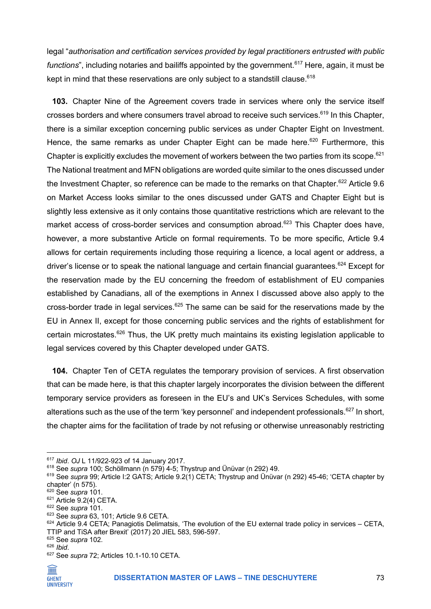legal "*authorisation and certification services provided by legal practitioners entrusted with public functions*", including notaries and bailiffs appointed by the government.<sup>617</sup> Here, again, it must be kept in mind that these reservations are only subiect to a standstill clause.<sup>618</sup>

**103.** Chapter Nine of the Agreement covers trade in services where only the service itself crosses borders and where consumers travel abroad to receive such services.<sup>619</sup> In this Chapter, there is a similar exception concerning public services as under Chapter Eight on Investment. Hence, the same remarks as under Chapter Eight can be made here.<sup>620</sup> Furthermore, this Chapter is explicitly excludes the movement of workers between the two parties from its scope.<sup>621</sup> The National treatment and MFN obligations are worded quite similar to the ones discussed under the Investment Chapter, so reference can be made to the remarks on that Chapter.<sup>622</sup> Article 9.6 on Market Access looks similar to the ones discussed under GATS and Chapter Eight but is slightly less extensive as it only contains those quantitative restrictions which are relevant to the market access of cross-border services and consumption abroad.<sup>623</sup> This Chapter does have, however, a more substantive Article on formal requirements. To be more specific, Article 9.4 allows for certain requirements including those requiring a licence, a local agent or address, a driver's license or to speak the national language and certain financial guarantees.<sup>624</sup> Except for the reservation made by the EU concerning the freedom of establishment of EU companies established by Canadians, all of the exemptions in Annex I discussed above also apply to the cross-border trade in legal services.<sup>625</sup> The same can be said for the reservations made by the EU in Annex II, except for those concerning public services and the rights of establishment for certain microstates.<sup>626</sup> Thus, the UK pretty much maintains its existing legislation applicable to legal services covered by this Chapter developed under GATS.

**104.** Chapter Ten of CETA regulates the temporary provision of services. A first observation that can be made here, is that this chapter largely incorporates the division between the different temporary service providers as foreseen in the EU's and UK's Services Schedules, with some alterations such as the use of the term 'key personnel' and independent professionals.<sup>627</sup> In short, the chapter aims for the facilitation of trade by not refusing or otherwise unreasonably restricting

<sup>617</sup> *Ibid*. *OJ* L 11/922-923 of 14 January 2017.

<sup>618</sup> See *supra* 100; Schöllmann (n 579) 4-5; Thystrup and Ünüvar (n 292) 49.

<sup>619</sup> See *supra* 99; Article I:2 GATS; Article 9.2(1) CETA; Thystrup and Ünüvar (n 292) 45-46; 'CETA chapter by chapter' (n 575).

<sup>620</sup> See *supra* 101.

 $621$  Article  $9.2(4)$  CETA.

<sup>622</sup> See *supra* 101.

<sup>623</sup> See *supra* 63, 101; Article 9.6 CETA.

 $624$  Article 9.4 CETA; Panagiotis Delimatsis, 'The evolution of the EU external trade policy in services – CETA, TTIP and TiSA after Brexit' (2017) 20 JIEL 583, 596-597.

<sup>625</sup> See *supra* 102.

<sup>626</sup> *Ibid*.

<sup>627</sup> See *supra* 72; Articles 10.1-10.10 CETA.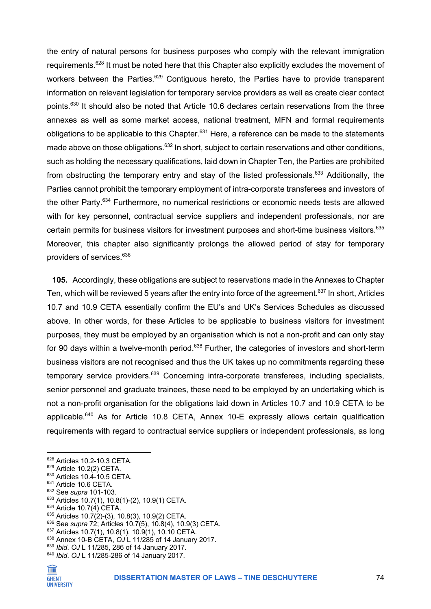the entry of natural persons for business purposes who comply with the relevant immigration requirements.<sup>628</sup> It must be noted here that this Chapter also explicitly excludes the movement of workers between the Parties.<sup>629</sup> Contiguous hereto, the Parties have to provide transparent information on relevant legislation for temporary service providers as well as create clear contact points.<sup>630</sup> It should also be noted that Article 10.6 declares certain reservations from the three annexes as well as some market access, national treatment, MFN and formal requirements obligations to be applicable to this Chapter.<sup>631</sup> Here, a reference can be made to the statements made above on those obligations.  $632$  In short, subject to certain reservations and other conditions, such as holding the necessary qualifications, laid down in Chapter Ten, the Parties are prohibited from obstructing the temporary entry and stay of the listed professionals.<sup>633</sup> Additionally, the Parties cannot prohibit the temporary employment of intra-corporate transferees and investors of the other Party.634 Furthermore, no numerical restrictions or economic needs tests are allowed with for key personnel, contractual service suppliers and independent professionals, nor are certain permits for business visitors for investment purposes and short-time business visitors. 635 Moreover, this chapter also significantly prolongs the allowed period of stay for temporary providers of services.<sup>636</sup>

**105.** Accordingly, these obligations are subject to reservations made in the Annexes to Chapter Ten, which will be reviewed 5 years after the entry into force of the agreement.<sup>637</sup> In short, Articles 10.7 and 10.9 CETA essentially confirm the EU's and UK's Services Schedules as discussed above. In other words, for these Articles to be applicable to business visitors for investment purposes, they must be employed by an organisation which is not a non-profit and can only stay for 90 days within a twelve-month period.<sup>638</sup> Further, the categories of investors and short-term business visitors are not recognised and thus the UK takes up no commitments regarding these temporary service providers.<sup>639</sup> Concerning intra-corporate transferees, including specialists. senior personnel and graduate trainees, these need to be employed by an undertaking which is not a non-profit organisation for the obligations laid down in Articles 10.7 and 10.9 CETA to be applicable.<sup>640</sup> As for Article 10.8 CETA, Annex 10-E expressly allows certain qualification requirements with regard to contractual service suppliers or independent professionals, as long

<sup>640</sup> *Ibid*. *OJ* L 11/285-286 of 14 January 2017.



<sup>628</sup> Articles 10.2-10.3 CETA.

<sup>629</sup> Article 10.2(2) CETA.

<sup>630</sup> Articles 10.4-10.5 CETA.

<sup>631</sup> Article 10.6 CETA.

<sup>632</sup> See *supra* 101-103.

 $633$  Articles 10.7(1), 10.8(1)-(2), 10.9(1) CETA.<br> $634$  Article 10.7(4) CETA.<br> $635$  Articles 10.7(2)-(3), 10.8(3), 10.9(2) CETA.

<sup>&</sup>lt;sup>635</sup> Articles 10.7(2)-(3), 10.8(3), 10.9(2) CETA.<br><sup>636</sup> See *supra* 72; Articles 10.7(5), 10.8(4), 10.9(3) CETA.

<sup>637</sup> Articles 10.7(1), 10.8(1), 10.9(1), 10.10 CETA.

<sup>638</sup> Annex 10-B CETA, *OJ* L 11/285 of 14 January 2017.

<sup>639</sup> *Ibid*. *OJ* L 11/285, 286 of 14 January 2017.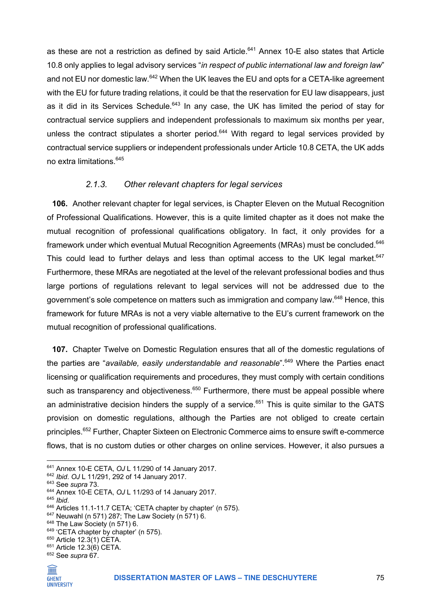as these are not a restriction as defined by said Article.<sup>641</sup> Annex 10-E also states that Article 10.8 only applies to legal advisory services "*in respect of public international law and foreign law*" and not EU nor domestic law.<sup>642</sup> When the UK leaves the EU and opts for a CETA-like agreement with the EU for future trading relations, it could be that the reservation for EU law disappears, just as it did in its Services Schedule. $643$  In any case, the UK has limited the period of stay for contractual service suppliers and independent professionals to maximum six months per year, unless the contract stipulates a shorter period. $644$  With regard to legal services provided by contractual service suppliers or independent professionals under Article 10.8 CETA, the UK adds no extra limitations 645

#### *2.1.3. Other relevant chapters for legal services*

**106.** Another relevant chapter for legal services, is Chapter Eleven on the Mutual Recognition of Professional Qualifications. However, this is a quite limited chapter as it does not make the mutual recognition of professional qualifications obligatory. In fact, it only provides for a framework under which eventual Mutual Recognition Agreements (MRAs) must be concluded.<sup>646</sup> This could lead to further delays and less than optimal access to the UK legal market.<sup>647</sup> Furthermore, these MRAs are negotiated at the level of the relevant professional bodies and thus large portions of regulations relevant to legal services will not be addressed due to the government's sole competence on matters such as immigration and company law.<sup>648</sup> Hence, this framework for future MRAs is not a very viable alternative to the EU's current framework on the mutual recognition of professional qualifications.

**107.** Chapter Twelve on Domestic Regulation ensures that all of the domestic regulations of the parties are "*available, easily understandable and reasonable*". <sup>649</sup> Where the Parties enact licensing or qualification requirements and procedures, they must comply with certain conditions such as transparency and objectiveness.<sup>650</sup> Furthermore, there must be appeal possible where an administrative decision hinders the supply of a service.<sup>651</sup> This is quite similar to the GATS provision on domestic regulations, although the Parties are not obliged to create certain principles.652 Further, Chapter Sixteen on Electronic Commerce aims to ensure swift e-commerce flows, that is no custom duties or other charges on online services. However, it also pursues a

<sup>641</sup> Annex 10-E CETA, *OJ* L 11/290 of 14 January 2017.

<sup>642</sup> *Ibid*. *OJ* L 11/291, 292 of 14 January 2017.

<sup>643</sup> See *supra* 73. 644 Annex 10-E CETA, *OJ* L 11/293 of 14 January 2017.

<sup>645</sup> *Ibid*.

<sup>&</sup>lt;sup>646</sup> Articles 11.1-11.7 CETA; 'CETA chapter by chapter' (n 575).

<sup>647</sup> Neuwahl (n 571) 287; The Law Society (n 571) 6.

<sup>&</sup>lt;sup>648</sup> The Law Society (n 571) 6.

<sup>&</sup>lt;sup>649</sup> 'CETA chapter by chapter' (n 575).

 $650$  Article 12.3(1) CETA.

 $651$  Article 12.3(6) CETA.

<sup>652</sup> See *supra* 67.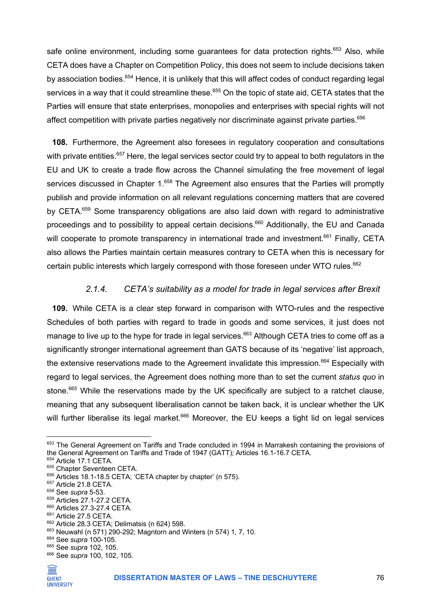safe online environment, including some guarantees for data protection rights.<sup>653</sup> Also. while CETA does have a Chapter on Competition Policy, this does not seem to include decisions taken bv association bodies.<sup>654</sup> Hence, it is unlikely that this will affect codes of conduct regarding legal services in a way that it could streamline these.<sup>655</sup> On the topic of state aid, CETA states that the Parties will ensure that state enterprises, monopolies and enterprises with special rights will not affect competition with private parties negatively nor discriminate against private parties.<sup>656</sup>

**108.** Furthermore, the Agreement also foresees in regulatory cooperation and consultations with private entities.<sup>657</sup> Here, the legal services sector could try to appeal to both regulators in the EU and UK to create a trade flow across the Channel simulating the free movement of legal services discussed in Chapter 1.<sup>658</sup> The Agreement also ensures that the Parties will promptly publish and provide information on all relevant regulations concerning matters that are covered by CETA.<sup>659</sup> Some transparency obligations are also laid down with regard to administrative proceedings and to possibility to appeal certain decisions.<sup>660</sup> Additionally, the EU and Canada will cooperate to promote transparency in international trade and investment.<sup>661</sup> Finally, CETA also allows the Parties maintain certain measures contrary to CETA when this is necessary for certain public interests which largely correspond with those foreseen under WTO rules.<sup>662</sup>

#### *2.1.4. CETA's suitability as a model for trade in legal services after Brexit*

**109.** While CETA is a clear step forward in comparison with WTO-rules and the respective Schedules of both parties with regard to trade in goods and some services, it just does not manage to live up to the hype for trade in legal services.<sup>663</sup> Although CETA tries to come off as a significantly stronger international agreement than GATS because of its 'negative' list approach, the extensive reservations made to the Agreement invalidate this impression.<sup>664</sup> Especially with regard to legal services, the Agreement does nothing more than to set the current *status quo* in stone.<sup>665</sup> While the reservations made by the UK specifically are subject to a ratchet clause, meaning that any subsequent liberalisation cannot be taken back, it is unclear whether the UK will further liberalise its legal market.<sup>666</sup> Moreover, the EU keeps a tight lid on legal services

<sup>&</sup>lt;sup>653</sup> The General Agreement on Tariffs and Trade concluded in 1994 in Marrakesh containing the provisions of the General Agreement on Tariffs and Trade of 1947 (GATT); Articles 16.1-16.7 CETA.

<sup>&</sup>lt;sup>654</sup> Article 17.1 CETA.

<sup>&</sup>lt;sup>655</sup> Chapter Seventeen CETA.

<sup>&</sup>lt;sup>656</sup> Articles 18.1-18.5 CETA; 'CETA chapter by chapter' (n 575).

<sup>&</sup>lt;sup>657</sup> Article 21.8 CETA.<br><sup>658</sup> See supra 5-53.

<sup>&</sup>lt;sup>659</sup> Articles 27.1-27.2 CETA.

<sup>660</sup> Articles 27.3-27.4 CETA.

<sup>&</sup>lt;sup>661</sup> Article 27.5 CETA.

<sup>&</sup>lt;sup>662</sup> Article 28.3 CETA; Delimatsis (n 624) 598.

 $663$  Neuwahl (n 571) 290-292; Magntorn and Winters (n 574) 1, 7, 10.

<sup>664</sup> See *supra* 100-105.

<sup>665</sup> See *supra* 102, 105.

<sup>666</sup> See *supra* 100, 102, 105.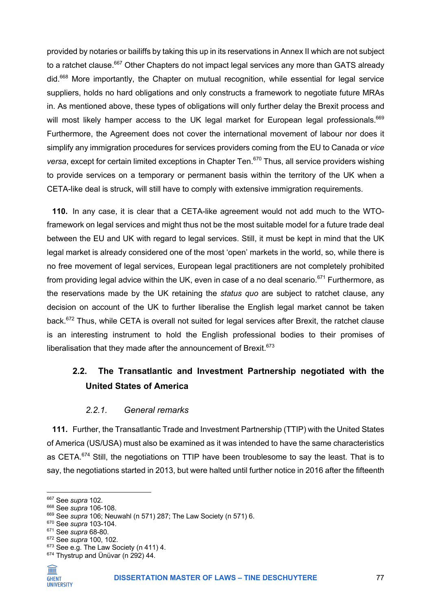provided by notaries or bailiffs by taking this up in its reservations in Annex II which are not subject to a ratchet clause.<sup>667</sup> Other Chapters do not impact legal services any more than GATS already did.<sup>668</sup> More importantly, the Chapter on mutual recognition, while essential for legal service suppliers, holds no hard obligations and only constructs a framework to negotiate future MRAs in. As mentioned above, these types of obligations will only further delay the Brexit process and will most likely hamper access to the UK legal market for European legal professionals.<sup>669</sup> Furthermore, the Agreement does not cover the international movement of labour nor does it simplify any immigration procedures for services providers coming from the EU to Canada or *vice versa*, except for certain limited exceptions in Chapter Ten. <sup>670</sup> Thus, all service providers wishing to provide services on a temporary or permanent basis within the territory of the UK when a CETA-like deal is struck, will still have to comply with extensive immigration requirements.

**110.** In any case, it is clear that a CETA-like agreement would not add much to the WTOframework on legal services and might thus not be the most suitable model for a future trade deal between the EU and UK with regard to legal services. Still, it must be kept in mind that the UK legal market is already considered one of the most 'open' markets in the world, so, while there is no free movement of legal services, European legal practitioners are not completely prohibited from providing legal advice within the UK, even in case of a no deal scenario.<sup>671</sup> Furthermore, as the reservations made by the UK retaining the *status quo* are subject to ratchet clause, any decision on account of the UK to further liberalise the English legal market cannot be taken back.<sup>672</sup> Thus, while CETA is overall not suited for legal services after Brexit, the ratchet clause is an interesting instrument to hold the English professional bodies to their promises of liberalisation that they made after the announcement of Brexit. $673$ 

### **2.2. The Transatlantic and Investment Partnership negotiated with the United States of America**

#### *2.2.1. General remarks*

**111.** Further, the Transatlantic Trade and Investment Partnership (TTIP) with the United States of America (US/USA) must also be examined as it was intended to have the same characteristics as CETA.<sup>674</sup> Still, the negotiations on TTIP have been troublesome to say the least. That is to say, the negotiations started in 2013, but were halted until further notice in 2016 after the fifteenth

<sup>667</sup> See *supra* 102.

<sup>668</sup> See *supra* 106-108.

<sup>669</sup> See *supra* 106; Neuwahl (n 571) 287; The Law Society (n 571) 6.

<sup>670</sup> See *supra* 103-104.

<sup>671</sup> See *supra* 68-80.

<sup>672</sup> See *supra* 100, 102.

 $673$  See e.g. The Law Society (n 411) 4.

 $674$  Thystrup and Ünüvar (n 292) 44.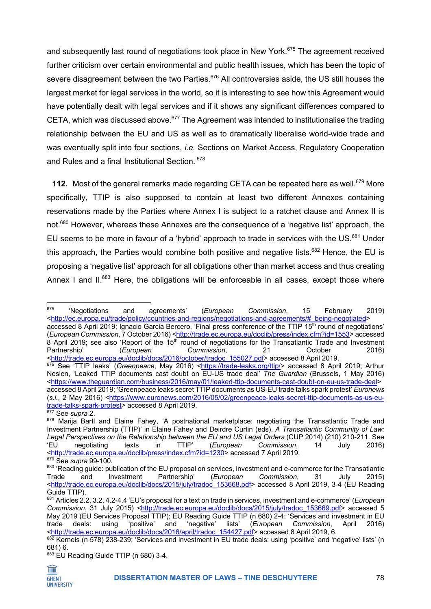and subsequently last round of negotiations took place in New York. <sup>675</sup> The agreement received further criticism over certain environmental and public health issues, which has been the topic of severe disagreement between the two Parties.<sup>676</sup> All controversies aside, the US still houses the largest market for legal services in the world, so it is interesting to see how this Agreement would have potentially dealt with legal services and if it shows any significant differences compared to CETA, which was discussed above.<sup>677</sup> The Agreement was intended to institutionalise the trading relationship between the EU and US as well as to dramatically liberalise world-wide trade and was eventually split into four sections, *i.e.* Sections on Market Access, Regulatory Cooperation and Rules and a final Institutional Section. <sup>678</sup>

**112.** Most of the general remarks made regarding CETA can be repeated here as well.<sup>679</sup> More specifically, TTIP is also supposed to contain at least two different Annexes containing reservations made by the Parties where Annex I is subject to a ratchet clause and Annex II is not.<sup>680</sup> However, whereas these Annexes are the consequence of a 'negative list' approach, the EU seems to be more in favour of a 'hybrid' approach to trade in services with the US.<sup>681</sup> Under this approach, the Parties would combine both positive and negative lists.<sup>682</sup> Hence, the EU is proposing a 'negative list' approach for all obligations other than market access and thus creating Annex I and II.<sup>683</sup> Here, the obligations will be enforceable in all cases, except those where

<sup>683</sup> EU Reading Guide TTIP (n 680) 3-4.



<sup>675</sup> 'Negotiations and agreements' (*European Commission*, 15 February 2019) <http://ec.europa.eu/trade/policy/countries-and-regions/negotiations-and-agreements/#\_being-negotiated> accessed 8 April 2019; Ignacio Garcia Bercero, 'Final press conference of the TTIP 15<sup>th</sup> round of negotiations' (*European Commission*, 7 October 2016) <http://trade.ec.europa.eu/doclib/press/index.cfm?id=1553> accessed 8 April 2019; see also 'Report of the 15<sup>th</sup> round of negotiations for the Transatlantic Trade and Investment<br>Partnership' (European Commission, 21 October 2016) Partnership' (*European Commission*, 21 October 2016) <http://trade.ec.europa.eu/doclib/docs/2016/october/tradoc\_155027.pdf> accessed 8 April 2019.

<sup>676</sup> See 'TTIP leaks' (Greenpeace, May 2016) <https://trade-leaks.org/ttip/> accessed 8 April 2019; Arthur Neslen, 'Leaked TTIP documents cast doubt on EU-US trade deal' *The Guardian* (Brussels, 1 May 2016) <https://www.theguardian.com/business/2016/may/01/leaked-ttip-documents-cast-doubt-on-eu-us-trade-deal> accessed 8 April 2019; 'Greenpeace leaks secret TTIP documents as US-EU trade talks spark protest' *Euronews* (*s.l.*, 2 May 2016) <https://www.euronews.com/2016/05/02/greenpeace-leaks-secret-ttip-documents-as-us-eutrade-talks-spark-protest> accessed 8 April 2019. <sup>677</sup> See *supra* 2.

<sup>&</sup>lt;sup>678</sup> Marija Bartl and Elaine Fahey, 'A postnational marketplace: negotiating the Transatlantic Trade and Investment Partnership (TTIP)' in Elaine Fahey and Deirdre Curtin (eds), *A Transatlantic Community of Law: Legal Perspectives on the Relationship between the EU and US Legal Orders* (CUP 2014) (210) 210-211. See 'EU negotiating texts in TTIP' (*European Commission*, 14 July 2016) <http://trade.ec.europa.eu/doclib/press/index.cfm?id=1230> accessed 7 April 2019. <sup>679</sup> See *supra* 99-100.

<sup>680 &#</sup>x27;Reading guide: publication of the EU proposal on services, investment and e-commerce for the Transatlantic Trade and Investment Partnership' (*European Commission*, 31 July 2015) <http://trade.ec.europa.eu/doclib/docs/2015/july/tradoc\_153668.pdf> accessed 8 April 2019, 3-4 (EU Reading Guide TTIP).

<sup>681</sup> Articles 2.2, 3.2, 4.2-4.4 'EU's proposal for a text on trade in services, investment and e-commerce' (*European Commission*, 31 July 2015) <http://trade.ec.europa.eu/doclib/docs/2015/july/tradoc\_153669.pdf> accessed 5 May 2019 (EU Services Proposal TTIP); EU Reading Guide TTIP (n 680) 2-4; 'Services and investment in EU trade deals: using 'positive' and 'negative' lists' (*European Commission*, April 2016) <http://trade.ec.europa.eu/doclib/docs/2016/april/tradoc\_154427.pdf> accessed 8 April 2019, 6.

<sup>682</sup> Kerneis (n 578) 238-239; 'Services and investment in EU trade deals: using 'positive' and 'negative' lists' (n 681) 6.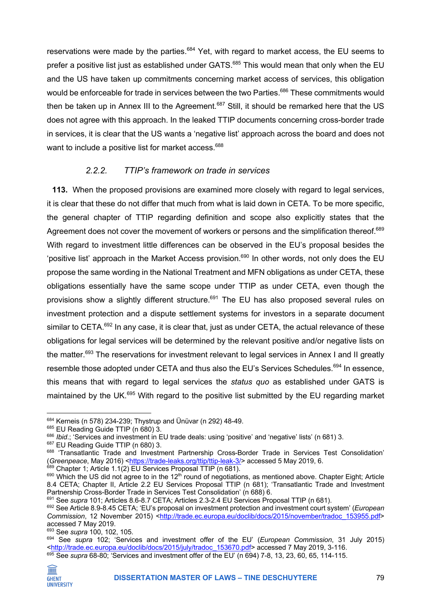reservations were made by the parties.<sup>684</sup> Yet, with regard to market access, the EU seems to prefer a positive list just as established under GATS.<sup>685</sup> This would mean that only when the EU and the US have taken up commitments concerning market access of services, this obligation would be enforceable for trade in services between the two Parties.<sup>686</sup> These commitments would then be taken up in Annex III to the Agreement.<sup>687</sup> Still, it should be remarked here that the US does not agree with this approach. In the leaked TTIP documents concerning cross-border trade in services, it is clear that the US wants a 'negative list' approach across the board and does not want to include a positive list for market access.<sup>688</sup>

### *2.2.2. TTIP's framework on trade in services*

**113.** When the proposed provisions are examined more closely with regard to legal services, it is clear that these do not differ that much from what is laid down in CETA. To be more specific, the general chapter of TTIP regarding definition and scope also explicitly states that the Agreement does not cover the movement of workers or persons and the simplification thereof.<sup>689</sup> With regard to investment little differences can be observed in the EU's proposal besides the 'positive list' approach in the Market Access provision.<sup>690</sup> In other words, not only does the EU propose the same wording in the National Treatment and MFN obligations as under CETA, these obligations essentially have the same scope under TTIP as under CETA, even though the provisions show a slightly different structure.<sup>691</sup> The EU has also proposed several rules on investment protection and a dispute settlement systems for investors in a separate document similar to CETA.<sup>692</sup> In any case, it is clear that, just as under CETA, the actual relevance of these obligations for legal services will be determined by the relevant positive and/or negative lists on the matter.<sup>693</sup> The reservations for investment relevant to legal services in Annex I and II greatly resemble those adopted under CETA and thus also the EU's Services Schedules.<sup>694</sup> In essence. this means that with regard to legal services the *status quo* as established under GATS is maintained by the UK.<sup>695</sup> With regard to the positive list submitted by the EU regarding market

 $689$  Chapter 1; Article 1.1(2) EU Services Proposal TTIP (n 681).

<sup>684</sup> Kerneis (n 578) 234-239; Thystrup and Ünüvar (n 292) 48-49.

<sup>685</sup> EU Reading Guide TTIP (n 680) 3.

<sup>&</sup>lt;sup>686</sup> *Ibid.*; 'Services and investment in EU trade deals; using 'positive' and 'negative' lists' (n 681) 3.

<sup>&</sup>lt;sup>687</sup> EU Reading Guide TTIP (n 680) 3.

<sup>688 &#</sup>x27;Transatlantic Trade and Investment Partnership Cross-Border Trade in Services Test Consolidation' (*Greenpeace*, May 2016) ˂https://trade-leaks.org/ttip/ttip-leak-3/˃ accessed 5 May 2019, 6.

 $690$  Which the US did not agree to in the 12<sup>th</sup> round of negotiations, as mentioned above. Chapter Eight; Article 8.4 CETA; Chapter II, Article 2.2 EU Services Proposal TTIP (n 681); 'Transatlantic Trade and Investment Partnership Cross-Border Trade in Services Test Consolidation' (n 688) 6.<br><sup>691</sup> See *supra* 101; Articles 8.6-8.7 CETA; Articles 2.3-2.4 EU Services Proposal TTIP (n 681).

<sup>&</sup>lt;sup>692</sup> See Article 8.9-8.45 CETA; 'EU's proposal on investment protection and investment court system' (*European* Commission, 12 November 2015) <http://trade.ec.europa.eu/doclib/docs/2015/november/tradoc\_153955.pdf> accessed 7 May 2019.

<sup>693</sup> See *supra* 100, 102, 105.

<sup>694</sup> See *supra* 102; 'Services and investment offer of the EU' (*European Commission*, 31 July 2015) ˂http://trade.ec.europa.eu/doclib/docs/2015/july/tradoc\_153670.pdf˃ accessed 7 May 2019, 3-116. <sup>695</sup> See *supra* 68-80; 'Services and investment offer of the EU' (n 694) 7-8, 13, 23, 60, 65, 114-115.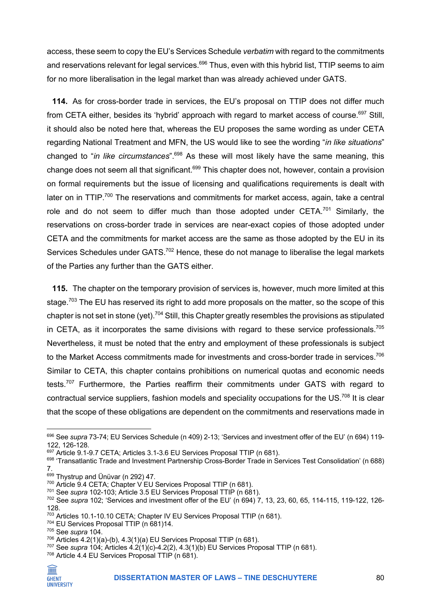access, these seem to copy the EU's Services Schedule *verbatim* with regard to the commitments and reservations relevant for legal services.<sup>696</sup> Thus, even with this hybrid list, TTIP seems to aim for no more liberalisation in the legal market than was already achieved under GATS.

**114.** As for cross-border trade in services, the EU's proposal on TTIP does not differ much from CETA either, besides its 'hybrid' approach with regard to market access of course.<sup>697</sup> Still, it should also be noted here that, whereas the EU proposes the same wording as under CETA regarding National Treatment and MFN, the US would like to see the wording "*in like situations*" changed to "*in like circumstances*". <sup>698</sup> As these will most likely have the same meaning, this change does not seem all that significant.<sup>699</sup> This chapter does not, however, contain a provision on formal requirements but the issue of licensing and qualifications requirements is dealt with later on in TTIP.<sup>700</sup> The reservations and commitments for market access, again, take a central role and do not seem to differ much than those adopted under CETA.<sup>701</sup> Similarly, the reservations on cross-border trade in services are near-exact copies of those adopted under CETA and the commitments for market access are the same as those adopted by the EU in its Services Schedules under GATS.<sup>702</sup> Hence, these do not manage to liberalise the legal markets of the Parties any further than the GATS either.

**115.** The chapter on the temporary provision of services is, however, much more limited at this stage.<sup>703</sup> The EU has reserved its right to add more proposals on the matter, so the scope of this chapter is not set in stone (yet).<sup>704</sup> Still, this Chapter greatly resembles the provisions as stipulated in CETA, as it incorporates the same divisions with regard to these service professionals.<sup>705</sup> Nevertheless, it must be noted that the entry and employment of these professionals is subject to the Market Access commitments made for investments and cross-border trade in services.<sup>706</sup> Similar to CETA, this chapter contains prohibitions on numerical quotas and economic needs tests.<sup>707</sup> Furthermore, the Parties reaffirm their commitments under GATS with regard to contractual service suppliers, fashion models and speciality occupations for the US.<sup>708</sup> It is clear that the scope of these obligations are dependent on the commitments and reservations made in

<sup>696</sup> See *supra* 73-74; EU Services Schedule (n 409) 2-13; 'Services and investment offer of the EU' (n 694) 119- 122, 126-128.

<sup>697</sup> Article 9.1-9.7 CETA; Articles 3.1-3.6 EU Services Proposal TTIP (n 681).

<sup>698</sup> 'Transatlantic Trade and Investment Partnership Cross-Border Trade in Services Test Consolidation' (n 688) 7.

<sup>&</sup>lt;sup>699</sup> Thystrup and Ünüvar (n 292) 47.

<sup>700</sup> Article 9.4 CETA; Chapter V EU Services Proposal TTIP (n 681).

<sup>701</sup> See *supra* 102-103; Article 3.5 EU Services Proposal TTIP (n 681).

<sup>702</sup> See *supra* 102; 'Services and investment offer of the EU' (n 694) 7, 13, 23, 60, 65, 114-115, 119-122, 126- 128.

<sup>703</sup> Articles 10.1-10.10 CETA; Chapter IV EU Services Proposal TTIP (n 681).

 $704$  EU Services Proposal TTIP (n 681)14.<br> $705$  See supra 104.

<sup>&</sup>lt;sup>706</sup> Articles 4.2(1)(a)-(b), 4.3(1)(a) EU Services Proposal TTIP (n 681).<br><sup>707</sup> See *supra* 104; Articles 4.2(1)(c)-4.2(2), 4.3(1)(b) EU Services Proposal TTIP (n 681).<br><sup>708</sup> Article 4.4 EU Services Proposal TTIP (n 681)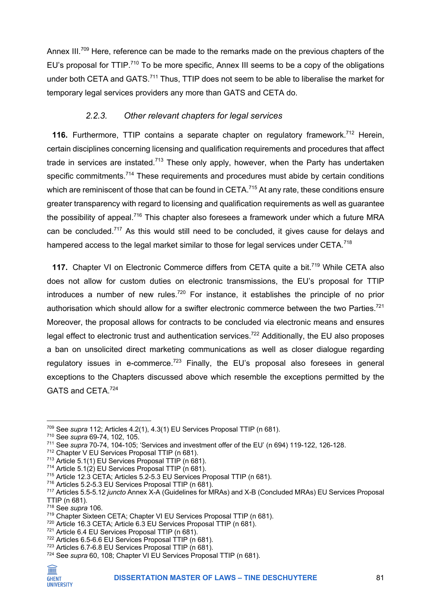Annex III.<sup>709</sup> Here, reference can be made to the remarks made on the previous chapters of the EU's proposal for TTIP.<sup>710</sup> To be more specific, Annex III seems to be a copy of the obligations under both CETA and GATS.<sup>711</sup> Thus, TTIP does not seem to be able to liberalise the market for temporary legal services providers any more than GATS and CETA do.

### *2.2.3. Other relevant chapters for legal services*

**116.** Furthermore, TTIP contains a separate chapter on regulatory framework.<sup>712</sup> Herein, certain disciplines concerning licensing and qualification requirements and procedures that affect trade in services are instated.<sup>713</sup> These only apply, however, when the Party has undertaken specific commitments.<sup>714</sup> These requirements and procedures must abide by certain conditions which are reminiscent of those that can be found in CETA.<sup>715</sup> At any rate, these conditions ensure greater transparency with regard to licensing and qualification requirements as well as guarantee the possibility of appeal.<sup>716</sup> This chapter also foresees a framework under which a future MRA can be concluded.<sup>717</sup> As this would still need to be concluded, it gives cause for delays and hampered access to the legal market similar to those for legal services under CETA.<sup>718</sup>

117. Chapter VI on Electronic Commerce differs from CETA quite a bit.<sup>719</sup> While CETA also does not allow for custom duties on electronic transmissions, the EU's proposal for TTIP introduces a number of new rules.<sup>720</sup> For instance, it establishes the principle of no prior authorisation which should allow for a swifter electronic commerce between the two Parties.<sup>721</sup> Moreover, the proposal allows for contracts to be concluded via electronic means and ensures legal effect to electronic trust and authentication services.<sup>722</sup> Additionally, the EU also proposes a ban on unsolicited direct marketing communications as well as closer dialogue regarding regulatory issues in e-commerce.<sup>723</sup> Finally, the EU's proposal also foresees in general exceptions to the Chapters discussed above which resemble the exceptions permitted by the GATS and CETA.<sup>724</sup>

<sup>709</sup> See *supra* 112; Articles 4.2(1), 4.3(1) EU Services Proposal TTIP (n 681).

<sup>710</sup> See *supra* 69-74, 102, 105. 711 See *supra* 70-74, 104-105; 'Services and investment offer of the EU' (n 694) 119-122, 126-128.

<sup>712</sup> Chapter V EU Services Proposal TTIP (n 681). 713 Article 5.1(1) EU Services Proposal TTIP (n 681).

 $714$  Article 5.1(2) EU Services Proposal TTIP (n 681).

<sup>715</sup> Article 12.3 CETA; Articles 5.2-5.3 EU Services Proposal TTIP (n 681).

<sup>716</sup> Articles 5.2-5.3 EU Services Proposal TTIP (n 681).

<sup>717</sup> Articles 5.5-5.12 *juncto* Annex X-A (Guidelines for MRAs) and X-B (Concluded MRAs) EU Services Proposal TTIP (n 681).

<sup>718</sup> See *supra* 106.

<sup>719</sup> Chapter Sixteen CETA; Chapter VI EU Services Proposal TTIP (n 681).

<sup>720</sup> Article 16.3 CETA; Article 6.3 EU Services Proposal TTIP (n 681).

<sup>721</sup> Article 6.4 EU Services Proposal TTIP (n 681).

 $722$  Articles 6.5-6.6 EU Services Proposal TTIP ( $n$  681).

 $723$  Articles 6.7-6.8 EU Services Proposal TTIP (n 681).

<sup>724</sup> See *supra* 60, 108; Chapter VI EU Services Proposal TTIP (n 681).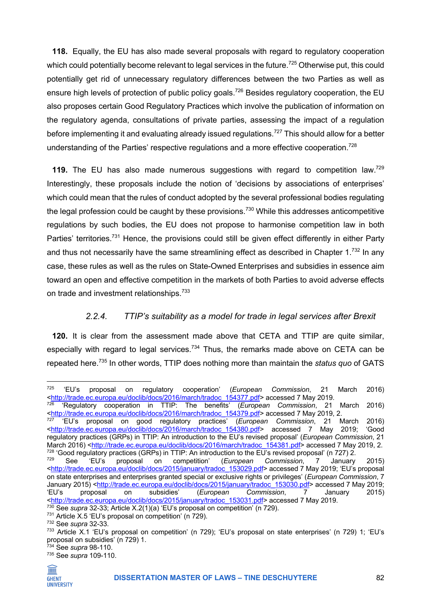**118.** Equally, the EU has also made several proposals with regard to regulatory cooperation which could potentially become relevant to legal services in the future.<sup>725</sup> Otherwise put, this could potentially get rid of unnecessary regulatory differences between the two Parties as well as ensure high levels of protection of public policy goals.<sup>726</sup> Besides regulatory cooperation, the EU also proposes certain Good Regulatory Practices which involve the publication of information on the regulatory agenda, consultations of private parties, assessing the impact of a regulation before implementing it and evaluating already issued regulations.<sup>727</sup> This should allow for a better understanding of the Parties' respective regulations and a more effective cooperation.<sup>728</sup>

**119.** The EU has also made numerous suggestions with regard to competition law.<sup>729</sup> Interestingly, these proposals include the notion of 'decisions by associations of enterprises' which could mean that the rules of conduct adopted by the several professional bodies regulating the legal profession could be caught by these provisions.<sup>730</sup> While this addresses anticompetitive regulations by such bodies, the EU does not propose to harmonise competition law in both Parties' territories.<sup>731</sup> Hence, the provisions could still be given effect differently in either Party and thus not necessarily have the same streamlining effect as described in Chapter  $1.^{732}$  In any case, these rules as well as the rules on State-Owned Enterprises and subsidies in essence aim toward an open and effective competition in the markets of both Parties to avoid adverse effects on trade and investment relationships.<sup>733</sup>

#### *2.2.4. TTIP's suitability as a model for trade in legal services after Brexit*

**120.** It is clear from the assessment made above that CETA and TTIP are quite similar, especially with regard to legal services.<sup>734</sup> Thus, the remarks made above on CETA can be repeated here.<sup>735</sup> In other words, TTIP does nothing more than maintain the *status quo* of GATS

<sup>726</sup> 'Regulatory cooperation in TTIP: The benefits' (*European Commission*, 21 March 2016) ˂http://trade.ec.europa.eu/doclib/docs/2016/march/tradoc\_154379.pdf˃ accessed 7 May 2019, 2.

<sup>735</sup> See *supra* 109-110.



<sup>725</sup> 'EU's proposal on regulatory cooperation' (*European Commission*, 21 March 2016) ˂http://trade.ec.europa.eu/doclib/docs/2016/march/tradoc\_154377.pdf˃ accessed 7 May 2019.

<sup>727</sup> 'EU's proposal on good regulatory practices' (*European Commission*, 21 March 2016) ˂http://trade.ec.europa.eu/doclib/docs/2016/march/tradoc\_154380.pdf˃ accessed 7 May 2019; 'Good regulatory practices (GRPs) in TTIP: An introduction to the EU's revised proposal' (*European Commission*, 21 March 2016) <http://trade.ec.europa.eu/doclib/docs/2016/march/tradoc\_154381.pdf> accessed 7 May 2019, 2.

<sup>&</sup>lt;sup>728</sup> 'Good regulatory practices (GRPs) in TTIP: An introduction to the EU's revised proposal' (n 727) 2.<br><sup>729</sup> See 'EU's proposal on competition' (*European Commission*, 7 January <sup>729</sup> See 'EU's proposal on competition' (*European Commission*, 7 January 2015) <http://trade.ec.europa.eu/doclib/docs/2015/january/tradoc\_153029.pdf> accessed 7 May 2019; 'EU's proposal on state enterprises and enterprises granted special or exclusive rights or privileges' (*European Commission*, 7 January 2015) <http://trade.ec.europa.eu/doclib/docs/2015/january/tradoc\_153030.pdf> accessed 7 May 2019;<br>
'EU's proposal on subsidies' (European Commission, 7 January 2015) 'EU's proposal on subsidies' (*European Commission*, 7 January 2015) ˂http://trade.ec.europa.eu/doclib/docs/2015/january/tradoc\_153031.pdf˃ accessed 7 May 2019.

<sup>730</sup> See *supra* 32-33; Article X.2(1)(a) 'EU's proposal on competition' (n 729).

 $731$  Article X.5 'EU's proposal on competition' (n 729).<br> $732$  See supra 32-33.

<sup>&</sup>lt;sup>733</sup> Article X.1 'EU's proposal on competition' (n 729); 'EU's proposal on state enterprises' (n 729) 1; 'EU's proposal on subsidies' (n 729) 1.

<sup>734</sup> See *supra* 98-110.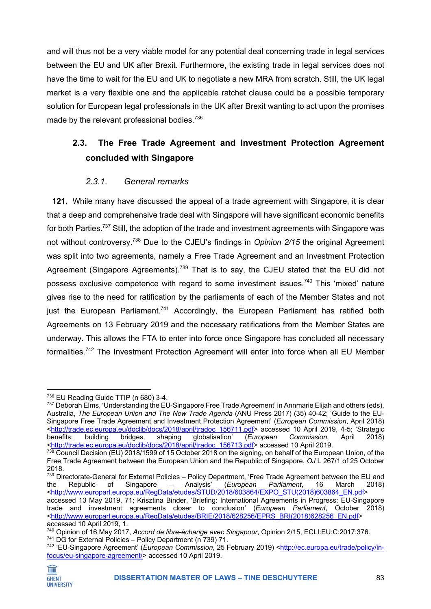and will thus not be a very viable model for any potential deal concerning trade in legal services between the EU and UK after Brexit. Furthermore, the existing trade in legal services does not have the time to wait for the EU and UK to negotiate a new MRA from scratch. Still, the UK legal market is a very flexible one and the applicable ratchet clause could be a possible temporary solution for European legal professionals in the UK after Brexit wanting to act upon the promises made by the relevant professional bodies.<sup>736</sup>

## **2.3. The Free Trade Agreement and Investment Protection Agreement concluded with Singapore**

#### *2.3.1. General remarks*

**121.** While many have discussed the appeal of a trade agreement with Singapore, it is clear that a deep and comprehensive trade deal with Singapore will have significant economic benefits for both Parties.<sup>737</sup> Still, the adoption of the trade and investment agreements with Singapore was not without controversy.738 Due to the CJEU's findings in *Opinion 2/15* the original Agreement was split into two agreements, namely a Free Trade Agreement and an Investment Protection Agreement (Singapore Agreements).<sup>739</sup> That is to say, the CJEU stated that the EU did not possess exclusive competence with regard to some investment issues.<sup>740</sup> This 'mixed' nature gives rise to the need for ratification by the parliaments of each of the Member States and not just the European Parliament.<sup>741</sup> Accordingly, the European Parliament has ratified both Agreements on 13 February 2019 and the necessary ratifications from the Member States are underway. This allows the FTA to enter into force once Singapore has concluded all necessary formalities.<sup>742</sup> The Investment Protection Agreement will enter into force when all EU Member

<sup>736</sup> EU Reading Guide TTIP (n 680) 3-4.

<sup>737</sup> Deborah Elms, 'Understanding the EU-Singapore Free Trade Agreement' in Annmarie Elijah and others (eds), Australia, *The European Union and The New Trade Agenda* (ANU Press 2017) (35) 40-42; 'Guide to the EU-Singapore Free Trade Agreement and Investment Protection Agreement' (*European Commission*, April 2018) <http://trade.ec.europa.eu/doclib/docs/2018/april/tradoc\_156711.pdf> accessed 10 April 2019, 4-5; 'Strategic<br>benefits: building bridges. shaping globalisation' (*European Commission*. April 2018) benefits: building bridges, shaping globalisation' (*European Commission*, April 2018) <http://trade.ec.europa.eu/doclib/docs/2018/april/tradoc\_156713.pdf> accessed 10 April 2019.

<sup>&</sup>lt;sup>738</sup> Council Decision (EU) 2018/1599 of 15 October 2018 on the signing, on behalf of the European Union, of the Free Trade Agreement between the European Union and the Republic of Singapore, *OJ* L 267/1 of 25 October 2018.

<sup>&</sup>lt;sup>739</sup> Directorate-General for External Policies – Policy Department, 'Free Trade Agreement between the EU and the Republic of Singapore – Analysis' (*European Parliament*, 16 March 2018) <http://www.europarl.europa.eu/RegData/etudes/STUD/2018/603864/EXPO\_STU(2018)603864\_EN.pdf>

accessed 13 May 2019, 71; Krisztina Binder, 'Briefing: International Agreements in Progress: EU-Singapore trade and investment agreements closer to conclusion' (*European Parliament*, October 2018) <http://www.europarl.europa.eu/RegData/etudes/BRIE/2018/628256/EPRS\_BRI(2018)628256\_EN.pdf> accessed 10 April 2019, 1.

<sup>740</sup> Opinion of 16 May 2017, *Accord de libre-échange avec Singapour*, Opinion 2/15, ECLI:EU:C:2017:376. <sup>741</sup> DG for External Policies – Policy Department (n 739) 71.

<sup>742</sup> 'EU-Singapore Agreement' (*European Commission*, 25 February 2019) <http://ec.europa.eu/trade/policy/infocus/eu-singapore-agreement/> accessed 10 April 2019.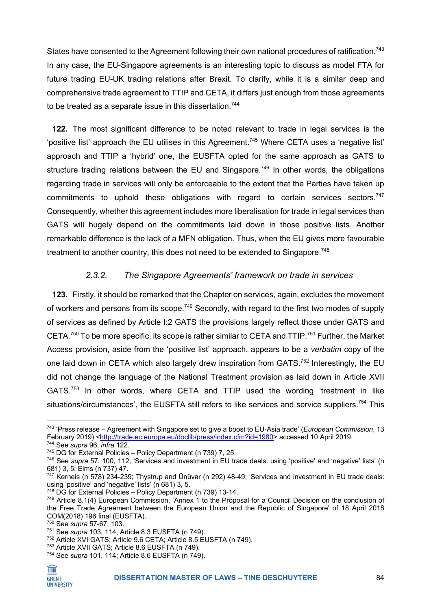States have consented to the Agreement following their own national procedures of ratification.<sup>743</sup> In any case, the EU-Singapore agreements is an interesting topic to discuss as model FTA for future trading EU-UK trading relations after Brexit. To clarify, while it is a similar deep and comprehensive trade agreement to TTIP and CETA, it differs just enough from those agreements to be treated as a separate issue in this dissertation.<sup>744</sup>

**122.** The most significant difference to be noted relevant to trade in legal services is the 'positive list' approach the EU utilises in this Agreement.<sup>745</sup> Where CETA uses a 'negative list' approach and TTIP a 'hybrid' one, the EUSFTA opted for the same approach as GATS to structure trading relations between the EU and Singapore.<sup>746</sup> In other words, the obligations regarding trade in services will only be enforceable to the extent that the Parties have taken up commitments to uphold these obligations with regard to certain services sectors.<sup>747</sup> Consequently, whether this agreement includes more liberalisation for trade in legal services than GATS will hugely depend on the commitments laid down in those positive lists. Another remarkable difference is the lack of a MFN obligation. Thus, when the EU gives more favourable treatment to another country, this does not need to be extended to Singapore.<sup>748</sup>

#### *2.3.2. The Singapore Agreements' framework on trade in services*

**123.** Firstly, it should be remarked that the Chapter on services, again, excludes the movement of workers and persons from its scope.<sup>749</sup> Secondly, with regard to the first two modes of supply of services as defined by Article I:2 GATS the provisions largely reflect those under GATS and CETA.<sup>750</sup> To be more specific, its scope is rather similar to CETA and TTIP.<sup>751</sup> Further, the Market Access provision, aside from the 'positive list' approach, appears to be a *verbatim* copy of the one laid down in CETA which also largely drew inspiration from GATS.<sup>752</sup> Interestingly, the EU did not change the language of the National Treatment provision as laid down in Article XVII GATS.<sup>753</sup> In other words, where CETA and TTIP used the wording 'treatment in like situations/circumstances', the EUSFTA still refers to like services and service suppliers.<sup>754</sup> This

<sup>754</sup> See *supra* 101, 114; Article 8.6 EUSFTA (n 749).



<sup>743</sup> 'Press release – Agreement with Singapore set to give a boost to EU-Asia trade' (*European Commission*, 13 February 2019) <http://trade.ec.europa.eu/doclib/press/index.cfm?id=1980> accessed 10 April 2019. <sup>744</sup> See *supra* 96, *infra* 122.

<sup>745</sup> DG for External Policies – Policy Department (n 739) 7, 25.

<sup>746</sup> See *supra* 57, 100, 112; 'Services and investment in EU trade deals: using 'positive' and 'negative' lists' (n 681) 3, 5; Elms (n 737) 47.

<sup>747</sup> Kerneis (n 578) 234-239; Thystrup and Ünüvar (n 292) 48-49; 'Services and investment in EU trade deals: using 'positive' and 'negative' lists' (n 681) 3, 5.

<sup>748</sup> DG for External Policies – Policy Department (n 739) 13-14.

<sup>749</sup> Article 8.1(4) European Commission, 'Annex 1 to the Proposal for a Council Decision on the conclusion of the Free Trade Agreement between the European Union and the Republic of Singapore' of 18 April 2018 COM(2018) 196 final (EUSFTA).

<sup>750</sup> See *supra* 57-67, 103.

<sup>751</sup> See *supra* 103, 114; Article 8.3 EUSFTA (n 749).

<sup>752</sup> Article XVI GATS; Article 9.6 CETA; Article 8.5 EUSFTA (n 749).

<sup>753</sup> Article XVII GATS; Article 8.6 EUSFTA (n 749).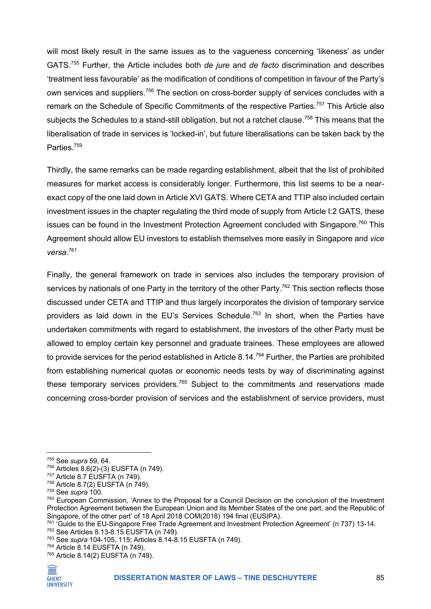will most likely result in the same issues as to the vagueness concerning 'likeness' as under GATS. <sup>755</sup> Further, the Article includes both *de jure* and *de facto* discrimination and describes 'treatment less favourable' as the modification of conditions of competition in favour of the Party's own services and suppliers.<sup>756</sup> The section on cross-border supply of services concludes with a remark on the Schedule of Specific Commitments of the respective Parties.<sup>757</sup> This Article also subjects the Schedules to a stand-still obligation, but not a ratchet clause.<sup>758</sup> This means that the liberalisation of trade in services is 'locked-in', but future liberalisations can be taken back by the Parties.759

Thirdly, the same remarks can be made regarding establishment, albeit that the list of prohibited measures for market access is considerably longer. Furthermore, this list seems to be a nearexact copy of the one laid down in Article XVI GATS. Where CETA and TTIP also included certain investment issues in the chapter regulating the third mode of supply from Article I:2 GATS, these issues can be found in the Investment Protection Agreement concluded with Singapore.<sup>760</sup> This Agreement should allow EU investors to establish themselves more easily in Singapore and *vice versa*. 761

Finally, the general framework on trade in services also includes the temporary provision of services by nationals of one Party in the territory of the other Party.<sup>762</sup> This section reflects those discussed under CETA and TTIP and thus largely incorporates the division of temporary service providers as laid down in the EU's Services Schedule.<sup>763</sup> In short, when the Parties have undertaken commitments with regard to establishment, the investors of the other Party must be allowed to employ certain key personnel and graduate trainees. These employees are allowed to provide services for the period established in Article 8.14.<sup>764</sup> Further, the Parties are prohibited from establishing numerical quotas or economic needs tests by way of discriminating against these temporary services providers.<sup>765</sup> Subject to the commitments and reservations made concerning cross-border provision of services and the establishment of service providers, must

 $765$  Article 8.14(2) EUSFTA (n 749).



<sup>755</sup> See *supra* 59, 64.

<sup>756</sup> Articles 8.6(2)-(3) EUSFTA (n 749).

 $757$  Article 8.7 EUSFTA (n 749).

 $758$  Article 8.7(2) EUSFTA (n 749).

<sup>759</sup> See *supra* 100.

<sup>&</sup>lt;sup>760</sup> European Commission, 'Annex to the Proposal for a Council Decision on the conclusion of the Investment Protection Agreement between the European Union and its Member States of the one part, and the Republic of Singapore, of the other part' of 18 April 2018 COM(2018) 194 final (EUSIPA).

<sup>&</sup>lt;sup>761</sup> 'Guide to the EU-Singapore Free Trade Agreement and Investment Protection Agreement' (n 737) 13-14.

<sup>762</sup> See Articles 8.13-8.15 EUSFTA (n 749).

<sup>763</sup> See *supra* 104-105, 115; Articles 8.14-8.15 EUSFTA (n 749).

<sup>764</sup> Article 8.14 EUSFTA (n 749).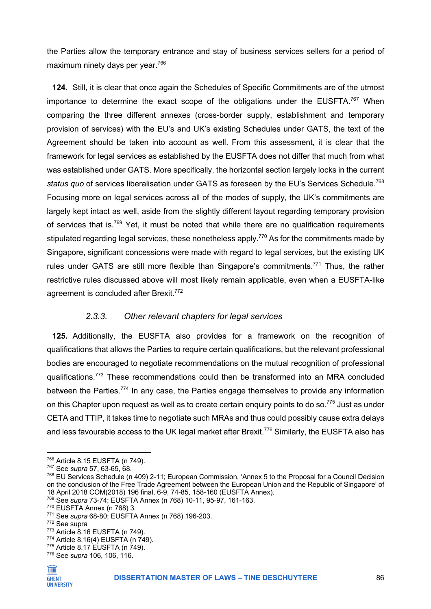the Parties allow the temporary entrance and stay of business services sellers for a period of maximum ninety days per year.<sup>766</sup>

**124.** Still, it is clear that once again the Schedules of Specific Commitments are of the utmost importance to determine the exact scope of the obligations under the EUSFTA.<sup>767</sup> When comparing the three different annexes (cross-border supply, establishment and temporary provision of services) with the EU's and UK's existing Schedules under GATS, the text of the Agreement should be taken into account as well. From this assessment, it is clear that the framework for legal services as established by the EUSFTA does not differ that much from what was established under GATS. More specifically, the horizontal section largely locks in the current *status quo* of services liberalisation under GATS as foreseen by the EU's Services Schedule.768 Focusing more on legal services across all of the modes of supply, the UK's commitments are largely kept intact as well, aside from the slightly different layout regarding temporary provision of services that is.<sup>769</sup> Yet, it must be noted that while there are no qualification requirements stipulated regarding legal services, these nonetheless apply.<sup>770</sup> As for the commitments made by Singapore, significant concessions were made with regard to legal services, but the existing UK rules under GATS are still more flexible than Singapore's commitments.<sup>771</sup> Thus, the rather restrictive rules discussed above will most likely remain applicable, even when a EUSFTA-like agreement is concluded after Brexit.<sup>772</sup>

#### *2.3.3. Other relevant chapters for legal services*

**125.** Additionally, the EUSFTA also provides for a framework on the recognition of qualifications that allows the Parties to require certain qualifications, but the relevant professional bodies are encouraged to negotiate recommendations on the mutual recognition of professional qualifications.<sup>773</sup> These recommendations could then be transformed into an MRA concluded between the Parties.<sup>774</sup> In any case, the Parties engage themselves to provide any information on this Chapter upon request as well as to create certain enquiry points to do so.<sup>775</sup> Just as under CETA and TTIP, it takes time to negotiate such MRAs and thus could possibly cause extra delays and less favourable access to the UK legal market after Brexit.<sup>776</sup> Similarly, the EUSFTA also has

<sup>766</sup> Article 8.15 EUSFTA (n 749). 767 See *supra* 57, 63-65, 68.

<sup>768</sup> EU Services Schedule (n 409) 2-11; European Commission, 'Annex 5 to the Proposal for a Council Decision on the conclusion of the Free Trade Agreement between the European Union and the Republic of Singapore' of 18 April 2018 COM(2018) 196 final, 6-9, 74-85, 158-160 (EUSFTA Annex).

<sup>769</sup> See *supra* 73-74; EUSFTA Annex (n 768) 10-11, 95-97, 161-163.

<sup>770</sup> EUSFTA Annex (n 768) 3.

<sup>771</sup> See *supra* 68-80; EUSFTA Annex (n 768) 196-203.

<sup>772</sup> See supra

<sup>773</sup> Article 8.16 EUSFTA (n 749).

 $774$  Article 8.16(4) EUSFTA (n 749).

 $775$  Article 8.17  $E$ USFTA (n  $749$ ).

<sup>776</sup> See *supra* 106, 106, 116.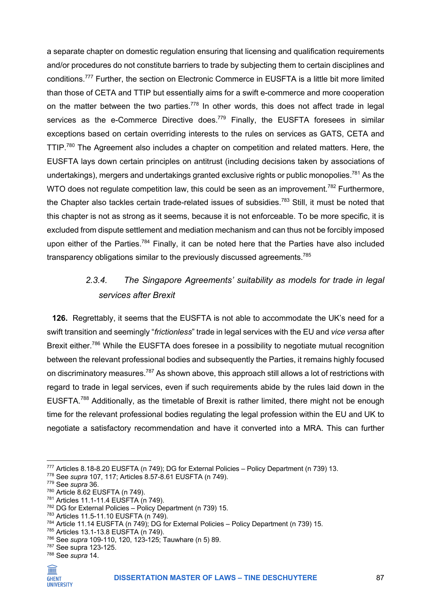a separate chapter on domestic regulation ensuring that licensing and qualification requirements and/or procedures do not constitute barriers to trade by subjecting them to certain disciplines and conditions.<sup>777</sup> Further, the section on Electronic Commerce in EUSFTA is a little bit more limited than those of CETA and TTIP but essentially aims for a swift e-commerce and more cooperation on the matter between the two parties.<sup>778</sup> In other words, this does not affect trade in legal services as the e-Commerce Directive does.<sup>779</sup> Finally, the EUSFTA foresees in similar exceptions based on certain overriding interests to the rules on services as GATS, CETA and TTIP.<sup>780</sup> The Agreement also includes a chapter on competition and related matters. Here, the EUSFTA lays down certain principles on antitrust (including decisions taken by associations of undertakings), mergers and undertakings granted exclusive rights or public monopolies.<sup>781</sup> As the WTO does not regulate competition law, this could be seen as an improvement.<sup>782</sup> Furthermore. the Chapter also tackles certain trade-related issues of subsidies.<sup>783</sup> Still, it must be noted that this chapter is not as strong as it seems, because it is not enforceable. To be more specific, it is excluded from dispute settlement and mediation mechanism and can thus not be forcibly imposed upon either of the Parties.<sup>784</sup> Finally, it can be noted here that the Parties have also included transparency obligations similar to the previously discussed agreements.<sup>785</sup>

### *2.3.4. The Singapore Agreements' suitability as models for trade in legal services after Brexit*

**126.** Regrettably, it seems that the EUSFTA is not able to accommodate the UK's need for a swift transition and seemingly "*frictionless*" trade in legal services with the EU and *vice versa* after Brexit either.<sup>786</sup> While the EUSFTA does foresee in a possibility to negotiate mutual recognition between the relevant professional bodies and subsequently the Parties, it remains highly focused on discriminatory measures.<sup>787</sup> As shown above, this approach still allows a lot of restrictions with regard to trade in legal services, even if such requirements abide by the rules laid down in the EUSFTA.<sup>788</sup> Additionally, as the timetable of Brexit is rather limited, there might not be enough time for the relevant professional bodies regulating the legal profession within the EU and UK to negotiate a satisfactory recommendation and have it converted into a MRA. This can further

<sup>788</sup> See *supra* 14.



<sup>777</sup> Articles 8.18-8.20 EUSFTA (n 749); DG for External Policies – Policy Department (n 739) 13.

<sup>778</sup> See *supra* 107, 117; Articles 8.57-8.61 EUSFTA (n 749).

<sup>779</sup> See *supra* 36.

<sup>780</sup> Article 8.62 EUSFTA (n 749).

<sup>781</sup> Articles 11.1-11.4 EUSFTA (n 749).

 $782$  DG for External Policies - Policy Department (n 739) 15.

<sup>783</sup> Articles 11.5-11.10 EUSFTA (n 749).

<sup>&</sup>lt;sup>784</sup> Article 11.14 EUSFTA (n 749); DG for External Policies – Policy Department (n 739) 15.

<sup>785</sup> Articles 13.1-13.8 EUSFTA (n 749).

<sup>786</sup> See *supra* 109-110, 120, 123-125; Tauwhare (n 5) 89.

<sup>787</sup> See supra 123-125.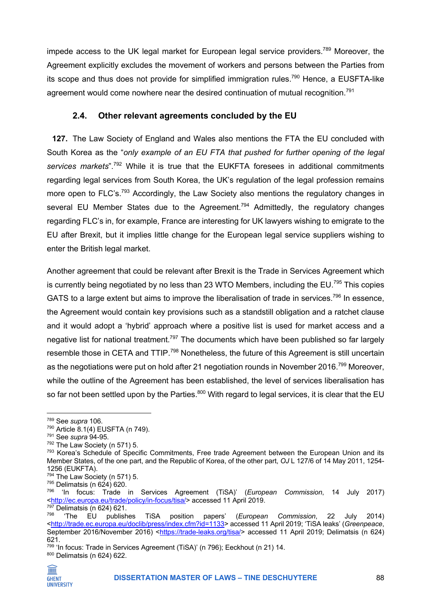impede access to the UK legal market for European legal service providers.<sup>789</sup> Moreover, the Agreement explicitly excludes the movement of workers and persons between the Parties from its scope and thus does not provide for simplified immigration rules.<sup>790</sup> Hence, a EUSFTA-like agreement would come nowhere near the desired continuation of mutual recognition.<sup>791</sup>

### **2.4. Other relevant agreements concluded by the EU**

**127.** The Law Society of England and Wales also mentions the FTA the EU concluded with South Korea as the "*only example of an EU FTA that pushed for further opening of the legal services markets*". <sup>792</sup> While it is true that the EUKFTA foresees in additional commitments regarding legal services from South Korea, the UK's regulation of the legal profession remains more open to FLC's.<sup>793</sup> Accordingly, the Law Society also mentions the regulatory changes in several EU Member States due to the Agreement.<sup>794</sup> Admittedly, the regulatory changes regarding FLC's in, for example, France are interesting for UK lawyers wishing to emigrate to the EU after Brexit, but it implies little change for the European legal service suppliers wishing to enter the British legal market.

Another agreement that could be relevant after Brexit is the Trade in Services Agreement which is currently being negotiated by no less than 23 WTO Members, including the EU.<sup>795</sup> This copies GATS to a large extent but aims to improve the liberalisation of trade in services.<sup>796</sup> In essence. the Agreement would contain key provisions such as a standstill obligation and a ratchet clause and it would adopt a 'hybrid' approach where a positive list is used for market access and a negative list for national treatment.<sup>797</sup> The documents which have been published so far largely resemble those in CETA and TTIP.<sup>798</sup> Nonetheless, the future of this Agreement is still uncertain as the negotiations were put on hold after 21 negotiation rounds in November 2016.<sup>799</sup> Moreover, while the outline of the Agreement has been established, the level of services liberalisation has so far not been settled upon by the Parties.<sup>800</sup> With regard to legal services, it is clear that the EU

<sup>789</sup> See *supra* 106.

<sup>790</sup> Article 8.1(4) EUSFTA (n 749).

<sup>791</sup> See *supra* 94-95.

<sup>792</sup> The Law Society (n 571) 5.

<sup>&</sup>lt;sup>793</sup> Korea's Schedule of Specific Commitments, Free trade Agreement between the European Union and its Member States, of the one part, and the Republic of Korea, of the other part, *OJ* L 127/6 of 14 May 2011, 1254- 1256 (EUKFTA).

<sup>794</sup> The Law Society (n 571) 5.

<sup>795</sup> Delimatsis (n 624) 620.

<sup>796</sup> 'In focus: Trade in Services Agreement (TiSA)' (*European Commission*, 14 July 2017) <http://ec.europa.eu/trade/policy/in-focus/tisa/> accessed 11 April 2019.

 $797$  Delimatsis (n 624) 621. <sup>798</sup> 'The EU publishes TiSA position papers' (*European Commission*, 22 July 2014) <http://trade.ec.europa.eu/doclib/press/index.cfm?id=1133> accessed 11 April 2019; 'TiSA leaks' (*Greenpeace*, September 2016/November 2016) <https://trade-leaks.org/tisa/> accessed 11 April 2019; Delimatsis (n 624) 621.

<sup>799</sup> 'In focus: Trade in Services Agreement (TiSA)' (n 796); Eeckhout (n 21) 14.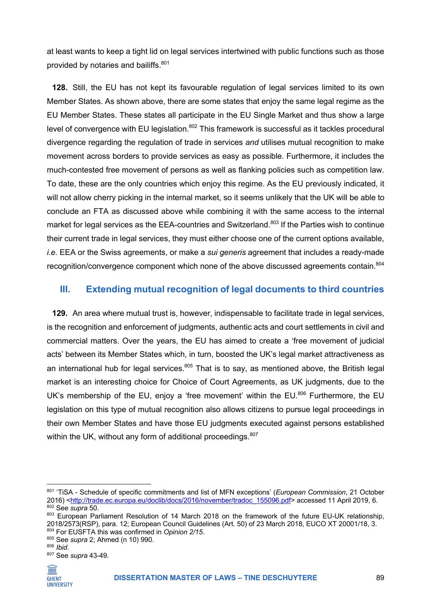at least wants to keep a tight lid on legal services intertwined with public functions such as those provided by notaries and bailiffs. 801

**128.** Still, the EU has not kept its favourable regulation of legal services limited to its own Member States. As shown above, there are some states that enjoy the same legal regime as the EU Member States. These states all participate in the EU Single Market and thus show a large level of convergence with EU legislation.<sup>802</sup> This framework is successful as it tackles procedural divergence regarding the regulation of trade in services *and* utilises mutual recognition to make movement across borders to provide services as easy as possible. Furthermore, it includes the much-contested free movement of persons as well as flanking policies such as competition law. To date, these are the only countries which enjoy this regime. As the EU previously indicated, it will not allow cherry picking in the internal market, so it seems unlikely that the UK will be able to conclude an FTA as discussed above while combining it with the same access to the internal market for legal services as the EEA-countries and Switzerland.<sup>803</sup> If the Parties wish to continue their current trade in legal services, they must either choose one of the current options available, *i.e.* EEA or the Swiss agreements, or make a *sui generis* agreement that includes a ready-made recognition/convergence component which none of the above discussed agreements contain.<sup>804</sup>

### **III. Extending mutual recognition of legal documents to third countries**

**129.** An area where mutual trust is, however, indispensable to facilitate trade in legal services, is the recognition and enforcement of judgments, authentic acts and court settlements in civil and commercial matters. Over the years, the EU has aimed to create a 'free movement of judicial acts' between its Member States which, in turn, boosted the UK's legal market attractiveness as an international hub for legal services.<sup>805</sup> That is to say, as mentioned above, the British legal market is an interesting choice for Choice of Court Agreements, as UK judgments, due to the UK's membership of the EU, enjoy a 'free movement' within the EU.<sup>806</sup> Furthermore, the EU legislation on this type of mutual recognition also allows citizens to pursue legal proceedings in their own Member States and have those EU judgments executed against persons established within the UK, without any form of additional proceedings.<sup>807</sup>

<sup>806</sup> *Ibid*. 807 See *supra* 43-49.



<sup>801</sup> 'TiSA - Schedule of specific commitments and list of MFN exceptions' (*European Commission*, 21 October 2016) <http://trade.ec.europa.eu/doclib/docs/2016/november/tradoc\_155096.pdf> accessed 11 April 2019, 6. <sup>802</sup> See *supra* 50.

<sup>803</sup> European Parliament Resolution of 14 March 2018 on the framework of the future EU-UK relationship, 2018/2573(RSP), para. 12; European Council Guidelines (Art. 50) of 23 March 2018, EUCO XT 20001/18, 3. <sup>804</sup> For EUSFTA this was confirmed in *Opinion 2/15.*<br><sup>805</sup> See *supra* 2; Ahmed (n 10) 990.<br><sup>806</sup> Ibid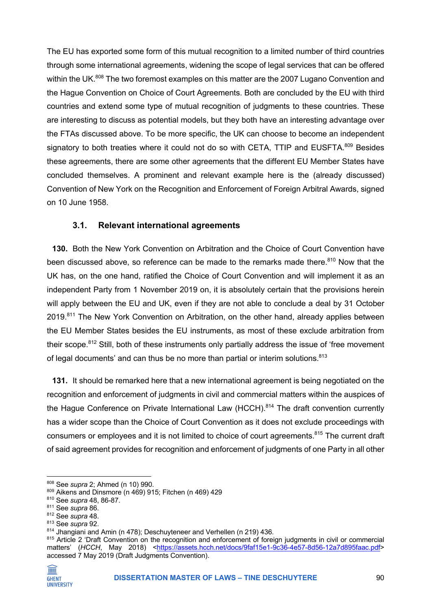The EU has exported some form of this mutual recognition to a limited number of third countries through some international agreements, widening the scope of legal services that can be offered within the UK.<sup>808</sup> The two foremost examples on this matter are the 2007 Lugano Convention and the Hague Convention on Choice of Court Agreements. Both are concluded by the EU with third countries and extend some type of mutual recognition of judgments to these countries. These are interesting to discuss as potential models, but they both have an interesting advantage over the FTAs discussed above. To be more specific, the UK can choose to become an independent signatory to both treaties where it could not do so with CETA, TTIP and EUSFTA.<sup>809</sup> Besides these agreements, there are some other agreements that the different EU Member States have concluded themselves. A prominent and relevant example here is the (already discussed) Convention of New York on the Recognition and Enforcement of Foreign Arbitral Awards, signed on 10 June 1958.

#### **3.1. Relevant international agreements**

**130.** Both the New York Convention on Arbitration and the Choice of Court Convention have been discussed above, so reference can be made to the remarks made there.<sup>810</sup> Now that the UK has, on the one hand, ratified the Choice of Court Convention and will implement it as an independent Party from 1 November 2019 on, it is absolutely certain that the provisions herein will apply between the EU and UK, even if they are not able to conclude a deal by 31 October 2019.<sup>811</sup> The New York Convention on Arbitration, on the other hand, already applies between the EU Member States besides the EU instruments, as most of these exclude arbitration from their scope.<sup>812</sup> Still, both of these instruments only partially address the issue of 'free movement of legal documents' and can thus be no more than partial or interim solutions. $813$ 

**131.** It should be remarked here that a new international agreement is being negotiated on the recognition and enforcement of judgments in civil and commercial matters within the auspices of the Hague Conference on Private International Law (HCCH).<sup>814</sup> The draft convention currently has a wider scope than the Choice of Court Convention as it does not exclude proceedings with consumers or employees and it is not limited to choice of court agreements.<sup>815</sup> The current draft of said agreement provides for recognition and enforcement of judgments of one Party in all other

<sup>808</sup> See *supra* 2; Ahmed (n 10) 990.

<sup>809</sup> Aikens and Dinsmore (n 469) 915; Fitchen (n 469) 429

<sup>810</sup> See *supra* 48, 86-87.

<sup>811</sup> See *supra* 86.

<sup>812</sup> See *supra* 48.

<sup>813</sup> See *supra* 92.

<sup>814</sup> Jhangiani and Amin (n 478); Deschuyteneer and Verhellen (n 219) 436.

<sup>815</sup> Article 2 'Draft Convention on the recognition and enforcement of foreign judgments in civil or commercial matters' (HCCH, May 2018) <https://assets.hcch.net/docs/9faf15e1-9c36-4e57-8d56-12a7d895faac.pdf> accessed 7 May 2019 (Draft Judgments Convention).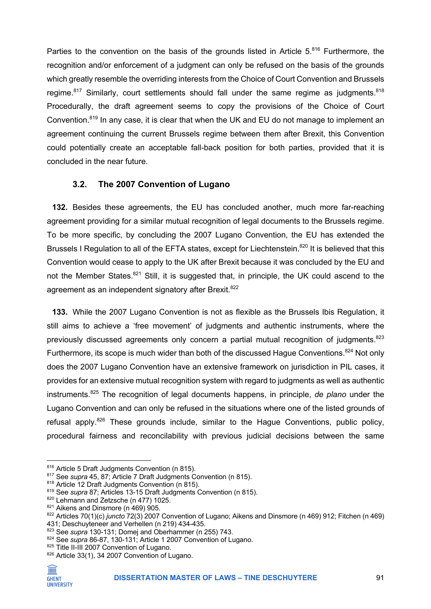Parties to the convention on the basis of the grounds listed in Article 5.<sup>816</sup> Furthermore, the recognition and/or enforcement of a judgment can only be refused on the basis of the grounds which greatly resemble the overriding interests from the Choice of Court Convention and Brussels regime.<sup>817</sup> Similarly, court settlements should fall under the same regime as judgments.<sup>818</sup> Procedurally, the draft agreement seems to copy the provisions of the Choice of Court Convention.<sup>819</sup> In any case, it is clear that when the UK and EU do not manage to implement an agreement continuing the current Brussels regime between them after Brexit, this Convention could potentially create an acceptable fall-back position for both parties, provided that it is concluded in the near future.

#### **3.2. The 2007 Convention of Lugano**

**132.** Besides these agreements, the EU has concluded another, much more far-reaching agreement providing for a similar mutual recognition of legal documents to the Brussels regime. To be more specific, by concluding the 2007 Lugano Convention, the EU has extended the Brussels I Regulation to all of the EFTA states, except for Liechtenstein.<sup>820</sup> It is believed that this Convention would cease to apply to the UK after Brexit because it was concluded by the EU and not the Member States.<sup>821</sup> Still, it is suggested that, in principle, the UK could ascend to the agreement as an independent signatory after Brexit.<sup>822</sup>

**133.** While the 2007 Lugano Convention is not as flexible as the Brussels Ibis Regulation, it still aims to achieve a 'free movement' of judgments and authentic instruments, where the previously discussed agreements only concern a partial mutual recognition of judgments.<sup>823</sup> Furthermore, its scope is much wider than both of the discussed Hague Conventions.<sup>824</sup> Not only does the 2007 Lugano Convention have an extensive framework on jurisdiction in PIL cases, it provides for an extensive mutual recognition system with regard to judgments as well as authentic instruments.<sup>825</sup> The recognition of legal documents happens, in principle, *de plano* under the Lugano Convention and can only be refused in the situations where one of the listed grounds of refusal apply.<sup>826</sup> These grounds include, similar to the Hague Conventions, public policy, procedural fairness and reconcilability with previous judicial decisions between the same

<sup>826</sup> Article 33(1), 34 2007 Convention of Lugano.



<sup>816</sup> Article 5 Draft Judgments Convention (n 815).

<sup>817</sup> See *supra* 45, 87; Article 7 Draft Judgments Convention (n 815).

<sup>818</sup> Article 12 Draft Judgments Convention (n 815).

<sup>819</sup> See *supra* 87; Articles 13-15 Draft Judgments Convention (n 815).

<sup>820</sup> Lehmann and Zetzsche (n 477) 1025.

<sup>821</sup> Aikens and Dinsmore (n 469) 905.

<sup>822</sup> Articles 70(1)(c) *juncto* 72(3) 2007 Convention of Lugano; Aikens and Dinsmore (n 469) 912; Fitchen (n 469)

<sup>431;</sup> Deschuyteneer and Verhellen (n 219) 434-435.

<sup>823</sup> See *supra* 130-131; Domej and Oberhammer (n 255) 743.

<sup>824</sup> See *supra* 86-87, 130-131; Article 1 2007 Convention of Lugano.<br><sup>825</sup> Title II-III 2007 Convention of Lugano.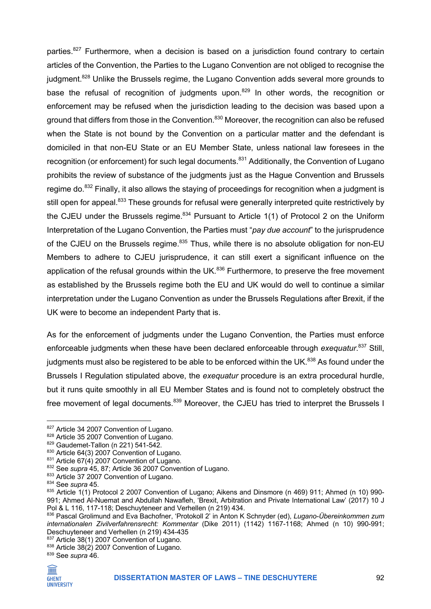parties.<sup>827</sup> Furthermore, when a decision is based on a jurisdiction found contrary to certain articles of the Convention, the Parties to the Lugano Convention are not obliged to recognise the iudament.<sup>828</sup> Unlike the Brussels regime, the Lugano Convention adds several more grounds to base the refusal of recognition of judgments upon.<sup>829</sup> In other words, the recognition or enforcement may be refused when the jurisdiction leading to the decision was based upon a ground that differs from those in the Convention.<sup>830</sup> Moreover, the recognition can also be refused when the State is not bound by the Convention on a particular matter and the defendant is domiciled in that non-EU State or an EU Member State, unless national law foresees in the recognition (or enforcement) for such legal documents.<sup>831</sup> Additionally, the Convention of Lugano prohibits the review of substance of the judgments just as the Hague Convention and Brussels regime do.<sup>832</sup> Finally, it also allows the staving of proceedings for recognition when a judgment is still open for appeal.<sup>833</sup> These grounds for refusal were generally interpreted quite restrictively by the CJEU under the Brussels regime. $834$  Pursuant to Article 1(1) of Protocol 2 on the Uniform Interpretation of the Lugano Convention, the Parties must "*pay due account*" to the jurisprudence of the CJEU on the Brussels regime.<sup>835</sup> Thus, while there is no absolute obligation for non-EU Members to adhere to CJEU jurisprudence, it can still exert a significant influence on the application of the refusal grounds within the UK. $^{836}$  Furthermore, to preserve the free movement as established by the Brussels regime both the EU and UK would do well to continue a similar interpretation under the Lugano Convention as under the Brussels Regulations after Brexit, if the UK were to become an independent Party that is.

As for the enforcement of judgments under the Lugano Convention, the Parties must enforce enforceable judgments when these have been declared enforceable through *exequatur*. <sup>837</sup> Still, judgments must also be registered to be able to be enforced within the UK.<sup>838</sup> As found under the Brussels I Regulation stipulated above, the *exequatur* procedure is an extra procedural hurdle, but it runs quite smoothly in all EU Member States and is found not to completely obstruct the free movement of legal documents.<sup>839</sup> Moreover, the CJEU has tried to interpret the Brussels I

<sup>839</sup> See *supra* 46.



<sup>827</sup> Article 34 2007 Convention of Lugano.

<sup>828</sup> Article 35 2007 Convention of Lugano.

<sup>829</sup> Gaudemet-Tallon (n 221) 541-542.

<sup>830</sup> Article 64(3) 2007 Convention of Lugano.

 $831$  Article 67(4) 2007 Convention of Lugano.

<sup>832</sup> See *supra* 45, 87; Article 36 2007 Convention of Lugano.

<sup>833</sup> Article 37 2007 Convention of Lugano.

<sup>834</sup> See *supra* 45.

<sup>835</sup> Article 1(1) Protocol 2 2007 Convention of Lugano; Aikens and Dinsmore (n 469) 911; Ahmed (n 10) 990-991; Ahmed Al-Nuemat and Abdullah Nawafleh, 'Brexit, Arbitration and Private International Law' (2017) 10 J Pol & L 116, 117-118; Deschuyteneer and Verhellen (n 219) 434.

<sup>836</sup> Pascal Grolimund and Eva Bachofner, 'Protokoll 2' in Anton K Schnyder (ed), *Lugano-Übereinkommen zum internationalen Zivilverfahrensrecht: Kommentar* (Dike 2011) (1142) 1167-1168; Ahmed (n 10) 990-991; Deschuyteneer and Verhellen (n 219) 434-435

<sup>&</sup>lt;sup>837</sup> Article 38(1) 2007 Convention of Lugano.

<sup>&</sup>lt;sup>838</sup> Article 38(2) 2007 Convention of Lugano.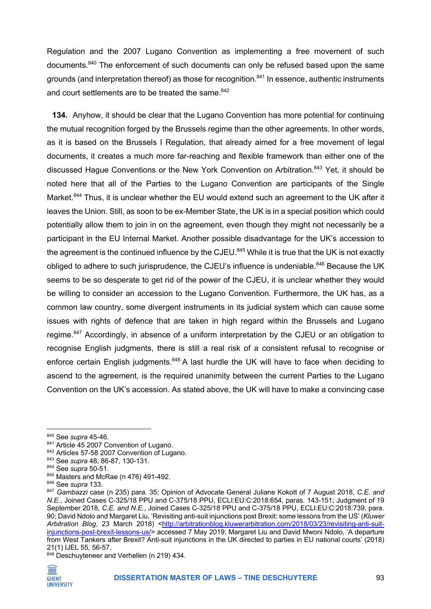Regulation and the 2007 Lugano Convention as implementing a free movement of such documents.<sup>840</sup> The enforcement of such documents can only be refused based upon the same grounds (and interpretation thereof) as those for recognition.<sup>841</sup> In essence, authentic instruments and court settlements are to be treated the same.<sup>842</sup>

**134.** Anyhow, it should be clear that the Lugano Convention has more potential for continuing the mutual recognition forged by the Brussels regime than the other agreements. In other words, as it is based on the Brussels I Regulation, that already aimed for a free movement of legal documents, it creates a much more far-reaching and flexible framework than either one of the discussed Hague Conventions or the New York Convention on Arbitration.<sup>843</sup> Yet, it should be noted here that all of the Parties to the Lugano Convention are participants of the Single Market.<sup>844</sup> Thus, it is unclear whether the EU would extend such an agreement to the UK after it leaves the Union. Still, as soon to be ex-Member State, the UK is in a special position which could potentially allow them to join in on the agreement, even though they might not necessarily be a participant in the EU Internal Market. Another possible disadvantage for the UK's accession to the agreement is the continued influence by the CJEU.<sup>845</sup> While it is true that the UK is not exactly obliged to adhere to such jurisprudence, the CJEU's influence is undeniable.<sup>846</sup> Because the UK seems to be so desperate to get rid of the power of the CJEU, it is unclear whether they would be willing to consider an accession to the Lugano Convention. Furthermore, the UK has, as a common law country, some divergent instruments in its judicial system which can cause some issues with rights of defence that are taken in high regard within the Brussels and Lugano regime.<sup>847</sup> Accordingly, in absence of a uniform interpretation by the CJEU or an obligation to recognise English judgments, there is still a real risk of a consistent refusal to recognise or enforce certain English judgments.<sup>848</sup> A last hurdle the UK will have to face when deciding to ascend to the agreement, is the required unanimity between the current Parties to the Lugano Convention on the UK's accession. As stated above, the UK will have to make a convincing case

<sup>840</sup> See *supra* 45-46.

<sup>841</sup> Article 45 2007 Convention of Lugano.

<sup>842</sup> Articles 57-58 2007 Convention of Lugano.

<sup>843</sup> See *supra* 48, 86-87, 130-131.

<sup>844</sup> See *supra* 50-51.

 $845$  Masters and McRae (n 476) 491-492.

<sup>846</sup> See *supra* 133.

<sup>847</sup> *Gambazzi* case (n 235) para. 35; Opinion of Advocate General Juliane Kokott of 7 August 2018, *C.E. and N.E.*, Joined Cases C-325/18 PPU and C-375/18 PPU, ECLI:EU:C:2018:654, paras. 143-151; Judgment of 19 September 2018, *C.E. and N.E.*, Joined Cases C-325/18 PPU and C-375/18 PPU, ECLI:EU:C:2018:739, para. 90; David Ndolo and Margaret Liu, 'Revisiting anti-suit injunctions post Brexit: some lessons from the US' (*Kluwer Arbitration Blog*, 23 March 2018) ˂http://arbitrationblog.kluwerarbitration.com/2018/03/23/revisiting-anti-suitinjunctions-post-brexit-lessons-us/> accessed 7 May 2019; Margaret Liu and David Mwoni Ndolo, 'A departure from West Tankers after Brexit? Anti-suit injunctions in the UK directed to parties in EU national courts' (2018) 21(1) IJEL 55, 56-57.

<sup>848</sup> Deschuyteneer and Verhellen (n 219) 434.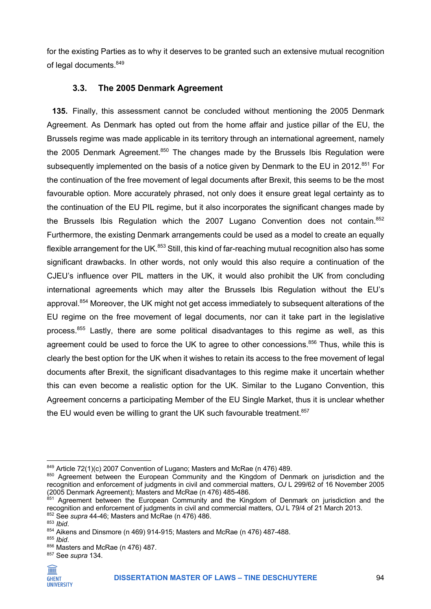for the existing Parties as to why it deserves to be granted such an extensive mutual recognition of legal documents.<sup>849</sup>

#### **3.3. The 2005 Denmark Agreement**

**135.** Finally, this assessment cannot be concluded without mentioning the 2005 Denmark Agreement. As Denmark has opted out from the home affair and justice pillar of the EU, the Brussels regime was made applicable in its territory through an international agreement, namely the 2005 Denmark Agreement.<sup>850</sup> The changes made by the Brussels Ibis Regulation were subsequently implemented on the basis of a notice given by Denmark to the EU in 2012.<sup>851</sup> For the continuation of the free movement of legal documents after Brexit, this seems to be the most favourable option. More accurately phrased, not only does it ensure great legal certainty as to the continuation of the EU PIL regime, but it also incorporates the significant changes made by the Brussels Ibis Regulation which the 2007 Lugano Convention does not contain.<sup>852</sup> Furthermore, the existing Denmark arrangements could be used as a model to create an equally flexible arrangement for the UK.<sup>853</sup> Still, this kind of far-reaching mutual recognition also has some significant drawbacks. In other words, not only would this also require a continuation of the CJEU's influence over PIL matters in the UK, it would also prohibit the UK from concluding international agreements which may alter the Brussels Ibis Regulation without the EU's approval.<sup>854</sup> Moreover, the UK might not get access immediately to subsequent alterations of the EU regime on the free movement of legal documents, nor can it take part in the legislative process.<sup>855</sup> Lastly, there are some political disadvantages to this regime as well, as this agreement could be used to force the UK to agree to other concessions.<sup>856</sup> Thus, while this is clearly the best option for the UK when it wishes to retain its access to the free movement of legal documents after Brexit, the significant disadvantages to this regime make it uncertain whether this can even become a realistic option for the UK. Similar to the Lugano Convention, this Agreement concerns a participating Member of the EU Single Market, thus it is unclear whether the EU would even be willing to grant the UK such favourable treatment. 857

<sup>857</sup> See *supra* 134.



<sup>849</sup> Article 72(1)(c) 2007 Convention of Lugano; Masters and McRae (n 476) 489.

<sup>850</sup> Agreement between the European Community and the Kingdom of Denmark on jurisdiction and the recognition and enforcement of judgments in civil and commercial matters, *OJ* L 299/62 of 16 November 2005 (2005 Denmark Agreement); Masters and McRae (n 476) 485-486.

<sup>&</sup>lt;sup>851</sup> Agreement between the European Community and the Kingdom of Denmark on jurisdiction and the recognition and enforcement of judgments in civil and commercial matters, *OJ* L 79/4 of 21 March 2013. <sup>852</sup> See *supra* 44-46; Masters and McRae (n 476) 486.

<sup>853</sup> *Ibid*.

<sup>854</sup> Aikens and Dinsmore (n 469) 914-915; Masters and McRae (n 476) 487-488.

<sup>855</sup> *Ibid*.

<sup>856</sup> Masters and McRae (n 476) 487.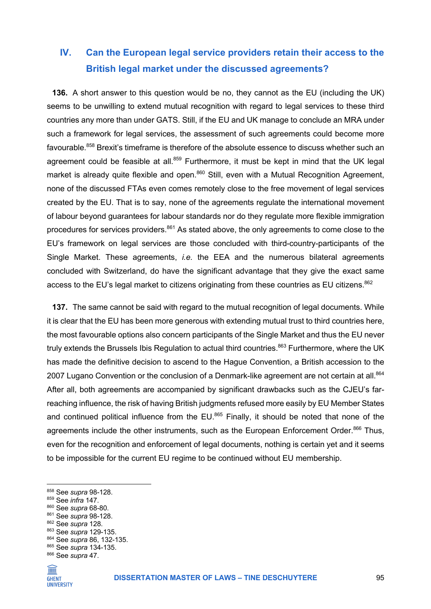# **IV. Can the European legal service providers retain their access to the British legal market under the discussed agreements?**

**136.** A short answer to this question would be no, they cannot as the EU (including the UK) seems to be unwilling to extend mutual recognition with regard to legal services to these third countries any more than under GATS. Still, if the EU and UK manage to conclude an MRA under such a framework for legal services, the assessment of such agreements could become more favourable.<sup>858</sup> Brexit's timeframe is therefore of the absolute essence to discuss whether such an agreement could be feasible at all. $859$  Furthermore, it must be kept in mind that the UK legal market is already quite flexible and open.<sup>860</sup> Still, even with a Mutual Recognition Agreement, none of the discussed FTAs even comes remotely close to the free movement of legal services created by the EU. That is to say, none of the agreements regulate the international movement of labour beyond guarantees for labour standards nor do they regulate more flexible immigration procedures for services providers.<sup>861</sup> As stated above, the only agreements to come close to the EU's framework on legal services are those concluded with third-country-participants of the Single Market. These agreements, *i.e.* the EEA and the numerous bilateral agreements concluded with Switzerland, do have the significant advantage that they give the exact same access to the EU's legal market to citizens originating from these countries as EU citizens.<sup>862</sup>

**137.** The same cannot be said with regard to the mutual recognition of legal documents. While it is clear that the EU has been more generous with extending mutual trust to third countries here, the most favourable options also concern participants of the Single Market and thus the EU never truly extends the Brussels Ibis Regulation to actual third countries.<sup>863</sup> Furthermore, where the UK has made the definitive decision to ascend to the Hague Convention, a British accession to the 2007 Lugano Convention or the conclusion of a Denmark-like agreement are not certain at all.<sup>864</sup> After all, both agreements are accompanied by significant drawbacks such as the CJEU's farreaching influence, the risk of having British judgments refused more easily by EU Member States and continued political influence from the EU.<sup>865</sup> Finally, it should be noted that none of the agreements include the other instruments, such as the European Enforcement Order.<sup>866</sup> Thus, even for the recognition and enforcement of legal documents, nothing is certain yet and it seems to be impossible for the current EU regime to be continued without EU membership.

- <sup>860</sup> See *supra* 68-80.
- <sup>861</sup> See *supra* 98-128.
- <sup>862</sup> See *supra* 128. <sup>863</sup> See *supra* 129-135.
- <sup>864</sup> See *supra* 86, 132-135.
- 
- <sup>865</sup> See *supra* 134-135. 866 See *supra* 47.



<sup>858</sup> See *supra* 98-128.

<sup>859</sup> See *infra* 147.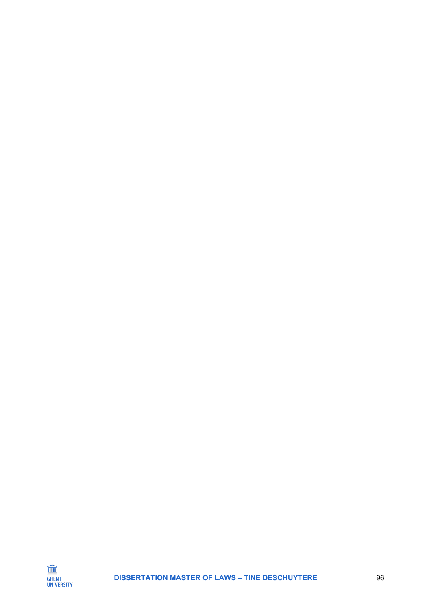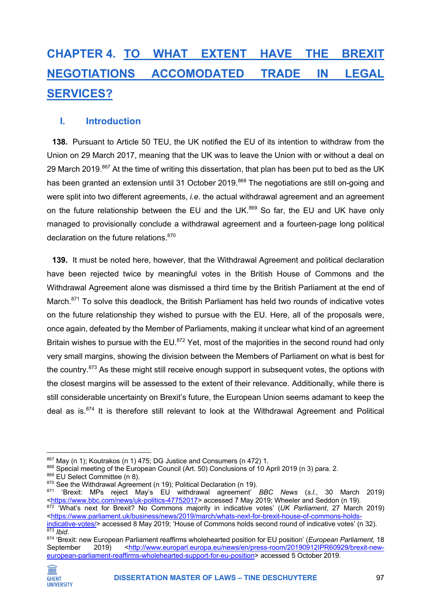# **CHAPTER 4. TO WHAT EXTENT HAVE THE BREXIT NEGOTIATIONS ACCOMODATED TRADE IN LEGAL SERVICES?**

# **I. Introduction**

**138.** Pursuant to Article 50 TEU, the UK notified the EU of its intention to withdraw from the Union on 29 March 2017, meaning that the UK was to leave the Union with or without a deal on 29 March 2019.<sup>867</sup> At the time of writing this dissertation, that plan has been put to bed as the UK has been granted an extension until 31 October 2019.<sup>868</sup> The negotiations are still on-going and were split into two different agreements, *i.e.* the actual withdrawal agreement and an agreement on the future relationship between the EU and the UK.<sup>869</sup> So far, the EU and UK have only managed to provisionally conclude a withdrawal agreement and a fourteen-page long political declaration on the future relations.<sup>870</sup>

**139.** It must be noted here, however, that the Withdrawal Agreement and political declaration have been rejected twice by meaningful votes in the British House of Commons and the Withdrawal Agreement alone was dismissed a third time by the British Parliament at the end of March.<sup>871</sup> To solve this deadlock, the British Parliament has held two rounds of indicative votes on the future relationship they wished to pursue with the EU. Here, all of the proposals were, once again, defeated by the Member of Parliaments, making it unclear what kind of an agreement Britain wishes to pursue with the EU.<sup>872</sup> Yet, most of the majorities in the second round had only very small margins, showing the division between the Members of Parliament on what is best for the country.<sup>873</sup> As these might still receive enough support in subsequent votes, the options with the closest margins will be assessed to the extent of their relevance. Additionally, while there is still considerable uncertainty on Brexit's future, the European Union seems adamant to keep the deal as is.<sup>874</sup> It is therefore still relevant to look at the Withdrawal Agreement and Political

<sup>867</sup> May (n 1); Koutrakos (n 1) 475; DG Justice and Consumers (n 472) 1.

<sup>868</sup> Special meeting of the European Council (Art. 50) Conclusions of 10 April 2019 (n 3) para. 2.

<sup>869</sup> EU Select Committee (n 8).

<sup>870</sup> See the Withdrawal Agreement (n 19); Political Declaration (n 19).

<sup>871</sup> 'Brexit: MPs reject May's EU withdrawal agreement' *BBC News* (*s.l.*, 30 March 2019) <https://www.bbc.com/news/uk-politics-47752017> accessed 7 May 2019; Wheeler and Seddon (n 19). <sup>872</sup> 'What's next for Brexit? No Commons majority in indicative votes' (*UK Parliament*, 27 March 2019) ˂https://www.parliament.uk/business/news/2019/march/whats-next-for-brexit-house-of-commons-holds-

indicative-votes/> accessed 8 May 2019; 'House of Commons holds second round of indicative votes' (n 32). <sup>873</sup> *Ibid*.

<sup>874</sup> 'Brexit: new European Parliament reaffirms wholehearted position for EU position' (*European Parliament*, 18 September 2019) <http://www.europarl.europa.eu/news/en/press-room/20190912IPR60929/brexit-neweuropean-parliament-reaffirms-wholehearted-support-for-eu-position> accessed 5 October 2019.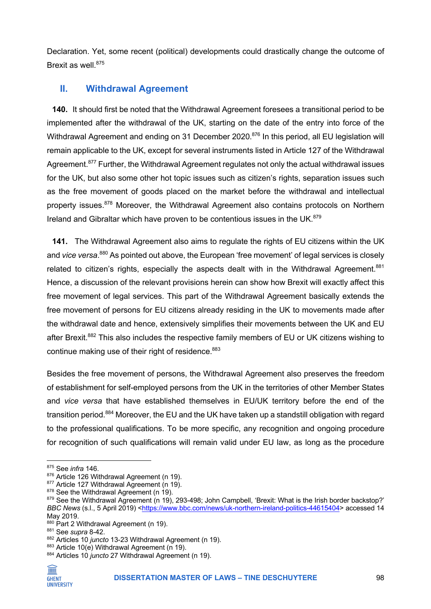Declaration. Yet, some recent (political) developments could drastically change the outcome of Brexit as well.<sup>875</sup>

# **II. Withdrawal Agreement**

**140.** It should first be noted that the Withdrawal Agreement foresees a transitional period to be implemented after the withdrawal of the UK, starting on the date of the entry into force of the Withdrawal Agreement and ending on 31 December 2020.<sup>876</sup> In this period, all EU legislation will remain applicable to the UK, except for several instruments listed in Article 127 of the Withdrawal Agreement.<sup>877</sup> Further, the Withdrawal Agreement regulates not only the actual withdrawal issues for the UK, but also some other hot topic issues such as citizen's rights, separation issues such as the free movement of goods placed on the market before the withdrawal and intellectual property issues.<sup>878</sup> Moreover, the Withdrawal Agreement also contains protocols on Northern Ireland and Gibraltar which have proven to be contentious issues in the UK.<sup>879</sup>

141. The Withdrawal Agreement also aims to regulate the rights of EU citizens within the UK and *vice versa*. <sup>880</sup> As pointed out above, the European 'free movement' of legal services is closely related to citizen's rights, especially the aspects dealt with in the Withdrawal Agreement.<sup>881</sup> Hence, a discussion of the relevant provisions herein can show how Brexit will exactly affect this free movement of legal services. This part of the Withdrawal Agreement basically extends the free movement of persons for EU citizens already residing in the UK to movements made after the withdrawal date and hence, extensively simplifies their movements between the UK and EU after Brexit.<sup>882</sup> This also includes the respective family members of EU or UK citizens wishing to continue making use of their right of residence.<sup>883</sup>

Besides the free movement of persons, the Withdrawal Agreement also preserves the freedom of establishment for self-employed persons from the UK in the territories of other Member States and *vice versa* that have established themselves in EU/UK territory before the end of the transition period.<sup>884</sup> Moreover, the EU and the UK have taken up a standstill obligation with regard to the professional qualifications. To be more specific, any recognition and ongoing procedure for recognition of such qualifications will remain valid under EU law, as long as the procedure

<sup>875</sup> See *infra* 146.

<sup>876</sup> Article 126 Withdrawal Agreement (n 19).

<sup>877</sup> Article 127 Withdrawal Agreement (n 19).

<sup>878</sup> See the Withdrawal Agreement (n 19).

<sup>879</sup> See the Withdrawal Agreement (n 19), 293-498; John Campbell, 'Brexit: What is the Irish border backstop?' *BBC News* (s.l., 5 April 2019) <https://www.bbc.com/news/uk-northern-ireland-politics-44615404> accessed 14 May 2019.

<sup>880</sup> Part 2 Withdrawal Agreement (n 19).

<sup>881</sup> See *supra* 8-42.

<sup>882</sup> Articles 10 *juncto* 13-23 Withdrawal Agreement (n 19).

<sup>883</sup> Article 10(e) Withdrawal Agreement (n 19).

<sup>884</sup> Articles 10 *juncto* 27 Withdrawal Agreement (n 19).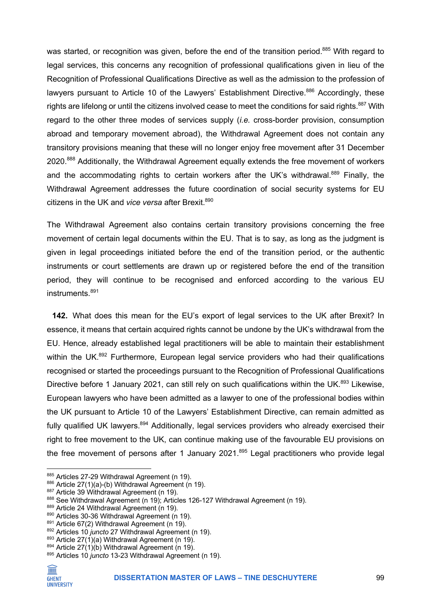was started, or recognition was given, before the end of the transition period.<sup>885</sup> With regard to legal services, this concerns any recognition of professional qualifications given in lieu of the Recognition of Professional Qualifications Directive as well as the admission to the profession of lawyers pursuant to Article 10 of the Lawyers' Establishment Directive.<sup>886</sup> Accordingly, these rights are lifelong or until the citizens involved cease to meet the conditions for said rights.<sup>887</sup> With regard to the other three modes of services supply (*i.e.* cross-border provision, consumption abroad and temporary movement abroad), the Withdrawal Agreement does not contain any transitory provisions meaning that these will no longer enjoy free movement after 31 December 2020.<sup>888</sup> Additionally, the Withdrawal Agreement equally extends the free movement of workers and the accommodating rights to certain workers after the UK's withdrawal.<sup>889</sup> Finally, the Withdrawal Agreement addresses the future coordination of social security systems for EU citizens in the UK and *vice versa* after Brexit. 890

The Withdrawal Agreement also contains certain transitory provisions concerning the free movement of certain legal documents within the EU. That is to say, as long as the judgment is given in legal proceedings initiated before the end of the transition period, or the authentic instruments or court settlements are drawn up or registered before the end of the transition period, they will continue to be recognised and enforced according to the various EU instruments. 891

**142.** What does this mean for the EU's export of legal services to the UK after Brexit? In essence, it means that certain acquired rights cannot be undone by the UK's withdrawal from the EU. Hence, already established legal practitioners will be able to maintain their establishment within the UK.<sup>892</sup> Furthermore, European legal service providers who had their qualifications recognised or started the proceedings pursuant to the Recognition of Professional Qualifications Directive before 1 January 2021, can still rely on such qualifications within the UK.<sup>893</sup> Likewise, European lawyers who have been admitted as a lawyer to one of the professional bodies within the UK pursuant to Article 10 of the Lawyers' Establishment Directive, can remain admitted as fully qualified UK lawyers.<sup>894</sup> Additionally, legal services providers who already exercised their right to free movement to the UK, can continue making use of the favourable EU provisions on the free movement of persons after 1 January 2021.<sup>895</sup> Legal practitioners who provide legal

<sup>885</sup> Articles 27-29 Withdrawal Agreement (n 19).

 $886$  Article 27(1)(a)-(b) Withdrawal Agreement (n 19).

<sup>887</sup> Article 39 Withdrawal Agreement (n 19).

<sup>888</sup> See Withdrawal Agreement (n 19); Articles 126-127 Withdrawal Agreement (n 19).

<sup>889</sup> Article 24 Withdrawal Agreement (n 19).

<sup>890</sup> Articles 30-36 Withdrawal Agreement (n 19).

 $891$  Article 67(2) Withdrawal Agreement (n 19).

<sup>892</sup> Articles 10 *juncto* 27 Withdrawal Agreement (n 19).

 $893$  Article 27(1)(a) Withdrawal Agreement (n 19).

 $894$  Article 27(1)(b) Withdrawal Agreement (n 19).

<sup>895</sup> Articles 10 *juncto* 13-23 Withdrawal Agreement (n 19).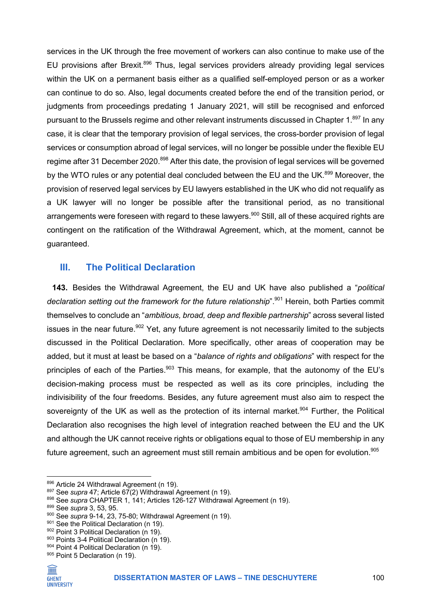services in the UK through the free movement of workers can also continue to make use of the EU provisions after Brexit.<sup>896</sup> Thus, legal services providers already providing legal services within the UK on a permanent basis either as a qualified self-employed person or as a worker can continue to do so. Also, legal documents created before the end of the transition period, or judgments from proceedings predating 1 January 2021, will still be recognised and enforced pursuant to the Brussels regime and other relevant instruments discussed in Chapter 1.<sup>897</sup> In any case, it is clear that the temporary provision of legal services, the cross-border provision of legal services or consumption abroad of legal services, will no longer be possible under the flexible EU regime after 31 December 2020.<sup>898</sup> After this date, the provision of legal services will be governed by the WTO rules or any potential deal concluded between the EU and the UK.<sup>899</sup> Moreover, the provision of reserved legal services by EU lawyers established in the UK who did not requalify as a UK lawyer will no longer be possible after the transitional period, as no transitional arrangements were foreseen with regard to these lawyers.<sup>900</sup> Still, all of these acquired rights are contingent on the ratification of the Withdrawal Agreement, which, at the moment, cannot be guaranteed.

#### **III. The Political Declaration**

**143.** Besides the Withdrawal Agreement, the EU and UK have also published a "*political*  declaration setting out the framework for the future relationship".<sup>901</sup> Herein, both Parties commit themselves to conclude an "*ambitious, broad, deep and flexible partnership*" across several listed issues in the near future.<sup>902</sup> Yet, any future agreement is not necessarily limited to the subjects discussed in the Political Declaration. More specifically, other areas of cooperation may be added, but it must at least be based on a "*balance of rights and obligations*" with respect for the principles of each of the Parties.<sup>903</sup> This means, for example, that the autonomy of the EU's decision-making process must be respected as well as its core principles, including the indivisibility of the four freedoms. Besides, any future agreement must also aim to respect the sovereignty of the UK as well as the protection of its internal market.<sup>904</sup> Further, the Political Declaration also recognises the high level of integration reached between the EU and the UK and although the UK cannot receive rights or obligations equal to those of EU membership in any future agreement, such an agreement must still remain ambitious and be open for evolution.<sup>905</sup>

<sup>896</sup> Article 24 Withdrawal Agreement (n 19).

<sup>897</sup> See *supra* 47; Article 67(2) Withdrawal Agreement (n 19).

<sup>898</sup> See *supra* CHAPTER 1, 141; Articles 126-127 Withdrawal Agreement (n 19).

<sup>899</sup> See *supra* 3, 53, 95.

<sup>900</sup> See *supra* 9-14, 23, 75-80; Withdrawal Agreement (n 19).

<sup>901</sup> See the Political Declaration (n 19).

 $902$  Point 3 Political Declaration (n 19).

 $903$  Points 3-4 Political Declaration (n 19).

 $904$  Point 4 Political Declaration (n 19).<br> $905$  Point 5 Declaration (n 19).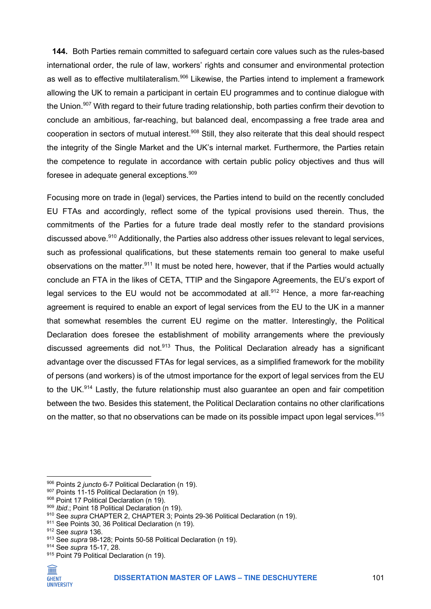**144.** Both Parties remain committed to safeguard certain core values such as the rules-based international order, the rule of law, workers' rights and consumer and environmental protection as well as to effective multilateralism.<sup>906</sup> Likewise, the Parties intend to implement a framework allowing the UK to remain a participant in certain EU programmes and to continue dialogue with the Union.<sup>907</sup> With regard to their future trading relationship, both parties confirm their devotion to conclude an ambitious, far-reaching, but balanced deal, encompassing a free trade area and cooperation in sectors of mutual interest.<sup>908</sup> Still, they also reiterate that this deal should respect the integrity of the Single Market and the UK's internal market. Furthermore, the Parties retain the competence to regulate in accordance with certain public policy objectives and thus will foresee in adequate general exceptions.<sup>909</sup>

Focusing more on trade in (legal) services, the Parties intend to build on the recently concluded EU FTAs and accordingly, reflect some of the typical provisions used therein. Thus, the commitments of the Parties for a future trade deal mostly refer to the standard provisions discussed above.<sup>910</sup> Additionally, the Parties also address other issues relevant to legal services, such as professional qualifications, but these statements remain too general to make useful observations on the matter.<sup>911</sup> It must be noted here, however, that if the Parties would actually conclude an FTA in the likes of CETA, TTIP and the Singapore Agreements, the EU's export of legal services to the EU would not be accommodated at all.<sup>912</sup> Hence, a more far-reaching agreement is required to enable an export of legal services from the EU to the UK in a manner that somewhat resembles the current EU regime on the matter. Interestingly, the Political Declaration does foresee the establishment of mobility arrangements where the previously discussed agreements did not.<sup>913</sup> Thus, the Political Declaration already has a significant advantage over the discussed FTAs for legal services, as a simplified framework for the mobility of persons (and workers) is of the utmost importance for the export of legal services from the EU to the UK.<sup>914</sup> Lastly, the future relationship must also guarantee an open and fair competition between the two. Besides this statement, the Political Declaration contains no other clarifications on the matter, so that no observations can be made on its possible impact upon legal services.<sup>915</sup>

<sup>906</sup> Points 2 *juncto* 6-7 Political Declaration (n 19).

<sup>907</sup> Points 11-15 Political Declaration (n 19).

<sup>908</sup> Point 17 Political Declaration (n 19).

<sup>909</sup> *Ibid*.; Point 18 Political Declaration (n 19).

<sup>910</sup> See *supra* CHAPTER 2, CHAPTER 3; Points 29-36 Political Declaration (n 19).

<sup>911</sup> See Points 30, 36 Political Declaration (n 19).

<sup>912</sup> See *supra* 136.

<sup>913</sup> See *supra* 98-128; Points 50-58 Political Declaration (n 19).

<sup>914</sup> See *supra* 15-17, 28.

<sup>915</sup> Point 79 Political Declaration (n 19).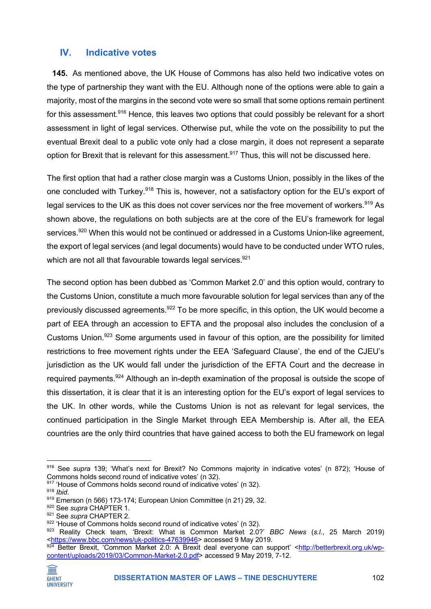# **IV. Indicative votes**

**145.** As mentioned above, the UK House of Commons has also held two indicative votes on the type of partnership they want with the EU. Although none of the options were able to gain a majority, most of the margins in the second vote were so small that some options remain pertinent for this assessment.<sup>916</sup> Hence, this leaves two options that could possibly be relevant for a short assessment in light of legal services. Otherwise put, while the vote on the possibility to put the eventual Brexit deal to a public vote only had a close margin, it does not represent a separate option for Brexit that is relevant for this assessment.<sup>917</sup> Thus, this will not be discussed here.

The first option that had a rather close margin was a Customs Union, possibly in the likes of the one concluded with Turkey.<sup>918</sup> This is, however, not a satisfactory option for the EU's export of legal services to the UK as this does not cover services nor the free movement of workers.<sup>919</sup> As shown above, the regulations on both subjects are at the core of the EU's framework for legal services.<sup>920</sup> When this would not be continued or addressed in a Customs Union-like agreement, the export of legal services (and legal documents) would have to be conducted under WTO rules, which are not all that favourable towards legal services.<sup>921</sup>

The second option has been dubbed as 'Common Market 2.0' and this option would, contrary to the Customs Union, constitute a much more favourable solution for legal services than any of the previously discussed agreements.<sup>922</sup> To be more specific, in this option, the UK would become a part of EEA through an accession to EFTA and the proposal also includes the conclusion of a Customs Union.<sup>923</sup> Some arguments used in favour of this option, are the possibility for limited restrictions to free movement rights under the EEA 'Safeguard Clause', the end of the CJEU's jurisdiction as the UK would fall under the jurisdiction of the EFTA Court and the decrease in required payments.<sup>924</sup> Although an in-depth examination of the proposal is outside the scope of this dissertation, it is clear that it is an interesting option for the EU's export of legal services to the UK. In other words, while the Customs Union is not as relevant for legal services, the continued participation in the Single Market through EEA Membership is. After all, the EEA countries are the only third countries that have gained access to both the EU framework on legal

<sup>918</sup> *Ibid*.

<sup>916</sup> See *supra* 139; 'What's next for Brexit? No Commons majority in indicative votes' (n 872); 'House of Commons holds second round of indicative votes' (n 32).

<sup>917 &#</sup>x27;House of Commons holds second round of indicative votes' (n 32).

<sup>919</sup> Emerson (n 566) 173-174; European Union Committee (n 21) 29, 32.

<sup>920</sup> See *supra* CHAPTER 1.

<sup>921</sup> See *supra* CHAPTER 2.

<sup>922 &#</sup>x27;House of Commons holds second round of indicative votes' (n 32).

<sup>923</sup> Reality Check team, 'Brexit: What is Common Market 2.0?' *BBC News* (*s.l.*, 25 March 2019) <https://www.bbc.com/news/uk-politics-47639946</u>> accessed 9 May 2019.

<sup>924</sup> Better Brexit, 'Common Market 2.0: A Brexit deal everyone can support' <http://betterbrexit.org.uk/wpcontent/uploads/2019/03/Common-Market-2.0.pdf> accessed 9 May 2019, 7-12.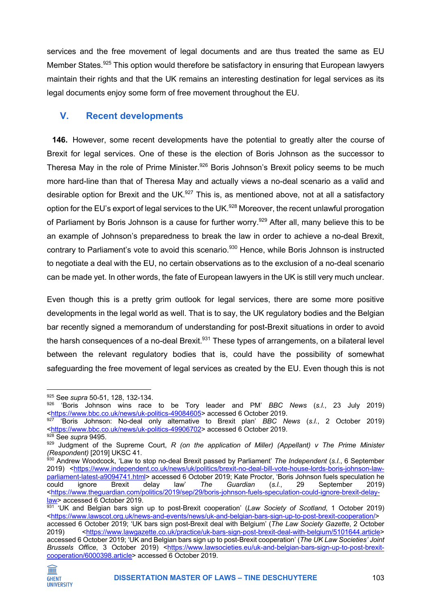services and the free movement of legal documents and are thus treated the same as EU Member States.<sup>925</sup> This option would therefore be satisfactory in ensuring that European lawyers maintain their rights and that the UK remains an interesting destination for legal services as its legal documents enjoy some form of free movement throughout the EU.

# **V. Recent developments**

**146.** However, some recent developments have the potential to greatly alter the course of Brexit for legal services. One of these is the election of Boris Johnson as the successor to Theresa May in the role of Prime Minister.<sup>926</sup> Boris Johnson's Brexit policy seems to be much more hard-line than that of Theresa May and actually views a no-deal scenario as a valid and desirable option for Brexit and the UK.<sup>927</sup> This is, as mentioned above, not at all a satisfactory option for the EU's export of legal services to the UK.<sup>928</sup> Moreover, the recent unlawful prorogation of Parliament by Boris Johnson is a cause for further worry.<sup>929</sup> After all, many believe this to be an example of Johnson's preparedness to break the law in order to achieve a no-deal Brexit, contrary to Parliament's vote to avoid this scenario.<sup>930</sup> Hence, while Boris Johnson is instructed to negotiate a deal with the EU, no certain observations as to the exclusion of a no-deal scenario can be made yet. In other words, the fate of European lawyers in the UK is still very much unclear.

Even though this is a pretty grim outlook for legal services, there are some more positive developments in the legal world as well. That is to say, the UK regulatory bodies and the Belgian bar recently signed a memorandum of understanding for post-Brexit situations in order to avoid the harsh consequences of a no-deal Brexit. $931$  These types of arrangements, on a bilateral level between the relevant regulatory bodies that is, could have the possibility of somewhat safeguarding the free movement of legal services as created by the EU. Even though this is not

<sup>925</sup> See *supra* 50-51, 128, 132-134.

<sup>926</sup> 'Boris Johnson wins race to be Tory leader and PM' *BBC News* (*s.l.*, 23 July 2019) <https://www.bbc.co.uk/news/uk-politics-49084605</u>> accessed 6 October 2019.

<sup>927</sup> 'Boris Johnson: No-deal only alternative to Brexit plan' *BBC News* (*s.l.*, 2 October 2019) <https://www.bbc.co.uk/news/uk-politics-49906702> accessed 6 October 2019.

<sup>928</sup> See *supra* 9495.

<sup>929</sup> Judgment of the Supreme Court, *R (on the application of Miller) (Appellant) v The Prime Minister (Respondent)* [2019] UKSC 41.

<sup>930</sup> Andrew Woodcock, 'Law to stop no-deal Brexit passed by Parliament' *The Independent* (*s.l.*, 6 September 2019) <https://www.independent.co.uk/news/uk/politics/brexit-no-deal-bill-vote-house-lords-boris-johnson-lawparliament-latest-a9094741.html> accessed 6 October 2019; Kate Proctor, 'Boris Johnson fuels speculation he could ignore Brexit delay law' *The Guardian* (*s.l.*, 29 September 2019) <https://www.theguardian.com/politics/2019/sep/29/boris-johnson-fuels-speculation-could-ignore-brexit-delaylaw> accessed 6 October 2019.

<sup>&</sup>lt;sup>931</sup> 'UK and Belgian bars sign up to post-Brexit cooperation' (Law Society of Scotland, 1 October 2019) <https://www.lawscot.org.uk/news-and-events/news/uk-and-belgian-bars-sign-up-to-post-brexit-cooperation/> accessed 6 October 2019; 'UK bars sign post-Brexit deal with Belgium' (*The Law Society Gazette*, 2 October 2019) <https://www.lawgazette.co.uk/practice/uk-bars-sign-post-brexit-deal-with-belgium/5101644.article> accessed 6 October 2019; 'UK and Belgian bars sign up to post-Brexit cooperation' (*The UK Law Societies' Joint Brussels Office*, 3 October 2019) <https://www.lawsocieties.eu/uk-and-belgian-bars-sign-up-to-post-brexitcooperation/6000398.article> accessed 6 October 2019.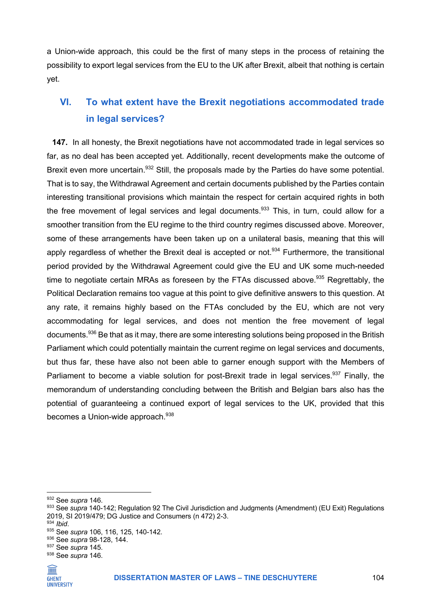a Union-wide approach, this could be the first of many steps in the process of retaining the possibility to export legal services from the EU to the UK after Brexit, albeit that nothing is certain yet.

# **VI. To what extent have the Brexit negotiations accommodated trade in legal services?**

**147.** In all honesty, the Brexit negotiations have not accommodated trade in legal services so far, as no deal has been accepted yet. Additionally, recent developments make the outcome of Brexit even more uncertain.<sup>932</sup> Still, the proposals made by the Parties do have some potential. That is to say, the Withdrawal Agreement and certain documents published by the Parties contain interesting transitional provisions which maintain the respect for certain acquired rights in both the free movement of legal services and legal documents.<sup>933</sup> This, in turn, could allow for a smoother transition from the EU regime to the third country regimes discussed above. Moreover, some of these arrangements have been taken up on a unilateral basis, meaning that this will apply regardless of whether the Brexit deal is accepted or not.<sup>934</sup> Furthermore, the transitional period provided by the Withdrawal Agreement could give the EU and UK some much-needed time to negotiate certain MRAs as foreseen by the FTAs discussed above. $935$  Regrettably, the Political Declaration remains too vague at this point to give definitive answers to this question. At any rate, it remains highly based on the FTAs concluded by the EU, which are not very accommodating for legal services, and does not mention the free movement of legal documents.<sup>936</sup> Be that as it may, there are some interesting solutions being proposed in the British Parliament which could potentially maintain the current regime on legal services and documents, but thus far, these have also not been able to garner enough support with the Members of Parliament to become a viable solution for post-Brexit trade in legal services.<sup>937</sup> Finally, the memorandum of understanding concluding between the British and Belgian bars also has the potential of guaranteeing a continued export of legal services to the UK, provided that this becomes a Union-wide approach.<sup>938</sup>

<sup>938</sup> See *supra* 146.



<sup>932</sup> See *supra* 146.

<sup>933</sup> See *supra* 140-142; Regulation 92 The Civil Jurisdiction and Judgments (Amendment) (EU Exit) Regulations 2019, SI 2019/479; DG Justice and Consumers (n 472) 2-3.

<sup>934</sup> *Ibid*.

<sup>935</sup> See *supra* 106, 116, 125, 140-142.

<sup>936</sup> See *supra* 98-128, 144.

<sup>937</sup> See *supra* 145.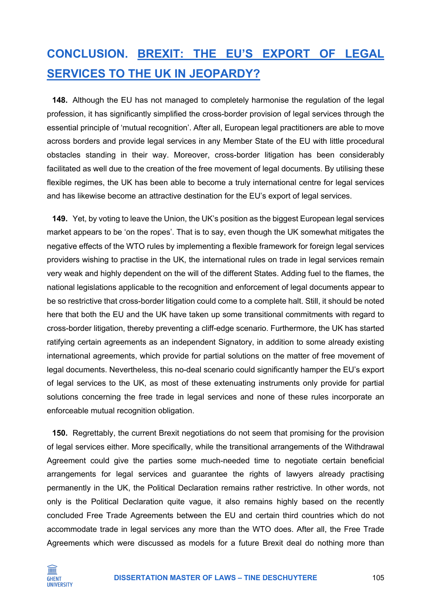# **CONCLUSION. BREXIT: THE EU'S EXPORT OF LEGAL SERVICES TO THE UK IN JEOPARDY?**

**148.** Although the EU has not managed to completely harmonise the regulation of the legal profession, it has significantly simplified the cross-border provision of legal services through the essential principle of 'mutual recognition'. After all, European legal practitioners are able to move across borders and provide legal services in any Member State of the EU with little procedural obstacles standing in their way. Moreover, cross-border litigation has been considerably facilitated as well due to the creation of the free movement of legal documents. By utilising these flexible regimes, the UK has been able to become a truly international centre for legal services and has likewise become an attractive destination for the EU's export of legal services.

**149.** Yet, by voting to leave the Union, the UK's position as the biggest European legal services market appears to be 'on the ropes'. That is to say, even though the UK somewhat mitigates the negative effects of the WTO rules by implementing a flexible framework for foreign legal services providers wishing to practise in the UK, the international rules on trade in legal services remain very weak and highly dependent on the will of the different States. Adding fuel to the flames, the national legislations applicable to the recognition and enforcement of legal documents appear to be so restrictive that cross-border litigation could come to a complete halt. Still, it should be noted here that both the EU and the UK have taken up some transitional commitments with regard to cross-border litigation, thereby preventing a cliff-edge scenario. Furthermore, the UK has started ratifying certain agreements as an independent Signatory, in addition to some already existing international agreements, which provide for partial solutions on the matter of free movement of legal documents. Nevertheless, this no-deal scenario could significantly hamper the EU's export of legal services to the UK, as most of these extenuating instruments only provide for partial solutions concerning the free trade in legal services and none of these rules incorporate an enforceable mutual recognition obligation.

**150.** Regrettably, the current Brexit negotiations do not seem that promising for the provision of legal services either. More specifically, while the transitional arrangements of the Withdrawal Agreement could give the parties some much-needed time to negotiate certain beneficial arrangements for legal services and guarantee the rights of lawyers already practising permanently in the UK, the Political Declaration remains rather restrictive. In other words, not only is the Political Declaration quite vague, it also remains highly based on the recently concluded Free Trade Agreements between the EU and certain third countries which do not accommodate trade in legal services any more than the WTO does. After all, the Free Trade Agreements which were discussed as models for a future Brexit deal do nothing more than

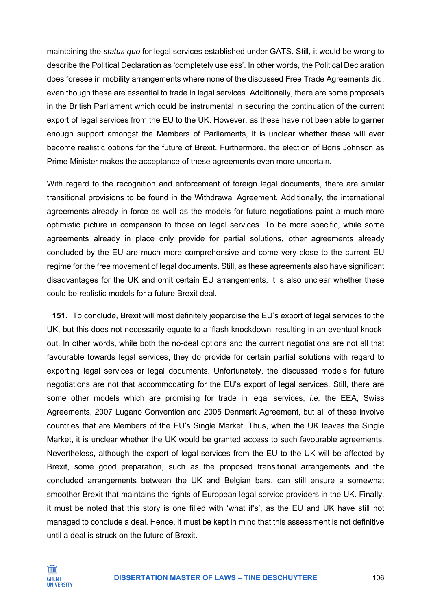maintaining the *status quo* for legal services established under GATS. Still, it would be wrong to describe the Political Declaration as 'completely useless'. In other words, the Political Declaration does foresee in mobility arrangements where none of the discussed Free Trade Agreements did, even though these are essential to trade in legal services. Additionally, there are some proposals in the British Parliament which could be instrumental in securing the continuation of the current export of legal services from the EU to the UK. However, as these have not been able to garner enough support amongst the Members of Parliaments, it is unclear whether these will ever become realistic options for the future of Brexit. Furthermore, the election of Boris Johnson as Prime Minister makes the acceptance of these agreements even more uncertain.

With regard to the recognition and enforcement of foreign legal documents, there are similar transitional provisions to be found in the Withdrawal Agreement. Additionally, the international agreements already in force as well as the models for future negotiations paint a much more optimistic picture in comparison to those on legal services. To be more specific, while some agreements already in place only provide for partial solutions, other agreements already concluded by the EU are much more comprehensive and come very close to the current EU regime for the free movement of legal documents. Still, as these agreements also have significant disadvantages for the UK and omit certain EU arrangements, it is also unclear whether these could be realistic models for a future Brexit deal.

**151.** To conclude, Brexit will most definitely jeopardise the EU's export of legal services to the UK, but this does not necessarily equate to a 'flash knockdown' resulting in an eventual knockout. In other words, while both the no-deal options and the current negotiations are not all that favourable towards legal services, they do provide for certain partial solutions with regard to exporting legal services or legal documents. Unfortunately, the discussed models for future negotiations are not that accommodating for the EU's export of legal services. Still, there are some other models which are promising for trade in legal services, *i.e.* the EEA, Swiss Agreements, 2007 Lugano Convention and 2005 Denmark Agreement, but all of these involve countries that are Members of the EU's Single Market. Thus, when the UK leaves the Single Market, it is unclear whether the UK would be granted access to such favourable agreements. Nevertheless, although the export of legal services from the EU to the UK will be affected by Brexit, some good preparation, such as the proposed transitional arrangements and the concluded arrangements between the UK and Belgian bars, can still ensure a somewhat smoother Brexit that maintains the rights of European legal service providers in the UK. Finally, it must be noted that this story is one filled with 'what if's', as the EU and UK have still not managed to conclude a deal. Hence, it must be kept in mind that this assessment is not definitive until a deal is struck on the future of Brexit.

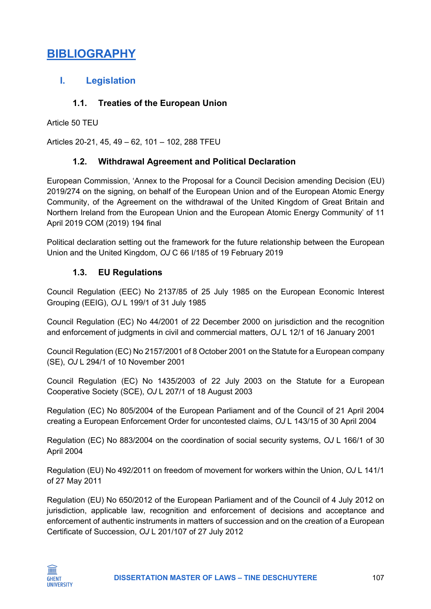# **BIBLIOGRAPHY**

# **I. Legislation**

# **1.1. Treaties of the European Union**

Article 50 TEU

Articles 20-21, 45, 49 – 62, 101 – 102, 288 TFEU

#### **1.2. Withdrawal Agreement and Political Declaration**

European Commission, 'Annex to the Proposal for a Council Decision amending Decision (EU) 2019/274 on the signing, on behalf of the European Union and of the European Atomic Energy Community, of the Agreement on the withdrawal of the United Kingdom of Great Britain and Northern Ireland from the European Union and the European Atomic Energy Community' of 11 April 2019 COM (2019) 194 final

Political declaration setting out the framework for the future relationship between the European Union and the United Kingdom, *OJ* C 66 I/185 of 19 February 2019

#### **1.3. EU Regulations**

Council Regulation (EEC) No 2137/85 of 25 July 1985 on the European Economic Interest Grouping (EEIG), *OJ* L 199/1 of 31 July 1985

Council Regulation (EC) No 44/2001 of 22 December 2000 on jurisdiction and the recognition and enforcement of judgments in civil and commercial matters, *OJ* L 12/1 of 16 January 2001

Council Regulation (EC) No 2157/2001 of 8 October 2001 on the Statute for a European company (SE), *OJ* L 294/1 of 10 November 2001

Council Regulation (EC) No 1435/2003 of 22 July 2003 on the Statute for a European Cooperative Society (SCE), *OJ* L 207/1 of 18 August 2003

Regulation (EC) No 805/2004 of the European Parliament and of the Council of 21 April 2004 creating a European Enforcement Order for uncontested claims, *OJ* L 143/15 of 30 April 2004

Regulation (EC) No 883/2004 on the coordination of social security systems, *OJ* L 166/1 of 30 April 2004

Regulation (EU) No 492/2011 on freedom of movement for workers within the Union, *OJ* L 141/1 of 27 May 2011

Regulation (EU) No 650/2012 of the European Parliament and of the Council of 4 July 2012 on jurisdiction, applicable law, recognition and enforcement of decisions and acceptance and enforcement of authentic instruments in matters of succession and on the creation of a European Certificate of Succession, *OJ* L 201/107 of 27 July 2012

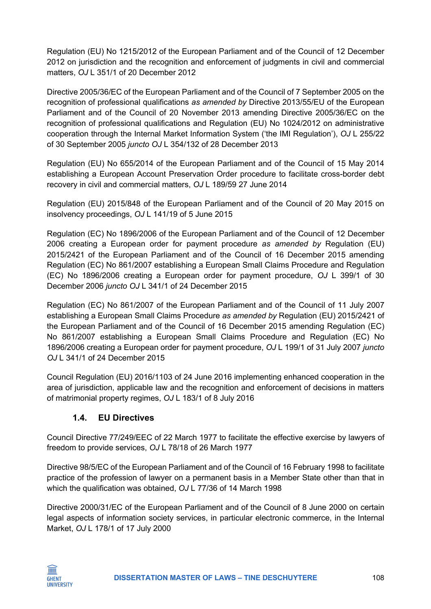Regulation (EU) No 1215/2012 of the European Parliament and of the Council of 12 December 2012 on jurisdiction and the recognition and enforcement of judgments in civil and commercial matters, *OJ* L 351/1 of 20 December 2012

Directive 2005/36/EC of the European Parliament and of the Council of 7 September 2005 on the recognition of professional qualifications *as amended by* Directive 2013/55/EU of the European Parliament and of the Council of 20 November 2013 amending Directive 2005/36/EC on the recognition of professional qualifications and Regulation (EU) No 1024/2012 on administrative cooperation through the Internal Market Information System ('the IMI Regulation'), *OJ* L 255/22 of 30 September 2005 *juncto OJ* L 354/132 of 28 December 2013

Regulation (EU) No 655/2014 of the European Parliament and of the Council of 15 May 2014 establishing a European Account Preservation Order procedure to facilitate cross-border debt recovery in civil and commercial matters, *OJ* L 189/59 27 June 2014

Regulation (EU) 2015/848 of the European Parliament and of the Council of 20 May 2015 on insolvency proceedings, *OJ* L 141/19 of 5 June 2015

Regulation (EC) No 1896/2006 of the European Parliament and of the Council of 12 December 2006 creating a European order for payment procedure *as amended by* Regulation (EU) 2015/2421 of the European Parliament and of the Council of 16 December 2015 amending Regulation (EC) No 861/2007 establishing a European Small Claims Procedure and Regulation (EC) No 1896/2006 creating a European order for payment procedure, *OJ* L 399/1 of 30 December 2006 *juncto OJ* L 341/1 of 24 December 2015

Regulation (EC) No 861/2007 of the European Parliament and of the Council of 11 July 2007 establishing a European Small Claims Procedure *as amended by* Regulation (EU) 2015/2421 of the European Parliament and of the Council of 16 December 2015 amending Regulation (EC) No 861/2007 establishing a European Small Claims Procedure and Regulation (EC) No 1896/2006 creating a European order for payment procedure, *OJ* L 199/1 of 31 July 2007 *juncto OJ* L 341/1 of 24 December 2015

Council Regulation (EU) 2016/1103 of 24 June 2016 implementing enhanced cooperation in the area of jurisdiction, applicable law and the recognition and enforcement of decisions in matters of matrimonial property regimes, *OJ* L 183/1 of 8 July 2016

# **1.4. EU Directives**

Council Directive 77/249/EEC of 22 March 1977 to facilitate the effective exercise by lawyers of freedom to provide services, *OJ* L 78/18 of 26 March 1977

Directive 98/5/EC of the European Parliament and of the Council of 16 February 1998 to facilitate practice of the profession of lawyer on a permanent basis in a Member State other than that in which the qualification was obtained, *OJ* L 77/36 of 14 March 1998

Directive 2000/31/EC of the European Parliament and of the Council of 8 June 2000 on certain legal aspects of information society services, in particular electronic commerce, in the Internal Market, *OJ* L 178/1 of 17 July 2000

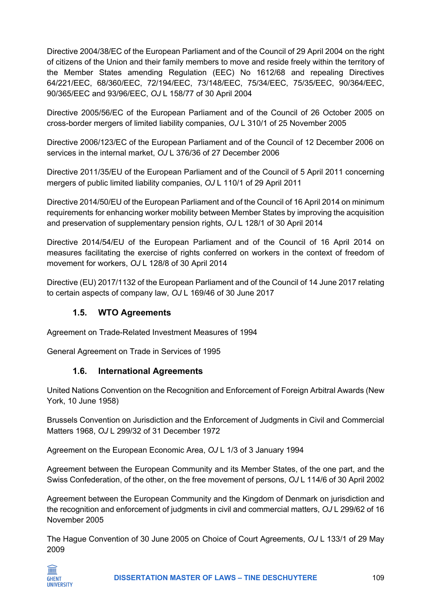Directive 2004/38/EC of the European Parliament and of the Council of 29 April 2004 on the right of citizens of the Union and their family members to move and reside freely within the territory of the Member States amending Regulation (EEC) No 1612/68 and repealing Directives 64/221/EEC, 68/360/EEC, 72/194/EEC, 73/148/EEC, 75/34/EEC, 75/35/EEC, 90/364/EEC, 90/365/EEC and 93/96/EEC, *OJ* L 158/77 of 30 April 2004

Directive 2005/56/EC of the European Parliament and of the Council of 26 October 2005 on cross-border mergers of limited liability companies, *OJ* L 310/1 of 25 November 2005

Directive 2006/123/EC of the European Parliament and of the Council of 12 December 2006 on services in the internal market, *OJ* L 376/36 of 27 December 2006

Directive 2011/35/EU of the European Parliament and of the Council of 5 April 2011 concerning mergers of public limited liability companies, *OJ* L 110/1 of 29 April 2011

Directive 2014/50/EU of the European Parliament and of the Council of 16 April 2014 on minimum requirements for enhancing worker mobility between Member States by improving the acquisition and preservation of supplementary pension rights, *OJ* L 128/1 of 30 April 2014

Directive 2014/54/EU of the European Parliament and of the Council of 16 April 2014 on measures facilitating the exercise of rights conferred on workers in the context of freedom of movement for workers, *OJ* L 128/8 of 30 April 2014

Directive (EU) 2017/1132 of the European Parliament and of the Council of 14 June 2017 relating to certain aspects of company law, *OJ* L 169/46 of 30 June 2017

# **1.5. WTO Agreements**

Agreement on Trade-Related Investment Measures of 1994

General Agreement on Trade in Services of 1995

#### **1.6. International Agreements**

United Nations Convention on the Recognition and Enforcement of Foreign Arbitral Awards (New York, 10 June 1958)

Brussels Convention on Jurisdiction and the Enforcement of Judgments in Civil and Commercial Matters 1968, *OJ* L 299/32 of 31 December 1972

Agreement on the European Economic Area, *OJ* L 1/3 of 3 January 1994

Agreement between the European Community and its Member States, of the one part, and the Swiss Confederation, of the other, on the free movement of persons, *OJ* L 114/6 of 30 April 2002

Agreement between the European Community and the Kingdom of Denmark on jurisdiction and the recognition and enforcement of judgments in civil and commercial matters, *OJ* L 299/62 of 16 November 2005

The Hague Convention of 30 June 2005 on Choice of Court Agreements, *OJ* L 133/1 of 29 May 2009

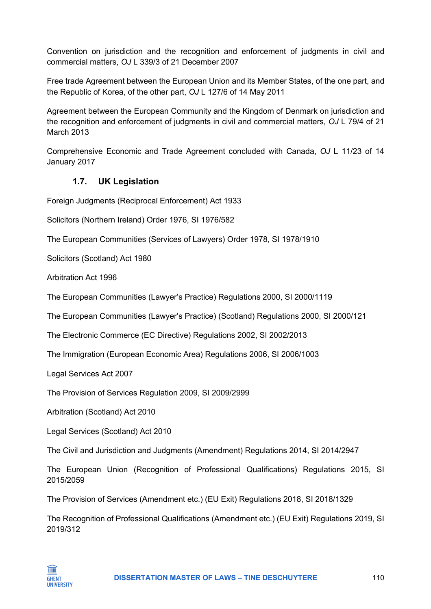Convention on jurisdiction and the recognition and enforcement of judgments in civil and commercial matters, *OJ* L 339/3 of 21 December 2007

Free trade Agreement between the European Union and its Member States, of the one part, and the Republic of Korea, of the other part, *OJ* L 127/6 of 14 May 2011

Agreement between the European Community and the Kingdom of Denmark on jurisdiction and the recognition and enforcement of judgments in civil and commercial matters, *OJ* L 79/4 of 21 March 2013

Comprehensive Economic and Trade Agreement concluded with Canada, *OJ* L 11/23 of 14 January 2017

#### **1.7. UK Legislation**

Foreign Judgments (Reciprocal Enforcement) Act 1933

Solicitors (Northern Ireland) Order 1976, SI 1976/582

The European Communities (Services of Lawyers) Order 1978, SI 1978/1910

Solicitors (Scotland) Act 1980

Arbitration Act 1996

The European Communities (Lawyer's Practice) Regulations 2000, SI 2000/1119

The European Communities (Lawyer's Practice) (Scotland) Regulations 2000, SI 2000/121

The Electronic Commerce (EC Directive) Regulations 2002, SI 2002/2013

The Immigration (European Economic Area) Regulations 2006, SI 2006/1003

Legal Services Act 2007

The Provision of Services Regulation 2009, SI 2009/2999

Arbitration (Scotland) Act 2010

Legal Services (Scotland) Act 2010

The Civil and Jurisdiction and Judgments (Amendment) Regulations 2014, SI 2014/2947

The European Union (Recognition of Professional Qualifications) Regulations 2015, SI 2015/2059

The Provision of Services (Amendment etc.) (EU Exit) Regulations 2018, SI 2018/1329

The Recognition of Professional Qualifications (Amendment etc.) (EU Exit) Regulations 2019, SI 2019/312

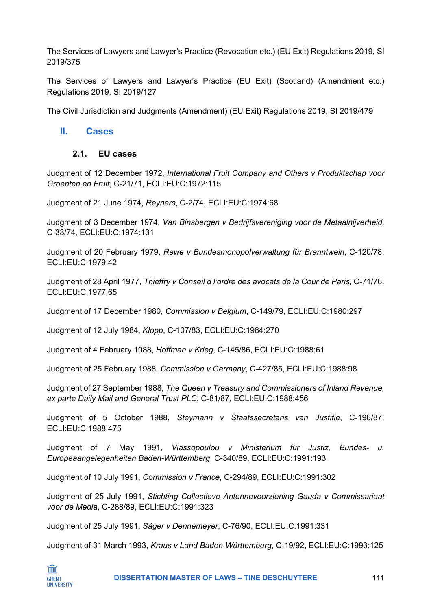The Services of Lawyers and Lawyer's Practice (Revocation etc.) (EU Exit) Regulations 2019, SI 2019/375

The Services of Lawyers and Lawyer's Practice (EU Exit) (Scotland) (Amendment etc.) Regulations 2019, SI 2019/127

The Civil Jurisdiction and Judgments (Amendment) (EU Exit) Regulations 2019, SI 2019/479

#### **II. Cases**

#### **2.1. EU cases**

Judgment of 12 December 1972, *International Fruit Company and Others v Produktschap voor Groenten en Fruit*, C-21/71, ECLI:EU:C:1972:115

Judgment of 21 June 1974, *Reyners*, C-2/74, ECLI:EU:C:1974:68

Judgment of 3 December 1974, *Van Binsbergen v Bedrijfsvereniging voor de Metaalnijverheid*, C-33/74, ECLI:EU:C:1974:131

Judgment of 20 February 1979, *Rewe v Bundesmonopolverwaltung für Branntwein*, C-120/78, ECLI:EU:C:1979:42

Judgment of 28 April 1977, *Thieffry v Conseil d l'ordre des avocats de la Cour de Paris*, C-71/76, ECLI:EU:C:1977:65

Judgment of 17 December 1980, *Commission v Belgium*, C-149/79, ECLI:EU:C:1980:297

Judgment of 12 July 1984, *Klopp*, C-107/83, ECLI:EU:C:1984:270

Judgment of 4 February 1988, *Hoffman v Krieg*, C-145/86, ECLI:EU:C:1988:61

Judgment of 25 February 1988, *Commission v Germany*, C-427/85, ECLI:EU:C:1988:98

Judgment of 27 September 1988, *The Queen v Treasury and Commissioners of Inland Revenue, ex parte Daily Mail and General Trust PLC*, C-81/87, ECLI:EU:C:1988:456

Judgment of 5 October 1988, *Steymann v Staatssecretaris van Justitie*, C-196/87, ECLI:EU:C:1988:475

Judgment of 7 May 1991, *Vlassopoulou v Ministerium für Justiz, Bundes- u. Europeaangelegenheiten Baden-Württemberg*, C-340/89, ECLI:EU:C:1991:193

Judgment of 10 July 1991, *Commission v France*, C-294/89, ECLI:EU:C:1991:302

Judgment of 25 July 1991, *Stichting Collectieve Antennevoorziening Gauda v Commissariaat voor de Media*, C-288/89, ECLI:EU:C:1991:323

Judgment of 25 July 1991, *Säger v Dennemeyer*, C-76/90, ECLI:EU:C:1991:331

Judgment of 31 March 1993, *Kraus v Land Baden-Württemberg*, C-19/92, ECLI:EU:C:1993:125

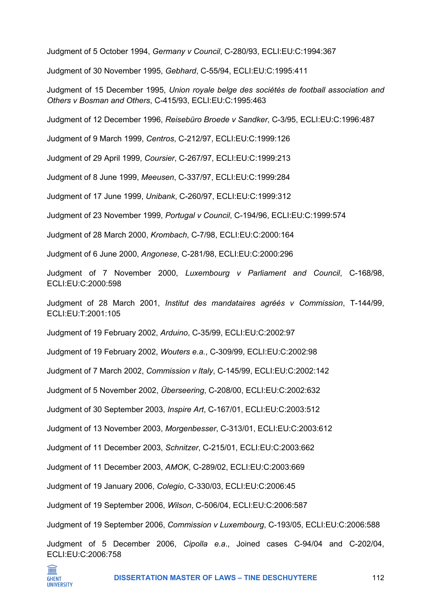Judgment of 5 October 1994, *Germany v Council*, C-280/93, ECLI:EU:C:1994:367

Judgment of 30 November 1995, *Gebhard*, C-55/94, ECLI:EU:C:1995:411

Judgment of 15 December 1995, *Union royale belge des sociétés de football association and Others v Bosman and Others*, C-415/93, ECLI:EU:C:1995:463

Judgment of 12 December 1996, *Reisebüro Broede v Sandker*, C-3/95, ECLI:EU:C:1996:487

Judgment of 9 March 1999, *Centros*, C-212/97, ECLI:EU:C:1999:126

Judgment of 29 April 1999, *Coursier*, C-267/97, ECLI:EU:C:1999:213

Judgment of 8 June 1999, *Meeusen*, C-337/97, ECLI:EU:C:1999:284

Judgment of 17 June 1999, *Unibank*, C-260/97, ECLI:EU:C:1999:312

Judgment of 23 November 1999, *Portugal v Council*, C-194/96, ECLI:EU:C:1999:574

Judgment of 28 March 2000, *Krombach*, C-7/98, ECLI:EU:C:2000:164

Judgment of 6 June 2000, *Angonese*, C-281/98, ECLI:EU:C:2000:296

Judgment of 7 November 2000, *Luxembourg v Parliament and Council*, C-168/98, ECLI:EU:C:2000:598

Judgment of 28 March 2001, *Institut des mandataires agréés v Commission*, T-144/99, ECLI:EU:T:2001:105

Judgment of 19 February 2002, *Arduino*, C-35/99, ECLI:EU:C:2002:97

Judgment of 19 February 2002, *Wouters e.a.*, C-309/99, ECLI:EU:C:2002:98

Judgment of 7 March 2002, *Commission v Italy*, C-145/99, ECLI:EU:C:2002:142

Judgment of 5 November 2002, *Überseering*, C-208/00, ECLI:EU:C:2002:632

Judgment of 30 September 2003, *Inspire Art*, C-167/01, ECLI:EU:C:2003:512

Judgment of 13 November 2003, *Morgenbesser*, C-313/01, ECLI:EU:C:2003:612

Judgment of 11 December 2003, *Schnitzer*, C-215/01, ECLI:EU:C:2003:662

Judgment of 11 December 2003, *AMOK*, C-289/02, ECLI:EU:C:2003:669

Judgment of 19 January 2006, *Colegio*, C-330/03, ECLI:EU:C:2006:45

Judgment of 19 September 2006, *Wilson*, C-506/04, ECLI:EU:C:2006:587

Judgment of 19 September 2006, *Commission v Luxembourg*, C-193/05, ECLI:EU:C:2006:588

Judgment of 5 December 2006, *Cipolla e.a*., Joined cases C-94/04 and C-202/04, ECLI:EU:C:2006:758

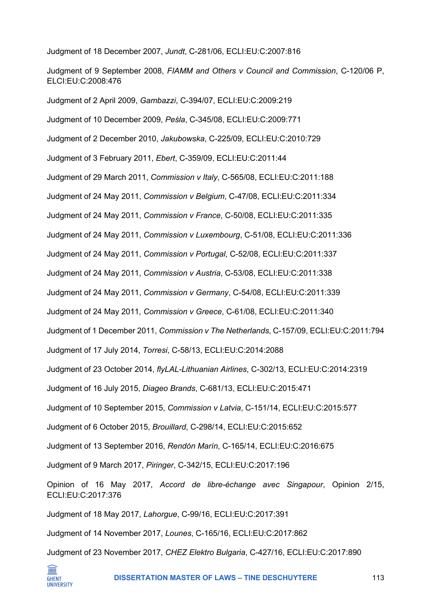Judgment of 18 December 2007, *Jundt*, C-281/06, ECLI:EU:C:2007:816

Judgment of 9 September 2008, *FIAMM and Others v Council and Commission*, C-120/06 P, ELCI:EU:C:2008:476

Judgment of 2 April 2009, *Gambazzi*, C-394/07, ECLI:EU:C:2009:219 Judgment of 10 December 2009, *Peśla*, C-345/08, ECLI:EU:C:2009:771 Judgment of 2 December 2010, *Jakubowska*, C-225/09, ECLI:EU:C:2010:729 Judgment of 3 February 2011, *Ebert*, C-359/09, ECLI:EU:C:2011:44 Judgment of 29 March 2011, *Commission v Italy*, C-565/08, ECLI:EU:C:2011:188 Judgment of 24 May 2011, *Commission v Belgium*, C-47/08, ECLI:EU:C:2011:334 Judgment of 24 May 2011, *Commission v France*, C-50/08, ECLI:EU:C:2011:335 Judgment of 24 May 2011, *Commission v Luxembourg*, C-51/08, ECLI:EU:C:2011:336 Judgment of 24 May 2011, *Commission v Portugal*, C-52/08, ECLI:EU:C:2011:337 Judgment of 24 May 2011, *Commission v Austria*, C-53/08, ECLI:EU:C:2011:338 Judgment of 24 May 2011, *Commission v Germany*, C-54/08, ECLI:EU:C:2011:339 Judgment of 24 May 2011*, Commission v Greece*, C-61/08, ECLI:EU:C:2011:340 Judgment of 1 December 2011, *Commission v The Netherlands*, C-157/09, ECLI:EU:C:2011:794 Judgment of 17 July 2014, *Torresi*, C-58/13, ECLI:EU:C:2014:2088 Judgment of 23 October 2014, *flyLAL-Lithuanian Airlines*, C-302/13, ECLI:EU:C:2014:2319 Judgment of 16 July 2015, *Diageo Brands*, C-681/13, ECLI:EU:C:2015:471 Judgment of 10 September 2015, *Commission v Latvia*, C-151/14, ECLI:EU:C:2015:577 Judgment of 6 October 2015, *Brouillard*, C-298/14, ECLI:EU:C:2015:652 Judgment of 13 September 2016, *Rendón Marín*, C-165/14, ECLI:EU:C:2016:675 Judgment of 9 March 2017, *Piringer*, C-342/15, ECLI:EU:C:2017:196 Opinion of 16 May 2017, *Accord de libre-échange avec Singapour*, Opinion 2/15, ECLI:EU:C:2017:376 Judgment of 18 May 2017, *Lahorgue*, C-99/16, ECLI:EU:C:2017:391 Judgment of 14 November 2017, *Lounes*, C-165/16, ECLI:EU:C:2017:862 Judgment of 23 November 2017, *CHEZ Elektro Bulgaria*, C-427/16, ECLI:EU:C:2017:890

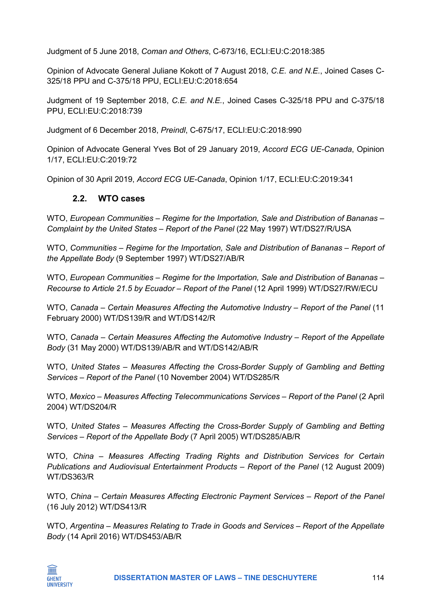Judgment of 5 June 2018, *Coman and Others*, C-673/16, ECLI:EU:C:2018:385

Opinion of Advocate General Juliane Kokott of 7 August 2018, *C.E. and N.E.*, Joined Cases C-325/18 PPU and C-375/18 PPU, ECLI:EU:C:2018:654

Judgment of 19 September 2018, *C.E. and N.E.*, Joined Cases C-325/18 PPU and C-375/18 PPU, ECLI:EU:C:2018:739

Judgment of 6 December 2018, *Preindl*, C-675/17, ECLI:EU:C:2018:990

Opinion of Advocate General Yves Bot of 29 January 2019, *Accord ECG UE-Canada*, Opinion 1/17, ECLI:EU:C:2019:72

Opinion of 30 April 2019, *Accord ECG UE-Canada*, Opinion 1/17, ECLI:EU:C:2019:341

#### **2.2. WTO cases**

WTO, *European Communities – Regime for the Importation, Sale and Distribution of Bananas – Complaint by the United States – Report of the Panel* (22 May 1997) WT/DS27/R/USA

WTO, *Communities – Regime for the Importation, Sale and Distribution of Bananas – Report of the Appellate Body* (9 September 1997) WT/DS27/AB/R

WTO, *European Communities – Regime for the Importation, Sale and Distribution of Bananas – Recourse to Article 21.5 by Ecuador – Report of the Panel* (12 April 1999) WT/DS27/RW/ECU

WTO, *Canada – Certain Measures Affecting the Automotive Industry – Report of the Panel* (11 February 2000) WT/DS139/R and WT/DS142/R

WTO, *Canada – Certain Measures Affecting the Automotive Industry – Report of the Appellate Body* (31 May 2000) WT/DS139/AB/R and WT/DS142/AB/R

WTO, *United States – Measures Affecting the Cross-Border Supply of Gambling and Betting Services – Report of the Panel* (10 November 2004) WT/DS285/R

WTO, *Mexico – Measures Affecting Telecommunications Services – Report of the Panel* (2 April 2004) WT/DS204/R

WTO, *United States – Measures Affecting the Cross-Border Supply of Gambling and Betting Services – Report of the Appellate Body* (7 April 2005) WT/DS285/AB/R

WTO, *China – Measures Affecting Trading Rights and Distribution Services for Certain Publications and Audiovisual Entertainment Products – Report of the Panel* (12 August 2009) WT/DS363/R

WTO, *China – Certain Measures Affecting Electronic Payment Services – Report of the Panel* (16 July 2012) WT/DS413/R

WTO, *Argentina – Measures Relating to Trade in Goods and Services – Report of the Appellate Body* (14 April 2016) WT/DS453/AB/R

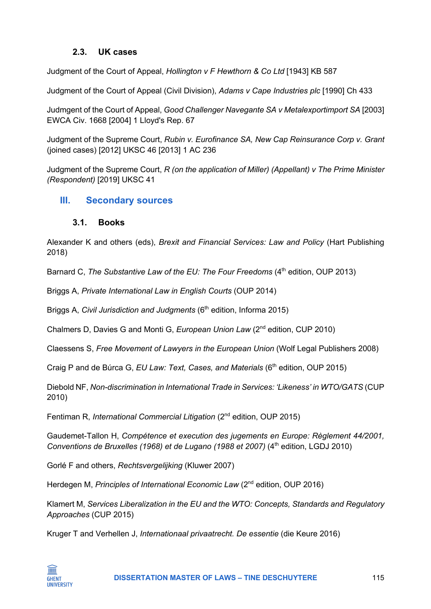# **2.3. UK cases**

Judgment of the Court of Appeal, *Hollington v F Hewthorn & Co Ltd* [1943] KB 587

Judgment of the Court of Appeal (Civil Division), *Adams v Cape Industries plc* [1990] Ch 433

Judmgent of the Court of Appeal, *Good Challenger Navegante SA v Metalexportimport SA* [2003] EWCA Civ. 1668 [2004] 1 Lloyd's Rep. 67

Judgment of the Supreme Court, *Rubin v. Eurofinance SA, New Cap Reinsurance Corp v. Grant* (joined cases) [2012] UKSC 46 [2013] 1 AC 236

Judgment of the Supreme Court, *R (on the application of Miller) (Appellant) v The Prime Minister (Respondent)* [2019] UKSC 41

# **III. Secondary sources**

#### **3.1. Books**

Alexander K and others (eds), *Brexit and Financial Services: Law and Policy* (Hart Publishing 2018)

Barnard C, *The Substantive Law of the EU: The Four Freedoms* (4<sup>th</sup> edition, OUP 2013)

Briggs A, *Private International Law in English Courts* (OUP 2014)

Briggs A, *Civil Jurisdiction and Judgments* (6<sup>th</sup> edition, Informa 2015)

Chalmers D, Davies G and Monti G, *European Union Law* (2<sup>nd</sup> edition, CUP 2010)

Claessens S, *Free Movement of Lawyers in the European Union* (Wolf Legal Publishers 2008)

Craig P and de Búrca G, *EU Law: Text, Cases, and Materials* (6<sup>th</sup> edition, OUP 2015)

Diebold NF, *Non-discrimination in International Trade in Services: 'Likeness' in WTO/GATS* (CUP 2010)

Fentiman R, *International Commercial Litigation* (2nd edition, OUP 2015)

Gaudemet-Tallon H, *Compétence et execution des jugements en Europe: Règlement 44/2001, Conventions de Bruxelles (1968) et de Lugano (1988 et 2007)* (4<sup>th</sup> edition, LGDJ 2010)

Gorlé F and others, *Rechtsvergelijking* (Kluwer 2007)

Herdegen M, *Principles of International Economic Law* (2<sup>nd</sup> edition, OUP 2016)

Klamert M, *Services Liberalization in the EU and the WTO: Concepts, Standards and Regulatory Approaches* (CUP 2015)

Kruger T and Verhellen J, *Internationaal privaatrecht. De essentie* (die Keure 2016)

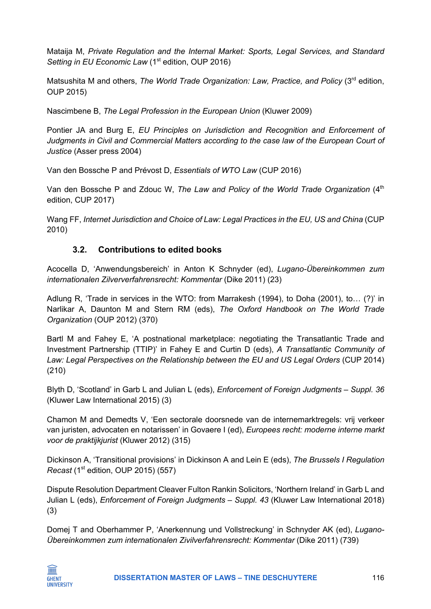Mataija M, *Private Regulation and the Internal Market: Sports, Legal Services, and Standard Setting in EU Economic Law* (1<sup>st</sup> edition, OUP 2016)

Matsushita M and others, *The World Trade Organization: Law, Practice, and Policy* (3<sup>rd</sup> edition, OUP 2015)

Nascimbene B, *The Legal Profession in the European Union* (Kluwer 2009)

Pontier JA and Burg E, *EU Principles on Jurisdiction and Recognition and Enforcement of Judgments in Civil and Commercial Matters according to the case law of the European Court of Justice* (Asser press 2004)

Van den Bossche P and Prévost D, *Essentials of WTO Law* (CUP 2016)

Van den Bossche P and Zdouc W, *The Law and Policy of the World Trade Organization* (4<sup>th</sup>) edition, CUP 2017)

Wang FF, *Internet Jurisdiction and Choice of Law: Legal Practices in the EU, US and China* (CUP 2010)

# **3.2. Contributions to edited books**

Acocella D, 'Anwendungsbereich' in Anton K Schnyder (ed), *Lugano-Übereinkommen zum internationalen Zilververfahrensrecht: Kommentar* (Dike 2011) (23)

Adlung R, 'Trade in services in the WTO: from Marrakesh (1994), to Doha (2001), to… (?)' in Narlikar A, Daunton M and Stern RM (eds), *The Oxford Handbook on The World Trade Organization* (OUP 2012) (370)

Bartl M and Fahey E, 'A postnational marketplace: negotiating the Transatlantic Trade and Investment Partnership (TTIP)' in Fahey E and Curtin D (eds), *A Transatlantic Community of Law: Legal Perspectives on the Relationship between the EU and US Legal Orders* (CUP 2014) (210)

Blyth D, 'Scotland' in Garb L and Julian L (eds), *Enforcement of Foreign Judgments – Suppl. 36* (Kluwer Law International 2015) (3)

Chamon M and Demedts V, 'Een sectorale doorsnede van de internemarktregels: vrij verkeer van juristen, advocaten en notarissen' in Govaere I (ed), *Europees recht: moderne interne markt voor de praktijkjurist* (Kluwer 2012) (315)

Dickinson A, 'Transitional provisions' in Dickinson A and Lein E (eds), *The Brussels I Regulation Recast* (1<sup>st</sup> edition, OUP 2015) (557)

Dispute Resolution Department Cleaver Fulton Rankin Solicitors, 'Northern Ireland' in Garb L and Julian L (eds), *Enforcement of Foreign Judgments – Suppl. 43* (Kluwer Law International 2018) (3)

Domej T and Oberhammer P, 'Anerkennung und Vollstreckung' in Schnyder AK (ed), *Lugano-Übereinkommen zum internationalen Zivilverfahrensrecht: Kommentar* (Dike 2011) (739)

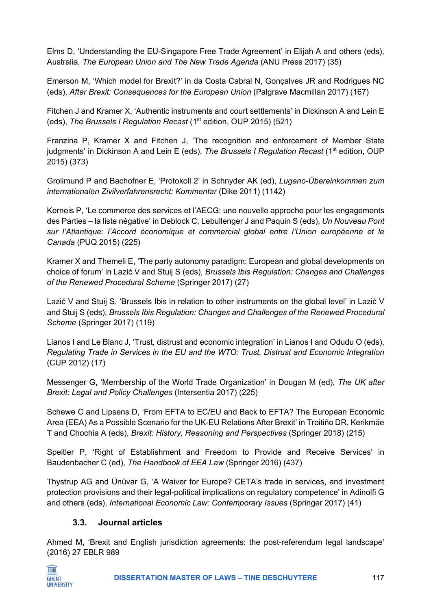Elms D, 'Understanding the EU-Singapore Free Trade Agreement' in Elijah A and others (eds), Australia, *The European Union and The New Trade Agenda* (ANU Press 2017) (35)

Emerson M, 'Which model for Brexit?' in da Costa Cabral N, Gonçalves JR and Rodrigues NC (eds), *After Brexit: Consequences for the European Union* (Palgrave Macmillan 2017) (167)

Fitchen J and Kramer X, 'Authentic instruments and court settlements' in Dickinson A and Lein E (eds), *The Brussels I Regulation Recast* (1<sup>st</sup> edition, OUP 2015) (521)

Franzina P, Kramer X and Fitchen J, 'The recognition and enforcement of Member State judgments' in Dickinson A and Lein E (eds), *The Brussels I Regulation Recast* (1<sup>st</sup> edition, OUP 2015) (373)

Grolimund P and Bachofner E, 'Protokoll 2' in Schnyder AK (ed), *Lugano-Übereinkommen zum internationalen Zivilverfahrensrecht: Kommentar* (Dike 2011) (1142)

Kerneis P, 'Le commerce des services et l'AECG: une nouvelle approche pour les engagements des Parties – la liste négative' in Deblock C, Lebullenger J and Paquin S (eds), *Un Nouveau Pont sur l'Atlantique: l'Accord économique et commercial global entre l'Union européenne et le Canada* (PUQ 2015) (225)

Kramer X and Themeli E, 'The party autonomy paradigm: European and global developments on choice of forum' in Lazić V and Stuij S (eds), *Brussels Ibis Regulation: Changes and Challenges of the Renewed Procedural Scheme* (Springer 2017) (27)

Lazić V and Stuij S, 'Brussels Ibis in relation to other instruments on the global level' in Lazić V and Stuij S (eds), *Brussels Ibis Regulation: Changes and Challenges of the Renewed Procedural Scheme* (Springer 2017) (119)

Lianos I and Le Blanc J, 'Trust, distrust and economic integration' in Lianos I and Odudu O (eds), *Regulating Trade in Services in the EU and the WTO: Trust, Distrust and Economic Integration* (CUP 2012) (17)

Messenger G, 'Membership of the World Trade Organization' in Dougan M (ed), *The UK after Brexit: Legal and Policy Challenges* (Intersentia 2017) (225)

Schewe C and Lipsens D, 'From EFTA to EC/EU and Back to EFTA? The European Economic Area (EEA) As a Possible Scenario for the UK-EU Relations After Brexit' in Troitiño DR, Kerikmäe T and Chochia A (eds), *Brexit: History, Reasoning and Perspectives* (Springer 2018) (215)

Speitler P, 'Right of Establishment and Freedom to Provide and Receive Services' in Baudenbacher C (ed), *The Handbook of EEA Law* (Springer 2016) (437)

Thystrup AG and Ünüvar G, 'A Waiver for Europe? CETA's trade in services, and investment protection provisions and their legal-political implications on regulatory competence' in Adinolfi G and others (eds), *International Economic Law: Contemporary Issues* (Springer 2017) (41)

# **3.3. Journal articles**

Ahmed M, 'Brexit and English jurisdiction agreements: the post-referendum legal landscape' (2016) 27 EBLR 989

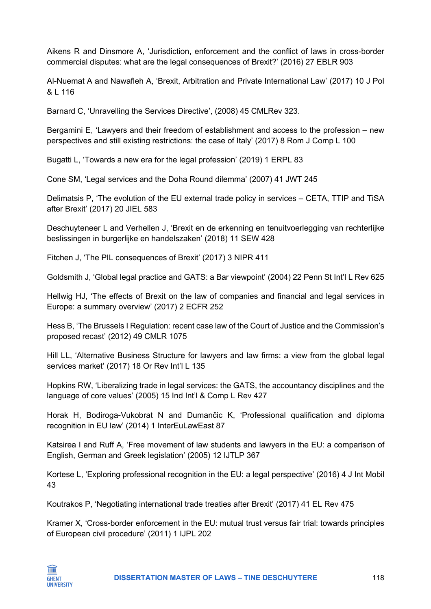Aikens R and Dinsmore A, 'Jurisdiction, enforcement and the conflict of laws in cross-border commercial disputes: what are the legal consequences of Brexit?' (2016) 27 EBLR 903

Al-Nuemat A and Nawafleh A, 'Brexit, Arbitration and Private International Law' (2017) 10 J Pol & L 116

Barnard C, 'Unravelling the Services Directive', (2008) 45 CMLRev 323.

Bergamini E, 'Lawyers and their freedom of establishment and access to the profession – new perspectives and still existing restrictions: the case of Italy' (2017) 8 Rom J Comp L 100

Bugatti L, 'Towards a new era for the legal profession' (2019) 1 ERPL 83

Cone SM, 'Legal services and the Doha Round dilemma' (2007) 41 JWT 245

Delimatsis P, 'The evolution of the EU external trade policy in services – CETA, TTIP and TiSA after Brexit' (2017) 20 JIEL 583

Deschuyteneer L and Verhellen J, 'Brexit en de erkenning en tenuitvoerlegging van rechterlijke beslissingen in burgerlijke en handelszaken' (2018) 11 SEW 428

Fitchen J, 'The PIL consequences of Brexit' (2017) 3 NIPR 411

Goldsmith J, 'Global legal practice and GATS: a Bar viewpoint' (2004) 22 Penn St Int'l L Rev 625

Hellwig HJ, 'The effects of Brexit on the law of companies and financial and legal services in Europe: a summary overview' (2017) 2 ECFR 252

Hess B, 'The Brussels I Regulation: recent case law of the Court of Justice and the Commission's proposed recast' (2012) 49 CMLR 1075

Hill LL, 'Alternative Business Structure for lawyers and law firms: a view from the global legal services market' (2017) 18 Or Rev Int'l L 135

Hopkins RW, 'Liberalizing trade in legal services: the GATS, the accountancy disciplines and the language of core values' (2005) 15 Ind Int'l & Comp L Rev 427

Horak H, Bodiroga-Vukobrat N and Dumančic K, 'Professional qualification and diploma recognition in EU law' (2014) 1 InterEuLawEast 87

Katsirea I and Ruff A, 'Free movement of law students and lawyers in the EU: a comparison of English, German and Greek legislation' (2005) 12 IJTLP 367

Kortese L, 'Exploring professional recognition in the EU: a legal perspective' (2016) 4 J Int Mobil 43

Koutrakos P, 'Negotiating international trade treaties after Brexit' (2017) 41 EL Rev 475

Kramer X, 'Cross-border enforcement in the EU: mutual trust versus fair trial: towards principles of European civil procedure' (2011) 1 IJPL 202

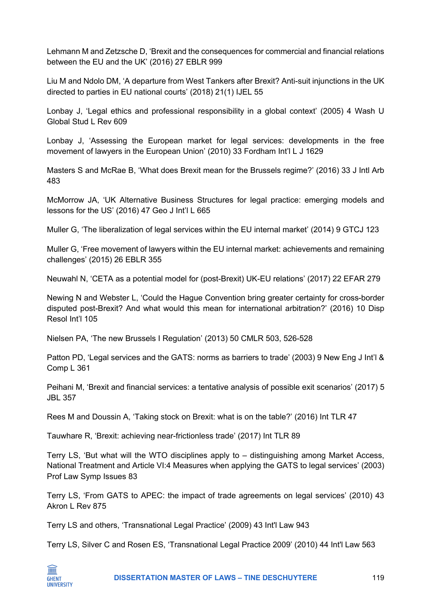Lehmann M and Zetzsche D, 'Brexit and the consequences for commercial and financial relations between the EU and the UK' (2016) 27 EBLR 999

Liu M and Ndolo DM, 'A departure from West Tankers after Brexit? Anti-suit injunctions in the UK directed to parties in EU national courts' (2018) 21(1) IJEL 55

Lonbay J, 'Legal ethics and professional responsibility in a global context' (2005) 4 Wash U Global Stud L Rev 609

Lonbay J, 'Assessing the European market for legal services: developments in the free movement of lawyers in the European Union' (2010) 33 Fordham Int'l L J 1629

Masters S and McRae B, 'What does Brexit mean for the Brussels regime?' (2016) 33 J Intl Arb 483

McMorrow JA, 'UK Alternative Business Structures for legal practice: emerging models and lessons for the US' (2016) 47 Geo J Int'l L 665

Muller G, 'The liberalization of legal services within the EU internal market' (2014) 9 GTCJ 123

Muller G, 'Free movement of lawyers within the EU internal market: achievements and remaining challenges' (2015) 26 EBLR 355

Neuwahl N, 'CETA as a potential model for (post-Brexit) UK-EU relations' (2017) 22 EFAR 279

Newing N and Webster L, 'Could the Hague Convention bring greater certainty for cross-border disputed post-Brexit? And what would this mean for international arbitration?' (2016) 10 Disp Resol Int'l 105

Nielsen PA, 'The new Brussels I Regulation' (2013) 50 CMLR 503, 526-528

Patton PD, 'Legal services and the GATS: norms as barriers to trade' (2003) 9 New Eng J Int'l & Comp L 361

Peihani M, 'Brexit and financial services: a tentative analysis of possible exit scenarios' (2017) 5 JBL 357

Rees M and Doussin A, 'Taking stock on Brexit: what is on the table?' (2016) Int TLR 47

Tauwhare R, 'Brexit: achieving near-frictionless trade' (2017) Int TLR 89

Terry LS, 'But what will the WTO disciplines apply to – distinguishing among Market Access, National Treatment and Article VI:4 Measures when applying the GATS to legal services' (2003) Prof Law Symp Issues 83

Terry LS, 'From GATS to APEC: the impact of trade agreements on legal services' (2010) 43 Akron L Rev 875

Terry LS and others, 'Transnational Legal Practice' (2009) 43 Int'l Law 943

Terry LS, Silver C and Rosen ES, 'Transnational Legal Practice 2009' (2010) 44 Int'l Law 563

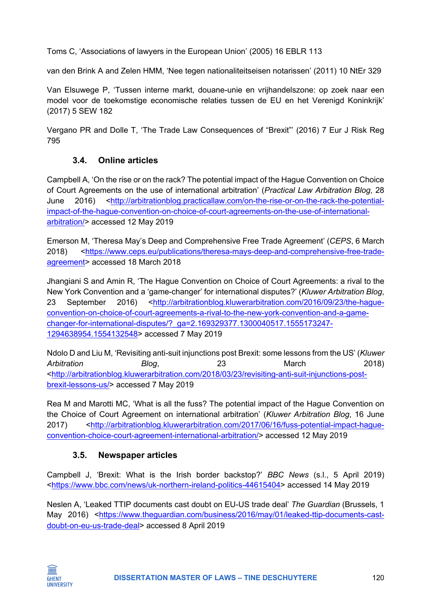Toms C, 'Associations of lawyers in the European Union' (2005) 16 EBLR 113

van den Brink A and Zelen HMM, 'Nee tegen nationaliteitseisen notarissen' (2011) 10 NtEr 329

Van Elsuwege P, 'Tussen interne markt, douane-unie en vrijhandelszone: op zoek naar een model voor de toekomstige economische relaties tussen de EU en het Verenigd Koninkrijk' (2017) 5 SEW 182

Vergano PR and Dolle T, 'The Trade Law Consequences of "Brexit"' (2016) 7 Eur J Risk Reg 795

# **3.4. Online articles**

Campbell A, 'On the rise or on the rack? The potential impact of the Hague Convention on Choice of Court Agreements on the use of international arbitration' (*Practical Law Arbitration Blog*, 28 June 2016) ˂http://arbitrationblog.practicallaw.com/on-the-rise-or-on-the-rack-the-potentialimpact-of-the-hague-convention-on-choice-of-court-agreements-on-the-use-of-internationalarbitration/˃ accessed 12 May 2019

Emerson M, 'Theresa May's Deep and Comprehensive Free Trade Agreement' (*CEPS*, 6 March 2018) <https://www.ceps.eu/publications/theresa-mays-deep-and-comprehensive-free-tradeagreement> accessed 18 March 2018

Jhangiani S and Amin R, 'The Hague Convention on Choice of Court Agreements: a rival to the New York Convention and a 'game-changer' for international disputes?' (*Kluwer Arbitration Blog*, 23 September 2016) ˂http://arbitrationblog.kluwerarbitration.com/2016/09/23/the-hagueconvention-on-choice-of-court-agreements-a-rival-to-the-new-york-convention-and-a-gamechanger-for-international-disputes/?\_ga=2.169329377.1300040517.1555173247- 1294638954.1554132548˃ accessed 7 May 2019

Ndolo D and Liu M, 'Revisiting anti-suit injunctions post Brexit: some lessons from the US' (*Kluwer Arbitration Blog*, 23 March 2018) ˂http://arbitrationblog.kluwerarbitration.com/2018/03/23/revisiting-anti-suit-injunctions-postbrexit-lessons-us/˃ accessed 7 May 2019

Rea M and Marotti MC, 'What is all the fuss? The potential impact of the Hague Convention on the Choice of Court Agreement on international arbitration' (*Kluwer Arbitration Blog*, 16 June 2017) ˂http://arbitrationblog.kluwerarbitration.com/2017/06/16/fuss-potential-impact-hagueconvention-choice-court-agreement-international-arbitration/˃ accessed 12 May 2019

# **3.5. Newspaper articles**

Campbell J, 'Brexit: What is the Irish border backstop?' *BBC News* (s.l., 5 April 2019) ˂https://www.bbc.com/news/uk-northern-ireland-politics-44615404˃ accessed 14 May 2019

Neslen A, 'Leaked TTIP documents cast doubt on EU-US trade deal' *The Guardian* (Brussels, 1 May 2016) <https://www.theguardian.com/business/2016/may/01/leaked-ttip-documents-castdoubt-on-eu-us-trade-deal> accessed 8 April 2019

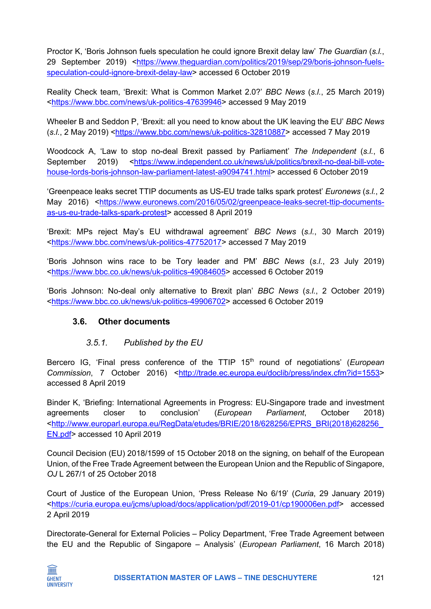Proctor K, 'Boris Johnson fuels speculation he could ignore Brexit delay law' *The Guardian* (*s.l.*, 29 September 2019) <https://www.theguardian.com/politics/2019/sep/29/boris-johnson-fuelsspeculation-could-ignore-brexit-delay-law> accessed 6 October 2019

Reality Check team, 'Brexit: What is Common Market 2.0?' *BBC News* (*s.l.*, 25 March 2019) ˂https://www.bbc.com/news/uk-politics-47639946˃ accessed 9 May 2019

Wheeler B and Seddon P, 'Brexit: all you need to know about the UK leaving the EU' *BBC News* (*s.l.*, 2 May 2019) ˂https://www.bbc.com/news/uk-politics-32810887˃ accessed 7 May 2019

Woodcock A, 'Law to stop no-deal Brexit passed by Parliament' *The Independent* (*s.l.*, 6 September 2019) <https://www.independent.co.uk/news/uk/politics/brexit-no-deal-bill-votehouse-lords-boris-johnson-law-parliament-latest-a9094741.html> accessed 6 October 2019

'Greenpeace leaks secret TTIP documents as US-EU trade talks spark protest' *Euronews* (*s.l.*, 2 May 2016) <https://www.euronews.com/2016/05/02/greenpeace-leaks-secret-ttip-documentsas-us-eu-trade-talks-spark-protest> accessed 8 April 2019

'Brexit: MPs reject May's EU withdrawal agreement' *BBC News* (*s.l.*, 30 March 2019) ˂https://www.bbc.com/news/uk-politics-47752017˃ accessed 7 May 2019

'Boris Johnson wins race to be Tory leader and PM' *BBC News* (*s.l.*, 23 July 2019) <https://www.bbc.co.uk/news/uk-politics-49084605> accessed 6 October 2019

'Boris Johnson: No-deal only alternative to Brexit plan' *BBC News* (*s.l.*, 2 October 2019) <https://www.bbc.co.uk/news/uk-politics-49906702> accessed 6 October 2019

# **3.6. Other documents**

#### *3.5.1. Published by the EU*

Bercero IG, 'Final press conference of the TTIP 15<sup>th</sup> round of negotiations' (*European* Commission, 7 October 2016) <http://trade.ec.europa.eu/doclib/press/index.cfm?id=1553> accessed 8 April 2019

Binder K, 'Briefing: International Agreements in Progress: EU-Singapore trade and investment agreements closer to conclusion' (*European Parliament*, October 2018) <http://www.europarl.europa.eu/RegData/etudes/BRIE/2018/628256/EPRS\_BRI(2018)628256\_ EN.pdf> accessed 10 April 2019

Council Decision (EU) 2018/1599 of 15 October 2018 on the signing, on behalf of the European Union, of the Free Trade Agreement between the European Union and the Republic of Singapore, *OJ* L 267/1 of 25 October 2018

Court of Justice of the European Union, 'Press Release No 6/19' (*Curia*, 29 January 2019) <https://curia.europa.eu/jcms/upload/docs/application/pdf/2019-01/cp190006en.pdf> accessed 2 April 2019

Directorate-General for External Policies – Policy Department, 'Free Trade Agreement between the EU and the Republic of Singapore – Analysis' (*European Parliament*, 16 March 2018)

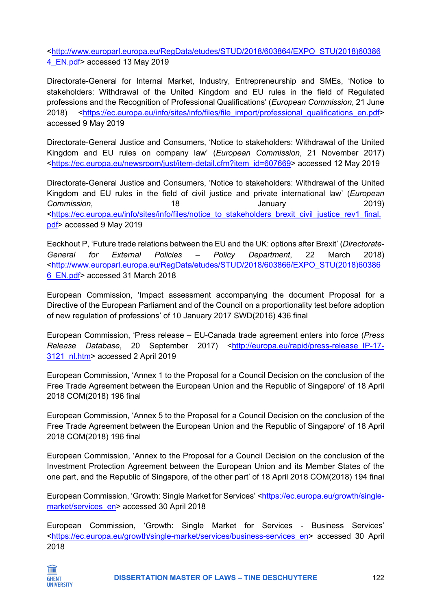<http://www.europarl.europa.eu/RegData/etudes/STUD/2018/603864/EXPO\_STU(2018)60386 4\_EN.pdf> accessed 13 May 2019

Directorate-General for Internal Market, Industry, Entrepreneurship and SMEs, 'Notice to stakeholders: Withdrawal of the United Kingdom and EU rules in the field of Regulated professions and the Recognition of Professional Qualifications' (*European Commission*, 21 June 2018) <https://ec.europa.eu/info/sites/info/files/file\_import/professional\_qualifications\_en.pdf> accessed 9 May 2019

Directorate-General Justice and Consumers, 'Notice to stakeholders: Withdrawal of the United Kingdom and EU rules on company law' (*European Commission*, 21 November 2017) ˂https://ec.europa.eu/newsroom/just/item-detail.cfm?item\_id=607669˃ accessed 12 May 2019

Directorate-General Justice and Consumers, 'Notice to stakeholders: Withdrawal of the United Kingdom and EU rules in the field of civil justice and private international law' (*European Commission*, 18 January 2019) ˂https://ec.europa.eu/info/sites/info/files/notice\_to\_stakeholders\_brexit\_civil\_justice\_rev1\_final. pdf> accessed 9 May 2019

Eeckhout P, 'Future trade relations between the EU and the UK: options after Brexit' (*Directorate-General for External Policies – Policy Department*, 22 March 2018) <http://www.europarl.europa.eu/RegData/etudes/STUD/2018/603866/EXPO\_STU(2018)60386 6\_EN.pdf> accessed 31 March 2018

European Commission, 'Impact assessment accompanying the document Proposal for a Directive of the European Parliament and of the Council on a proportionality test before adoption of new regulation of professions' of 10 January 2017 SWD(2016) 436 final

European Commission, 'Press release – EU-Canada trade agreement enters into force (*Press Release Database*, 20 September 2017) <http://europa.eu/rapid/press-release\_IP-17- 3121\_nl.htm> accessed 2 April 2019

European Commission, 'Annex 1 to the Proposal for a Council Decision on the conclusion of the Free Trade Agreement between the European Union and the Republic of Singapore' of 18 April 2018 COM(2018) 196 final

European Commission, 'Annex 5 to the Proposal for a Council Decision on the conclusion of the Free Trade Agreement between the European Union and the Republic of Singapore' of 18 April 2018 COM(2018) 196 final

European Commission, 'Annex to the Proposal for a Council Decision on the conclusion of the Investment Protection Agreement between the European Union and its Member States of the one part, and the Republic of Singapore, of the other part' of 18 April 2018 COM(2018) 194 final

European Commission, 'Growth: Single Market for Services' <https://ec.europa.eu/growth/singlemarket/services\_en> accessed 30 April 2018

European Commission, 'Growth: Single Market for Services - Business Services' <https://ec.europa.eu/growth/single-market/services/business-services\_en> accessed 30 April 2018

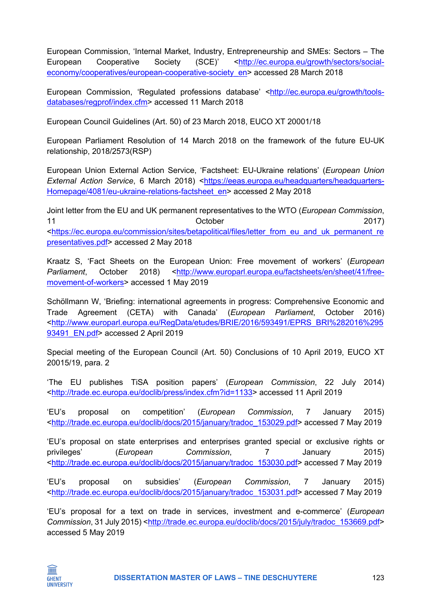European Commission, 'Internal Market, Industry, Entrepreneurship and SMEs: Sectors – The European Cooperative Society (SCE)' <http://ec.europa.eu/growth/sectors/socialeconomy/cooperatives/european-cooperative-society\_en> accessed 28 March 2018

European Commission, 'Regulated professions database' <http://ec.europa.eu/growth/toolsdatabases/regprof/index.cfm> accessed 11 March 2018

European Council Guidelines (Art. 50) of 23 March 2018, EUCO XT 20001/18

European Parliament Resolution of 14 March 2018 on the framework of the future EU-UK relationship, 2018/2573(RSP)

European Union External Action Service, 'Factsheet: EU-Ukraine relations' (*European Union*  External Action Service, 6 March 2018) <https://eeas.europa.eu/headquarters/headquarters-Homepage/4081/eu-ukraine-relations-factsheet\_en> accessed 2 May 2018

Joint letter from the EU and UK permanent representatives to the WTO (*European Commission*, 11 October 2017) <https://ec.europa.eu/commission/sites/betapolitical/files/letter\_from\_eu\_and\_uk\_permanent\_re presentatives.pdf> accessed 2 May 2018

Kraatz S, 'Fact Sheets on the European Union: Free movement of workers' (*European*  Parliament, October 2018) <http://www.europarl.europa.eu/factsheets/en/sheet/41/freemovement-of-workers> accessed 1 May 2019

Schöllmann W, 'Briefing: international agreements in progress: Comprehensive Economic and Trade Agreement (CETA) with Canada' (*European Parliament*, October 2016) <http://www.europarl.europa.eu/RegData/etudes/BRIE/2016/593491/EPRS\_BRI%282016%295 93491 EN.pdf> accessed 2 April 2019

Special meeting of the European Council (Art. 50) Conclusions of 10 April 2019, EUCO XT 20015/19, para. 2

'The EU publishes TiSA position papers' (*European Commission*, 22 July 2014) <http://trade.ec.europa.eu/doclib/press/index.cfm?id=1133> accessed 11 April 2019

'EU's proposal on competition' (*European Commission*, 7 January 2015) ˂http://trade.ec.europa.eu/doclib/docs/2015/january/tradoc\_153029.pdf˃ accessed 7 May 2019

'EU's proposal on state enterprises and enterprises granted special or exclusive rights or privileges' (*European Commission*, 7 January 2015) ˂http://trade.ec.europa.eu/doclib/docs/2015/january/tradoc\_153030.pdf˃ accessed 7 May 2019

'EU's proposal on subsidies' (*European Commission*, 7 January 2015) ˂http://trade.ec.europa.eu/doclib/docs/2015/january/tradoc\_153031.pdf˃ accessed 7 May 2019

'EU's proposal for a text on trade in services, investment and e-commerce' (*European*  Commission, 31 July 2015) <http://trade.ec.europa.eu/doclib/docs/2015/july/tradoc\_153669.pdf> accessed 5 May 2019

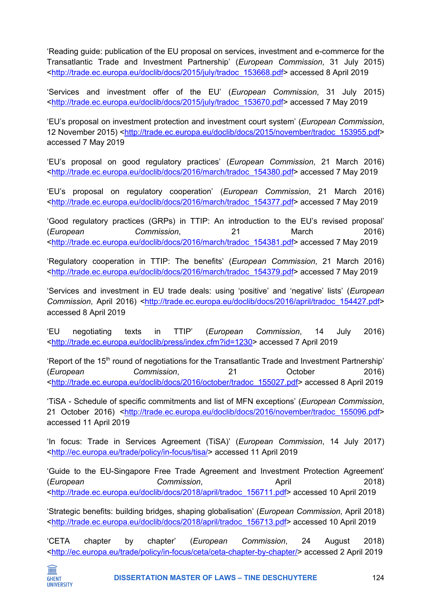'Reading guide: publication of the EU proposal on services, investment and e-commerce for the Transatlantic Trade and Investment Partnership' (*European Commission*, 31 July 2015) <http://trade.ec.europa.eu/doclib/docs/2015/july/tradoc\_153668.pdf> accessed 8 April 2019

'Services and investment offer of the EU' (*European Commission*, 31 July 2015) ˂http://trade.ec.europa.eu/doclib/docs/2015/july/tradoc\_153670.pdf˃ accessed 7 May 2019

'EU's proposal on investment protection and investment court system' (*European Commission*, 12 November 2015) <http://trade.ec.europa.eu/doclib/docs/2015/november/tradoc\_153955.pdf> accessed 7 May 2019

'EU's proposal on good regulatory practices' (*European Commission*, 21 March 2016) ˂http://trade.ec.europa.eu/doclib/docs/2016/march/tradoc\_154380.pdf˃ accessed 7 May 2019

'EU's proposal on regulatory cooperation' (*European Commission*, 21 March 2016) ˂http://trade.ec.europa.eu/doclib/docs/2016/march/tradoc\_154377.pdf˃ accessed 7 May 2019

'Good regulatory practices (GRPs) in TTIP: An introduction to the EU's revised proposal' (*European Commission*, 21 March 2016) ˂http://trade.ec.europa.eu/doclib/docs/2016/march/tradoc\_154381.pdf˃ accessed 7 May 2019

'Regulatory cooperation in TTIP: The benefits' (*European Commission*, 21 March 2016) ˂http://trade.ec.europa.eu/doclib/docs/2016/march/tradoc\_154379.pdf˃ accessed 7 May 2019

'Services and investment in EU trade deals: using 'positive' and 'negative' lists' (*European Commission*, April 2016) <http://trade.ec.europa.eu/doclib/docs/2016/april/tradoc\_154427.pdf> accessed 8 April 2019

'EU negotiating texts in TTIP' (*European Commission*, 14 July 2016) <http://trade.ec.europa.eu/doclib/press/index.cfm?id=1230> accessed 7 April 2019

'Report of the 15<sup>th</sup> round of negotiations for the Transatlantic Trade and Investment Partnership' (*European Commission*, 21 October 2016) <http://trade.ec.europa.eu/doclib/docs/2016/october/tradoc\_155027.pdf> accessed 8 April 2019

'TiSA - Schedule of specific commitments and list of MFN exceptions' (*European Commission*, 21 October 2016) <http://trade.ec.europa.eu/doclib/docs/2016/november/tradoc\_155096.pdf> accessed 11 April 2019

'In focus: Trade in Services Agreement (TiSA)' (*European Commission*, 14 July 2017) <http://ec.europa.eu/trade/policy/in-focus/tisa/> accessed 11 April 2019

'Guide to the EU-Singapore Free Trade Agreement and Investment Protection Agreement' (*European Commission*, April 2018) <http://trade.ec.europa.eu/doclib/docs/2018/april/tradoc\_156711.pdf> accessed 10 April 2019

'Strategic benefits: building bridges, shaping globalisation' (*European Commission*, April 2018) <http://trade.ec.europa.eu/doclib/docs/2018/april/tradoc\_156713.pdf> accessed 10 April 2019

'CETA chapter by chapter' (*European Commission*, 24 August 2018) <http://ec.europa.eu/trade/policy/in-focus/ceta/ceta-chapter-by-chapter/> accessed 2 April 2019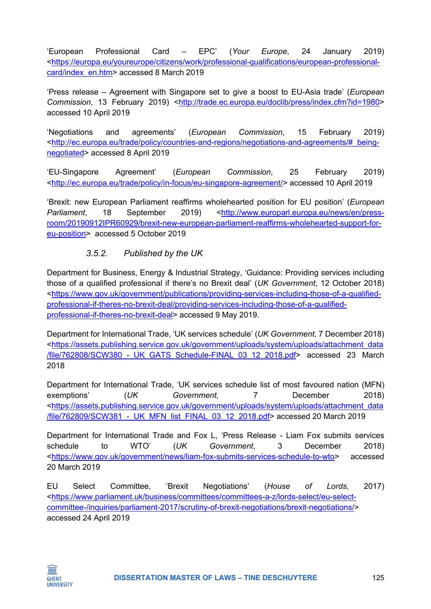'European Professional Card – EPC' (*Your Europe*, 24 January 2019) <https://europa.eu/youreurope/citizens/work/professional-qualifications/european-professionalcard/index\_en.htm> accessed 8 March 2019

'Press release – Agreement with Singapore set to give a boost to EU-Asia trade' (*European Commission*, 13 February 2019) <http://trade.ec.europa.eu/doclib/press/index.cfm?id=1980> accessed 10 April 2019

'Negotiations and agreements' (*European Commission*, 15 February 2019) <http://ec.europa.eu/trade/policy/countries-and-regions/negotiations-and-agreements/#\_beingnegotiated> accessed 8 April 2019

'EU-Singapore Agreement' (*European Commission*, 25 February 2019) <http://ec.europa.eu/trade/policy/in-focus/eu-singapore-agreement/> accessed 10 April 2019

'Brexit: new European Parliament reaffirms wholehearted position for EU position' (*European Parliament*, 18 September 2019) <http://www.europarl.europa.eu/news/en/pressroom/20190912IPR60929/brexit-new-european-parliament-reaffirms-wholehearted-support-foreu-position> accessed 5 October 2019

#### *3.5.2. Published by the UK*

Department for Business, Energy & Industrial Strategy, 'Guidance: Providing services including those of a qualified professional if there's no Brexit deal' (*UK Government*, 12 October 2018) ˂https://www.gov.uk/government/publications/providing-services-including-those-of-a-qualifiedprofessional-if-theres-no-brexit-deal/providing-services-including-those-of-a-qualifiedprofessional-if-theres-no-brexit-deal> accessed 9 May 2019.

Department for International Trade, 'UK services schedule' (*UK Government*, 7 December 2018) <https://assets.publishing.service.gov.uk/government/uploads/system/uploads/attachment\_data /file/762808/SCW380\_-\_UK\_GATS\_Schedule-FINAL\_03\_12\_2018.pdf> accessed 23 March 2018

Department for International Trade, 'UK services schedule list of most favoured nation (MFN) exemptions' (*UK Government*, 7 December 2018) <https://assets.publishing.service.gov.uk/government/uploads/system/uploads/attachment\_data /file/762809/SCW381 - UK\_MFN\_list\_FINAL\_03\_12\_2018.pdf> accessed 20 March 2019

Department for International Trade and Fox L, 'Press Release - Liam Fox submits services schedule to WTO' (*UK Government*, 3 December 2018) <https://www.gov.uk/government/news/liam-fox-submits-services-schedule-to-wto> accessed 20 March 2019

EU Select Committee, 'Brexit Negotiations' (*House of Lords*, 2017) ˂https://www.parliament.uk/business/committees/committees-a-z/lords-select/eu-selectcommittee-/inquiries/parliament-2017/scrutiny-of-brexit-negotiations/brexit-negotiations/> accessed 24 April 2019

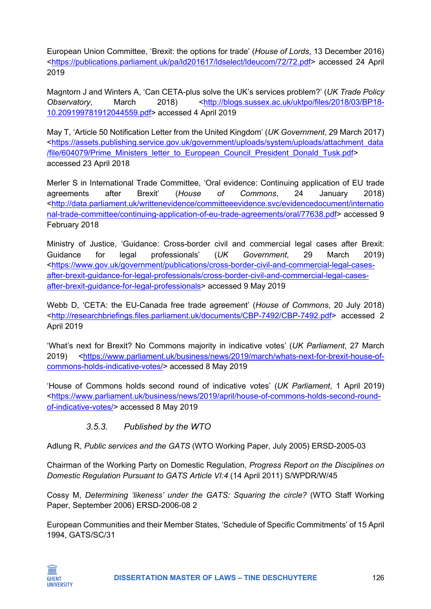European Union Committee, 'Brexit: the options for trade' (*House of Lords*, 13 December 2016) <https://publications.parliament.uk/pa/ld201617/ldselect/ldeucom/72/72.pdf> accessed 24 April 2019

Magntorn J and Winters A, 'Can CETA-plus solve the UK's services problem?' (*UK Trade Policy Observatory*, March 2018) ˂http://blogs.sussex.ac.uk/uktpo/files/2018/03/BP18- 10.209199781912044559.pdf˃ accessed 4 April 2019

May T, 'Article 50 Notification Letter from the United Kingdom' (*UK Government*, 29 March 2017) <https://assets.publishing.service.gov.uk/government/uploads/system/uploads/attachment\_data /file/604079/Prime\_Ministers\_letter\_to\_European\_Council\_President\_Donald\_Tusk.pdf> accessed 23 April 2018

Merler S in International Trade Committee, 'Oral evidence: Continuing application of EU trade agreements after Brexit' (*House of Commons*, 24 January 2018) <http://data.parliament.uk/writtenevidence/committeeevidence.svc/evidencedocument/internatio nal-trade-committee/continuing-application-of-eu-trade-agreements/oral/77638.pdf> accessed 9 February 2018

Ministry of Justice, 'Guidance: Cross-border civil and commercial legal cases after Brexit: Guidance for legal professionals' (*UK Government*, 29 March 2019) ˂https://www.gov.uk/government/publications/cross-border-civil-and-commercial-legal-casesafter-brexit-guidance-for-legal-professionals/cross-border-civil-and-commercial-legal-casesafter-brexit-guidance-for-legal-professionals˃ accessed 9 May 2019

Webb D, 'CETA: the EU-Canada free trade agreement' (*House of Commons*, 20 July 2018) <http://researchbriefings.files.parliament.uk/documents/CBP-7492/CBP-7492.pdf> accessed 2 April 2019

'What's next for Brexit? No Commons majority in indicative votes' (*UK Parliament*, 27 March 2019) ˂https://www.parliament.uk/business/news/2019/march/whats-next-for-brexit-house-ofcommons-holds-indicative-votes/˃ accessed 8 May 2019

'House of Commons holds second round of indicative votes' (*UK Parliament*, 1 April 2019) ˂https://www.parliament.uk/business/news/2019/april/house-of-commons-holds-second-roundof-indicative-votes/˃ accessed 8 May 2019

# *3.5.3. Published by the WTO*

Adlung R, *Public services and the GATS* (WTO Working Paper, July 2005) ERSD-2005-03

Chairman of the Working Party on Domestic Regulation, *Progress Report on the Disciplines on Domestic Regulation Pursuant to GATS Article VI:4* (14 April 2011) S/WPDR/W/45

Cossy M, *Determining 'likeness' under the GATS: Squaring the circle?* (WTO Staff Working Paper, September 2006) ERSD-2006-08 2

European Communities and their Member States, 'Schedule of Specific Commitments' of 15 April 1994, GATS/SC/31

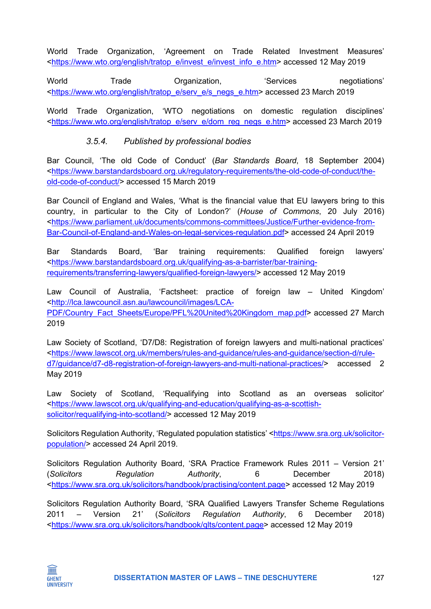World Trade Organization, 'Agreement on Trade Related Investment Measures' ˂https://www.wto.org/english/tratop\_e/invest\_e/invest\_info\_e.htm˃ accessed 12 May 2019

World Trade Organization, Services negotiations' <https://www.wto.org/english/tratop\_e/serv\_e/s\_negs\_e.htm> accessed 23 March 2019

World Trade Organization, 'WTO negotiations on domestic regulation disciplines' <https://www.wto.org/english/tratop\_e/serv\_e/dom\_reg\_negs\_e.htm> accessed 23 March 2019

## *3.5.4. Published by professional bodies*

Bar Council, 'The old Code of Conduct' (*Bar Standards Board*, 18 September 2004) <https://www.barstandardsboard.org.uk/regulatory-requirements/the-old-code-of-conduct/theold-code-of-conduct/> accessed 15 March 2019

Bar Council of England and Wales, 'What is the financial value that EU lawyers bring to this country, in particular to the City of London?' (*House of Commons*, 20 July 2016) ˂https://www.parliament.uk/documents/commons-committees/Justice/Further-evidence-from-Bar-Council-of-England-and-Wales-on-legal-services-regulation.pdf> accessed 24 April 2019

Bar Standards Board, 'Bar training requirements: Qualified foreign lawyers' ˂https://www.barstandardsboard.org.uk/qualifying-as-a-barrister/bar-trainingrequirements/transferring-lawyers/qualified-foreign-lawyers/˃ accessed 12 May 2019

Law Council of Australia, 'Factsheet: practice of foreign law – United Kingdom' ˂http://lca.lawcouncil.asn.au/lawcouncil/images/LCA-PDF/Country\_Fact\_Sheets/Europe/PFL%20United%20Kingdom\_map.pdf> accessed 27 March 2019

Law Society of Scotland, 'D7/D8: Registration of foreign lawyers and multi-national practices' ˂https://www.lawscot.org.uk/members/rules-and-guidance/rules-and-guidance/section-d/ruled7/guidance/d7-d8-registration-of-foreign-lawyers-and-multi-national-practices/˃ accessed 2 May 2019

Law Society of Scotland, 'Requalifying into Scotland as an overseas solicitor' ˂https://www.lawscot.org.uk/qualifying-and-education/qualifying-as-a-scottishsolicitor/requalifying-into-scotland/> accessed 12 May 2019

Solicitors Regulation Authority, 'Regulated population statistics' <https://www.sra.org.uk/solicitorpopulation/˃ accessed 24 April 2019.

Solicitors Regulation Authority Board, 'SRA Practice Framework Rules 2011 – Version 21' (*Solicitors Regulation Authority*, 6 December 2018) ˂https://www.sra.org.uk/solicitors/handbook/practising/content.page˃ accessed 12 May 2019

Solicitors Regulation Authority Board, 'SRA Qualified Lawyers Transfer Scheme Regulations 2011 – Version 21' (*Solicitors Regulation Authority*, 6 December 2018) ˂https://www.sra.org.uk/solicitors/handbook/qlts/content.page˃ accessed 12 May 2019

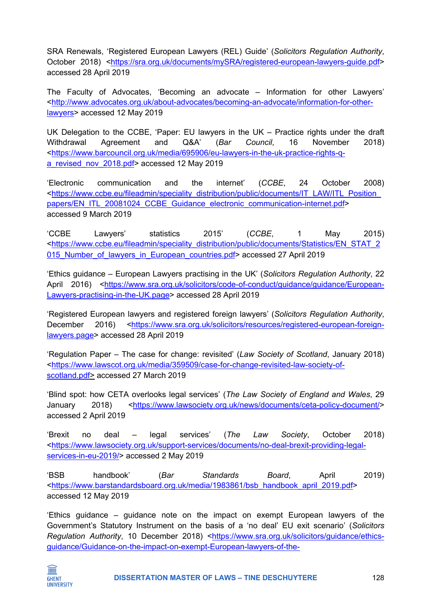SRA Renewals, 'Registered European Lawyers (REL) Guide' (*Solicitors Regulation Authority*, October 2018) <https://sra.org.uk/documents/mySRA/registered-european-lawyers-guide.pdf> accessed 28 April 2019

The Faculty of Advocates, 'Becoming an advocate – Information for other Lawyers' ˂http://www.advocates.org.uk/about-advocates/becoming-an-advocate/information-for-otherlawyers> accessed 12 May 2019

UK Delegation to the CCBE, 'Paper: EU lawyers in the UK – Practice rights under the draft Withdrawal Agreement and Q&A' (*Bar Council*, 16 November 2018) ˂https://www.barcouncil.org.uk/media/695906/eu-lawyers-in-the-uk-practice-rights-qa\_revised\_nov\_2018.pdf> accessed 12 May 2019

'Electronic communication and the internet' (*CCBE*, 24 October 2008) <https://www.ccbe.eu/fileadmin/speciality\_distribution/public/documents/IT\_LAW/ITL\_Position\_ papers/EN\_ITL\_20081024\_CCBE\_Guidance\_electronic\_communication-internet.pdf> accessed 9 March 2019

'CCBE Lawyers' statistics 2015' (*CCBE*, 1 May 2015) ˂https://www.ccbe.eu/fileadmin/speciality\_distribution/public/documents/Statistics/EN\_STAT\_2 015 Number of lawyers in European countries.pdf> accessed 27 April 2019

'Ethics guidance – European Lawyers practising in the UK' (*Solicitors Regulation Authority*, 22 April 2016) <https://www.sra.org.uk/solicitors/code-of-conduct/guidance/guidance/European-Lawyers-practising-in-the-UK.page> accessed 28 April 2019

'Registered European lawyers and registered foreign lawyers' (*Solicitors Regulation Authority*, December 2016) <https://www.sra.org.uk/solicitors/resources/registered-european-foreignlawyers.page> accessed 28 April 2019

'Regulation Paper – The case for change: revisited' (*Law Society of Scotland*, January 2018) ˂https://www.lawscot.org.uk/media/359509/case-for-change-revisited-law-society-ofscotland.pdf> accessed 27 March 2019

'Blind spot: how CETA overlooks legal services' (*The Law Society of England and Wales*, 29 January 2018) <https://www.lawsociety.org.uk/news/documents/ceta-policy-document/> accessed 2 April 2019

'Brexit no deal – legal services' (*The Law Society*, October 2018) ˂https://www.lawsociety.org.uk/support-services/documents/no-deal-brexit-providing-legalservices-in-eu-2019/> accessed 2 May 2019

'BSB handbook' (*Bar Standards Board*, April 2019) ˂https://www.barstandardsboard.org.uk/media/1983861/bsb\_handbook\_april\_2019.pdf˃ accessed 12 May 2019

'Ethics guidance – guidance note on the impact on exempt European lawyers of the Government's Statutory Instrument on the basis of a 'no deal' EU exit scenario' (*Solicitors Regulation Authority*, 10 December 2018) <https://www.sra.org.uk/solicitors/guidance/ethicsguidance/Guidance-on-the-impact-on-exempt-European-lawyers-of-the-



**DISSERTATION MASTER OF LAWS – TINE DESCHUYTERE** 128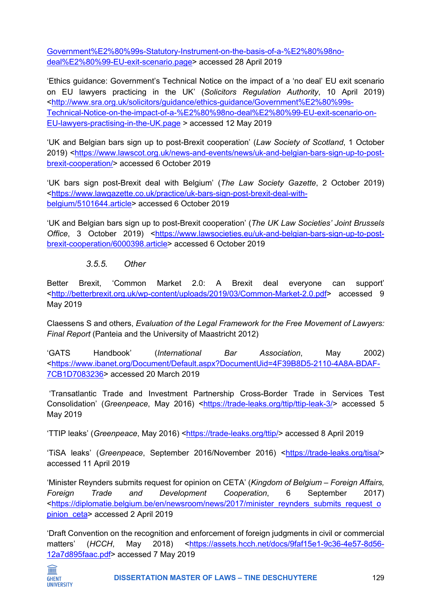Government%E2%80%99s-Statutory-Instrument-on-the-basis-of-a-%E2%80%98nodeal%E2%80%99-EU-exit-scenario.page> accessed 28 April 2019

'Ethics guidance: Government's Technical Notice on the impact of a 'no deal' EU exit scenario on EU lawyers practicing in the UK' (*Solicitors Regulation Authority*, 10 April 2019) ˂http://www.sra.org.uk/solicitors/guidance/ethics-guidance/Government%E2%80%99s-Technical-Notice-on-the-impact-of-a-%E2%80%98no-deal%E2%80%99-EU-exit-scenario-on-EU-lawyers-practising-in-the-UK.page ˃ accessed 12 May 2019

'UK and Belgian bars sign up to post-Brexit cooperation' (*Law Society of Scotland*, 1 October 2019) <https://www.lawscot.org.uk/news-and-events/news/uk-and-belgian-bars-sign-up-to-postbrexit-cooperation/> accessed 6 October 2019

'UK bars sign post-Brexit deal with Belgium' (*The Law Society Gazette*, 2 October 2019) <https://www.lawgazette.co.uk/practice/uk-bars-sign-post-brexit-deal-withbelgium/5101644.article> accessed 6 October 2019

'UK and Belgian bars sign up to post-Brexit cooperation' (*The UK Law Societies' Joint Brussels*  Office, 3 October 2019) <https://www.lawsocieties.eu/uk-and-belgian-bars-sign-up-to-postbrexit-cooperation/6000398.article> accessed 6 October 2019

## *3.5.5. Other*

Better Brexit, 'Common Market 2.0: A Brexit deal everyone can support' ˂http://betterbrexit.org.uk/wp-content/uploads/2019/03/Common-Market-2.0.pdf˃ accessed 9 May 2019

Claessens S and others, *Evaluation of the Legal Framework for the Free Movement of Lawyers: Final Report* (Panteia and the University of Maastricht 2012)

'GATS Handbook' (*International Bar Association*, May 2002) <https://www.ibanet.org/Document/Default.aspx?DocumentUid=4F39B8D5-2110-4A8A-BDAF-7CB1D7083236> accessed 20 March 2019

'Transatlantic Trade and Investment Partnership Cross-Border Trade in Services Test Consolidation' (*Greenpeace*, May 2016) ˂https://trade-leaks.org/ttip/ttip-leak-3/˃ accessed 5 May 2019

'TTIP leaks' (*Greenpeace*, May 2016) <https://trade-leaks.org/ttip/> accessed 8 April 2019

'TiSA leaks' (*Greenpeace*, September 2016/November 2016) <https://trade-leaks.org/tisa/> accessed 11 April 2019

'Minister Reynders submits request for opinion on CETA' (*Kingdom of Belgium – Foreign Affairs, Foreign Trade and Development Cooperation*, 6 September 2017) <https://diplomatie.belgium.be/en/newsroom/news/2017/minister\_reynders\_submits\_request\_o pinion\_ceta> accessed 2 April 2019

'Draft Convention on the recognition and enforcement of foreign judgments in civil or commercial matters' (*HCCH*, May 2018) <https://assets.hcch.net/docs/9faf15e1-9c36-4e57-8d56-12a7d895faac.pdf˃ accessed 7 May 2019